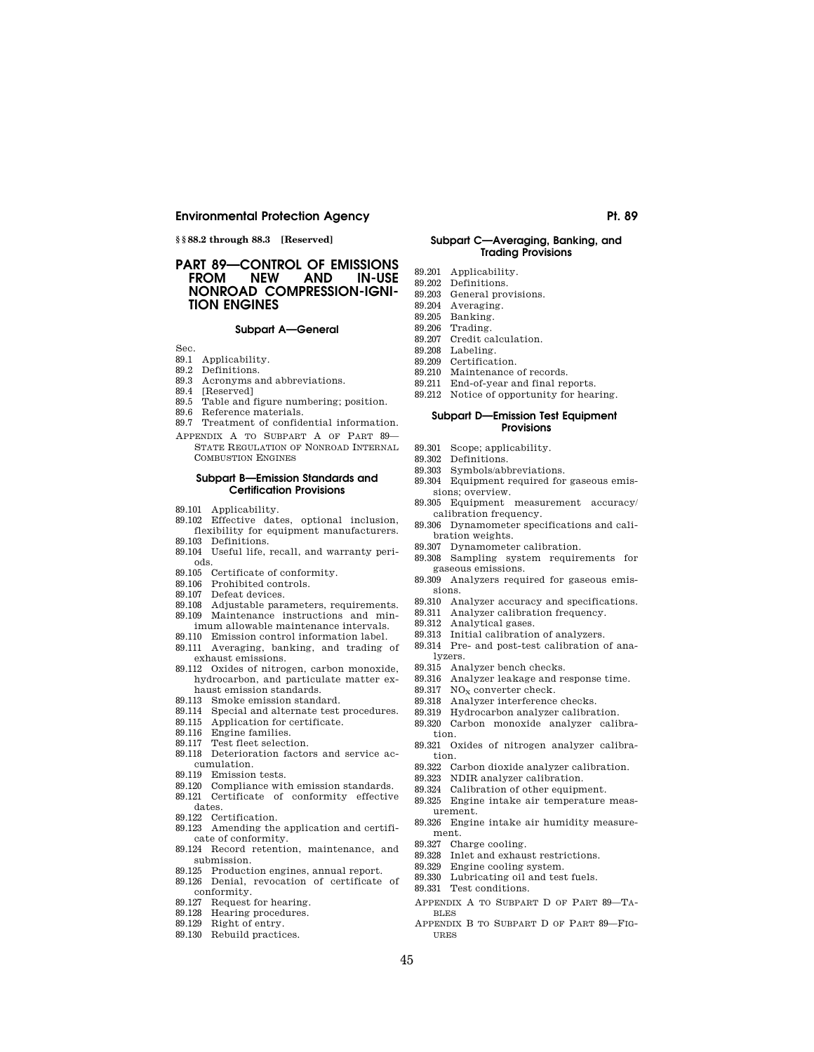**§ § 88.2 through 88.3 [Reserved]** 

## **PART 89—CONTROL OF EMISSIONS IN-USE NONROAD COMPRESSION-IGNI-TION ENGINES**

## **Subpart A—General**

- Sec.
- 89.1 Applicability.
- 89.2 Definitions.
- 89.3 Acronyms and abbreviations.
- 89.4 [Reserved]
- 89.5 Table and figure numbering; position.
- 89.6 Reference materials.
- 89.7 Treatment of confidential information.
- APPENDIX A TO SUBPART A OF PART 89— STATE REGULATION OF NONROAD INTERNAL COMBUSTION ENGINES

### **Subpart B—Emission Standards and Certification Provisions**

- 89.101 Applicability.
- 89.102 Effective dates, optional inclusion, flexibility for equipment manufacturers.
- 89.103 Definitions. 89.104 Useful life, recall, and warranty peri-
- ods.
- 89.105 Certificate of conformity. 89.106 Prohibited controls.
- 89.107 Defeat devices.
- 
- 89.108 Adjustable parameters, requirements. 89.109 Maintenance instructions and min-
- imum allowable maintenance intervals. 89.110 Emission control information label.
- 89.111 Averaging, banking, and trading of exhaust emissions.
- 89.112 Oxides of nitrogen, carbon monoxide, hydrocarbon, and particulate matter exhaust emission standards.
- 89.113 Smoke emission standard.
- 89.114 Special and alternate test procedures.
- 89.115 Application for certificate.
- 89.116 Engine families.
- 89.117 Test fleet selection.
- 89.118 Deterioration factors and service accumulation.
- 89.119 Emission tests.
- 89.120 Compliance with emission standards.
- 89.121 Certificate of conformity effective dates.
- 89.122 Certification.
- 89.123 Amending the application and certificate of conformity.
- 89.124 Record retention, maintenance, and submission.
- 89.125 Production engines, annual report.
- 89.126 Denial, revocation of certificate of conformity.
- 89.127 Request for hearing.
- 89.128 Hearing procedures.
- 89.129 Right of entry.
- 89.130 Rebuild practices.

### **Subpart C—Averaging, Banking, and Trading Provisions**

- 
- 
- 
- 
- 
- 89.206 Trading.
- 89.207 Credit calculation.<br>89.208 Labeling.
- Labeling.
- 89.209 Certification.
- 89.210 Maintenance of records.
- 89.211 End-of-year and final reports. 89.212 Notice of opportunity for hearing.

## **Subpart D—Emission Test Equipment Provisions**

- 
- 89.301 Scope; applicability. 89.302 Definitions.
- 89.303 Symbols/abbreviations.
- 89.304 Equipment required for gaseous emis-
- sions; overview. 89.305 Equipment measurement accuracy/
- calibration frequency. 89.306 Dynamometer specifications and cali-
- bration weights.
- 89.307 Dynamometer calibration.
- 89.308 Sampling system requirements for gaseous emissions.
- 89.309 Analyzers required for gaseous emissions.
- 89.310 Analyzer accuracy and specifications.
- 89.311 Analyzer calibration frequency.
- 89.312 Analytical gases.
- 89.313 Initial calibration of analyzers.
- 89.314 Pre- and post-test calibration of analyzers.
- 89.315 Analyzer bench checks.
- 89.316 Analyzer leakage and response time.
- 89.317  $NO<sub>x</sub>$  converter check.<br>89.318 Analyzer interference
- Analyzer interference checks.
- 89.319 Hydrocarbon analyzer calibration.
- 89.320 Carbon monoxide analyzer calibration.
- 89.321 Oxides of nitrogen analyzer calibration.
- 89.322 Carbon dioxide analyzer calibration.
- 89.323 NDIR analyzer calibration.
- 89.324 Calibration of other equipment.
- 89.325 Engine intake air temperature meas-
- urement.
- 89.326 Engine intake air humidity measurement.

89.327 Charge cooling.

- 89.328 Inlet and exhaust restrictions.
- 89.329 Engine cooling system.
- 89.330 Lubricating oil and test fuels.
- 89.331 Test conditions.
- APPENDIX A TO SUBPART D OF PART 89—TA-BLES
- APPENDIX B TO SUBPART D OF PART 89—FIG-URES
- 
- 
- 89.201 Applicability.
- 89.202 Definitions.
- 89.203 General provisions.<br>89.204 Averaging
- Averaging.
- 89.205 Banking.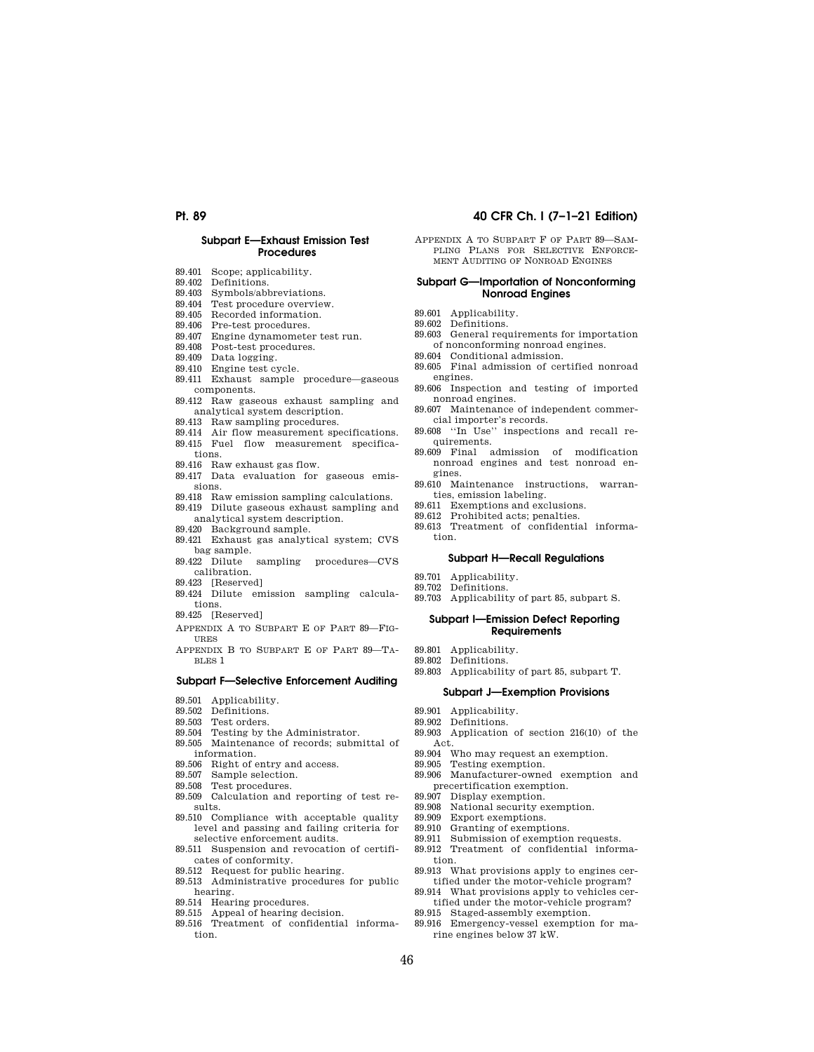## **Subpart E—Exhaust Emission Test Procedures**

- 89.401 Scope; applicability.
- 89.402 Definitions.
- 89.403 Symbols/abbreviations.
- 89.404 Test procedure overview.
- 89.405 Recorded information.
- 89.406 Pre-test procedures.
- 89.407 Engine dynamometer test run.
- 89.408 Post-test procedures.
- 89.409 Data logging.
- 89.410 Engine test cycle.
- 89.411 Exhaust sample procedure—gaseous components.
- 89.412 Raw gaseous exhaust sampling and analytical system description.
- 89.413 Raw sampling procedures.
- 89.414 Air flow measurement specifications. 89.415 Fuel flow measurement specifica-
- tions.
- 89.416 Raw exhaust gas flow.
- 89.417 Data evaluation for gaseous emissions.
- 89.418 Raw emission sampling calculations.
- 89.419 Dilute gaseous exhaust sampling and analytical system description.
- 89.420 Background sample.
- 89.421 Exhaust gas analytical system; CVS bag sample. 89.422 Dilute sampling procedures—CVS
- calibration.
- 89.423 [Reserved]
- 89.424 Dilute emission sampling calculations.
- 89.425 [Reserved]
- APPENDIX A TO SUBPART E OF PART 89—FIG-URES
- APPENDIX B TO SUBPART E OF PART 89—TA-BLES 1

## **Subpart F—Selective Enforcement Auditing**

- 89.501 Applicability.
- 89.502 Definitions.
- 89.503 Test orders.
- 
- 89.504 Testing by the Administrator. 89.505 Maintenance of records; submittal of
- information.
- 89.506 Right of entry and access.
- 89.507 Sample selection.
- 89.508 Test procedures.
- 89.509 Calculation and reporting of test results.
- 89.510 Compliance with acceptable quality level and passing and failing criteria for selective enforcement audits.
- 89.511 Suspension and revocation of certificates of conformity.
- 89.512 Request for public hearing.
- 89.513 Administrative procedures for public hearing.
- 89.514 Hearing procedures.
- 89.515 Appeal of hearing decision.
- 89.516 Treatment of confidential information.

## **Pt. 89 40 CFR Ch. I (7–1–21 Edition)**

APPENDIX A TO SUBPART F OF PART 89—SAM-PLING PLANS FOR SELECTIVE ENFORCE-MENT AUDITING OF NONROAD ENGINES

### **Subpart G—Importation of Nonconforming Nonroad Engines**

- 89.601 Applicability.
- 89.602 Definitions.
- 89.603 General requirements for importation of nonconforming nonroad engines.
- 89.604 Conditional admission.
- 89.605 Final admission of certified nonroad engines.
- 89.606 Inspection and testing of imported nonroad engines.
- 89.607 Maintenance of independent commercial importer's records.
- 89.608 ''In Use'' inspections and recall requirements.
- 89.609 Final admission of modification nonroad engines and test nonroad engines.
- 89.610 Maintenance instructions, warranties, emission labeling.
- 89.611 Exemptions and exclusions.
- 89.612 Prohibited acts; penalties.
- 89.613 Treatment of confidential information.

### **Subpart H—Recall Regulations**

- 89.701 Applicability.
- 89.702 Definitions.
- 89.703 Applicability of part 85, subpart S.

### **Subpart I—Emission Defect Reporting Requirements**

- 89.801 Applicability.
- 89.802 Definitions.
- 89.803 Applicability of part 85, subpart T.

## **Subpart J—Exemption Provisions**

- 89.901 Applicability.
- 89.902 Definitions.
- 89.903 Application of section 216(10) of the Act.
- 89.904 Who may request an exemption.<br>89.905 Testing exemption.
- Testing exemption.
- 89.906 Manufacturer-owned exemption and precertification exemption.
- 89.907 Display exemption.
- 89.908 National security exemption.
- 89.909 Export exemptions.
- 89.910 Granting of exemptions.<br>89.911 Submission of exemption
- Submission of exemption requests.
- 89.912 Treatment of confidential information.
- 89.913 What provisions apply to engines certified under the motor-vehicle program?
	- 89.914 What provisions apply to vehicles certified under the motor-vehicle program?
	- 89.915 Staged-assembly exemption.
	- 89.916 Emergency-vessel exemption for marine engines below 37 kW.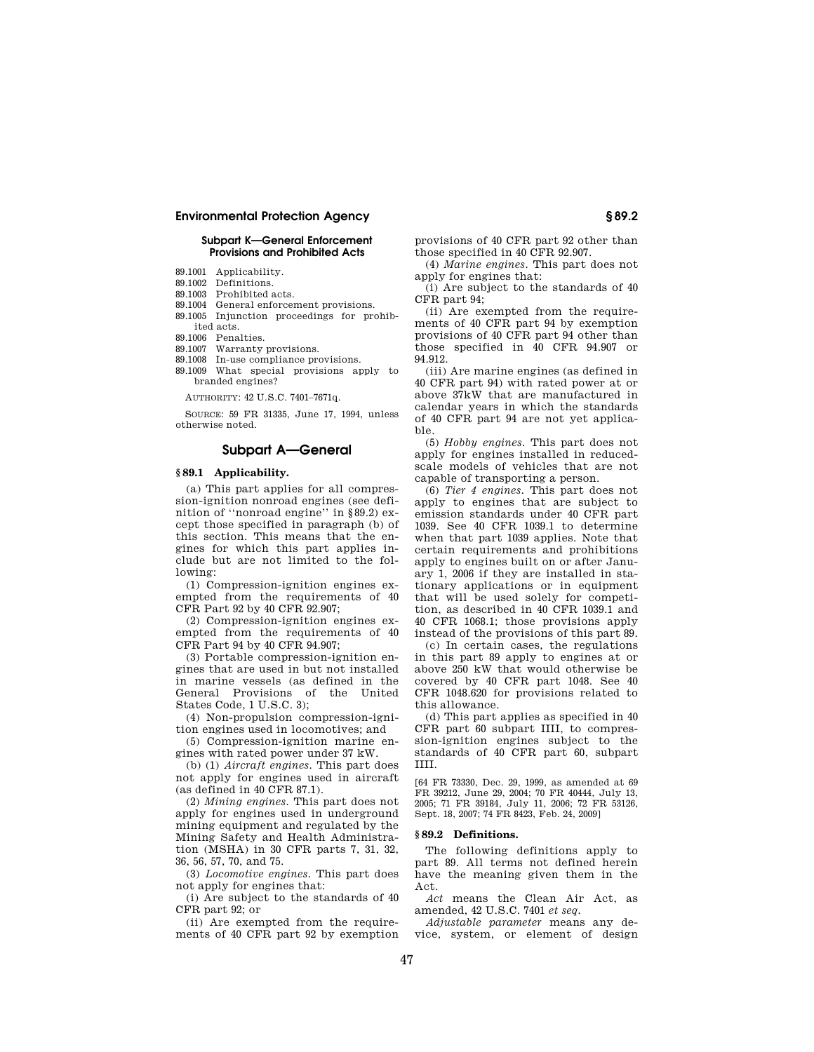## **Subpart K—General Enforcement Provisions and Prohibited Acts**

- 89.1001 Applicability.
- 89.1002 Definitions.
- 89.1003 Prohibited acts.
- 89.1004 General enforcement provisions.
- 89.1005 Injunction proceedings for prohibited acts.
- 89.1006 Penalties.
- 89.1007 Warranty provisions.
- 89.1008 In-use compliance provisions.
- 89.1009 What special provisions apply to branded engines?

AUTHORITY: 42 U.S.C. 7401–7671q.

SOURCE: 59 FR 31335, June 17, 1994, unless otherwise noted.

## **Subpart A—General**

## **§ 89.1 Applicability.**

(a) This part applies for all compression-ignition nonroad engines (see definition of ''nonroad engine'' in §89.2) except those specified in paragraph (b) of this section. This means that the engines for which this part applies include but are not limited to the following:

(1) Compression-ignition engines exempted from the requirements of 40 CFR Part 92 by 40 CFR 92.907;

(2) Compression-ignition engines exempted from the requirements of 40 CFR Part 94 by 40 CFR 94.907;

(3) Portable compression-ignition engines that are used in but not installed in marine vessels (as defined in the General Provisions of the United States Code, 1 U.S.C. 3);

(4) Non-propulsion compression-ignition engines used in locomotives; and

(5) Compression-ignition marine engines with rated power under 37 kW.

(b) (1) *Aircraft engines.* This part does not apply for engines used in aircraft (as defined in 40 CFR 87.1).

(2) *Mining engines.* This part does not apply for engines used in underground mining equipment and regulated by the Mining Safety and Health Administration (MSHA) in 30 CFR parts 7, 31, 32, 36, 56, 57, 70, and 75.

(3) *Locomotive engines.* This part does not apply for engines that:

(i) Are subject to the standards of 40 CFR part 92; or

(ii) Are exempted from the requirements of 40 CFR part 92 by exemption provisions of 40 CFR part 92 other than those specified in 40 CFR 92.907.

(4) *Marine engines.* This part does not apply for engines that:

(i) Are subject to the standards of 40 CFR part 94;

(ii) Are exempted from the requirements of 40 CFR part 94 by exemption provisions of 40 CFR part 94 other than those specified in 40 CFR 94.907 or 94.912.

(iii) Are marine engines (as defined in 40 CFR part 94) with rated power at or above 37kW that are manufactured in calendar years in which the standards of 40 CFR part 94 are not yet applicable.

(5) *Hobby engines.* This part does not apply for engines installed in reducedscale models of vehicles that are not capable of transporting a person.

(6) *Tier 4 engines.* This part does not apply to engines that are subject to emission standards under 40 CFR part 1039. See 40 CFR 1039.1 to determine when that part 1039 applies. Note that certain requirements and prohibitions apply to engines built on or after January 1, 2006 if they are installed in stationary applications or in equipment that will be used solely for competition, as described in 40 CFR 1039.1 and 40 CFR 1068.1; those provisions apply instead of the provisions of this part 89.

(c) In certain cases, the regulations in this part 89 apply to engines at or above 250 kW that would otherwise be covered by 40 CFR part 1048. See 40 CFR 1048.620 for provisions related to this allowance.

(d) This part applies as specified in 40 CFR part 60 subpart IIII, to compression-ignition engines subject to the standards of 40 CFR part 60, subpart IIII.

[64 FR 73330, Dec. 29, 1999, as amended at 69 FR 39212, June 29, 2004; 70 FR 40444, July 13, 2005; 71 FR 39184, July 11, 2006; 72 FR 53126, Sept. 18, 2007; 74 FR 8423, Feb. 24, 2009]

## **§ 89.2 Definitions.**

The following definitions apply to part 89. All terms not defined herein have the meaning given them in the Act.

*Act* means the Clean Air Act, as amended, 42 U.S.C. 7401 *et seq.* 

*Adjustable parameter* means any device, system, or element of design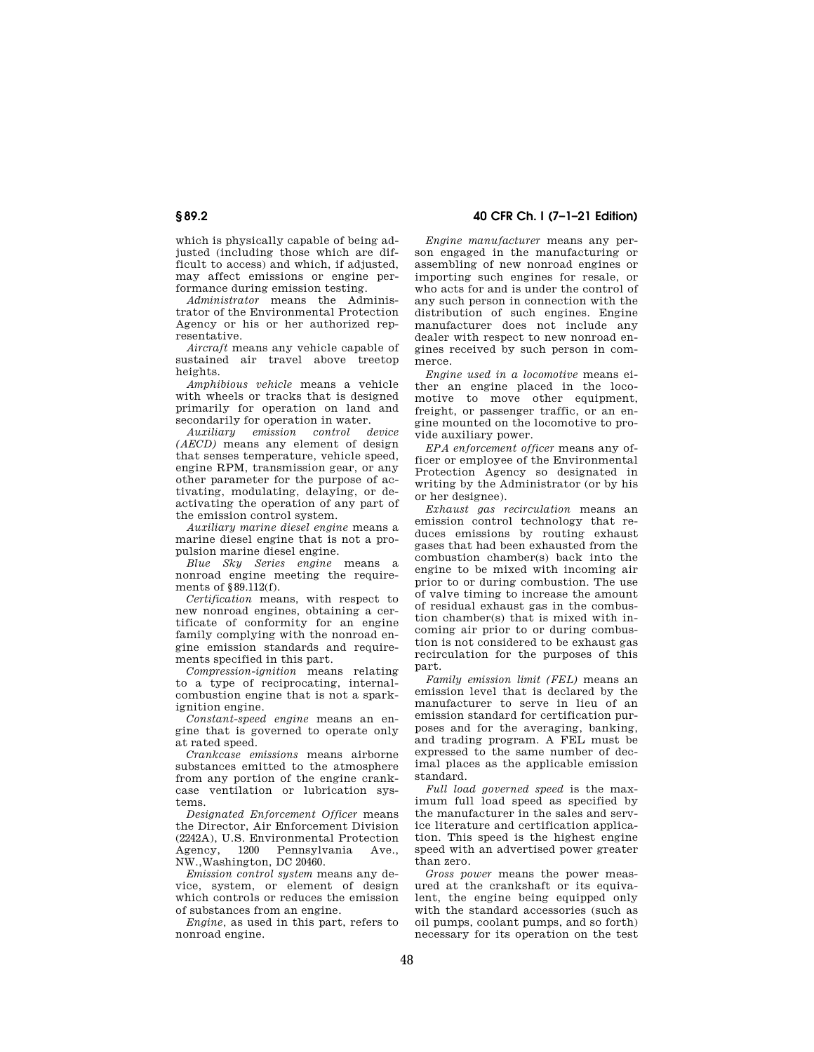which is physically capable of being adjusted (including those which are difficult to access) and which, if adjusted, may affect emissions or engine performance during emission testing.

*Administrator* means the Administrator of the Environmental Protection Agency or his or her authorized representative.

*Aircraft* means any vehicle capable of sustained air travel above treetop heights

*Amphibious vehicle* means a vehicle with wheels or tracks that is designed primarily for operation on land and secondarily for operation in water.

*Auxiliary emission control device (AECD)* means any element of design that senses temperature, vehicle speed, engine RPM, transmission gear, or any other parameter for the purpose of activating, modulating, delaying, or deactivating the operation of any part of the emission control system.

*Auxiliary marine diesel engine* means a marine diesel engine that is not a propulsion marine diesel engine.

*Blue Sky Series engine* means a nonroad engine meeting the requirements of §89.112(f).

*Certification* means, with respect to new nonroad engines, obtaining a certificate of conformity for an engine family complying with the nonroad engine emission standards and requirements specified in this part.

*Compression-ignition* means relating to a type of reciprocating, internalcombustion engine that is not a sparkignition engine.

*Constant-speed engine* means an engine that is governed to operate only at rated speed.

*Crankcase emissions* means airborne substances emitted to the atmosphere from any portion of the engine crankcase ventilation or lubrication systems.

*Designated Enforcement Officer* means the Director, Air Enforcement Division  $(2242A)$ , U.S. Environmental Protection<br>Agency 1200 Pennsylvania Ave Agency, 1200 Pennsylvania Ave., NW.,Washington, DC 20460.

*Emission control system* means any device, system, or element of design which controls or reduces the emission of substances from an engine.

*Engine,* as used in this part, refers to nonroad engine.

**§ 89.2 40 CFR Ch. I (7–1–21 Edition)** 

*Engine manufacturer* means any person engaged in the manufacturing or assembling of new nonroad engines or importing such engines for resale, or who acts for and is under the control of any such person in connection with the distribution of such engines. Engine manufacturer does not include any dealer with respect to new nonroad engines received by such person in commerce.

*Engine used in a locomotive* means either an engine placed in the locomotive to move other equipment, freight, or passenger traffic, or an engine mounted on the locomotive to provide auxiliary power.

*EPA enforcement officer* means any officer or employee of the Environmental Protection Agency so designated in writing by the Administrator (or by his or her designee).

*Exhaust gas recirculation* means an emission control technology that reduces emissions by routing exhaust gases that had been exhausted from the combustion chamber(s) back into the engine to be mixed with incoming air prior to or during combustion. The use of valve timing to increase the amount of residual exhaust gas in the combustion chamber(s) that is mixed with incoming air prior to or during combustion is not considered to be exhaust gas recirculation for the purposes of this part.

*Family emission limit (FEL)* means an emission level that is declared by the manufacturer to serve in lieu of an emission standard for certification purposes and for the averaging, banking, and trading program. A FEL must be expressed to the same number of decimal places as the applicable emission standard.

*Full load governed speed* is the maximum full load speed as specified by the manufacturer in the sales and service literature and certification application. This speed is the highest engine speed with an advertised power greater than zero.

*Gross power* means the power measured at the crankshaft or its equivalent, the engine being equipped only with the standard accessories (such as oil pumps, coolant pumps, and so forth) necessary for its operation on the test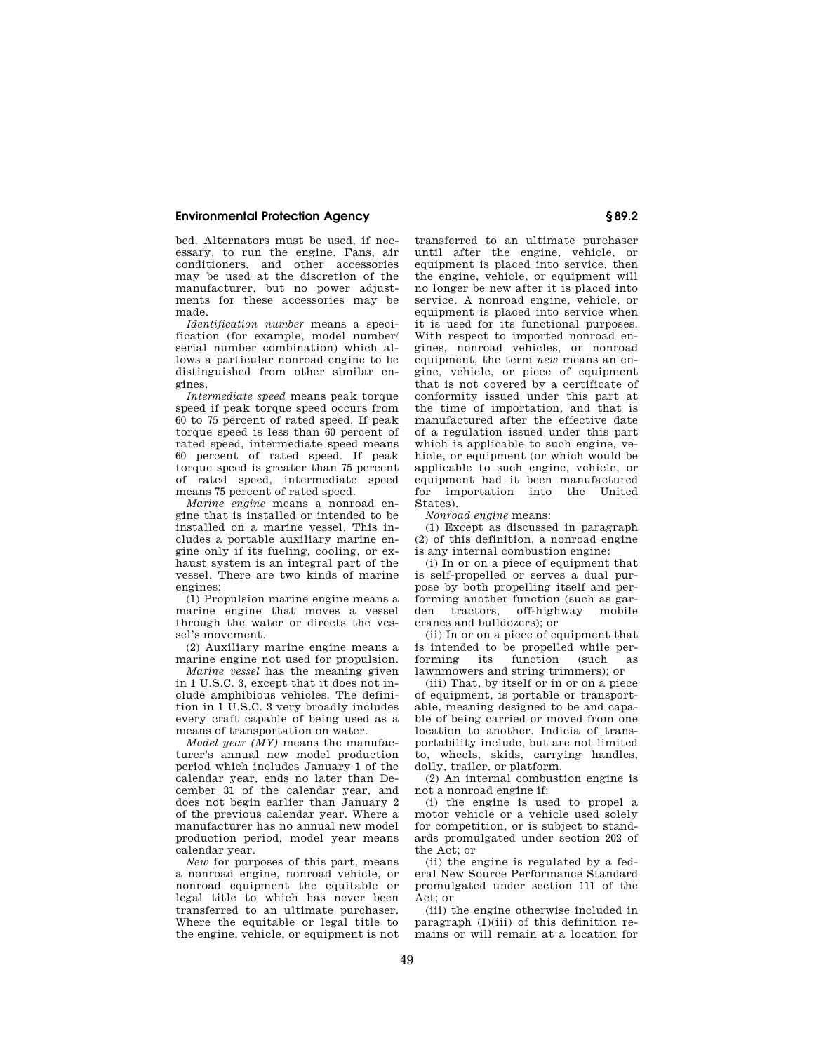bed. Alternators must be used, if necessary, to run the engine. Fans, air conditioners, and other accessories may be used at the discretion of the manufacturer, but no power adjustments for these accessories may be made.

*Identification number* means a specification (for example, model number/ serial number combination) which allows a particular nonroad engine to be distinguished from other similar engines.

*Intermediate speed* means peak torque speed if peak torque speed occurs from 60 to 75 percent of rated speed. If peak torque speed is less than 60 percent of rated speed, intermediate speed means 60 percent of rated speed. If peak torque speed is greater than 75 percent of rated speed, intermediate speed means 75 percent of rated speed.

*Marine engine* means a nonroad engine that is installed or intended to be installed on a marine vessel. This includes a portable auxiliary marine engine only if its fueling, cooling, or exhaust system is an integral part of the vessel. There are two kinds of marine engines:

(1) Propulsion marine engine means a marine engine that moves a vessel through the water or directs the vessel's movement.

(2) Auxiliary marine engine means a marine engine not used for propulsion.

*Marine vessel* has the meaning given in 1 U.S.C. 3, except that it does not include amphibious vehicles. The definition in 1 U.S.C. 3 very broadly includes every craft capable of being used as a means of transportation on water.

*Model year (MY)* means the manufacturer's annual new model production period which includes January 1 of the calendar year, ends no later than December 31 of the calendar year, and does not begin earlier than January 2 of the previous calendar year. Where a manufacturer has no annual new model production period, model year means calendar year.

*New* for purposes of this part, means a nonroad engine, nonroad vehicle, or nonroad equipment the equitable or legal title to which has never been transferred to an ultimate purchaser. Where the equitable or legal title to the engine, vehicle, or equipment is not

transferred to an ultimate purchaser until after the engine, vehicle, or equipment is placed into service, then the engine, vehicle, or equipment will no longer be new after it is placed into service. A nonroad engine, vehicle, or equipment is placed into service when it is used for its functional purposes. With respect to imported nonroad engines, nonroad vehicles, or nonroad equipment, the term *new* means an engine, vehicle, or piece of equipment that is not covered by a certificate of conformity issued under this part at the time of importation, and that is manufactured after the effective date of a regulation issued under this part which is applicable to such engine, vehicle, or equipment (or which would be applicable to such engine, vehicle, or equipment had it been manufactured for importation into the United States).

*Nonroad engine* means:

(1) Except as discussed in paragraph (2) of this definition, a nonroad engine is any internal combustion engine:

(i) In or on a piece of equipment that is self-propelled or serves a dual purpose by both propelling itself and performing another function (such as gar-<br>den tractors off-highway mobile tractors, off-highway mobile cranes and bulldozers); or

(ii) In or on a piece of equipment that is intended to be propelled while performing its function (such as lawnmowers and string trimmers); or

(iii) That, by itself or in or on a piece of equipment, is portable or transportable, meaning designed to be and capable of being carried or moved from one location to another. Indicia of transportability include, but are not limited to, wheels, skids, carrying handles, dolly, trailer, or platform.

(2) An internal combustion engine is not a nonroad engine if:

(i) the engine is used to propel a motor vehicle or a vehicle used solely for competition, or is subject to standards promulgated under section 202 of the Act; or

(ii) the engine is regulated by a federal New Source Performance Standard promulgated under section 111 of the Act; or

(iii) the engine otherwise included in paragraph (1)(iii) of this definition remains or will remain at a location for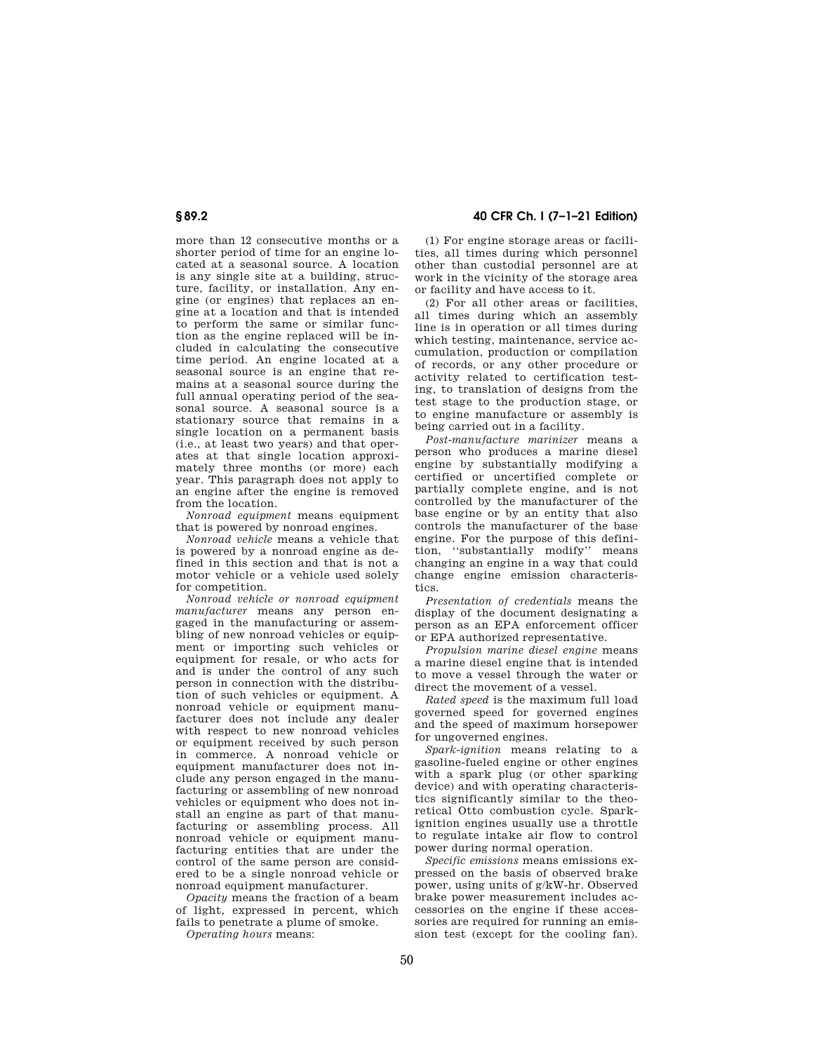## **§ 89.2 40 CFR Ch. I (7–1–21 Edition)**

more than 12 consecutive months or a shorter period of time for an engine located at a seasonal source. A location is any single site at a building, structure, facility, or installation. Any engine (or engines) that replaces an engine at a location and that is intended to perform the same or similar function as the engine replaced will be included in calculating the consecutive time period. An engine located at a seasonal source is an engine that remains at a seasonal source during the full annual operating period of the seasonal source. A seasonal source is a stationary source that remains in a single location on a permanent basis (i.e., at least two years) and that operates at that single location approximately three months (or more) each year. This paragraph does not apply to an engine after the engine is removed from the location.

*Nonroad equipment* means equipment that is powered by nonroad engines.

*Nonroad vehicle* means a vehicle that is powered by a nonroad engine as defined in this section and that is not a motor vehicle or a vehicle used solely for competition.

*Nonroad vehicle or nonroad equipment manufacturer* means any person engaged in the manufacturing or assembling of new nonroad vehicles or equipment or importing such vehicles or equipment for resale, or who acts for and is under the control of any such person in connection with the distribution of such vehicles or equipment. A nonroad vehicle or equipment manufacturer does not include any dealer with respect to new nonroad vehicles or equipment received by such person in commerce. A nonroad vehicle or equipment manufacturer does not include any person engaged in the manufacturing or assembling of new nonroad vehicles or equipment who does not install an engine as part of that manufacturing or assembling process. All nonroad vehicle or equipment manufacturing entities that are under the control of the same person are considered to be a single nonroad vehicle or nonroad equipment manufacturer.

*Opacity* means the fraction of a beam of light, expressed in percent, which fails to penetrate a plume of smoke.

*Operating hours* means:

(1) For engine storage areas or facilities, all times during which personnel other than custodial personnel are at work in the vicinity of the storage area or facility and have access to it.

(2) For all other areas or facilities, all times during which an assembly line is in operation or all times during which testing, maintenance, service accumulation, production or compilation of records, or any other procedure or activity related to certification testing, to translation of designs from the test stage to the production stage, or to engine manufacture or assembly is being carried out in a facility.

*Post-manufacture marinizer* means a person who produces a marine diesel engine by substantially modifying a certified or uncertified complete or partially complete engine, and is not controlled by the manufacturer of the base engine or by an entity that also controls the manufacturer of the base engine. For the purpose of this definition, ''substantially modify'' means changing an engine in a way that could change engine emission characteristics.

*Presentation of credentials* means the display of the document designating a person as an EPA enforcement officer or EPA authorized representative.

*Propulsion marine diesel engine* means a marine diesel engine that is intended to move a vessel through the water or direct the movement of a vessel.

*Rated speed* is the maximum full load governed speed for governed engines and the speed of maximum horsepower for ungoverned engines.

*Spark-ignition* means relating to a gasoline-fueled engine or other engines with a spark plug (or other sparking device) and with operating characteristics significantly similar to the theoretical Otto combustion cycle. Sparkignition engines usually use a throttle to regulate intake air flow to control power during normal operation.

*Specific emissions* means emissions expressed on the basis of observed brake power, using units of g/kW-hr. Observed brake power measurement includes accessories on the engine if these accessories are required for running an emission test (except for the cooling fan).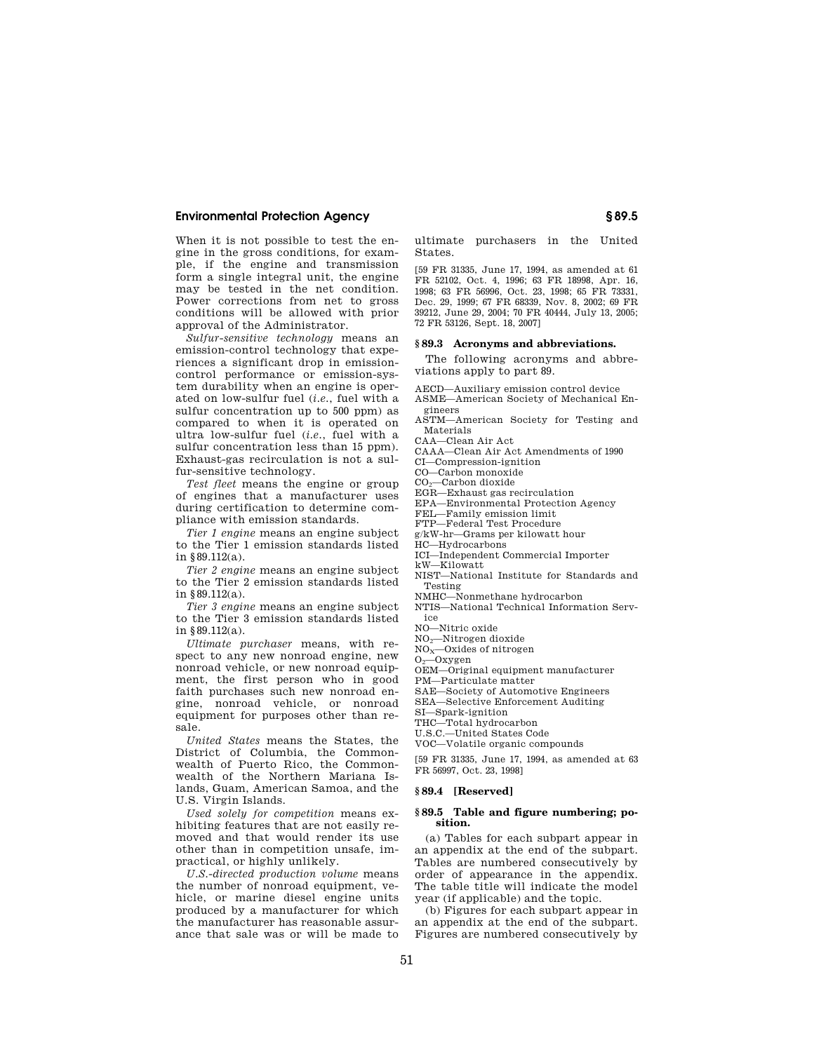When it is not possible to test the engine in the gross conditions, for example, if the engine and transmission form a single integral unit, the engine may be tested in the net condition. Power corrections from net to gross conditions will be allowed with prior approval of the Administrator.

*Sulfur-sensitive technology* means an emission-control technology that experiences a significant drop in emissioncontrol performance or emission-system durability when an engine is operated on low-sulfur fuel (*i.e.*, fuel with a sulfur concentration up to 500 ppm) as compared to when it is operated on ultra low-sulfur fuel (*i.e.*, fuel with a sulfur concentration less than 15 ppm). Exhaust-gas recirculation is not a sulfur-sensitive technology.

*Test fleet* means the engine or group of engines that a manufacturer uses during certification to determine compliance with emission standards.

*Tier 1 engine* means an engine subject to the Tier 1 emission standards listed in §89.112(a).

*Tier 2 engine* means an engine subject to the Tier 2 emission standards listed in §89.112(a).

*Tier 3 engine* means an engine subject to the Tier 3 emission standards listed in §89.112(a).

*Ultimate purchaser* means, with respect to any new nonroad engine, new nonroad vehicle, or new nonroad equipment, the first person who in good faith purchases such new nonroad engine, nonroad vehicle, or nonroad equipment for purposes other than resale.

*United States* means the States, the District of Columbia, the Commonwealth of Puerto Rico, the Commonwealth of the Northern Mariana Islands, Guam, American Samoa, and the U.S. Virgin Islands.

*Used solely for competition* means exhibiting features that are not easily removed and that would render its use other than in competition unsafe, impractical, or highly unlikely.

*U.S.-directed production volume* means the number of nonroad equipment, vehicle, or marine diesel engine units produced by a manufacturer for which the manufacturer has reasonable assurance that sale was or will be made to ultimate purchasers in the United States.

[59 FR 31335, June 17, 1994, as amended at 61 FR 52102, Oct. 4, 1996; 63 FR 18998, Apr. 16, 1998; 63 FR 56996, Oct. 23, 1998; 65 FR 73331, Dec. 29, 1999; 67 FR 68339, Nov. 8, 2002; 69 FR 39212, June 29, 2004; 70 FR 40444, July 13, 2005; 72 FR 53126, Sept. 18, 2007]

## **§ 89.3 Acronyms and abbreviations.**

The following acronyms and abbreviations apply to part 89.

AECD—Auxiliary emission control device

ASME—American Society of Mechanical Engineers

ASTM—American Society for Testing and Materials

CAA—Clean Air Act

CAAA—Clean Air Act Amendments of 1990

CI—Compression-ignition

CO—Carbon monoxide

CO<sub>2</sub>-Carbon dioxide

EGR—Exhaust gas recirculation

EPA—Environmental Protection Agency FEL—Family emission limit

FTP—Federal Test Procedure

g/kW-hr—Grams per kilowatt hour HC—Hydrocarbons

ICI—Independent Commercial Importer

kW—Kilowatt

NIST—National Institute for Standards and Testing

NMHC—Nonmethane hydrocarbon

NTIS—National Technical Information Serv-

ice

NO—Nitric oxide

NO2—Nitrogen dioxide

 $NO<sub>x</sub>$ —Oxides of nitrogen

 $O_2$ —Oxygen

OEM—Original equipment manufacturer

PM—Particulate matter

SAE—Society of Automotive Engineers

SEA—Selective Enforcement Auditing SI—Spark-ignition

THC—Total hydrocarbon

U.S.C.—United States Code

VOC—Volatile organic compounds

[59 FR 31335, June 17, 1994, as amended at 63 FR 56997, Oct. 23, 1998]

### **§ 89.4 [Reserved]**

### **§ 89.5 Table and figure numbering; position.**

(a) Tables for each subpart appear in an appendix at the end of the subpart. Tables are numbered consecutively by order of appearance in the appendix. The table title will indicate the model year (if applicable) and the topic.

(b) Figures for each subpart appear in an appendix at the end of the subpart. Figures are numbered consecutively by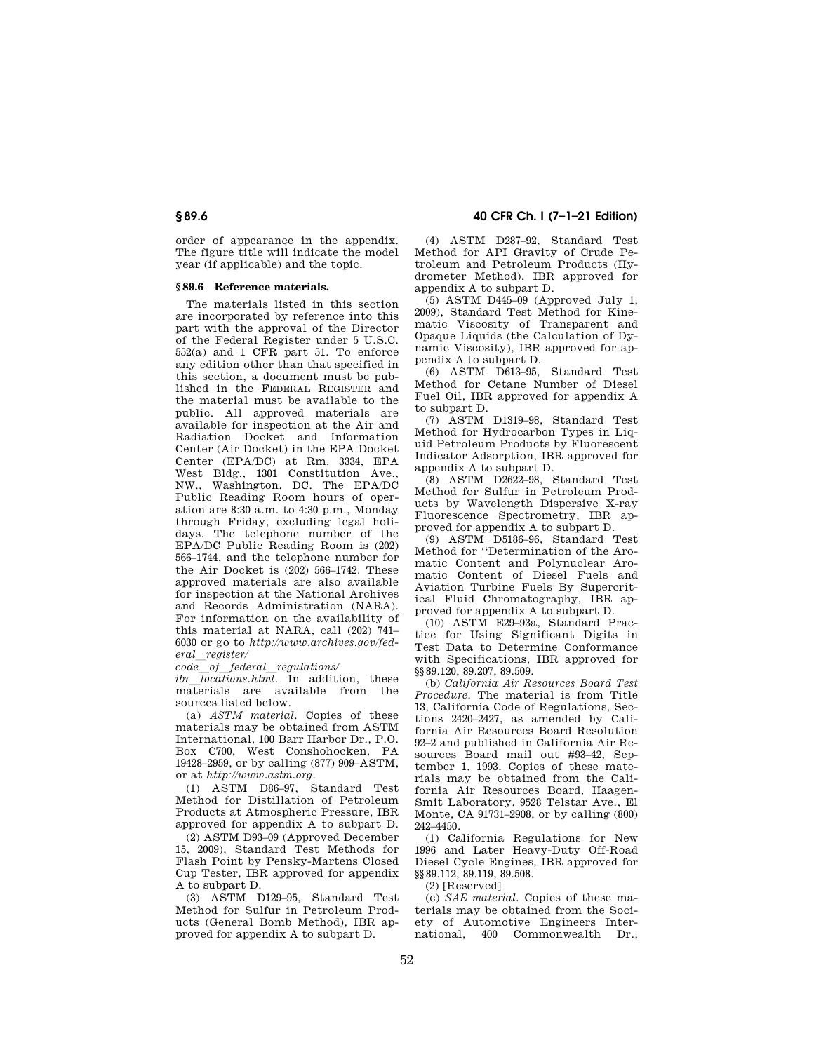order of appearance in the appendix. The figure title will indicate the model year (if applicable) and the topic.

## **§ 89.6 Reference materials.**

The materials listed in this section are incorporated by reference into this part with the approval of the Director of the Federal Register under 5 U.S.C. 552(a) and 1 CFR part 51. To enforce any edition other than that specified in this section, a document must be published in the FEDERAL REGISTER and the material must be available to the public. All approved materials are available for inspection at the Air and Radiation Docket and Information Center (Air Docket) in the EPA Docket Center (EPA/DC) at Rm. 3334, EPA West Bldg., 1301 Constitution Ave., NW., Washington, DC. The EPA/DC Public Reading Room hours of operation are 8:30 a.m. to 4:30 p.m., Monday through Friday, excluding legal holidays. The telephone number of the EPA/DC Public Reading Room is (202) 566–1744, and the telephone number for the Air Docket is (202) 566–1742. These approved materials are also available for inspection at the National Archives and Records Administration (NARA). For information on the availability of this material at NARA, call (202) 741– 6030 or go to *http://www.archives.gov/federal*l*register/* 

*code*l*of*l*federal*l*regulations/* 

*ibr locations.html*. In addition, these materials are available from the sources listed below.

(a) *ASTM material.* Copies of these materials may be obtained from ASTM International, 100 Barr Harbor Dr., P.O. Box C700, West Conshohocken, PA 19428–2959, or by calling (877) 909–ASTM, or at *http://www.astm.org.* 

(1) ASTM D86–97, Standard Test Method for Distillation of Petroleum Products at Atmospheric Pressure, IBR approved for appendix A to subpart D.

(2) ASTM D93–09 (Approved December 15, 2009), Standard Test Methods for Flash Point by Pensky-Martens Closed Cup Tester, IBR approved for appendix A to subpart D.

(3) ASTM D129–95, Standard Test Method for Sulfur in Petroleum Products (General Bomb Method), IBR approved for appendix A to subpart D.

(4) ASTM D287–92, Standard Test Method for API Gravity of Crude Petroleum and Petroleum Products (Hydrometer Method), IBR approved for appendix A to subpart D.

(5) ASTM D445–09 (Approved July 1, 2009), Standard Test Method for Kinematic Viscosity of Transparent and Opaque Liquids (the Calculation of Dynamic Viscosity), IBR approved for appendix A to subpart D.

(6) ASTM D613–95, Standard Test Method for Cetane Number of Diesel Fuel Oil, IBR approved for appendix A to subpart D.

(7) ASTM D1319–98, Standard Test Method for Hydrocarbon Types in Liquid Petroleum Products by Fluorescent Indicator Adsorption, IBR approved for appendix A to subpart D.

(8) ASTM D2622–98, Standard Test Method for Sulfur in Petroleum Products by Wavelength Dispersive X-ray Fluorescence Spectrometry, IBR approved for appendix A to subpart D.

(9) ASTM D5186–96, Standard Test Method for ''Determination of the Aromatic Content and Polynuclear Aromatic Content of Diesel Fuels and Aviation Turbine Fuels By Supercritical Fluid Chromatography, IBR approved for appendix A to subpart D.

(10) ASTM E29–93a, Standard Practice for Using Significant Digits in Test Data to Determine Conformance with Specifications, IBR approved for §§89.120, 89.207, 89.509.

(b) *California Air Resources Board Test Procedure.* The material is from Title 13, California Code of Regulations, Sections 2420–2427, as amended by California Air Resources Board Resolution 92–2 and published in California Air Resources Board mail out #93–42, September 1, 1993. Copies of these materials may be obtained from the California Air Resources Board, Haagen-Smit Laboratory, 9528 Telstar Ave., El Monte, CA 91731–2908, or by calling (800) 242–4450.

(1) California Regulations for New 1996 and Later Heavy-Duty Off-Road Diesel Cycle Engines, IBR approved for §§89.112, 89.119, 89.508.

(2) [Reserved]

(c) *SAE material.* Copies of these materials may be obtained from the Society of Automotive Engineers International, 400 Commonwealth Dr.,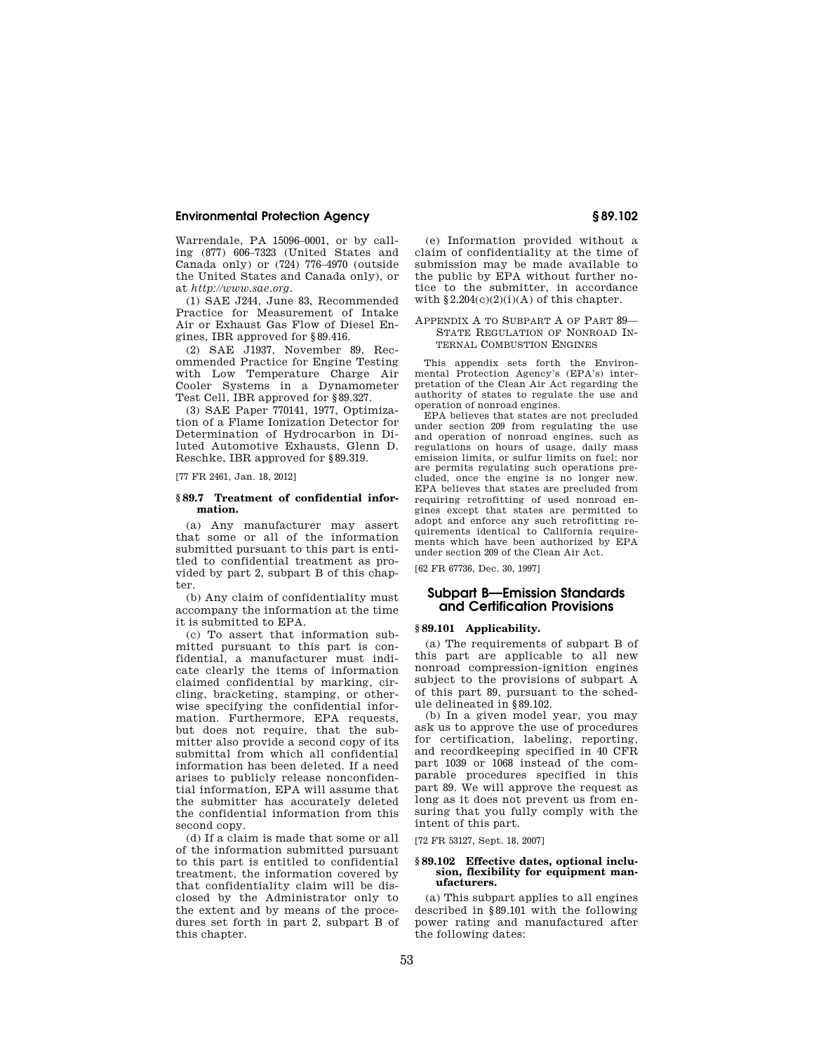Warrendale, PA 15096–0001, or by calling (877) 606–7323 (United States and Canada only) or (724) 776–4970 (outside the United States and Canada only), or at *http://www.sae.org.* 

(1) SAE J244, June 83, Recommended Practice for Measurement of Intake Air or Exhaust Gas Flow of Diesel Engines, IBR approved for §89.416.

(2) SAE J1937, November 89, Recommended Practice for Engine Testing with Low Temperature Charge Air Cooler Systems in a Dynamometer Test Cell, IBR approved for §89.327.

(3) SAE Paper 770141, 1977, Optimization of a Flame Ionization Detector for Determination of Hydrocarbon in Diluted Automotive Exhausts, Glenn D. Reschke, IBR approved for §89.319.

[77 FR 2461, Jan. 18, 2012]

### **§ 89.7 Treatment of confidential information.**

(a) Any manufacturer may assert that some or all of the information submitted pursuant to this part is entitled to confidential treatment as provided by part 2, subpart B of this chapter.

(b) Any claim of confidentiality must accompany the information at the time it is submitted to EPA.

(c) To assert that information submitted pursuant to this part is confidential, a manufacturer must indicate clearly the items of information claimed confidential by marking, circling, bracketing, stamping, or otherwise specifying the confidential information. Furthermore, EPA requests, but does not require, that the submitter also provide a second copy of its submittal from which all confidential information has been deleted. If a need arises to publicly release nonconfidential information, EPA will assume that the submitter has accurately deleted the confidential information from this second copy.

(d) If a claim is made that some or all of the information submitted pursuant to this part is entitled to confidential treatment, the information covered by that confidentiality claim will be disclosed by the Administrator only to the extent and by means of the procedures set forth in part 2, subpart B of this chapter.

(e) Information provided without a claim of confidentiality at the time of submission may be made available to the public by EPA without further notice to the submitter, in accordance with  $§2.204(c)(2)(i)(A)$  of this chapter.

### APPENDIX A TO SUBPART A OF PART 89— STATE REGULATION OF NONROAD IN-TERNAL COMBUSTION ENGINES

This appendix sets forth the Environmental Protection Agency's (EPA's) interpretation of the Clean Air Act regarding the authority of states to regulate the use and operation of nonroad engines.

EPA believes that states are not precluded under section 209 from regulating the use and operation of nonroad engines, such as regulations on hours of usage, daily mass emission limits, or sulfur limits on fuel; nor are permits regulating such operations precluded, once the engine is no longer new. EPA believes that states are precluded from requiring retrofitting of used nonroad engines except that states are permitted to adopt and enforce any such retrofitting requirements identical to California requirements which have been authorized by EPA under section 209 of the Clean Air Act.

[62 FR 67736, Dec. 30, 1997]

## **Subpart B—Emission Standards and Certification Provisions**

## **§ 89.101 Applicability.**

(a) The requirements of subpart B of this part are applicable to all new nonroad compression-ignition engines subject to the provisions of subpart A of this part 89, pursuant to the schedule delineated in §89.102.

(b) In a given model year, you may ask us to approve the use of procedures for certification, labeling, reporting, and recordkeeping specified in 40 CFR part 1039 or 1068 instead of the comparable procedures specified in this part 89. We will approve the request as long as it does not prevent us from ensuring that you fully comply with the intent of this part.

[72 FR 53127, Sept. 18, 2007]

### **§ 89.102 Effective dates, optional inclusion, flexibility for equipment manufacturers.**

(a) This subpart applies to all engines described in §89.101 with the following power rating and manufactured after the following dates: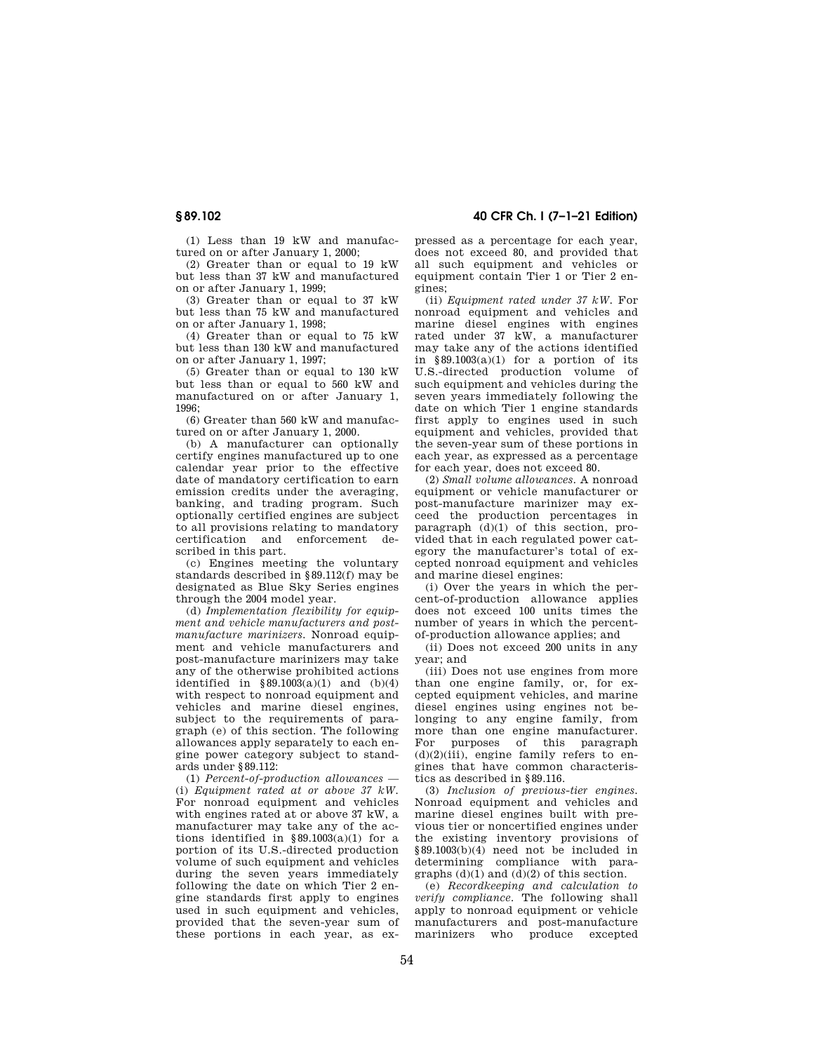**§ 89.102 40 CFR Ch. I (7–1–21 Edition)** 

(1) Less than 19 kW and manufactured on or after January 1, 2000;

(2) Greater than or equal to 19 kW but less than 37 kW and manufactured on or after January 1, 1999;

(3) Greater than or equal to 37 kW but less than 75 kW and manufactured on or after January 1, 1998;

(4) Greater than or equal to 75 kW but less than 130 kW and manufactured on or after January 1, 1997;

(5) Greater than or equal to 130 kW but less than or equal to 560 kW and manufactured on or after January 1,  $1996$ 

(6) Greater than 560 kW and manufactured on or after January 1, 2000.

(b) A manufacturer can optionally certify engines manufactured up to one calendar year prior to the effective date of mandatory certification to earn emission credits under the averaging, banking, and trading program. Such optionally certified engines are subject to all provisions relating to mandatory certification and enforcement described in this part.

(c) Engines meeting the voluntary standards described in §89.112(f) may be designated as Blue Sky Series engines through the 2004 model year.

(d) *Implementation flexibility for equipment and vehicle manufacturers and postmanufacture marinizers.* Nonroad equipment and vehicle manufacturers and post-manufacture marinizers may take any of the otherwise prohibited actions identified in  $§ 89.1003(a)(1)$  and  $(b)(4)$ with respect to nonroad equipment and vehicles and marine diesel engines, subject to the requirements of paragraph (e) of this section. The following allowances apply separately to each engine power category subject to standards under §89.112:

(1) *Percent-of-production allowances* — (i) *Equipment rated at or above 37 kW.*  For nonroad equipment and vehicles with engines rated at or above 37 kW, a manufacturer may take any of the actions identified in  $§ 89.1003(a)(1)$  for a portion of its U.S.-directed production volume of such equipment and vehicles during the seven years immediately following the date on which Tier 2 engine standards first apply to engines used in such equipment and vehicles, provided that the seven-year sum of these portions in each year, as ex-

pressed as a percentage for each year, does not exceed 80, and provided that all such equipment and vehicles or equipment contain Tier 1 or Tier 2 engines;

(ii) *Equipment rated under 37 kW.* For nonroad equipment and vehicles and marine diesel engines with engines rated under 37 kW, a manufacturer may take any of the actions identified in  $§89.1003(a)(1)$  for a portion of its U.S.-directed production volume of such equipment and vehicles during the seven years immediately following the date on which Tier 1 engine standards first apply to engines used in such equipment and vehicles, provided that the seven-year sum of these portions in each year, as expressed as a percentage for each year, does not exceed 80.

(2) *Small volume allowances.* A nonroad equipment or vehicle manufacturer or post-manufacture marinizer may exceed the production percentages in paragraph (d)(1) of this section, provided that in each regulated power category the manufacturer's total of excepted nonroad equipment and vehicles and marine diesel engines:

(i) Over the years in which the percent-of-production allowance applies does not exceed 100 units times the number of years in which the percentof-production allowance applies; and

(ii) Does not exceed 200 units in any year; and

(iii) Does not use engines from more than one engine family, or, for excepted equipment vehicles, and marine diesel engines using engines not belonging to any engine family, from more than one engine manufacturer. For purposes of this paragraph  $(d)(2)(iii)$ , engine family refers to engines that have common characteristics as described in §89.116.

(3) *Inclusion of previous-tier engines.*  Nonroad equipment and vehicles and marine diesel engines built with previous tier or noncertified engines under the existing inventory provisions of  $§89.1003(b)(4)$  need not be included in determining compliance with paragraphs  $(d)(1)$  and  $(d)(2)$  of this section.

(e) *Recordkeeping and calculation to verify compliance.* The following shall apply to nonroad equipment or vehicle manufacturers and post-manufacture marinizers who produce excepted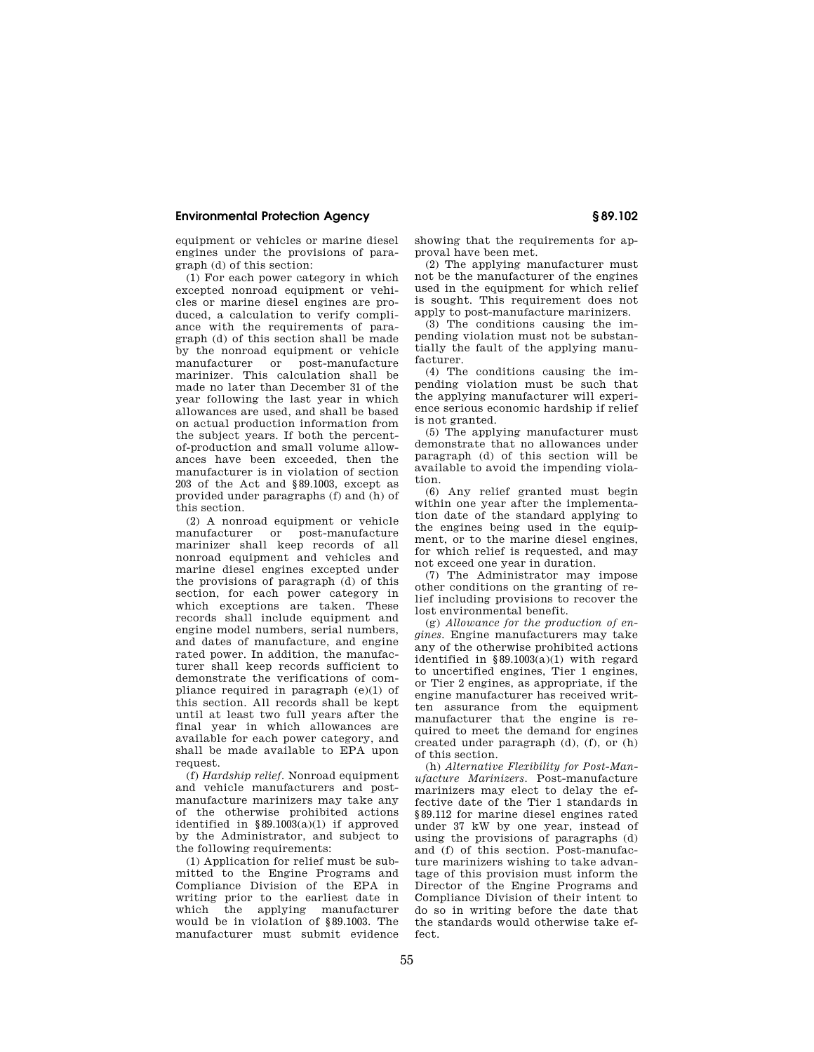equipment or vehicles or marine diesel engines under the provisions of paragraph (d) of this section:

(1) For each power category in which excepted nonroad equipment or vehicles or marine diesel engines are produced, a calculation to verify compliance with the requirements of paragraph (d) of this section shall be made by the nonroad equipment or vehicle manufacturer or post-manufacture marinizer. This calculation shall be made no later than December 31 of the year following the last year in which allowances are used, and shall be based on actual production information from the subject years. If both the percentof-production and small volume allowances have been exceeded, then the manufacturer is in violation of section 203 of the Act and §89.1003, except as provided under paragraphs (f) and (h) of this section.

(2) A nonroad equipment or vehicle manufacturer or post-manufacture marinizer shall keep records of all nonroad equipment and vehicles and marine diesel engines excepted under the provisions of paragraph (d) of this section, for each power category in which exceptions are taken. These records shall include equipment and engine model numbers, serial numbers, and dates of manufacture, and engine rated power. In addition, the manufacturer shall keep records sufficient to demonstrate the verifications of compliance required in paragraph (e)(1) of this section. All records shall be kept until at least two full years after the final year in which allowances are available for each power category, and shall be made available to EPA upon request.

(f) *Hardship relief.* Nonroad equipment and vehicle manufacturers and postmanufacture marinizers may take any of the otherwise prohibited actions identified in  $§ 89.1003(a)(1)$  if approved by the Administrator, and subject to the following requirements:

(1) Application for relief must be submitted to the Engine Programs and Compliance Division of the EPA in writing prior to the earliest date in which the applying manufacturer would be in violation of §89.1003. The manufacturer must submit evidence showing that the requirements for approval have been met.

(2) The applying manufacturer must not be the manufacturer of the engines used in the equipment for which relief is sought. This requirement does not apply to post-manufacture marinizers.

(3) The conditions causing the impending violation must not be substantially the fault of the applying manufacturer.

(4) The conditions causing the impending violation must be such that the applying manufacturer will experience serious economic hardship if relief is not granted.

(5) The applying manufacturer must demonstrate that no allowances under paragraph (d) of this section will be available to avoid the impending violation.

(6) Any relief granted must begin within one year after the implementation date of the standard applying to the engines being used in the equipment, or to the marine diesel engines, for which relief is requested, and may not exceed one year in duration.

(7) The Administrator may impose other conditions on the granting of relief including provisions to recover the lost environmental benefit.

(g) *Allowance for the production of engines.* Engine manufacturers may take any of the otherwise prohibited actions identified in  $§ 89.1003(a)(1)$  with regard to uncertified engines, Tier 1 engines, or Tier 2 engines, as appropriate, if the engine manufacturer has received written assurance from the equipment manufacturer that the engine is required to meet the demand for engines created under paragraph (d), (f), or (h) of this section.

(h) *Alternative Flexibility for Post-Manufacture Marinizers.* Post-manufacture marinizers may elect to delay the effective date of the Tier 1 standards in §89.112 for marine diesel engines rated under 37 kW by one year, instead of using the provisions of paragraphs (d) and (f) of this section. Post-manufacture marinizers wishing to take advantage of this provision must inform the Director of the Engine Programs and Compliance Division of their intent to do so in writing before the date that the standards would otherwise take effect.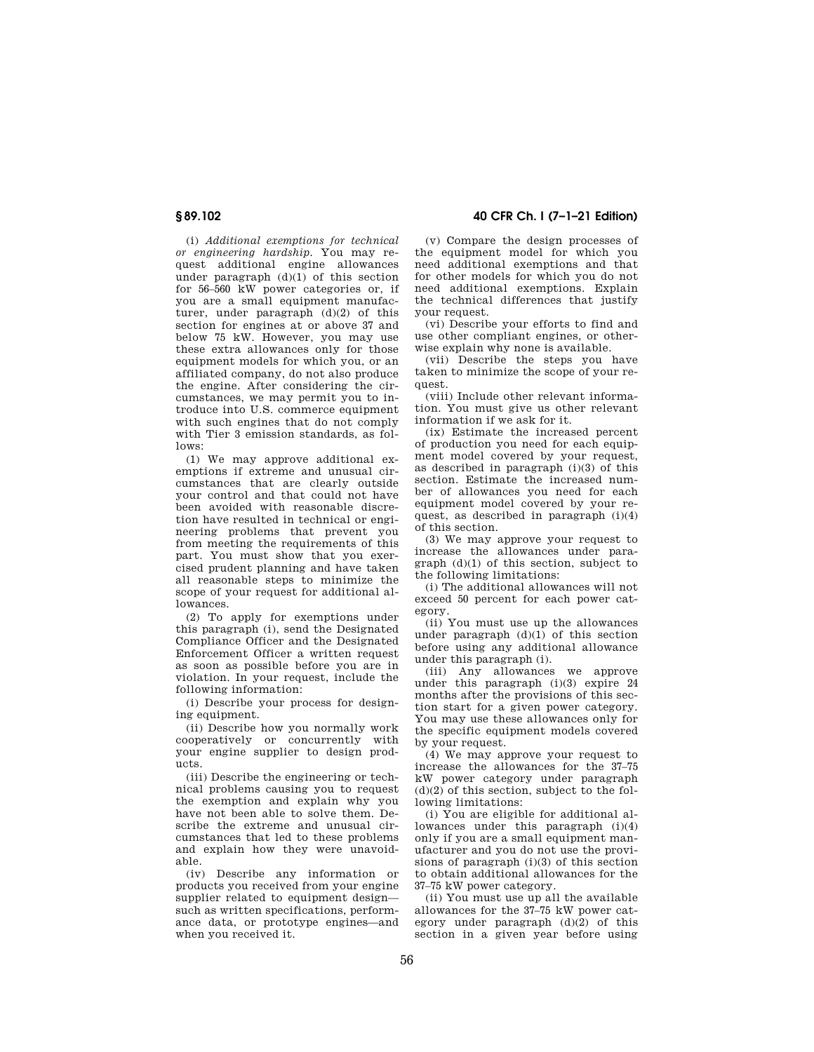(i) *Additional exemptions for technical or engineering hardship.* You may request additional engine allowances under paragraph  $(d)(1)$  of this section for 56–560 kW power categories or, if you are a small equipment manufacturer, under paragraph (d)(2) of this section for engines at or above 37 and below 75 kW. However, you may use these extra allowances only for those equipment models for which you, or an affiliated company, do not also produce the engine. After considering the circumstances, we may permit you to introduce into U.S. commerce equipment with such engines that do not comply with Tier 3 emission standards, as follows:

(1) We may approve additional exemptions if extreme and unusual circumstances that are clearly outside your control and that could not have been avoided with reasonable discretion have resulted in technical or engineering problems that prevent you from meeting the requirements of this part. You must show that you exercised prudent planning and have taken all reasonable steps to minimize the scope of your request for additional allowances.

(2) To apply for exemptions under this paragraph (i), send the Designated Compliance Officer and the Designated Enforcement Officer a written request as soon as possible before you are in violation. In your request, include the following information:

(i) Describe your process for designing equipment.

(ii) Describe how you normally work cooperatively or concurrently with your engine supplier to design products.

(iii) Describe the engineering or technical problems causing you to request the exemption and explain why you have not been able to solve them. Describe the extreme and unusual circumstances that led to these problems and explain how they were unavoidable.

(iv) Describe any information or products you received from your engine supplier related to equipment design such as written specifications, performance data, or prototype engines—and when you received it.

**§ 89.102 40 CFR Ch. I (7–1–21 Edition)** 

(v) Compare the design processes of the equipment model for which you need additional exemptions and that for other models for which you do not need additional exemptions. Explain the technical differences that justify your request.

(vi) Describe your efforts to find and use other compliant engines, or otherwise explain why none is available.

(vii) Describe the steps you have taken to minimize the scope of your request.

(viii) Include other relevant information. You must give us other relevant information if we ask for it.

(ix) Estimate the increased percent of production you need for each equipment model covered by your request, as described in paragraph  $(i)(3)$  of this section. Estimate the increased number of allowances you need for each equipment model covered by your request, as described in paragraph  $(i)(4)$ of this section.

(3) We may approve your request to increase the allowances under paragraph (d)(1) of this section, subject to the following limitations:

(i) The additional allowances will not exceed 50 percent for each power category.

(ii) You must use up the allowances under paragraph  $(d)(1)$  of this section before using any additional allowance under this paragraph (i).

(iii) Any allowances we approve under this paragraph (i)(3) expire 24 months after the provisions of this section start for a given power category. You may use these allowances only for the specific equipment models covered by your request.

(4) We may approve your request to increase the allowances for the 37–75 kW power category under paragraph  $(d)(2)$  of this section, subject to the following limitations:

(i) You are eligible for additional allowances under this paragraph (i)(4) only if you are a small equipment manufacturer and you do not use the provisions of paragraph (i)(3) of this section to obtain additional allowances for the 37–75 kW power category.

(ii) You must use up all the available allowances for the 37–75 kW power category under paragraph  $(d)(2)$  of this section in a given year before using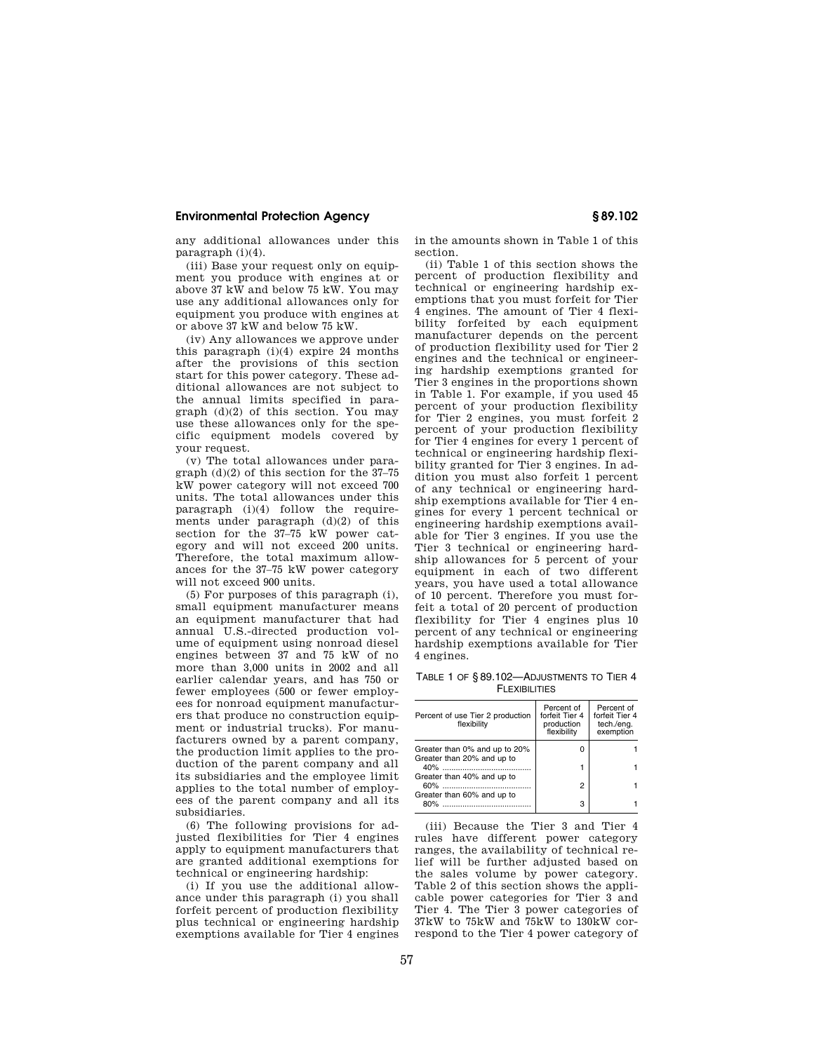any additional allowances under this paragraph (i)(4).

(iii) Base your request only on equipment you produce with engines at or above 37 kW and below 75 kW. You may use any additional allowances only for equipment you produce with engines at or above 37 kW and below 75 kW.

(iv) Any allowances we approve under this paragraph  $(i)(4)$  expire 24 months after the provisions of this section start for this power category. These additional allowances are not subject to the annual limits specified in paragraph  $(d)(2)$  of this section. You may use these allowances only for the specific equipment models covered by your request.

(v) The total allowances under paragraph (d)(2) of this section for the 37–75 kW power category will not exceed 700 units. The total allowances under this paragraph (i)(4) follow the requirements under paragraph  $(d)(2)$  of this section for the 37–75 kW power category and will not exceed 200 units. Therefore, the total maximum allowances for the 37–75 kW power category will not exceed 900 units.

(5) For purposes of this paragraph (i), small equipment manufacturer means an equipment manufacturer that had annual U.S.-directed production volume of equipment using nonroad diesel engines between 37 and 75 kW of no more than 3,000 units in 2002 and all earlier calendar years, and has 750 or fewer employees (500 or fewer employees for nonroad equipment manufacturers that produce no construction equipment or industrial trucks). For manufacturers owned by a parent company, the production limit applies to the production of the parent company and all its subsidiaries and the employee limit applies to the total number of employees of the parent company and all its subsidiaries.

(6) The following provisions for adjusted flexibilities for Tier 4 engines apply to equipment manufacturers that are granted additional exemptions for technical or engineering hardship:

(i) If you use the additional allowance under this paragraph (i) you shall forfeit percent of production flexibility plus technical or engineering hardship exemptions available for Tier 4 engines in the amounts shown in Table 1 of this section.

(ii) Table 1 of this section shows the percent of production flexibility and technical or engineering hardship exemptions that you must forfeit for Tier 4 engines. The amount of Tier 4 flexibility forfeited by each equipment manufacturer depends on the percent of production flexibility used for Tier 2 engines and the technical or engineering hardship exemptions granted for Tier 3 engines in the proportions shown in Table 1. For example, if you used 45 percent of your production flexibility for Tier 2 engines, you must forfeit 2 percent of your production flexibility for Tier 4 engines for every 1 percent of technical or engineering hardship flexibility granted for Tier 3 engines. In addition you must also forfeit 1 percent of any technical or engineering hardship exemptions available for Tier 4 engines for every 1 percent technical or engineering hardship exemptions available for Tier 3 engines. If you use the Tier 3 technical or engineering hardship allowances for 5 percent of your equipment in each of two different years, you have used a total allowance of 10 percent. Therefore you must forfeit a total of 20 percent of production flexibility for Tier 4 engines plus 10 percent of any technical or engineering hardship exemptions available for Tier 4 engines.

TABLE 1 OF § 89.102—ADJUSTMENTS TO TIER 4 **FLEXIBILITIES** 

| Percent of use Tier 2 production<br>flexibility | Percent of<br>forfeit Tier 4<br>production<br>flexibility | Percent of<br>forfeit Tier 4<br>tech./eng.<br>exemption |  |
|-------------------------------------------------|-----------------------------------------------------------|---------------------------------------------------------|--|
| Greater than 0% and up to 20%                   | O                                                         |                                                         |  |
| Greater than 20% and up to                      |                                                           |                                                         |  |
| Greater than 40% and up to                      | 2                                                         |                                                         |  |
| Greater than 60% and up to<br>80%               | з                                                         |                                                         |  |

(iii) Because the Tier 3 and Tier 4 rules have different power category ranges, the availability of technical relief will be further adjusted based on the sales volume by power category. Table 2 of this section shows the applicable power categories for Tier 3 and Tier 4. The Tier 3 power categories of 37kW to 75kW and 75kW to 130kW correspond to the Tier 4 power category of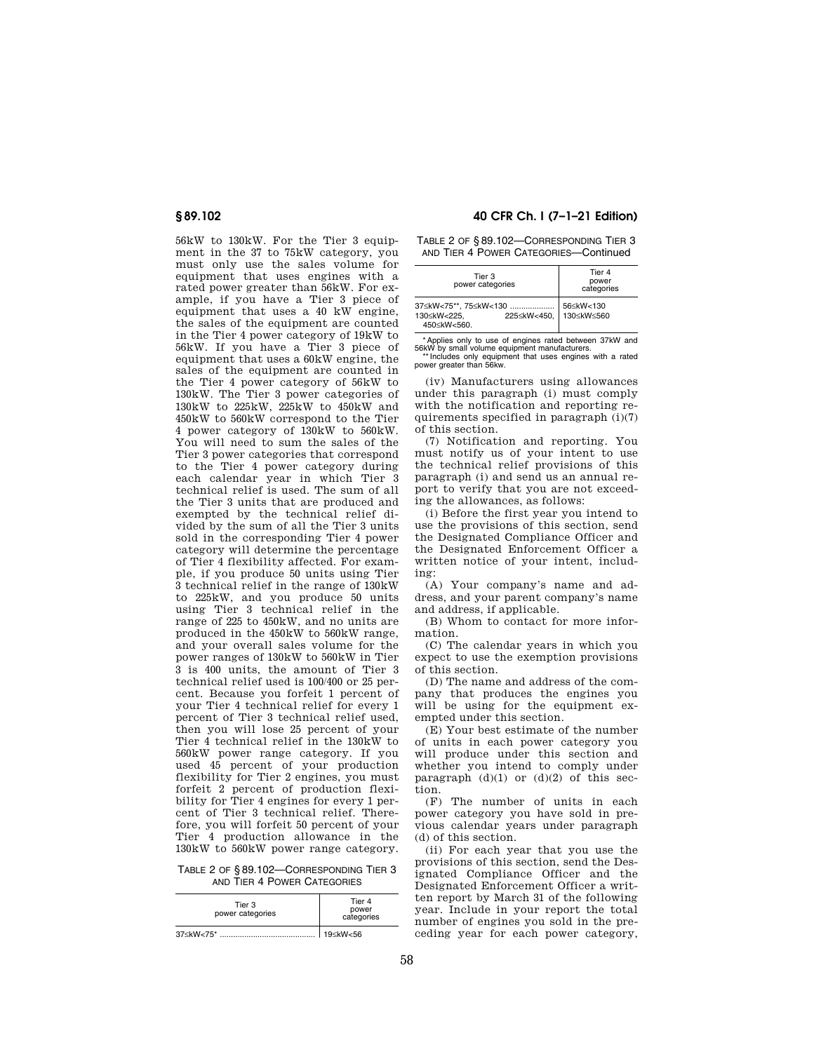56kW to 130kW. For the Tier 3 equipment in the 37 to 75kW category, you must only use the sales volume for equipment that uses engines with a rated power greater than 56kW. For example, if you have a Tier 3 piece of equipment that uses a 40 kW engine, the sales of the equipment are counted in the Tier 4 power category of 19kW to 56kW. If you have a Tier 3 piece of equipment that uses a 60kW engine, the sales of the equipment are counted in the Tier 4 power category of 56kW to 130kW. The Tier 3 power categories of 130kW to 225kW, 225kW to 450kW and 450kW to 560kW correspond to the Tier 4 power category of 130kW to 560kW. You will need to sum the sales of the Tier 3 power categories that correspond to the Tier 4 power category during each calendar year in which Tier 3 technical relief is used. The sum of all the Tier 3 units that are produced and exempted by the technical relief divided by the sum of all the Tier 3 units sold in the corresponding Tier 4 power category will determine the percentage of Tier 4 flexibility affected. For example, if you produce 50 units using Tier 3 technical relief in the range of 130kW to 225kW, and you produce 50 units using Tier 3 technical relief in the range of 225 to 450kW, and no units are produced in the 450kW to 560kW range, and your overall sales volume for the power ranges of 130kW to 560kW in Tier 3 is 400 units, the amount of Tier 3 technical relief used is 100/400 or 25 percent. Because you forfeit 1 percent of your Tier 4 technical relief for every 1 percent of Tier 3 technical relief used, then you will lose 25 percent of your Tier 4 technical relief in the 130kW to 560kW power range category. If you used 45 percent of your production flexibility for Tier 2 engines, you must forfeit 2 percent of production flexibility for Tier 4 engines for every 1 percent of Tier 3 technical relief. Therefore, you will forfeit 50 percent of your Tier 4 production allowance in the 130kW to 560kW power range category.

TABLE 2 OF § 89.102—CORRESPONDING TIER 3 AND TIER 4 POWER CATEGORIES

| Tier 3<br>power categories                                     | Tier 4<br>power<br>categories |
|----------------------------------------------------------------|-------------------------------|
| 37 <kw<75*< td=""><td>19<kw<56< td=""></kw<56<></td></kw<75*<> | 19 <kw<56< td=""></kw<56<>    |

## **§ 89.102 40 CFR Ch. I (7–1–21 Edition)**

TABLE 2 OF § 89.102—CORRESPONDING TIER 3 AND TIER 4 POWER CATEGORIES—Continued

| Tier 3<br>power categories                                         | Tier 4<br>power<br>categories |
|--------------------------------------------------------------------|-------------------------------|
| 37≤kW<75**. 75≤kW<130<br>225≤kW<450.<br>130≤kW<225.<br>450≤kW<560. | 56≤kW<130<br>130≤kW≤560       |

Applies only to use of engines rated between 37kW and 56kW by small volume equipment manufacturers. \*\* Includes only equipment that uses engines with a rated power greater than 56kw.

(iv) Manufacturers using allowances under this paragraph (i) must comply with the notification and reporting requirements specified in paragraph (i)(7) of this section.

(7) Notification and reporting. You must notify us of your intent to use the technical relief provisions of this paragraph (i) and send us an annual report to verify that you are not exceeding the allowances, as follows:

(i) Before the first year you intend to use the provisions of this section, send the Designated Compliance Officer and the Designated Enforcement Officer a written notice of your intent, including:

(A) Your company's name and address, and your parent company's name and address, if applicable.

(B) Whom to contact for more information.

(C) The calendar years in which you expect to use the exemption provisions of this section.

(D) The name and address of the company that produces the engines you will be using for the equipment exempted under this section.

(E) Your best estimate of the number of units in each power category you will produce under this section and whether you intend to comply under paragraph  $(d)(1)$  or  $(d)(2)$  of this section.

(F) The number of units in each power category you have sold in previous calendar years under paragraph (d) of this section.

(ii) For each year that you use the provisions of this section, send the Designated Compliance Officer and the Designated Enforcement Officer a written report by March 31 of the following year. Include in your report the total number of engines you sold in the preceding year for each power category,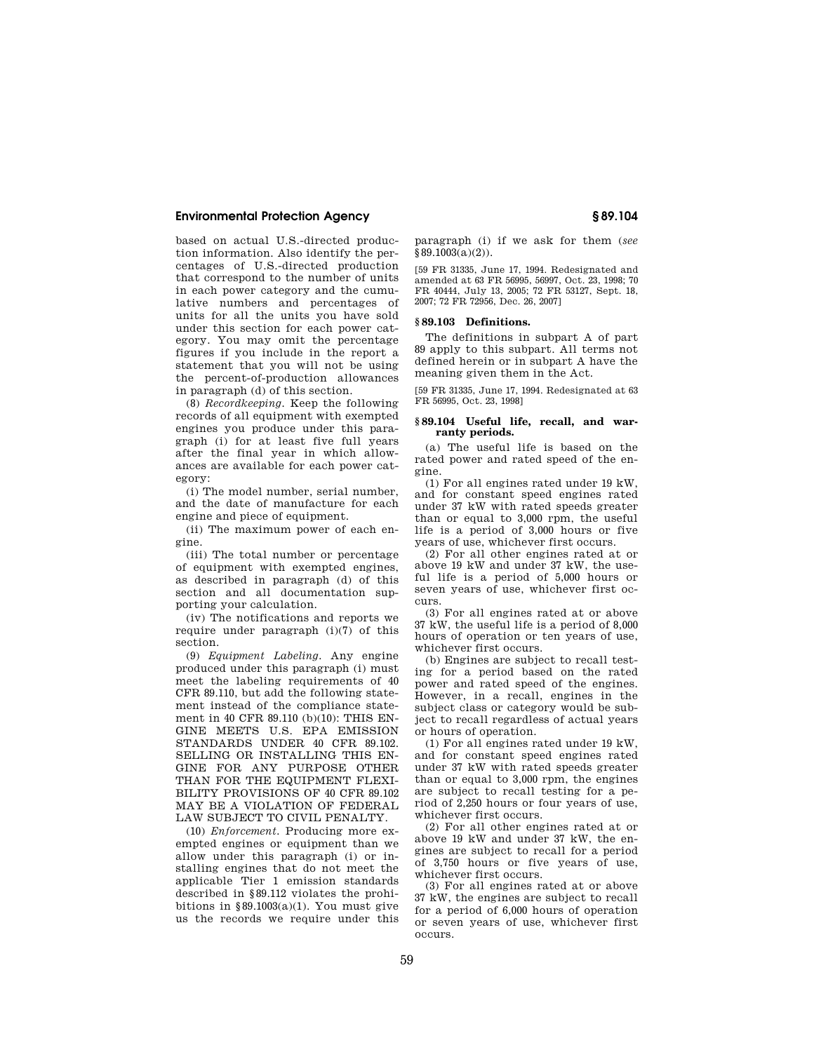based on actual U.S.-directed production information. Also identify the percentages of U.S.-directed production that correspond to the number of units in each power category and the cumulative numbers and percentages of units for all the units you have sold under this section for each power category. You may omit the percentage figures if you include in the report a statement that you will not be using the percent-of-production allowances in paragraph (d) of this section.

(8) *Recordkeeping.* Keep the following records of all equipment with exempted engines you produce under this paragraph (i) for at least five full years after the final year in which allowances are available for each power category:

(i) The model number, serial number, and the date of manufacture for each engine and piece of equipment.

(ii) The maximum power of each engine.

(iii) The total number or percentage of equipment with exempted engines, as described in paragraph (d) of this section and all documentation supporting your calculation.

(iv) The notifications and reports we require under paragraph (i)(7) of this section.

(9) *Equipment Labeling.* Any engine produced under this paragraph (i) must meet the labeling requirements of 40 CFR 89.110, but add the following statement instead of the compliance statement in 40 CFR 89.110 (b)(10): THIS EN-GINE MEETS U.S. EPA EMISSION STANDARDS UNDER 40 CFR 89.102. SELLING OR INSTALLING THIS EN-GINE FOR ANY PURPOSE OTHER THAN FOR THE EQUIPMENT FLEXI-BILITY PROVISIONS OF 40 CFR 89.102 MAY BE A VIOLATION OF FEDERAL LAW SUBJECT TO CIVIL PENALTY.

(10) *Enforcement.* Producing more exempted engines or equipment than we allow under this paragraph (i) or installing engines that do not meet the applicable Tier 1 emission standards described in §89.112 violates the prohibitions in  $\S 89.1003(a)(1)$ . You must give us the records we require under this

paragraph (i) if we ask for them (*see*   $§ 89.1003(a)(2)$ .

[59 FR 31335, June 17, 1994. Redesignated and amended at 63 FR 56995, 56997, Oct. 23, 1998; 70 FR 40444, July 13, 2005; 72 FR 53127, Sept. 18, 2007; 72 FR 72956, Dec. 26, 2007]

## **§ 89.103 Definitions.**

The definitions in subpart A of part 89 apply to this subpart. All terms not defined herein or in subpart A have the meaning given them in the Act.

[59 FR 31335, June 17, 1994. Redesignated at 63 FR 56995, Oct. 23, 19981

## **§ 89.104 Useful life, recall, and warranty periods.**

(a) The useful life is based on the rated power and rated speed of the engine.

(1) For all engines rated under 19 kW, and for constant speed engines rated under 37 kW with rated speeds greater than or equal to 3,000 rpm, the useful life is a period of 3,000 hours or five years of use, whichever first occurs.

(2) For all other engines rated at or above 19 kW and under 37 kW, the useful life is a period of 5,000 hours or seven years of use, whichever first occurs.

(3) For all engines rated at or above 37 kW, the useful life is a period of 8,000 hours of operation or ten years of use, whichever first occurs.

(b) Engines are subject to recall testing for a period based on the rated power and rated speed of the engines. However, in a recall, engines in the subject class or category would be subject to recall regardless of actual years or hours of operation.

(1) For all engines rated under 19 kW, and for constant speed engines rated under 37 kW with rated speeds greater than or equal to 3,000 rpm, the engines are subject to recall testing for a period of 2,250 hours or four years of use, whichever first occurs.

(2) For all other engines rated at or above 19 kW and under 37 kW, the engines are subject to recall for a period of 3,750 hours or five years of use, whichever first occurs.

(3) For all engines rated at or above 37 kW, the engines are subject to recall for a period of 6,000 hours of operation or seven years of use, whichever first occurs.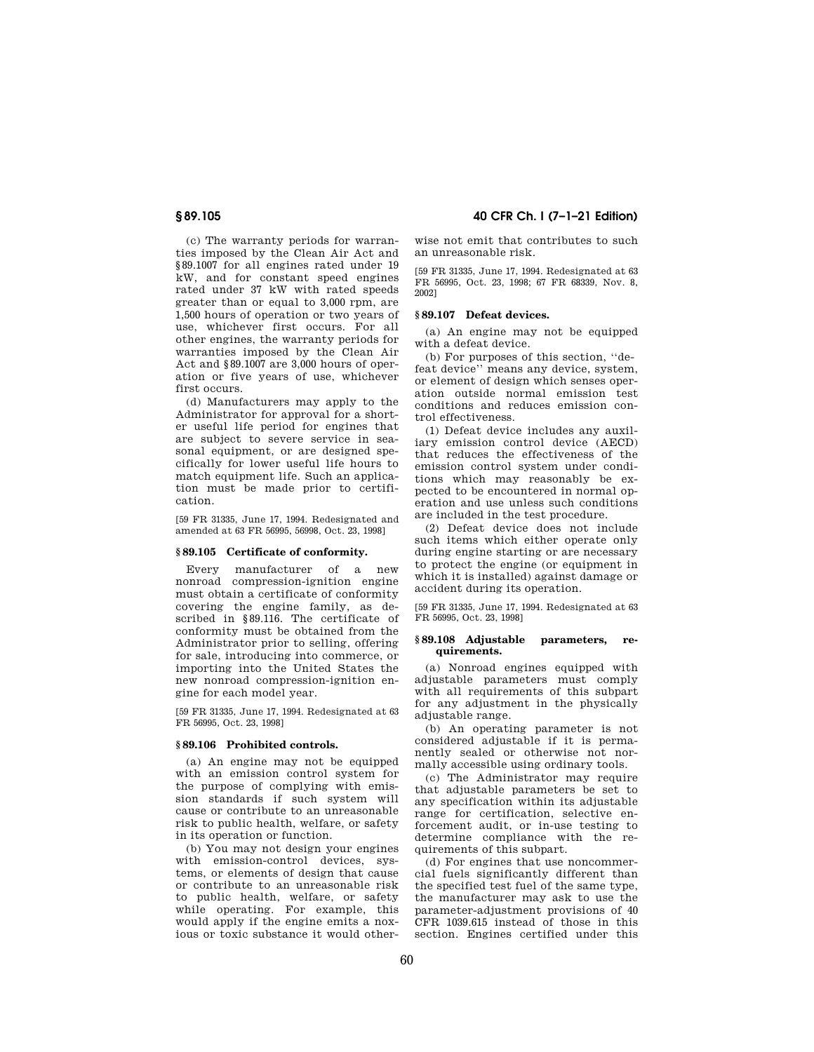(c) The warranty periods for warranties imposed by the Clean Air Act and §89.1007 for all engines rated under 19 kW, and for constant speed engines rated under 37 kW with rated speeds greater than or equal to 3,000 rpm, are 1,500 hours of operation or two years of use, whichever first occurs. For all other engines, the warranty periods for warranties imposed by the Clean Air Act and §89.1007 are 3,000 hours of operation or five years of use, whichever first occurs.

(d) Manufacturers may apply to the Administrator for approval for a shorter useful life period for engines that are subject to severe service in seasonal equipment, or are designed specifically for lower useful life hours to match equipment life. Such an application must be made prior to certification.

[59 FR 31335, June 17, 1994. Redesignated and amended at 63 FR 56995, 56998, Oct. 23, 1998]

### **§ 89.105 Certificate of conformity.**

Every manufacturer of a new nonroad compression-ignition engine must obtain a certificate of conformity covering the engine family, as described in §89.116. The certificate of conformity must be obtained from the Administrator prior to selling, offering for sale, introducing into commerce, or importing into the United States the new nonroad compression-ignition engine for each model year.

[59 FR 31335, June 17, 1994. Redesignated at 63 FR 56995, Oct. 23, 1998]

### **§ 89.106 Prohibited controls.**

(a) An engine may not be equipped with an emission control system for the purpose of complying with emission standards if such system will cause or contribute to an unreasonable risk to public health, welfare, or safety in its operation or function.

(b) You may not design your engines with emission-control devices, systems, or elements of design that cause or contribute to an unreasonable risk to public health, welfare, or safety while operating. For example, this would apply if the engine emits a noxious or toxic substance it would other-

## **§ 89.105 40 CFR Ch. I (7–1–21 Edition)**

wise not emit that contributes to such an unreasonable risk.

[59 FR 31335, June 17, 1994. Redesignated at 63 FR 56995, Oct. 23, 1998; 67 FR 68339, Nov. 8, 2002]

### **§ 89.107 Defeat devices.**

(a) An engine may not be equipped with a defeat device.

(b) For purposes of this section, ''defeat device'' means any device, system, or element of design which senses operation outside normal emission test conditions and reduces emission control effectiveness.

(1) Defeat device includes any auxiliary emission control device (AECD) that reduces the effectiveness of the emission control system under conditions which may reasonably be expected to be encountered in normal operation and use unless such conditions are included in the test procedure.

(2) Defeat device does not include such items which either operate only during engine starting or are necessary to protect the engine (or equipment in which it is installed) against damage or accident during its operation.

[59 FR 31335, June 17, 1994. Redesignated at 63 FR 56995, Oct. 23, 1998]

### **§ 89.108 Adjustable parameters, requirements.**

(a) Nonroad engines equipped with adjustable parameters must comply with all requirements of this subpart for any adjustment in the physically adjustable range.

(b) An operating parameter is not considered adjustable if it is permanently sealed or otherwise not normally accessible using ordinary tools.

(c) The Administrator may require that adjustable parameters be set to any specification within its adjustable range for certification, selective enforcement audit, or in-use testing to determine compliance with the requirements of this subpart.

(d) For engines that use noncommercial fuels significantly different than the specified test fuel of the same type, the manufacturer may ask to use the parameter-adjustment provisions of 40 CFR 1039.615 instead of those in this section. Engines certified under this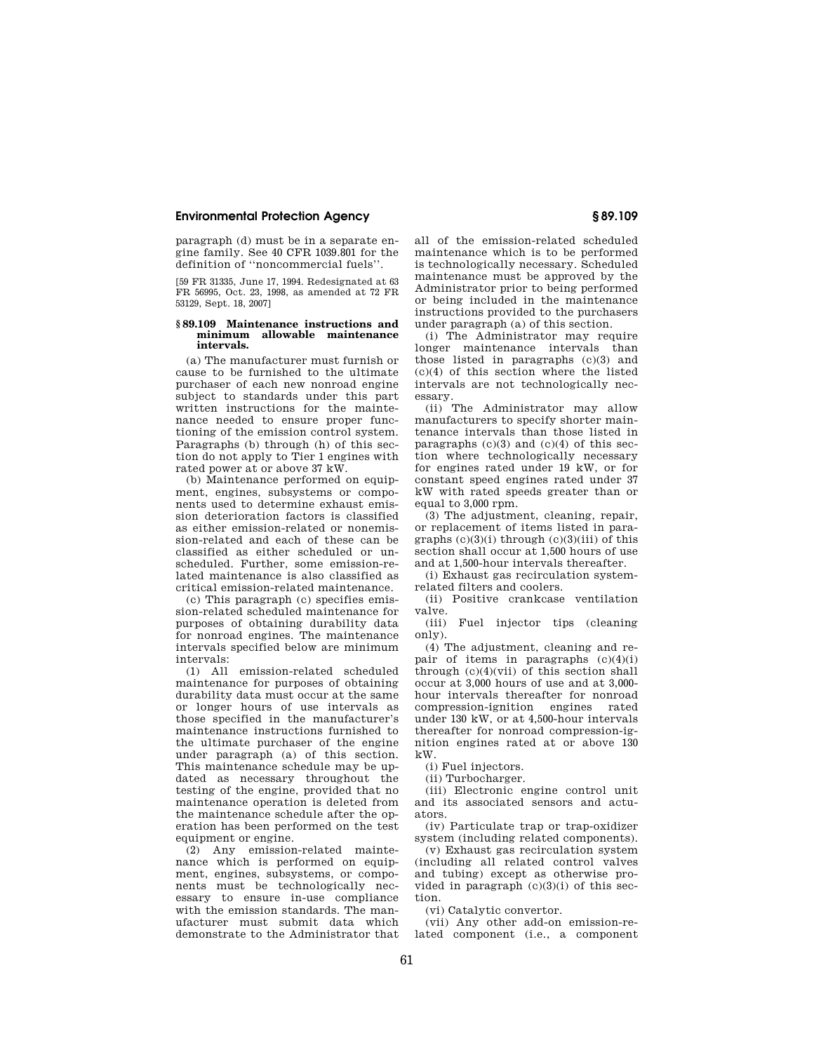paragraph (d) must be in a separate engine family. See 40 CFR 1039.801 for the definition of ''noncommercial fuels''.

[59 FR 31335, June 17, 1994. Redesignated at 63 FR 56995, Oct. 23, 1998, as amended at 72 FR 53129, Sept. 18, 2007]

### **§ 89.109 Maintenance instructions and minimum allowable maintenance intervals.**

(a) The manufacturer must furnish or cause to be furnished to the ultimate purchaser of each new nonroad engine subject to standards under this part written instructions for the maintenance needed to ensure proper functioning of the emission control system. Paragraphs (b) through (h) of this section do not apply to Tier 1 engines with rated power at or above 37 kW.

(b) Maintenance performed on equipment, engines, subsystems or components used to determine exhaust emission deterioration factors is classified as either emission-related or nonemission-related and each of these can be classified as either scheduled or unscheduled. Further, some emission-related maintenance is also classified as critical emission-related maintenance.

(c) This paragraph (c) specifies emission-related scheduled maintenance for purposes of obtaining durability data for nonroad engines. The maintenance intervals specified below are minimum intervals:

(1) All emission-related scheduled maintenance for purposes of obtaining durability data must occur at the same or longer hours of use intervals as those specified in the manufacturer's maintenance instructions furnished to the ultimate purchaser of the engine under paragraph (a) of this section. This maintenance schedule may be updated as necessary throughout the testing of the engine, provided that no maintenance operation is deleted from the maintenance schedule after the operation has been performed on the test equipment or engine.

(2) Any emission-related maintenance which is performed on equipment, engines, subsystems, or components must be technologically necessary to ensure in-use compliance with the emission standards. The manufacturer must submit data which demonstrate to the Administrator that all of the emission-related scheduled maintenance which is to be performed is technologically necessary. Scheduled maintenance must be approved by the Administrator prior to being performed or being included in the maintenance instructions provided to the purchasers under paragraph (a) of this section.

(i) The Administrator may require longer maintenance intervals than those listed in paragraphs (c)(3) and (c)(4) of this section where the listed intervals are not technologically necessary.

(ii) The Administrator may allow manufacturers to specify shorter maintenance intervals than those listed in paragraphs  $(c)(3)$  and  $(c)(4)$  of this section where technologically necessary for engines rated under 19 kW, or for constant speed engines rated under 37 kW with rated speeds greater than or equal to 3,000 rpm.

(3) The adjustment, cleaning, repair, or replacement of items listed in paragraphs  $(c)(3)(i)$  through  $(c)(3)(iii)$  of this section shall occur at 1,500 hours of use and at 1,500-hour intervals thereafter.

(i) Exhaust gas recirculation systemrelated filters and coolers.

(ii) Positive crankcase ventilation valve.

(iii) Fuel injector tips (cleaning only).

(4) The adjustment, cleaning and repair of items in paragraphs  $(c)(4)(i)$ through (c)(4)(vii) of this section shall occur at 3,000 hours of use and at 3,000 hour intervals thereafter for nonroad compression-ignition engines rated under 130 kW, or at 4,500-hour intervals thereafter for nonroad compression-ignition engines rated at or above 130 kW.

(i) Fuel injectors.

(ii) Turbocharger.

(iii) Electronic engine control unit and its associated sensors and actuators.

(iv) Particulate trap or trap-oxidizer system (including related components).

(v) Exhaust gas recirculation system (including all related control valves and tubing) except as otherwise provided in paragraph  $(c)(3)(i)$  of this section.

(vi) Catalytic convertor.

(vii) Any other add-on emission-related component (i.e., a component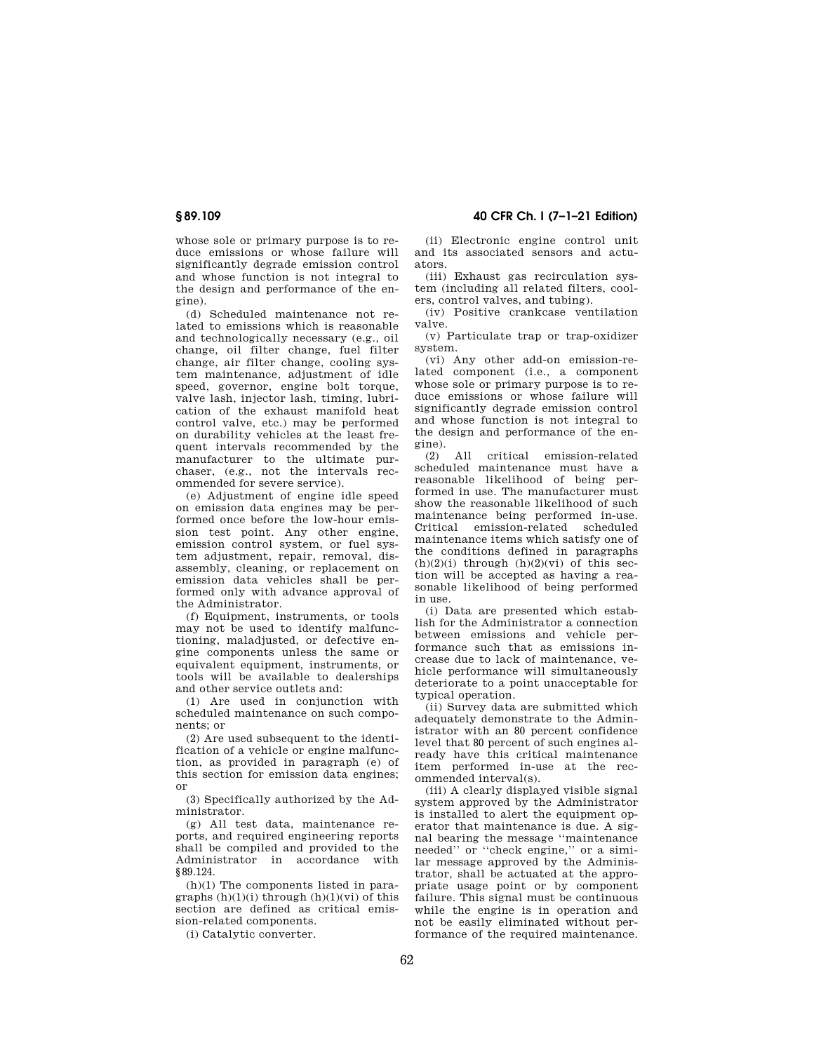whose sole or primary purpose is to reduce emissions or whose failure will significantly degrade emission control and whose function is not integral to the design and performance of the engine).

(d) Scheduled maintenance not related to emissions which is reasonable and technologically necessary (e.g., oil change, oil filter change, fuel filter change, air filter change, cooling system maintenance, adjustment of idle speed, governor, engine bolt torque, valve lash, injector lash, timing, lubrication of the exhaust manifold heat control valve, etc.) may be performed on durability vehicles at the least frequent intervals recommended by the manufacturer to the ultimate purchaser, (e.g., not the intervals recommended for severe service).

(e) Adjustment of engine idle speed on emission data engines may be performed once before the low-hour emission test point. Any other engine, emission control system, or fuel system adjustment, repair, removal, disassembly, cleaning, or replacement on emission data vehicles shall be performed only with advance approval of the Administrator.

(f) Equipment, instruments, or tools may not be used to identify malfunctioning, maladjusted, or defective engine components unless the same or equivalent equipment, instruments, or tools will be available to dealerships and other service outlets and:

(1) Are used in conjunction with scheduled maintenance on such components; or

(2) Are used subsequent to the identification of a vehicle or engine malfunction, as provided in paragraph (e) of this section for emission data engines; or

(3) Specifically authorized by the Administrator.

(g) All test data, maintenance reports, and required engineering reports shall be compiled and provided to the Administrator in accordance with §89.124.

(h)(1) The components listed in paragraphs  $(h)(1)(i)$  through  $(h)(1)(vi)$  of this section are defined as critical emission-related components.

(i) Catalytic converter.

**§ 89.109 40 CFR Ch. I (7–1–21 Edition)** 

(ii) Electronic engine control unit and its associated sensors and actuators.

(iii) Exhaust gas recirculation system (including all related filters, coolers, control valves, and tubing).

(iv) Positive crankcase ventilation valve.

(v) Particulate trap or trap-oxidizer system.

(vi) Any other add-on emission-related component (i.e., a component whose sole or primary purpose is to reduce emissions or whose failure will significantly degrade emission control and whose function is not integral to the design and performance of the engine).

(2) All critical emission-related scheduled maintenance must have a reasonable likelihood of being performed in use. The manufacturer must show the reasonable likelihood of such maintenance being performed in-use. Critical emission-related scheduled maintenance items which satisfy one of the conditions defined in paragraphs  $(h)(2)(i)$  through  $(h)(2)(vi)$  of this section will be accepted as having a reasonable likelihood of being performed in use.

(i) Data are presented which establish for the Administrator a connection between emissions and vehicle performance such that as emissions increase due to lack of maintenance, vehicle performance will simultaneously deteriorate to a point unacceptable for typical operation.

(ii) Survey data are submitted which adequately demonstrate to the Administrator with an 80 percent confidence level that 80 percent of such engines already have this critical maintenance item performed in-use at the recommended interval(s).

(iii) A clearly displayed visible signal system approved by the Administrator is installed to alert the equipment operator that maintenance is due. A signal bearing the message ''maintenance needed'' or ''check engine,'' or a similar message approved by the Administrator, shall be actuated at the appropriate usage point or by component failure. This signal must be continuous while the engine is in operation and not be easily eliminated without performance of the required maintenance.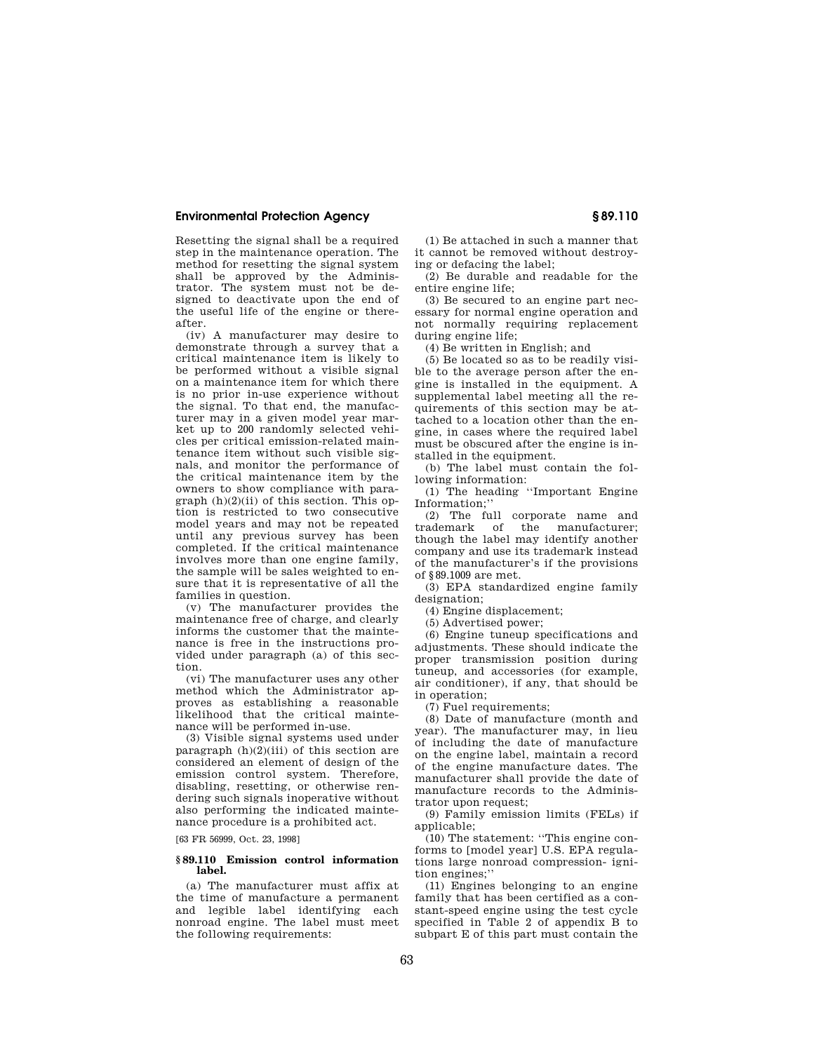Resetting the signal shall be a required step in the maintenance operation. The method for resetting the signal system shall be approved by the Administrator. The system must not be designed to deactivate upon the end of the useful life of the engine or thereafter.

(iv) A manufacturer may desire to demonstrate through a survey that a critical maintenance item is likely to be performed without a visible signal on a maintenance item for which there is no prior in-use experience without the signal. To that end, the manufacturer may in a given model year market up to 200 randomly selected vehicles per critical emission-related maintenance item without such visible signals, and monitor the performance of the critical maintenance item by the owners to show compliance with paragraph  $(h)(2)(ii)$  of this section. This option is restricted to two consecutive model years and may not be repeated until any previous survey has been completed. If the critical maintenance involves more than one engine family, the sample will be sales weighted to ensure that it is representative of all the families in question.

(v) The manufacturer provides the maintenance free of charge, and clearly informs the customer that the maintenance is free in the instructions provided under paragraph (a) of this section.

(vi) The manufacturer uses any other method which the Administrator approves as establishing a reasonable likelihood that the critical maintenance will be performed in-use.

(3) Visible signal systems used under paragraph  $(h)(2)(iii)$  of this section are considered an element of design of the emission control system. Therefore, disabling, resetting, or otherwise rendering such signals inoperative without also performing the indicated maintenance procedure is a prohibited act.

[63 FR 56999, Oct. 23, 1998]

### **§ 89.110 Emission control information label.**

(a) The manufacturer must affix at the time of manufacture a permanent and legible label identifying each nonroad engine. The label must meet the following requirements:

(1) Be attached in such a manner that it cannot be removed without destroying or defacing the label;

(2) Be durable and readable for the entire engine life;

(3) Be secured to an engine part necessary for normal engine operation and not normally requiring replacement during engine life;

(4) Be written in English; and

(5) Be located so as to be readily visible to the average person after the engine is installed in the equipment. A supplemental label meeting all the requirements of this section may be attached to a location other than the engine, in cases where the required label must be obscured after the engine is installed in the equipment.

(b) The label must contain the following information:

(1) The heading ''Important Engine Information;''

(2) The full corporate name and<br>trademark of the manufacturer the manufacturer; though the label may identify another company and use its trademark instead of the manufacturer's if the provisions of §89.1009 are met.

(3) EPA standardized engine family designation;

(4) Engine displacement;

(5) Advertised power;

(6) Engine tuneup specifications and adjustments. These should indicate the proper transmission position during tuneup, and accessories (for example, air conditioner), if any, that should be in operation;

(7) Fuel requirements;

(8) Date of manufacture (month and year). The manufacturer may, in lieu of including the date of manufacture on the engine label, maintain a record of the engine manufacture dates. The manufacturer shall provide the date of manufacture records to the Administrator upon request;

(9) Family emission limits (FELs) if applicable:

(10) The statement: ''This engine conforms to [model year] U.S. EPA regulations large nonroad compression- ignition engines;"

(11) Engines belonging to an engine family that has been certified as a constant-speed engine using the test cycle specified in Table 2 of appendix B to subpart E of this part must contain the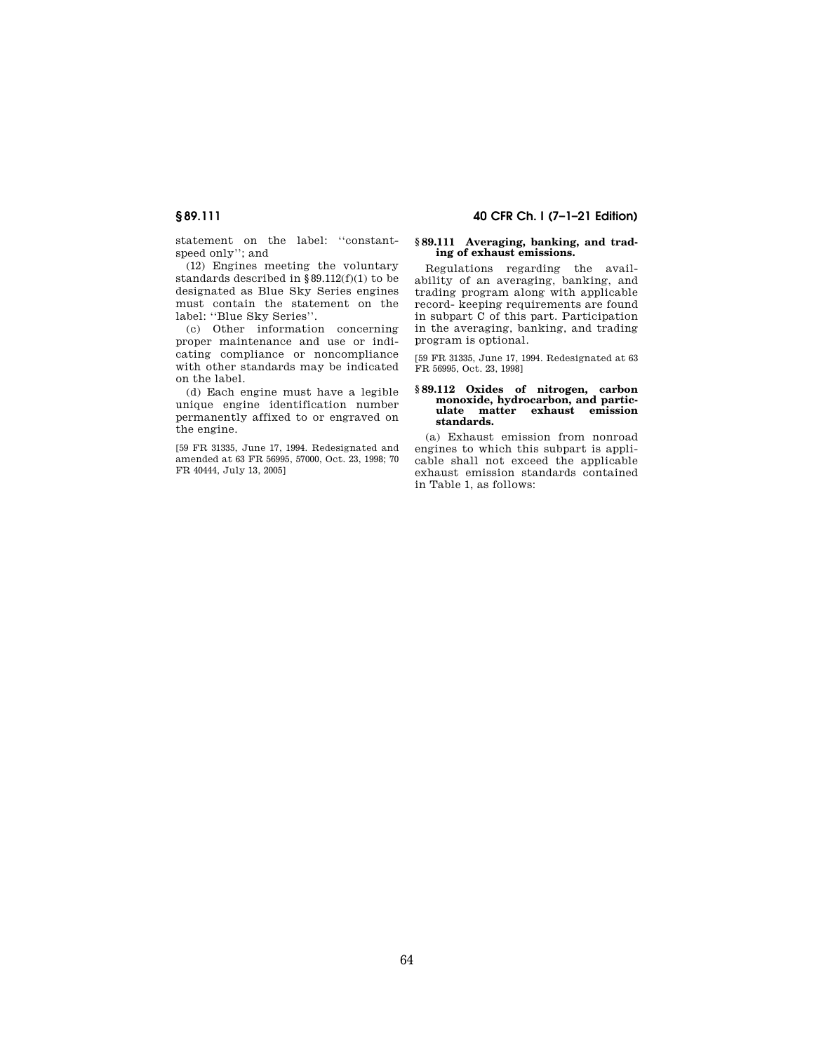**§ 89.111 40 CFR Ch. I (7–1–21 Edition)** 

statement on the label: ''constantspeed only''; and

(12) Engines meeting the voluntary standards described in §89.112(f)(1) to be designated as Blue Sky Series engines must contain the statement on the label: ''Blue Sky Series''.

(c) Other information concerning proper maintenance and use or indicating compliance or noncompliance with other standards may be indicated on the label.

(d) Each engine must have a legible unique engine identification number permanently affixed to or engraved on the engine.

[59 FR 31335, June 17, 1994. Redesignated and amended at 63 FR 56995, 57000, Oct. 23, 1998; 70 FR 40444, July 13, 2005]

### **§ 89.111 Averaging, banking, and trading of exhaust emissions.**

Regulations regarding the availability of an averaging, banking, and trading program along with applicable record- keeping requirements are found in subpart C of this part. Participation in the averaging, banking, and trading program is optional.

[59 FR 31335, June 17, 1994. Redesignated at 63 FR 56995, Oct. 23, 1998]

### **§ 89.112 Oxides of nitrogen, carbon monoxide, hydrocarbon, and particulate matter exhaust emission standards.**

(a) Exhaust emission from nonroad engines to which this subpart is applicable shall not exceed the applicable exhaust emission standards contained in Table 1, as follows: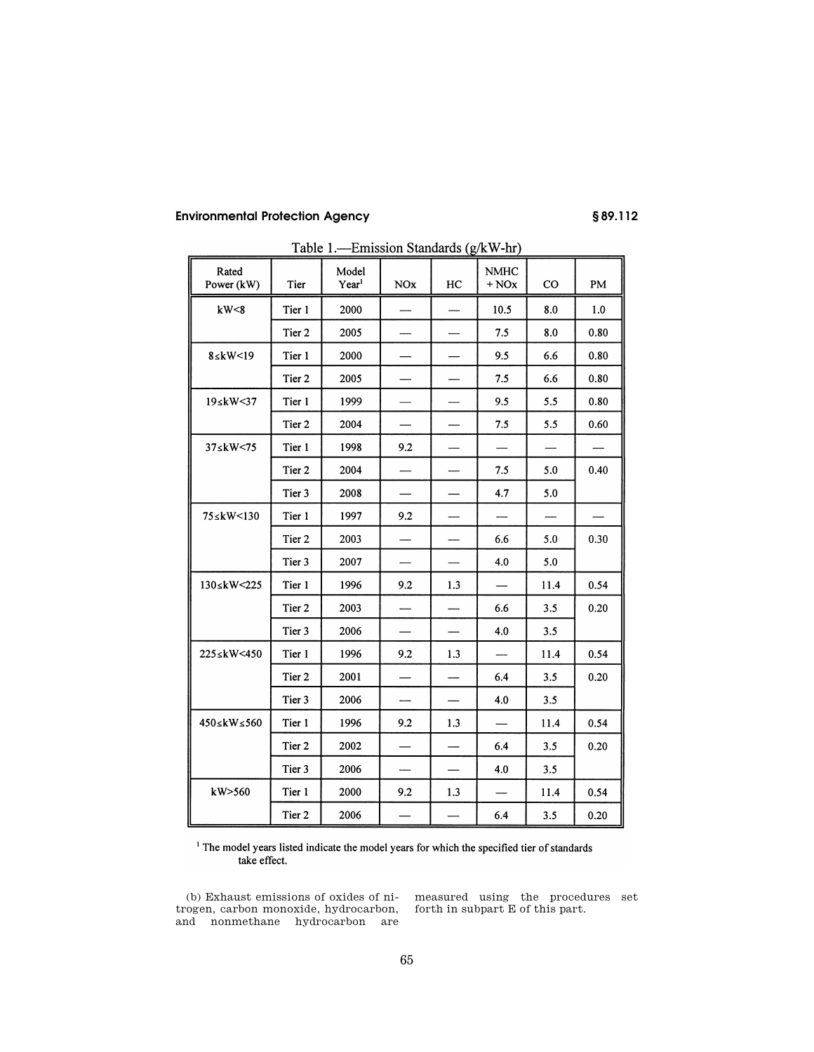| Rated<br>Power (kW) | Tier   | Model<br>Year <sup>1</sup> | <b>NOx</b>               | HC                       | <b>NMHC</b><br>$+$ NO $x$ | $_{\rm CO}$ | PM   |
|---------------------|--------|----------------------------|--------------------------|--------------------------|---------------------------|-------------|------|
| kW<8                | Tier 1 | 2000                       |                          |                          | 10.5                      | 8.0         | 1.0  |
|                     | Tier 2 | 2005                       |                          |                          | 7.5                       | 8.0         | 0.80 |
| $8 \leq kW < 19$    | Tier 1 | 2000                       |                          |                          | 9.5                       | 6.6         | 0.80 |
|                     | Tier 2 | 2005                       |                          |                          | 7.5                       | 6.6         | 0.80 |
| 19≤kW<37            | Tier 1 | 1999                       |                          |                          | 9.5                       | 5.5         | 0.80 |
|                     | Tier 2 | 2004                       | $\overline{\phantom{0}}$ |                          | 7.5                       | 5.5         | 0.60 |
| 37≤kW<75            | Tier 1 | 1998                       | 9.2                      |                          |                           |             |      |
|                     | Tier 2 | 2004                       | $\overline{\phantom{0}}$ |                          | 7.5                       | 5.0         | 0.40 |
|                     | Tier 3 | 2008                       |                          |                          | 4.7                       | 5.0         |      |
| 75≤kW<130           | Tier 1 | 1997                       | 9.2                      |                          | $\overline{\phantom{0}}$  |             |      |
|                     | Tier 2 | 2003                       |                          |                          | 6.6                       | 5.0         | 0.30 |
|                     | Tier 3 | 2007                       |                          |                          | 4.0                       | 5.0         |      |
| 130≤kW<225          | Tier 1 | 1996                       | 9.2                      | 1.3                      | $\overline{\phantom{0}}$  | 11.4        | 0.54 |
|                     | Tier 2 | 2003                       | $\overline{\phantom{a}}$ |                          | 6.6                       | 3.5         | 0.20 |
|                     | Tier 3 | 2006                       |                          |                          | 4.0                       | 3.5         |      |
| 225≤kW<450          | Tier 1 | 1996                       | 9.2                      | 1.3                      | -                         | 11.4        | 0.54 |
|                     | Tier 2 | 2001                       |                          |                          | 6.4                       | 3.5         | 0.20 |
|                     | Tier 3 | 2006                       |                          |                          | 4.0                       | 3.5         |      |
| 450≤kW≤560          | Tier 1 | 1996                       | 9.2                      | 1.3                      | $\overline{\phantom{a}}$  | 11.4        | 0.54 |
|                     | Tier 2 | 2002                       |                          | $\overline{\phantom{0}}$ | 6.4                       | 3.5         | 0.20 |
|                     | Tier 3 | 2006                       | $\overline{\phantom{0}}$ | $\overline{\phantom{0}}$ | 4.0                       | 3.5         |      |
| kW>560              | Tier 1 | 2000                       | 9.2                      | 1.3                      |                           | 11.4        | 0.54 |
|                     | Tier 2 | 2006                       |                          |                          | 6.4                       | 3.5         | 0.20 |

Table 1.-Emission Standards (g/kW-hr)

<sup>1</sup> The model years listed indicate the model years for which the specified tier of standards take effect.

(b) Exhaust emissions of oxides of nitrogen, carbon monoxide, hydrocarbon, and nonmethane hydrocarbon are

measured using the procedures set forth in subpart E of this part.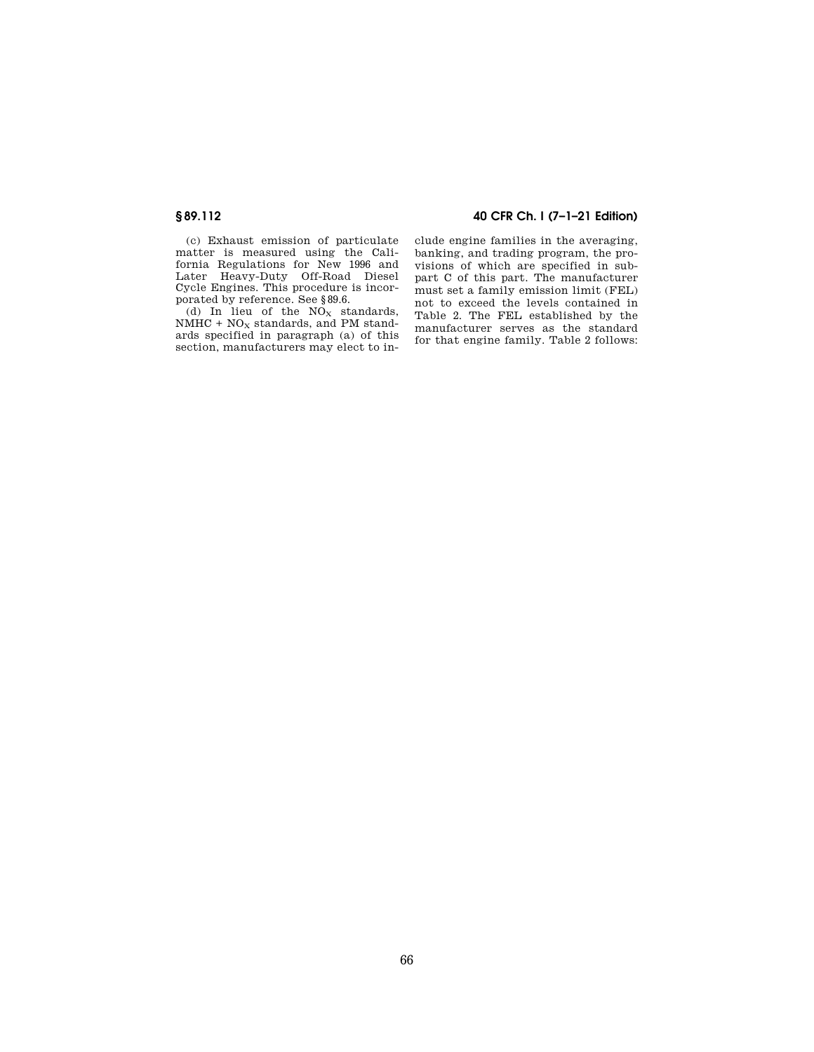(c) Exhaust emission of particulate matter is measured using the California Regulations for New 1996 and Later Heavy-Duty Off-Road Diesel Cycle Engines. This procedure is incorporated by reference. See §89.6.

(d) In lieu of the  $NO<sub>x</sub>$  standards,  $NMHC + NO<sub>X</sub>$  standards, and PM standards specified in paragraph (a) of this section, manufacturers may elect to in-

# **§ 89.112 40 CFR Ch. I (7–1–21 Edition)**

clude engine families in the averaging, banking, and trading program, the provisions of which are specified in subpart C of this part. The manufacturer must set a family emission limit (FEL) not to exceed the levels contained in Table 2. The FEL established by the manufacturer serves as the standard for that engine family. Table 2 follows: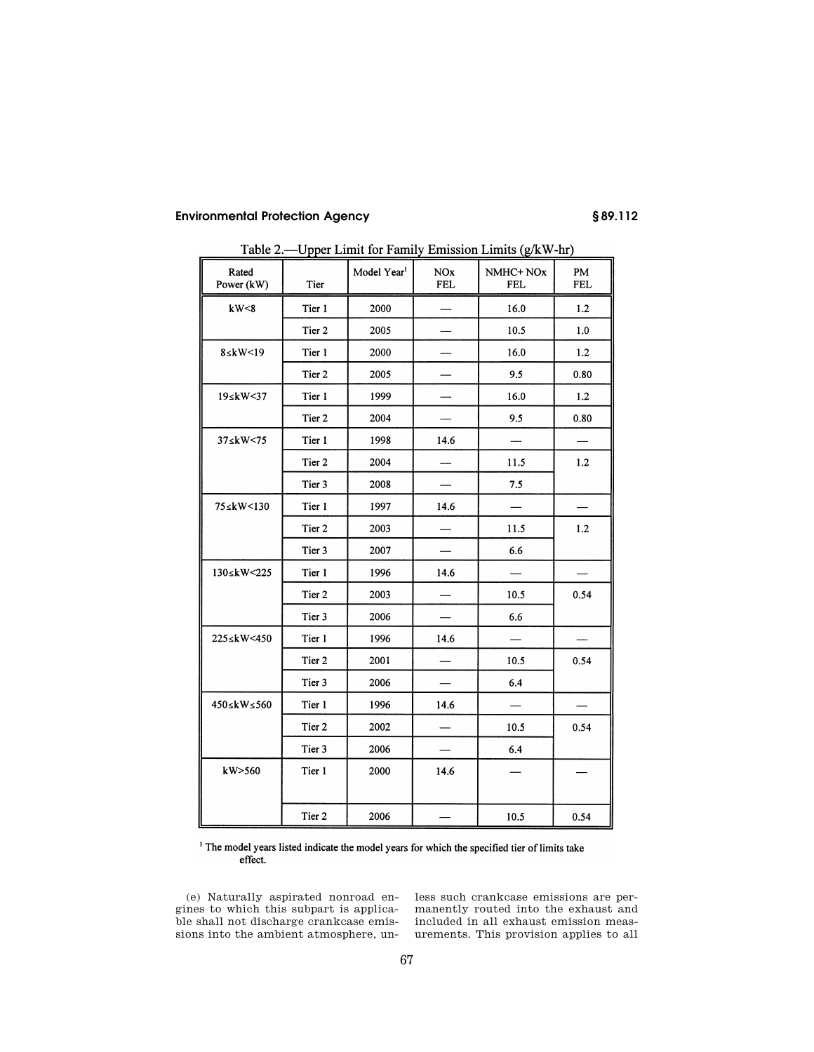| Rated<br>Power (kW) | Tier   | Model Year <sup>1</sup> | <b>NOx</b><br>NMHC+ NOx<br><b>FEL</b><br><b>FEL</b> |      | PM<br><b>FEL</b> |
|---------------------|--------|-------------------------|-----------------------------------------------------|------|------------------|
| kW<8                | Tier 1 | 2000                    |                                                     | 16.0 |                  |
|                     | Tier 2 | 2005                    |                                                     | 10.5 | 1.0              |
| $8 \leq kW < 19$    | Tier 1 | 2000                    |                                                     | 16.0 | 1.2              |
|                     | Tier 2 | 2005                    |                                                     | 9.5  | 0.80             |
| 19 skW<37           | Tier 1 | 1999                    |                                                     | 16.0 | 1.2              |
|                     | Tier 2 | 2004                    |                                                     | 9.5  | 0.80             |
| 37 skW<75           | Tier 1 | 1998                    | 14.6                                                |      |                  |
|                     | Tier 2 | 2004                    |                                                     | 11.5 | 1.2              |
|                     | Tier 3 | 2008                    |                                                     | 7.5  |                  |
| 75≤kW<130           | Tier 1 | 1997                    | 14.6                                                |      |                  |
|                     | Tier 2 | 2003                    |                                                     | 11.5 | 1.2              |
|                     | Tier 3 | 2007                    |                                                     | 6.6  |                  |
| 130≤kW<225          | Tier 1 | 1996                    | 14.6                                                |      |                  |
|                     | Tier 2 | 2003                    | $\overline{\phantom{a}}$                            | 10.5 | 0.54             |
|                     | Tier 3 | 2006                    |                                                     | 6.6  |                  |
| 225≤kW<450          | Tier 1 | 1996                    | 14.6                                                |      |                  |
|                     | Tier 2 | 2001                    |                                                     | 10.5 | 0.54             |
|                     | Tier 3 | 2006                    |                                                     | 6.4  |                  |
| 450≤kW≤560          | Tier 1 | 1996                    | 14.6                                                |      |                  |
|                     | Tier 2 | 2002                    |                                                     | 10.5 | 0.54             |
|                     | Tier 3 | 2006                    |                                                     | 6.4  |                  |
| kW>560              | Tier 1 | 2000                    | 14.6                                                |      |                  |
|                     | Tier 2 | 2006                    |                                                     | 10.5 | 0.54             |

Table 2.—Upper Limit for Family Emission Limits (g/kW-hr)

<sup>1</sup> The model years listed indicate the model years for which the specified tier of limits take effect.

(e) Naturally aspirated nonroad engines to which this subpart is applicable shall not discharge crankcase emissions into the ambient atmosphere, un-

less such crankcase emissions are permanently routed into the exhaust and included in all exhaust emission measurements. This provision applies to all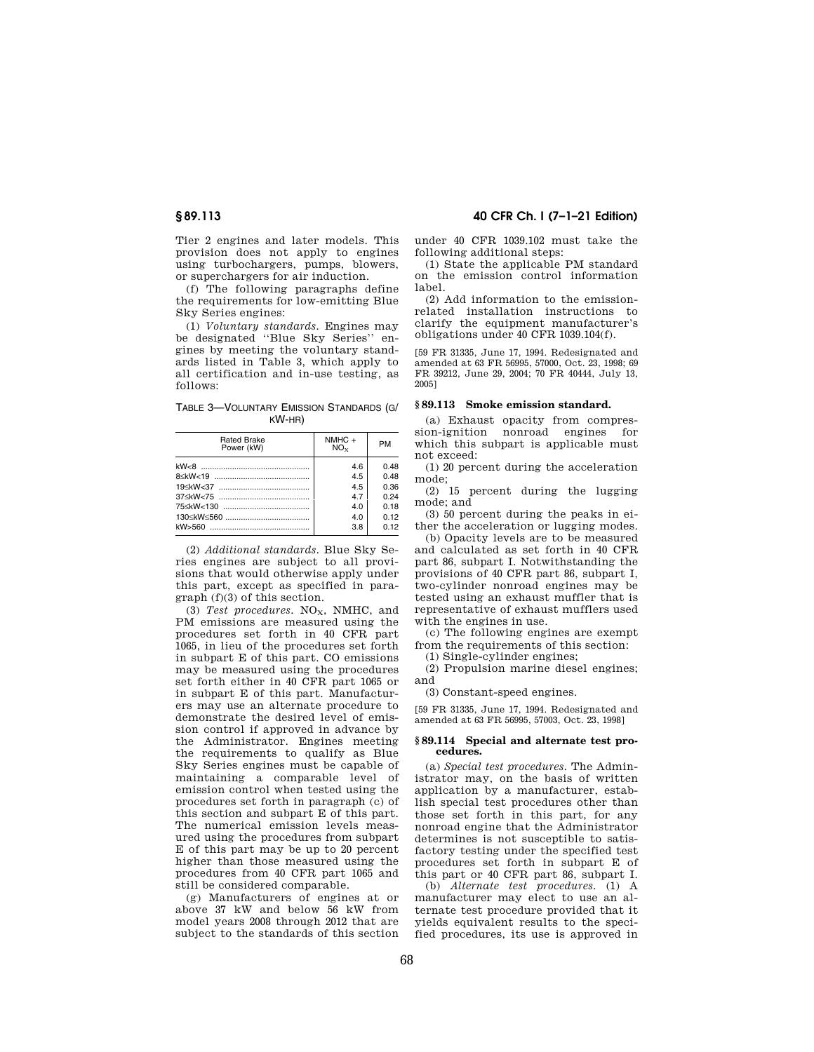Tier 2 engines and later models. This provision does not apply to engines using turbochargers, pumps, blowers, or superchargers for air induction.

(f) The following paragraphs define the requirements for low-emitting Blue Sky Series engines:

(1) *Voluntary standards.* Engines may be designated ''Blue Sky Series'' engines by meeting the voluntary standards listed in Table 3, which apply to all certification and in-use testing, as follows:

TABLE 3—VOLUNTARY EMISSION STANDARDS (G/ KW-HR)

| <b>Rated Brake</b><br>Power (kW) | $NMHC +$<br>$NO_{Y}$ | <b>PM</b>       |
|----------------------------------|----------------------|-----------------|
|                                  | 4.6                  | 0.48            |
|                                  | 4.5                  | 0.48            |
|                                  | 4.5                  | 0.36            |
|                                  | 47                   | 0.24            |
| 75 < kW < 130                    | 4.0                  | 0.18            |
|                                  | 4.0                  | 01 <sub>2</sub> |
|                                  | 3.8                  | 0 12            |

(2) *Additional standards.* Blue Sky Series engines are subject to all provisions that would otherwise apply under this part, except as specified in paragraph (f)(3) of this section.

(3) *Test procedures.* NO<sub>x</sub>, NMHC, and PM emissions are measured using the procedures set forth in 40 CFR part 1065, in lieu of the procedures set forth in subpart E of this part. CO emissions may be measured using the procedures set forth either in 40 CFR part 1065 or in subpart E of this part. Manufacturers may use an alternate procedure to demonstrate the desired level of emission control if approved in advance by the Administrator. Engines meeting the requirements to qualify as Blue Sky Series engines must be capable of maintaining a comparable level of emission control when tested using the procedures set forth in paragraph (c) of this section and subpart E of this part. The numerical emission levels measured using the procedures from subpart E of this part may be up to 20 percent higher than those measured using the procedures from 40 CFR part 1065 and still be considered comparable.

(g) Manufacturers of engines at or above 37 kW and below 56 kW from model years 2008 through 2012 that are subject to the standards of this section

## **§ 89.113 40 CFR Ch. I (7–1–21 Edition)**

under 40 CFR 1039.102 must take the following additional steps:

(1) State the applicable PM standard on the emission control information label.

(2) Add information to the emissionrelated installation instructions to clarify the equipment manufacturer's obligations under 40 CFR 1039.104(f).

[59 FR 31335, June 17, 1994. Redesignated and amended at 63 FR 56995, 57000, Oct. 23, 1998; 69 FR 39212, June 29, 2004; 70 FR 40444, July 13, 2005]

### **§ 89.113 Smoke emission standard.**

(a) Exhaust opacity from compression-ignition nonroad engines for which this subpart is applicable must not exceed:

(1) 20 percent during the acceleration mode;

(2) 15 percent during the lugging mode; and

(3) 50 percent during the peaks in either the acceleration or lugging modes. (b) Opacity levels are to be measured

and calculated as set forth in 40 CFR part 86, subpart I. Notwithstanding the provisions of 40 CFR part 86, subpart I, two-cylinder nonroad engines may be tested using an exhaust muffler that is representative of exhaust mufflers used with the engines in use.

(c) The following engines are exempt from the requirements of this section:

(1) Single-cylinder engines;

(2) Propulsion marine diesel engines; and

(3) Constant-speed engines.

[59 FR 31335, June 17, 1994. Redesignated and amended at 63 FR 56995, 57003, Oct. 23, 1998]

### **§ 89.114 Special and alternate test procedures.**

(a) *Special test procedures.* The Administrator may, on the basis of written application by a manufacturer, establish special test procedures other than those set forth in this part, for any nonroad engine that the Administrator determines is not susceptible to satisfactory testing under the specified test procedures set forth in subpart E of this part or 40 CFR part 86, subpart I.

(b) *Alternate test procedures.* (1) A manufacturer may elect to use an alternate test procedure provided that it yields equivalent results to the specified procedures, its use is approved in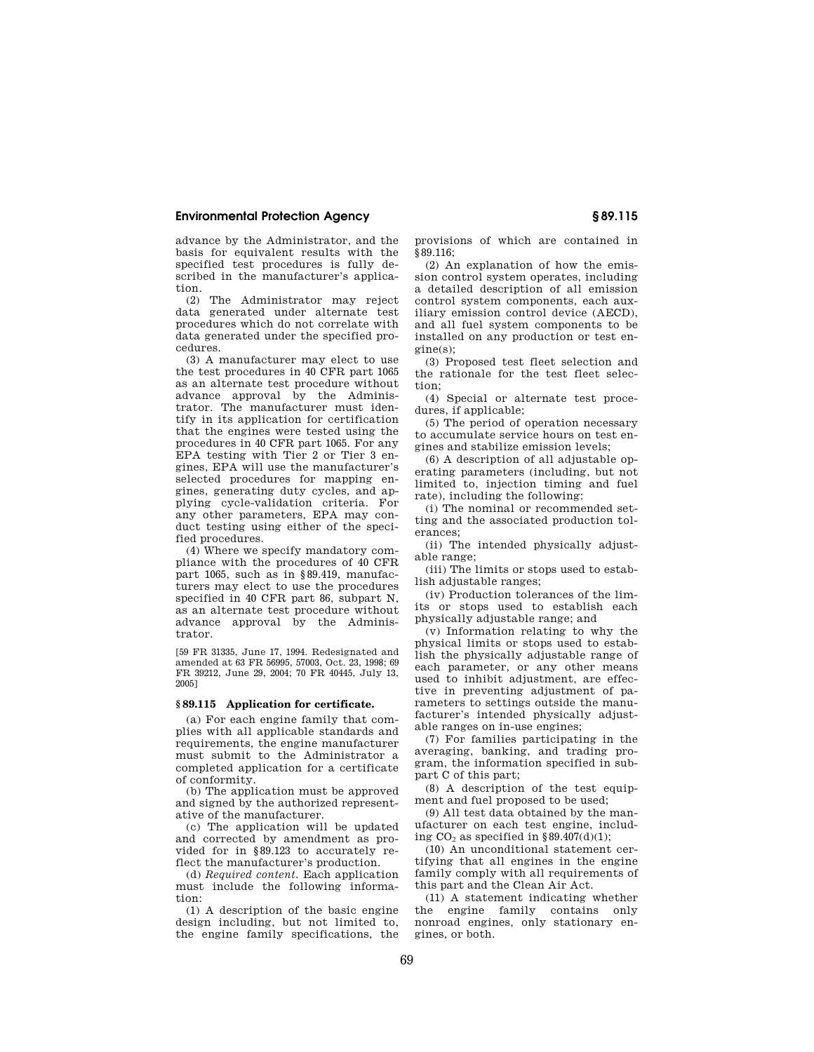advance by the Administrator, and the basis for equivalent results with the specified test procedures is fully described in the manufacturer's application.

(2) The Administrator may reject data generated under alternate test procedures which do not correlate with data generated under the specified procedures.

(3) A manufacturer may elect to use the test procedures in 40 CFR part 1065 as an alternate test procedure without advance approval by the Administrator. The manufacturer must identify in its application for certification that the engines were tested using the procedures in 40 CFR part 1065. For any EPA testing with Tier 2 or Tier 3 engines, EPA will use the manufacturer's selected procedures for mapping engines, generating duty cycles, and applying cycle-validation criteria. For any other parameters, EPA may conduct testing using either of the specified procedures.

(4) Where we specify mandatory compliance with the procedures of 40 CFR part 1065, such as in §89.419, manufacturers may elect to use the procedures specified in 40 CFR part 86, subpart N, as an alternate test procedure without advance approval by the Administrator.

[59 FR 31335, June 17, 1994. Redesignated and amended at 63 FR 56995, 57003, Oct. 23, 1998; 69 FR 39212, June 29, 2004; 70 FR 40445, July 13, 2005]

### **§ 89.115 Application for certificate.**

(a) For each engine family that complies with all applicable standards and requirements, the engine manufacturer must submit to the Administrator a completed application for a certificate of conformity.

(b) The application must be approved and signed by the authorized representative of the manufacturer.

(c) The application will be updated and corrected by amendment as provided for in §89.123 to accurately reflect the manufacturer's production.

(d) *Required content.* Each application must include the following information:

(1) A description of the basic engine design including, but not limited to, the engine family specifications, the provisions of which are contained in §89.116;

(2) An explanation of how the emission control system operates, including a detailed description of all emission control system components, each auxiliary emission control device (AECD), and all fuel system components to be installed on any production or test engine(s);

(3) Proposed test fleet selection and the rationale for the test fleet selection;

(4) Special or alternate test procedures, if applicable;

(5) The period of operation necessary to accumulate service hours on test engines and stabilize emission levels;

(6) A description of all adjustable operating parameters (including, but not limited to, injection timing and fuel rate), including the following:

(i) The nominal or recommended setting and the associated production tolerances;

(ii) The intended physically adjustable range;

(iii) The limits or stops used to establish adjustable ranges;

(iv) Production tolerances of the limits or stops used to establish each physically adjustable range; and

(v) Information relating to why the physical limits or stops used to establish the physically adjustable range of each parameter, or any other means used to inhibit adjustment, are effective in preventing adjustment of parameters to settings outside the manufacturer's intended physically adjustable ranges on in-use engines;

(7) For families participating in the averaging, banking, and trading program, the information specified in subpart C of this part;

(8) A description of the test equipment and fuel proposed to be used;

(9) All test data obtained by the manufacturer on each test engine, including  $CO<sub>2</sub>$  as specified in §89.407(d)(1);

(10) An unconditional statement certifying that all engines in the engine family comply with all requirements of this part and the Clean Air Act.

(11) A statement indicating whether the engine family contains only nonroad engines, only stationary engines, or both.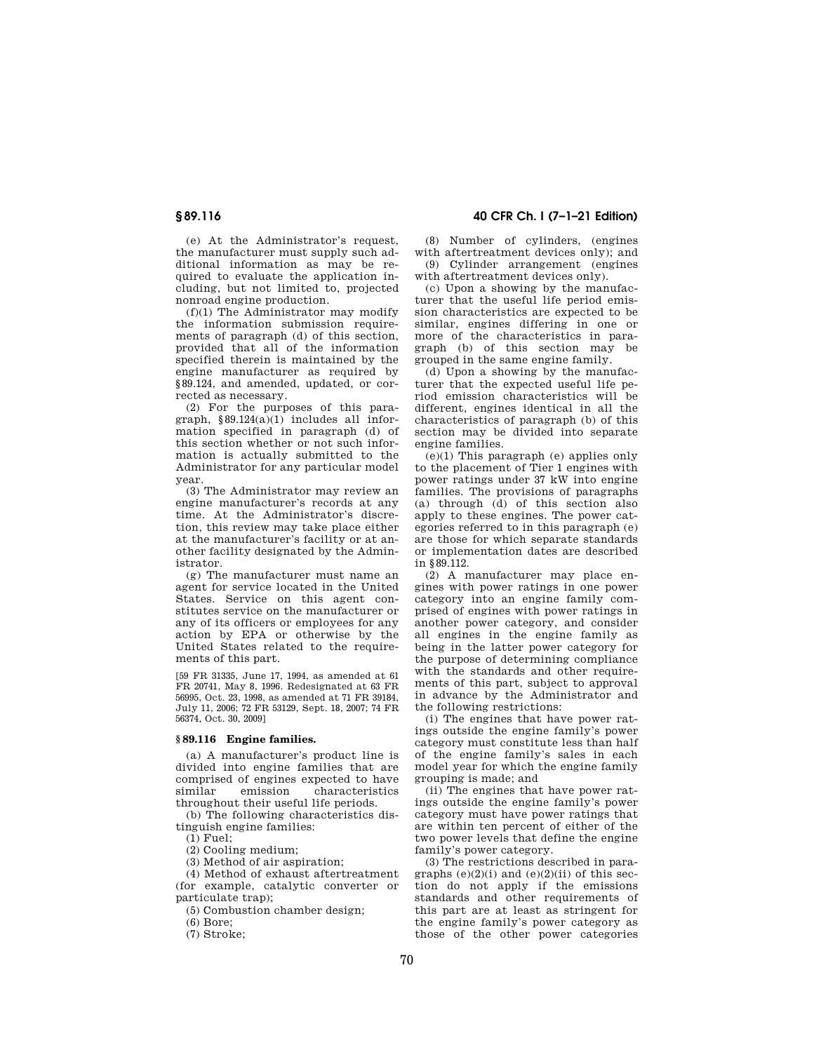(e) At the Administrator's request, the manufacturer must supply such additional information as may be required to evaluate the application including, but not limited to, projected nonroad engine production.

(f)(1) The Administrator may modify the information submission requirements of paragraph (d) of this section, provided that all of the information specified therein is maintained by the engine manufacturer as required by §89.124, and amended, updated, or corrected as necessary.

(2) For the purposes of this paragraph, §89.124(a)(1) includes all information specified in paragraph (d) of this section whether or not such information is actually submitted to the Administrator for any particular model year.

(3) The Administrator may review an engine manufacturer's records at any time. At the Administrator's discretion, this review may take place either at the manufacturer's facility or at another facility designated by the Administrator.

(g) The manufacturer must name an agent for service located in the United States. Service on this agent constitutes service on the manufacturer or any of its officers or employees for any action by EPA or otherwise by the United States related to the requirements of this part.

[59 FR 31335, June 17, 1994, as amended at 61 FR 20741, May 8, 1996. Redesignated at 63 FR 56995, Oct. 23, 1998, as amended at 71 FR 39184, July 11, 2006; 72 FR 53129, Sept. 18, 2007; 74 FR 56374, Oct. 30, 2009]

## **§ 89.116 Engine families.**

(a) A manufacturer's product line is divided into engine families that are comprised of engines expected to have similar emission characteristics throughout their useful life periods.

(b) The following characteristics distinguish engine families:

(1) Fuel;

(2) Cooling medium;

(3) Method of air aspiration;

(4) Method of exhaust aftertreatment (for example, catalytic converter or

particulate trap);

(5) Combustion chamber design;

(6) Bore;

(7) Stroke;

## **§ 89.116 40 CFR Ch. I (7–1–21 Edition)**

(8) Number of cylinders, (engines with aftertreatment devices only); and (9) Cylinder arrangement (engines

with aftertreatment devices only). (c) Upon a showing by the manufac-

turer that the useful life period emission characteristics are expected to be similar, engines differing in one or more of the characteristics in paragraph (b) of this section may be grouped in the same engine family.

(d) Upon a showing by the manufacturer that the expected useful life period emission characteristics will be different, engines identical in all the characteristics of paragraph (b) of this section may be divided into separate engine families.

(e)(1) This paragraph (e) applies only to the placement of Tier 1 engines with power ratings under 37 kW into engine families. The provisions of paragraphs (a) through (d) of this section also apply to these engines. The power categories referred to in this paragraph (e) are those for which separate standards or implementation dates are described in §89.112.

(2) A manufacturer may place engines with power ratings in one power category into an engine family comprised of engines with power ratings in another power category, and consider all engines in the engine family as being in the latter power category for the purpose of determining compliance with the standards and other requirements of this part, subject to approval in advance by the Administrator and the following restrictions:

(i) The engines that have power ratings outside the engine family's power category must constitute less than half of the engine family's sales in each model year for which the engine family grouping is made; and

(ii) The engines that have power ratings outside the engine family's power category must have power ratings that are within ten percent of either of the two power levels that define the engine family's power category.

(3) The restrictions described in paragraphs  $(e)(2)(i)$  and  $(e)(2)(ii)$  of this section do not apply if the emissions standards and other requirements of this part are at least as stringent for the engine family's power category as those of the other power categories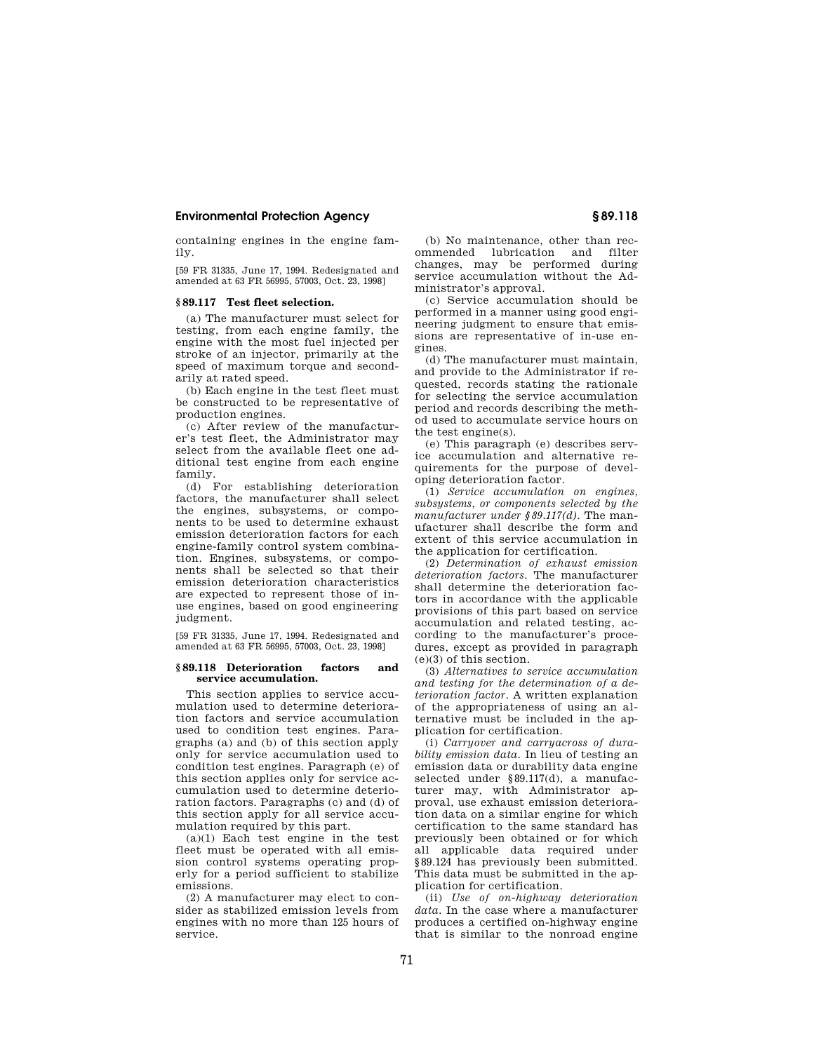containing engines in the engine family.

[59 FR 31335, June 17, 1994. Redesignated and amended at 63 FR 56995, 57003, Oct. 23, 1998]

## **§ 89.117 Test fleet selection.**

(a) The manufacturer must select for testing, from each engine family, the engine with the most fuel injected per stroke of an injector, primarily at the speed of maximum torque and secondarily at rated speed.

(b) Each engine in the test fleet must be constructed to be representative of production engines.

(c) After review of the manufacturer's test fleet, the Administrator may select from the available fleet one additional test engine from each engine family.

(d) For establishing deterioration factors, the manufacturer shall select the engines, subsystems, or components to be used to determine exhaust emission deterioration factors for each engine-family control system combination. Engines, subsystems, or components shall be selected so that their emission deterioration characteristics are expected to represent those of inuse engines, based on good engineering judgment.

[59 FR 31335, June 17, 1994. Redesignated and amended at 63 FR 56995, 57003, Oct. 23, 1998]

### **§ 89.118 Deterioration factors and service accumulation.**

This section applies to service accumulation used to determine deterioration factors and service accumulation used to condition test engines. Paragraphs (a) and (b) of this section apply only for service accumulation used to condition test engines. Paragraph (e) of this section applies only for service accumulation used to determine deterioration factors. Paragraphs (c) and (d) of this section apply for all service accumulation required by this part.

(a)(1) Each test engine in the test fleet must be operated with all emission control systems operating properly for a period sufficient to stabilize emissions.

(2) A manufacturer may elect to consider as stabilized emission levels from engines with no more than 125 hours of service.

(b) No maintenance, other than recommended lubrication and filter changes, may be performed during service accumulation without the Administrator's approval.

(c) Service accumulation should be performed in a manner using good engineering judgment to ensure that emissions are representative of in-use engines.

(d) The manufacturer must maintain, and provide to the Administrator if requested, records stating the rationale for selecting the service accumulation period and records describing the method used to accumulate service hours on the test engine(s).

(e) This paragraph (e) describes service accumulation and alternative requirements for the purpose of developing deterioration factor.

(1) *Service accumulation on engines, subsystems, or components selected by the manufacturer under §89.117(d).* The manufacturer shall describe the form and extent of this service accumulation in the application for certification.

(2) *Determination of exhaust emission deterioration factors.* The manufacturer shall determine the deterioration factors in accordance with the applicable provisions of this part based on service accumulation and related testing, according to the manufacturer's procedures, except as provided in paragraph (e)(3) of this section.

(3) *Alternatives to service accumulation and testing for the determination of a deterioration factor.* A written explanation of the appropriateness of using an alternative must be included in the application for certification.

(i) *Carryover and carryacross of durability emission data.* In lieu of testing an emission data or durability data engine selected under §89.117(d), a manufacturer may, with Administrator approval, use exhaust emission deterioration data on a similar engine for which certification to the same standard has previously been obtained or for which all applicable data required under §89.124 has previously been submitted. This data must be submitted in the application for certification.

(ii) *Use of on-highway deterioration data.* In the case where a manufacturer produces a certified on-highway engine that is similar to the nonroad engine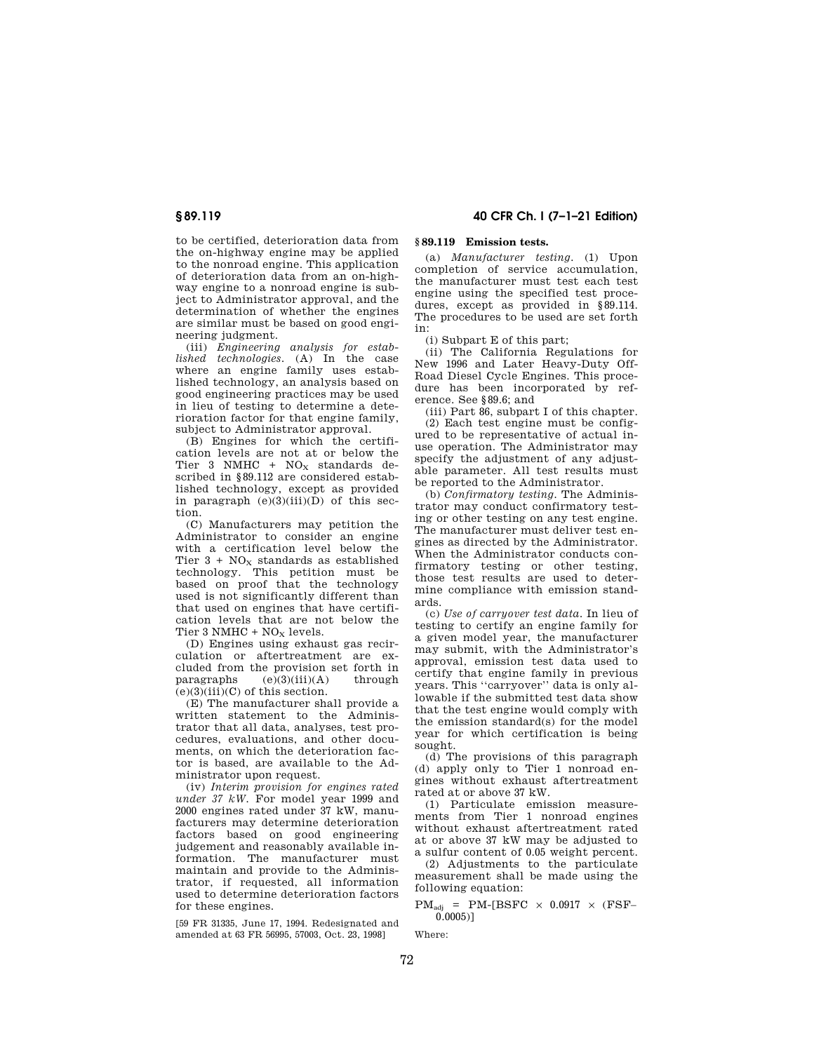to be certified, deterioration data from the on-highway engine may be applied to the nonroad engine. This application of deterioration data from an on-highway engine to a nonroad engine is subject to Administrator approval, and the determination of whether the engines are similar must be based on good engineering judgment.

(iii) *Engineering analysis for established technologies.* (A) In the case where an engine family uses established technology, an analysis based on good engineering practices may be used in lieu of testing to determine a deterioration factor for that engine family, subject to Administrator approval.

(B) Engines for which the certification levels are not at or below the Tier 3 NMHC +  $NO<sub>X</sub>$  standards described in §89.112 are considered established technology, except as provided in paragraph  $(e)(3)(iii)(D)$  of this section.

(C) Manufacturers may petition the Administrator to consider an engine with a certification level below the Tier  $3 + NO_X$  standards as established technology. This petition must be based on proof that the technology used is not significantly different than that used on engines that have certification levels that are not below the Tier  $3$  NMHC +  $NO<sub>x</sub>$  levels.

(D) Engines using exhaust gas recirculation or aftertreatment are excluded from the provision set forth in<br>paragraphs  $(e)(3)(iii)(A)$  through  $(e)(3)(iii)(A)$  $(e)(3)(iii)(C)$  of this section.

(E) The manufacturer shall provide a written statement to the Administrator that all data, analyses, test procedures, evaluations, and other documents, on which the deterioration factor is based, are available to the Administrator upon request.

(iv) *Interim provision for engines rated under 37 kW.* For model year 1999 and 2000 engines rated under 37 kW, manufacturers may determine deterioration factors based on good engineering judgement and reasonably available information. The manufacturer must maintain and provide to the Administrator, if requested, all information used to determine deterioration factors for these engines.

[59 FR 31335, June 17, 1994. Redesignated and amended at 63 FR 56995, 57003, Oct. 23, 1998]

## **§ 89.119 40 CFR Ch. I (7–1–21 Edition)**

## **§ 89.119 Emission tests.**

(a) *Manufacturer testing.* (1) Upon completion of service accumulation, the manufacturer must test each test engine using the specified test procedures, except as provided in §89.114. The procedures to be used are set forth in:

(i) Subpart E of this part;

(ii) The California Regulations for New 1996 and Later Heavy-Duty Off-Road Diesel Cycle Engines. This procedure has been incorporated by reference. See §89.6; and

(iii) Part 86, subpart I of this chapter. (2) Each test engine must be configured to be representative of actual inuse operation. The Administrator may specify the adjustment of any adjustable parameter. All test results must be reported to the Administrator.

(b) *Confirmatory testing.* The Administrator may conduct confirmatory testing or other testing on any test engine. The manufacturer must deliver test engines as directed by the Administrator. When the Administrator conducts confirmatory testing or other testing, those test results are used to determine compliance with emission standards.

(c) *Use of carryover test data.* In lieu of testing to certify an engine family for a given model year, the manufacturer may submit, with the Administrator's approval, emission test data used to certify that engine family in previous years. This ''carryover'' data is only allowable if the submitted test data show that the test engine would comply with the emission standard(s) for the model year for which certification is being sought.

(d) The provisions of this paragraph (d) apply only to Tier 1 nonroad engines without exhaust aftertreatment rated at or above 37 kW.

(1) Particulate emission measurements from Tier 1 nonroad engines without exhaust aftertreatment rated at or above 37 kW may be adjusted to a sulfur content of 0.05 weight percent.

(2) Adjustments to the particulate measurement shall be made using the following equation:

 $PM<sub>adi</sub> = PM-IBSFC \times 0.0917 \times (FSF (0.0005)$ ]

Where: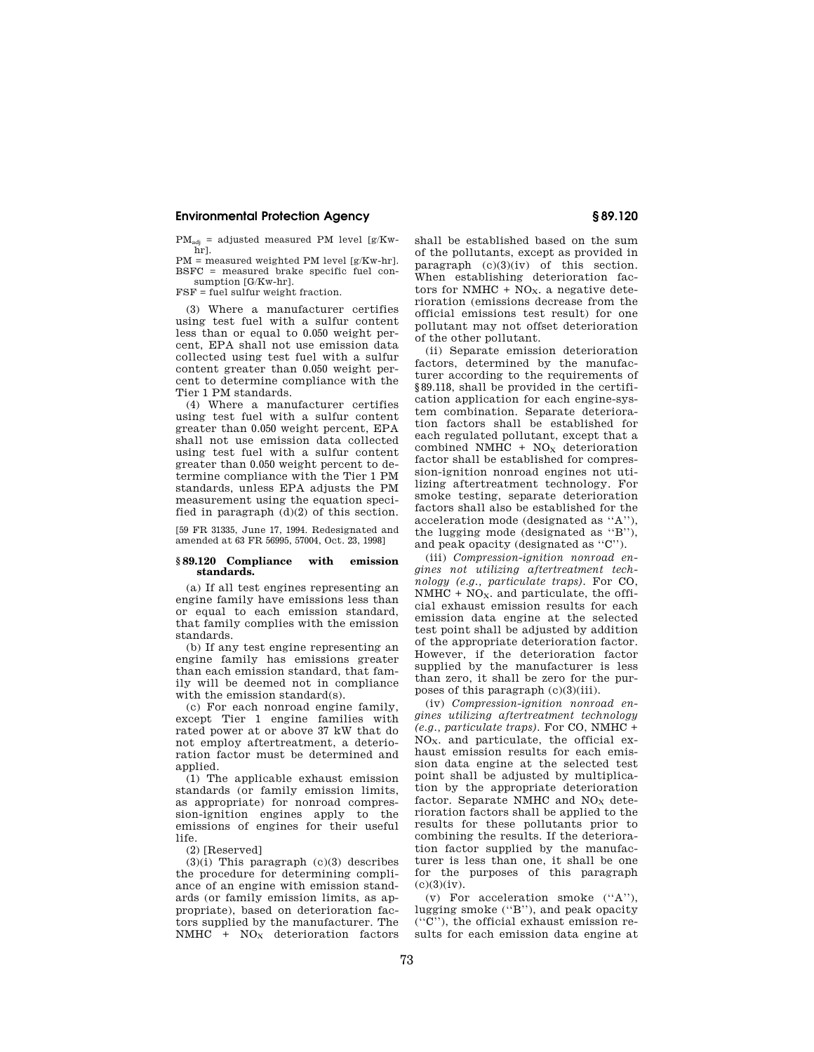$PM_{\text{adj}}$  = adjusted measured PM level [g/Kwhr].

PM = measured weighted PM level [g/Kw-hr]. BSFC = measured brake specific fuel consumption [G/Kw-hr].

FSF = fuel sulfur weight fraction.

(3) Where a manufacturer certifies using test fuel with a sulfur content less than or equal to 0.050 weight percent, EPA shall not use emission data collected using test fuel with a sulfur content greater than 0.050 weight percent to determine compliance with the Tier 1 PM standards.

(4) Where a manufacturer certifies using test fuel with a sulfur content greater than 0.050 weight percent, EPA shall not use emission data collected using test fuel with a sulfur content greater than 0.050 weight percent to determine compliance with the Tier 1 PM standards, unless EPA adjusts the PM measurement using the equation specified in paragraph  $(d)(2)$  of this section.

[59 FR 31335, June 17, 1994. Redesignated and amended at 63 FR 56995, 57004, Oct. 23, 1998]

### **§ 89.120 Compliance with emission standards.**

(a) If all test engines representing an engine family have emissions less than or equal to each emission standard, that family complies with the emission standards.

(b) If any test engine representing an engine family has emissions greater than each emission standard, that family will be deemed not in compliance with the emission standard(s).

(c) For each nonroad engine family, except Tier 1 engine families with rated power at or above 37 kW that do not employ aftertreatment, a deterioration factor must be determined and applied.

(1) The applicable exhaust emission standards (or family emission limits, as appropriate) for nonroad compression-ignition engines apply to the emissions of engines for their useful life.

(2) [Reserved]

 $(3)(i)$  This paragraph  $(c)(3)$  describes the procedure for determining compliance of an engine with emission standards (or family emission limits, as appropriate), based on deterioration factors supplied by the manufacturer. The  $NMHC + NO<sub>X</sub>$  deterioration factors shall be established based on the sum of the pollutants, except as provided in paragraph  $(c)(3)(iv)$  of this section. When establishing deterioration factors for NMHC +  $NO<sub>X</sub>$ . a negative deterioration (emissions decrease from the official emissions test result) for one pollutant may not offset deterioration of the other pollutant.

(ii) Separate emission deterioration factors, determined by the manufacturer according to the requirements of §89.118, shall be provided in the certification application for each engine-system combination. Separate deterioration factors shall be established for each regulated pollutant, except that a combined NMHC +  $NO<sub>x</sub>$  deterioration factor shall be established for compression-ignition nonroad engines not utilizing aftertreatment technology. For smoke testing, separate deterioration factors shall also be established for the acceleration mode (designated as ''A''), the lugging mode (designated as ''B''), and peak opacity (designated as ''C'').

(iii) *Compression-ignition nonroad engines not utilizing aftertreatment technology (e.g., particulate traps).* For CO,  $N\overline{M}$ HC + NO<sub>X</sub>. and particulate, the official exhaust emission results for each emission data engine at the selected test point shall be adjusted by addition of the appropriate deterioration factor. However, if the deterioration factor supplied by the manufacturer is less than zero, it shall be zero for the purposes of this paragraph (c)(3)(iii).

(iv) *Compression-ignition nonroad engines utilizing aftertreatment technology (e.g., particulate traps).* For CO, NMHC + NOX. and particulate, the official exhaust emission results for each emission data engine at the selected test point shall be adjusted by multiplication by the appropriate deterioration factor. Separate NMHC and  $NO<sub>x</sub>$  deterioration factors shall be applied to the results for these pollutants prior to combining the results. If the deterioration factor supplied by the manufacturer is less than one, it shall be one for the purposes of this paragraph  $(c)(3)(iv)$ .

(v) For acceleration smoke (''A''), lugging smoke (''B''), and peak opacity (''C''), the official exhaust emission results for each emission data engine at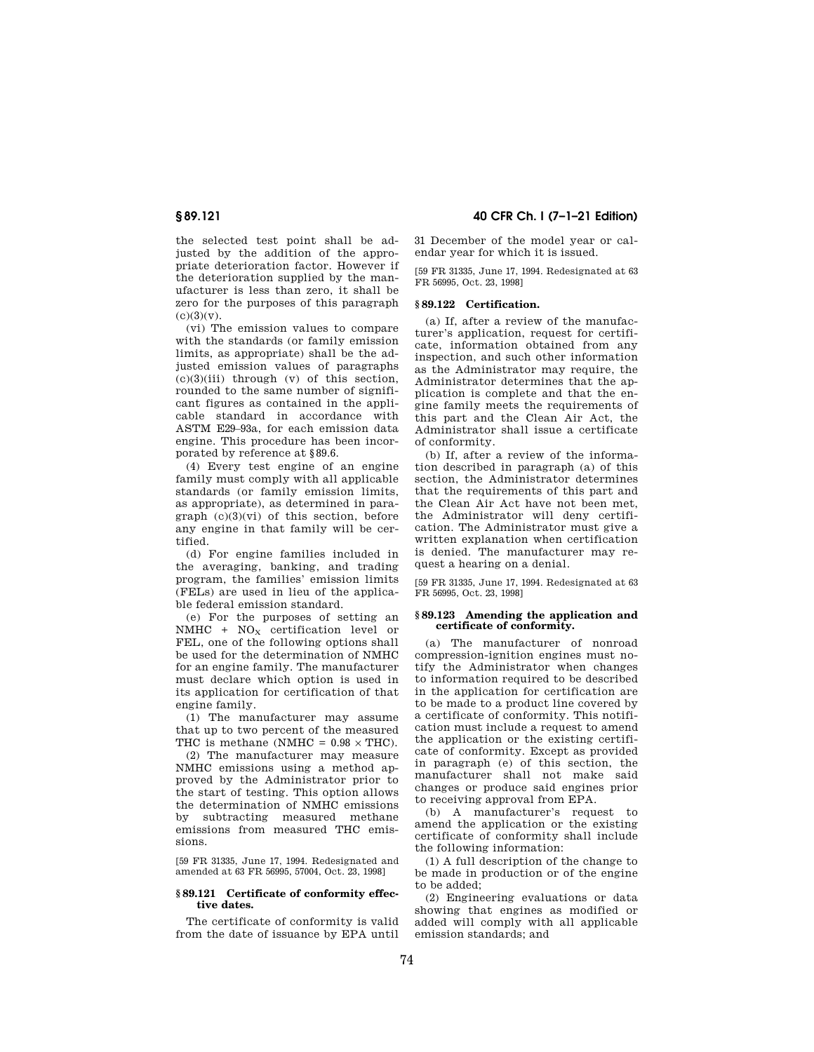the selected test point shall be adjusted by the addition of the appropriate deterioration factor. However if the deterioration supplied by the manufacturer is less than zero, it shall be zero for the purposes of this paragraph  $(c)(3)(v).$ 

(vi) The emission values to compare with the standards (or family emission limits, as appropriate) shall be the adjusted emission values of paragraphs  $(c)(3)(iii)$  through  $(v)$  of this section, rounded to the same number of significant figures as contained in the applicable standard in accordance with ASTM E29–93a, for each emission data engine. This procedure has been incorporated by reference at §89.6.

(4) Every test engine of an engine family must comply with all applicable standards (or family emission limits, as appropriate), as determined in paragraph (c)(3)(vi) of this section, before any engine in that family will be certified.

(d) For engine families included in the averaging, banking, and trading program, the families' emission limits (FELs) are used in lieu of the applicable federal emission standard.

(e) For the purposes of setting an NMHC +  $NO<sub>x</sub>$  certification level or FEL, one of the following options shall be used for the determination of NMHC for an engine family. The manufacturer must declare which option is used in its application for certification of that engine family.

(1) The manufacturer may assume that up to two percent of the measured THC is methane (NMHC =  $0.98 \times THC$ ).

(2) The manufacturer may measure NMHC emissions using a method approved by the Administrator prior to the start of testing. This option allows the determination of NMHC emissions by subtracting measured methane emissions from measured THC emissions.

[59 FR 31335, June 17, 1994. Redesignated and amended at 63 FR 56995, 57004, Oct. 23, 1998]

## **§ 89.121 Certificate of conformity effective dates.**

The certificate of conformity is valid from the date of issuance by EPA until

**§ 89.121 40 CFR Ch. I (7–1–21 Edition)** 

31 December of the model year or calendar year for which it is issued.

[59 FR 31335, June 17, 1994. Redesignated at 63 FR 56995, Oct. 23, 1998]

## **§ 89.122 Certification.**

(a) If, after a review of the manufacturer's application, request for certificate, information obtained from any inspection, and such other information as the Administrator may require, the Administrator determines that the application is complete and that the engine family meets the requirements of this part and the Clean Air Act, the Administrator shall issue a certificate of conformity.

(b) If, after a review of the information described in paragraph (a) of this section, the Administrator determines that the requirements of this part and the Clean Air Act have not been met, the Administrator will deny certification. The Administrator must give a written explanation when certification is denied. The manufacturer may request a hearing on a denial.

[59 FR 31335, June 17, 1994. Redesignated at 63 FR 56995, Oct. 23, 1998]

### **§ 89.123 Amending the application and certificate of conformity.**

(a) The manufacturer of nonroad compression-ignition engines must notify the Administrator when changes to information required to be described in the application for certification are to be made to a product line covered by a certificate of conformity. This notification must include a request to amend the application or the existing certificate of conformity. Except as provided in paragraph (e) of this section, the manufacturer shall not make said changes or produce said engines prior to receiving approval from EPA.

(b) A manufacturer's request to amend the application or the existing certificate of conformity shall include the following information:

(1) A full description of the change to be made in production or of the engine to be added;

(2) Engineering evaluations or data showing that engines as modified or added will comply with all applicable emission standards; and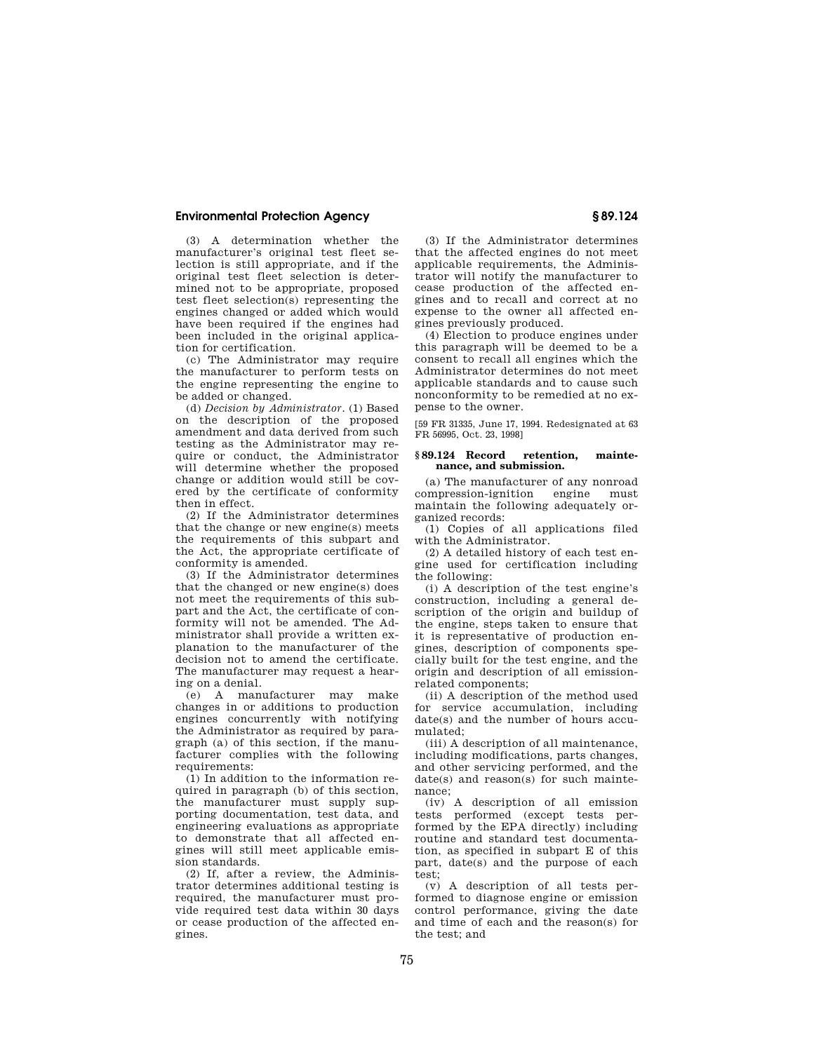(3) A determination whether the manufacturer's original test fleet selection is still appropriate, and if the original test fleet selection is determined not to be appropriate, proposed test fleet selection(s) representing the engines changed or added which would have been required if the engines had been included in the original application for certification.

(c) The Administrator may require the manufacturer to perform tests on the engine representing the engine to be added or changed.

(d) *Decision by Administrator.* (1) Based on the description of the proposed amendment and data derived from such testing as the Administrator may require or conduct, the Administrator will determine whether the proposed change or addition would still be covered by the certificate of conformity then in effect.

(2) If the Administrator determines that the change or new engine(s) meets the requirements of this subpart and the Act, the appropriate certificate of conformity is amended.

(3) If the Administrator determines that the changed or new engine(s) does not meet the requirements of this subpart and the Act, the certificate of conformity will not be amended. The Administrator shall provide a written explanation to the manufacturer of the decision not to amend the certificate. The manufacturer may request a hearing on a denial.

(e) A manufacturer may make changes in or additions to production engines concurrently with notifying the Administrator as required by paragraph (a) of this section, if the manufacturer complies with the following requirements:

(1) In addition to the information required in paragraph (b) of this section, the manufacturer must supply supporting documentation, test data, and engineering evaluations as appropriate to demonstrate that all affected engines will still meet applicable emission standards.

(2) If, after a review, the Administrator determines additional testing is required, the manufacturer must provide required test data within 30 days or cease production of the affected engines.

(3) If the Administrator determines that the affected engines do not meet applicable requirements, the Administrator will notify the manufacturer to cease production of the affected engines and to recall and correct at no expense to the owner all affected engines previously produced.

(4) Election to produce engines under this paragraph will be deemed to be a consent to recall all engines which the Administrator determines do not meet applicable standards and to cause such nonconformity to be remedied at no expense to the owner.

[59 FR 31335, June 17, 1994. Redesignated at 63 FR 56995, Oct. 23, 1998]

### **§ 89.124 Record retention, maintenance, and submission.**

(a) The manufacturer of any nonroad compression-ignition engine must maintain the following adequately organized records:

(1) Copies of all applications filed with the Administrator.

(2) A detailed history of each test engine used for certification including the following:

(i) A description of the test engine's construction, including a general description of the origin and buildup of the engine, steps taken to ensure that it is representative of production engines, description of components specially built for the test engine, and the origin and description of all emissionrelated components;

(ii) A description of the method used for service accumulation, including date(s) and the number of hours accumulated;

(iii) A description of all maintenance, including modifications, parts changes, and other servicing performed, and the date(s) and reason(s) for such maintenance;

(iv) A description of all emission tests performed (except tests performed by the EPA directly) including routine and standard test documentation, as specified in subpart E of this part, date(s) and the purpose of each test;

(v) A description of all tests performed to diagnose engine or emission control performance, giving the date and time of each and the reason(s) for the test; and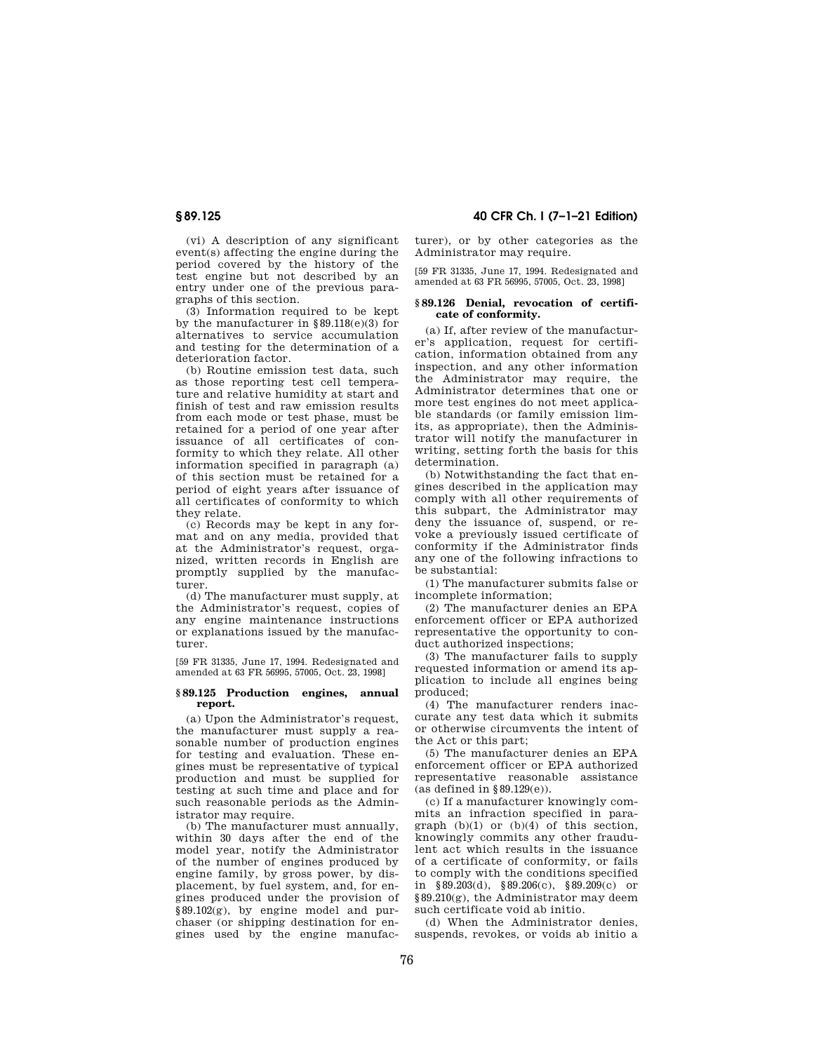(vi) A description of any significant event(s) affecting the engine during the period covered by the history of the test engine but not described by an entry under one of the previous paragraphs of this section.

(3) Information required to be kept by the manufacturer in §89.118(e)(3) for alternatives to service accumulation and testing for the determination of a deterioration factor.

(b) Routine emission test data, such as those reporting test cell temperature and relative humidity at start and finish of test and raw emission results from each mode or test phase, must be retained for a period of one year after issuance of all certificates of conformity to which they relate. All other information specified in paragraph (a) of this section must be retained for a period of eight years after issuance of all certificates of conformity to which they relate.

(c) Records may be kept in any format and on any media, provided that at the Administrator's request, organized, written records in English are promptly supplied by the manufacturer.

(d) The manufacturer must supply, at the Administrator's request, copies of any engine maintenance instructions or explanations issued by the manufacturer.

[59 FR 31335, June 17, 1994. Redesignated and amended at 63 FR 56995, 57005, Oct. 23, 1998]

### **§ 89.125 Production engines, annual report.**

(a) Upon the Administrator's request, the manufacturer must supply a reasonable number of production engines for testing and evaluation. These engines must be representative of typical production and must be supplied for testing at such time and place and for such reasonable periods as the Administrator may require.

(b) The manufacturer must annually, within 30 days after the end of the model year, notify the Administrator of the number of engines produced by engine family, by gross power, by displacement, by fuel system, and, for engines produced under the provision of  $§89.102(g)$ , by engine model and purchaser (or shipping destination for engines used by the engine manufac-

**§ 89.125 40 CFR Ch. I (7–1–21 Edition)** 

turer), or by other categories as the Administrator may require.

[59 FR 31335, June 17, 1994. Redesignated and amended at 63 FR 56995, 57005, Oct. 23, 1998]

### **§ 89.126 Denial, revocation of certificate of conformity.**

(a) If, after review of the manufacturer's application, request for certification, information obtained from any inspection, and any other information the Administrator may require, the Administrator determines that one or more test engines do not meet applicable standards (or family emission limits, as appropriate), then the Administrator will notify the manufacturer in writing, setting forth the basis for this determination.

(b) Notwithstanding the fact that engines described in the application may comply with all other requirements of this subpart, the Administrator may deny the issuance of, suspend, or revoke a previously issued certificate of conformity if the Administrator finds any one of the following infractions to be substantial:

(1) The manufacturer submits false or incomplete information;

(2) The manufacturer denies an EPA enforcement officer or EPA authorized representative the opportunity to conduct authorized inspections;

(3) The manufacturer fails to supply requested information or amend its application to include all engines being produced;

(4) The manufacturer renders inaccurate any test data which it submits or otherwise circumvents the intent of the Act or this part;

(5) The manufacturer denies an EPA enforcement officer or EPA authorized representative reasonable assistance (as defined in  $§89.129(e)$ ).

(c) If a manufacturer knowingly commits an infraction specified in paragraph (b)(1) or (b)(4) of this section, knowingly commits any other fraudulent act which results in the issuance of a certificate of conformity, or fails to comply with the conditions specified in §89.203(d), §89.206(c), §89.209(c) or §89.210(g), the Administrator may deem such certificate void ab initio.

(d) When the Administrator denies, suspends, revokes, or voids ab initio a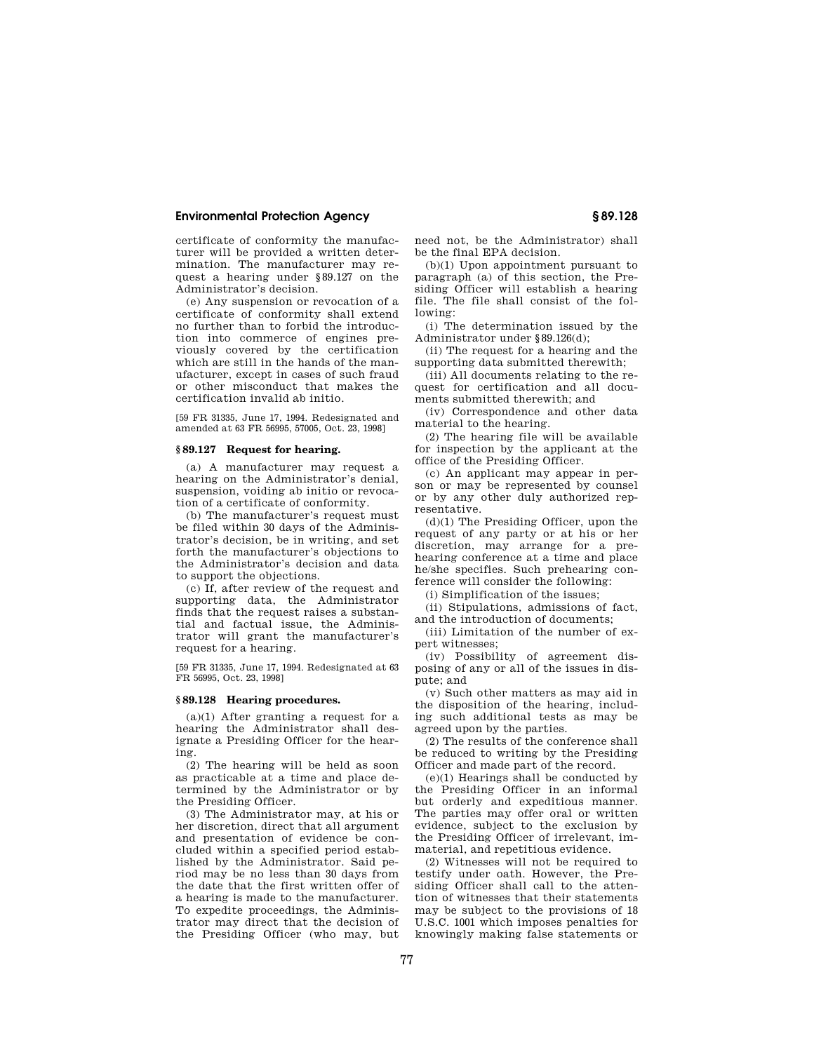certificate of conformity the manufacturer will be provided a written determination. The manufacturer may request a hearing under §89.127 on the Administrator's decision.

(e) Any suspension or revocation of a certificate of conformity shall extend no further than to forbid the introduction into commerce of engines previously covered by the certification which are still in the hands of the manufacturer, except in cases of such fraud or other misconduct that makes the certification invalid ab initio.

[59 FR 31335, June 17, 1994. Redesignated and amended at 63 FR 56995, 57005, Oct. 23, 1998]

### **§ 89.127 Request for hearing.**

(a) A manufacturer may request a hearing on the Administrator's denial, suspension, voiding ab initio or revocation of a certificate of conformity.

(b) The manufacturer's request must be filed within 30 days of the Administrator's decision, be in writing, and set forth the manufacturer's objections to the Administrator's decision and data to support the objections.

(c) If, after review of the request and supporting data, the Administrator finds that the request raises a substantial and factual issue, the Administrator will grant the manufacturer's request for a hearing.

[59 FR 31335, June 17, 1994. Redesignated at 63 FR 56995, Oct. 23, 1998]

## **§ 89.128 Hearing procedures.**

 $(a)(1)$  After granting a request for a hearing the Administrator shall designate a Presiding Officer for the hearing.

(2) The hearing will be held as soon as practicable at a time and place determined by the Administrator or by the Presiding Officer.

(3) The Administrator may, at his or her discretion, direct that all argument and presentation of evidence be concluded within a specified period established by the Administrator. Said period may be no less than 30 days from the date that the first written offer of a hearing is made to the manufacturer. To expedite proceedings, the Administrator may direct that the decision of the Presiding Officer (who may, but need not, be the Administrator) shall be the final EPA decision.

(b)(1) Upon appointment pursuant to paragraph (a) of this section, the Presiding Officer will establish a hearing file. The file shall consist of the following:

(i) The determination issued by the Administrator under §89.126(d);

(ii) The request for a hearing and the supporting data submitted therewith;

(iii) All documents relating to the request for certification and all documents submitted therewith; and

(iv) Correspondence and other data material to the hearing.

(2) The hearing file will be available for inspection by the applicant at the office of the Presiding Officer.

(c) An applicant may appear in person or may be represented by counsel or by any other duly authorized representative.

(d)(1) The Presiding Officer, upon the request of any party or at his or her discretion, may arrange for a prehearing conference at a time and place he/she specifies. Such prehearing conference will consider the following:

(i) Simplification of the issues;

(ii) Stipulations, admissions of fact, and the introduction of documents;

(iii) Limitation of the number of expert witnesses;

(iv) Possibility of agreement disposing of any or all of the issues in dispute; and

(v) Such other matters as may aid in the disposition of the hearing, including such additional tests as may be agreed upon by the parties.

(2) The results of the conference shall be reduced to writing by the Presiding Officer and made part of the record.

(e)(1) Hearings shall be conducted by the Presiding Officer in an informal but orderly and expeditious manner. The parties may offer oral or written evidence, subject to the exclusion by the Presiding Officer of irrelevant, immaterial, and repetitious evidence.

(2) Witnesses will not be required to testify under oath. However, the Presiding Officer shall call to the attention of witnesses that their statements may be subject to the provisions of 18 U.S.C. 1001 which imposes penalties for knowingly making false statements or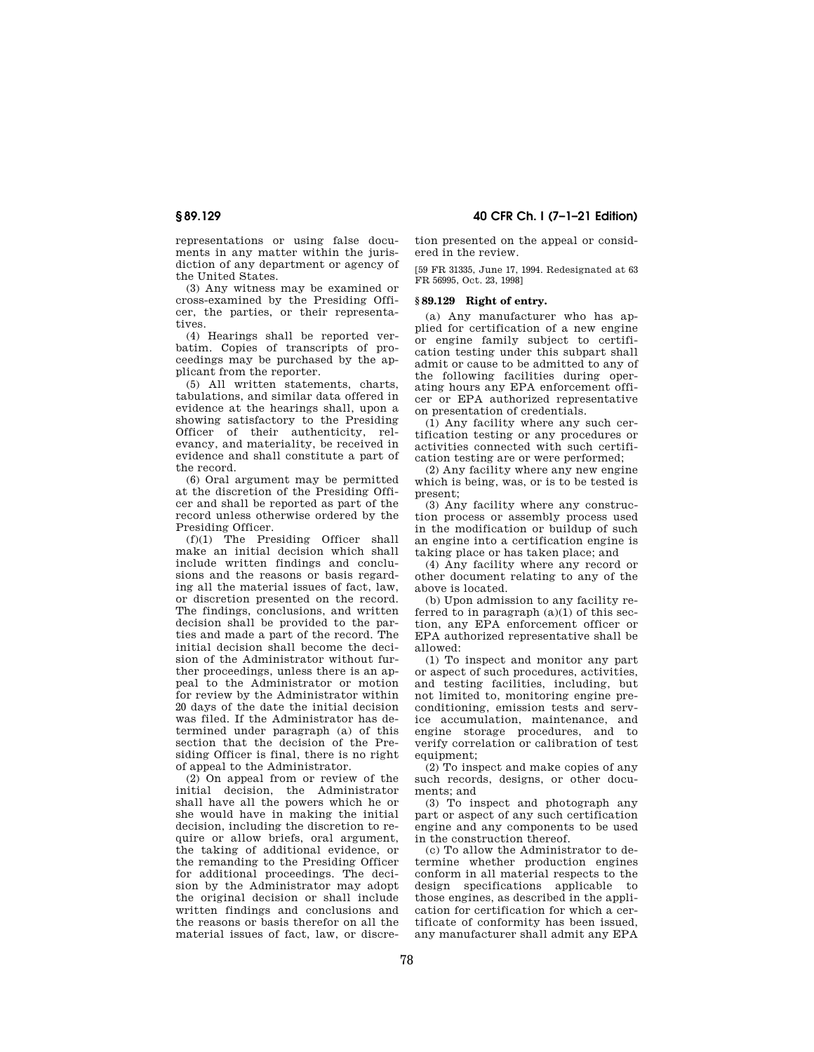representations or using false documents in any matter within the jurisdiction of any department or agency of the United States.

(3) Any witness may be examined or cross-examined by the Presiding Officer, the parties, or their representatives.

(4) Hearings shall be reported verbatim. Copies of transcripts of proceedings may be purchased by the applicant from the reporter.

(5) All written statements, charts, tabulations, and similar data offered in evidence at the hearings shall, upon a showing satisfactory to the Presiding Officer of their authenticity, relevancy, and materiality, be received in evidence and shall constitute a part of the record.

(6) Oral argument may be permitted at the discretion of the Presiding Officer and shall be reported as part of the record unless otherwise ordered by the Presiding Officer.

(f)(1) The Presiding Officer shall make an initial decision which shall include written findings and conclusions and the reasons or basis regarding all the material issues of fact, law, or discretion presented on the record. The findings, conclusions, and written decision shall be provided to the parties and made a part of the record. The initial decision shall become the decision of the Administrator without further proceedings, unless there is an appeal to the Administrator or motion for review by the Administrator within 20 days of the date the initial decision was filed. If the Administrator has determined under paragraph (a) of this section that the decision of the Presiding Officer is final, there is no right of appeal to the Administrator.

(2) On appeal from or review of the initial decision, the Administrator shall have all the powers which he or she would have in making the initial decision, including the discretion to require or allow briefs, oral argument, the taking of additional evidence, or the remanding to the Presiding Officer for additional proceedings. The decision by the Administrator may adopt the original decision or shall include written findings and conclusions and the reasons or basis therefor on all the material issues of fact, law, or discre-

**§ 89.129 40 CFR Ch. I (7–1–21 Edition)** 

tion presented on the appeal or considered in the review.

[59 FR 31335, June 17, 1994. Redesignated at 63 FR 56995, Oct. 23, 1998]

## **§ 89.129 Right of entry.**

(a) Any manufacturer who has applied for certification of a new engine or engine family subject to certification testing under this subpart shall admit or cause to be admitted to any of the following facilities during operating hours any EPA enforcement officer or EPA authorized representative on presentation of credentials.

(1) Any facility where any such certification testing or any procedures or activities connected with such certification testing are or were performed;

(2) Any facility where any new engine which is being, was, or is to be tested is present;

(3) Any facility where any construction process or assembly process used in the modification or buildup of such an engine into a certification engine is taking place or has taken place; and

(4) Any facility where any record or other document relating to any of the above is located.

(b) Upon admission to any facility referred to in paragraph  $(a)(1)$  of this section, any EPA enforcement officer or EPA authorized representative shall be allowed:

(1) To inspect and monitor any part or aspect of such procedures, activities, and testing facilities, including, but not limited to, monitoring engine preconditioning, emission tests and service accumulation, maintenance, and engine storage procedures, and to verify correlation or calibration of test equipment:

(2) To inspect and make copies of any such records, designs, or other documents; and

(3) To inspect and photograph any part or aspect of any such certification engine and any components to be used in the construction thereof.

(c) To allow the Administrator to determine whether production engines conform in all material respects to the design specifications applicable to those engines, as described in the application for certification for which a certificate of conformity has been issued, any manufacturer shall admit any EPA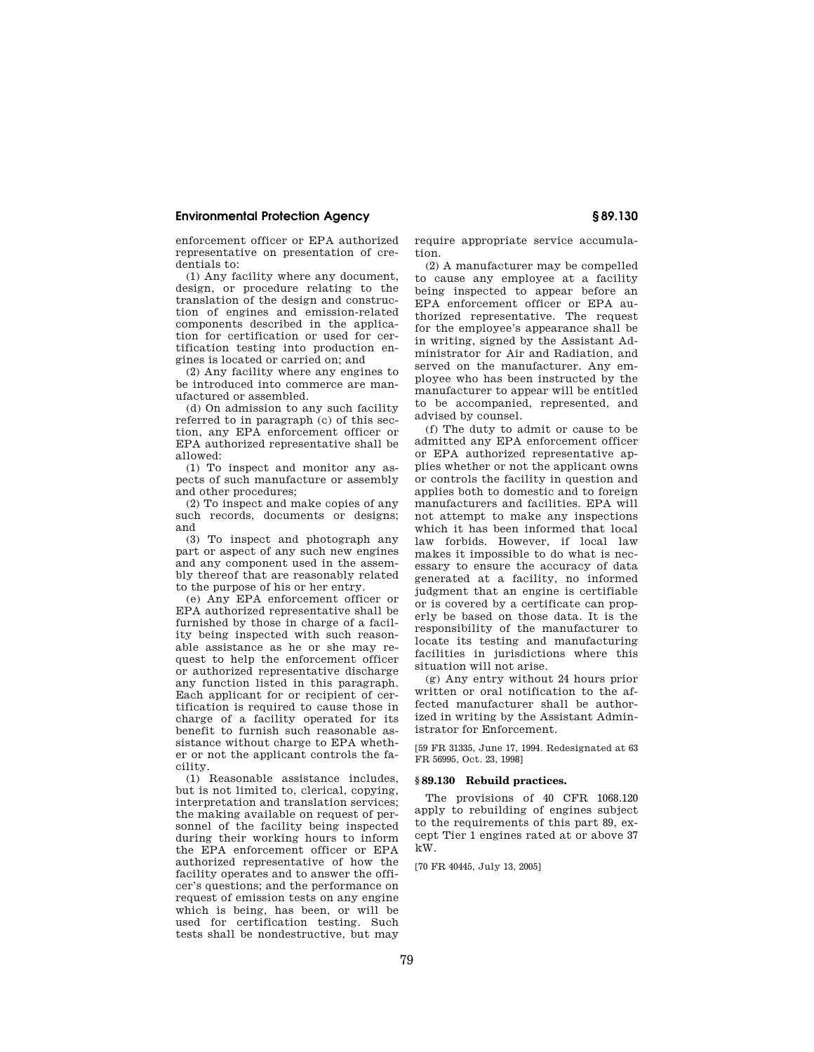enforcement officer or EPA authorized representative on presentation of credentials to:

(1) Any facility where any document, design, or procedure relating to the translation of the design and construction of engines and emission-related components described in the application for certification or used for certification testing into production engines is located or carried on; and

(2) Any facility where any engines to be introduced into commerce are manufactured or assembled.

(d) On admission to any such facility referred to in paragraph (c) of this section, any EPA enforcement officer or EPA authorized representative shall be allowed:

(1) To inspect and monitor any aspects of such manufacture or assembly and other procedures;

(2) To inspect and make copies of any such records, documents or designs; and

(3) To inspect and photograph any part or aspect of any such new engines and any component used in the assembly thereof that are reasonably related to the purpose of his or her entry.

(e) Any EPA enforcement officer or EPA authorized representative shall be furnished by those in charge of a facility being inspected with such reasonable assistance as he or she may request to help the enforcement officer or authorized representative discharge any function listed in this paragraph. Each applicant for or recipient of certification is required to cause those in charge of a facility operated for its benefit to furnish such reasonable assistance without charge to EPA whether or not the applicant controls the facility.

(1) Reasonable assistance includes, but is not limited to, clerical, copying, interpretation and translation services; the making available on request of personnel of the facility being inspected during their working hours to inform the EPA enforcement officer or EPA authorized representative of how the facility operates and to answer the officer's questions; and the performance on request of emission tests on any engine which is being, has been, or will be used for certification testing. Such tests shall be nondestructive, but may require appropriate service accumulation.

(2) A manufacturer may be compelled to cause any employee at a facility being inspected to appear before an EPA enforcement officer or EPA authorized representative. The request for the employee's appearance shall be in writing, signed by the Assistant Administrator for Air and Radiation, and served on the manufacturer. Any employee who has been instructed by the manufacturer to appear will be entitled to be accompanied, represented, and advised by counsel.

(f) The duty to admit or cause to be admitted any EPA enforcement officer or EPA authorized representative applies whether or not the applicant owns or controls the facility in question and applies both to domestic and to foreign manufacturers and facilities. EPA will not attempt to make any inspections which it has been informed that local law forbids. However, if local law makes it impossible to do what is necessary to ensure the accuracy of data generated at a facility, no informed judgment that an engine is certifiable or is covered by a certificate can properly be based on those data. It is the responsibility of the manufacturer to locate its testing and manufacturing facilities in jurisdictions where this situation will not arise.

(g) Any entry without 24 hours prior written or oral notification to the affected manufacturer shall be authorized in writing by the Assistant Administrator for Enforcement.

[59 FR 31335, June 17, 1994. Redesignated at 63 FR 56995, Oct. 23, 1998]

## **§ 89.130 Rebuild practices.**

The provisions of 40 CFR 1068.120 apply to rebuilding of engines subject to the requirements of this part 89, except Tier 1 engines rated at or above 37 kW.

[70 FR 40445, July 13, 2005]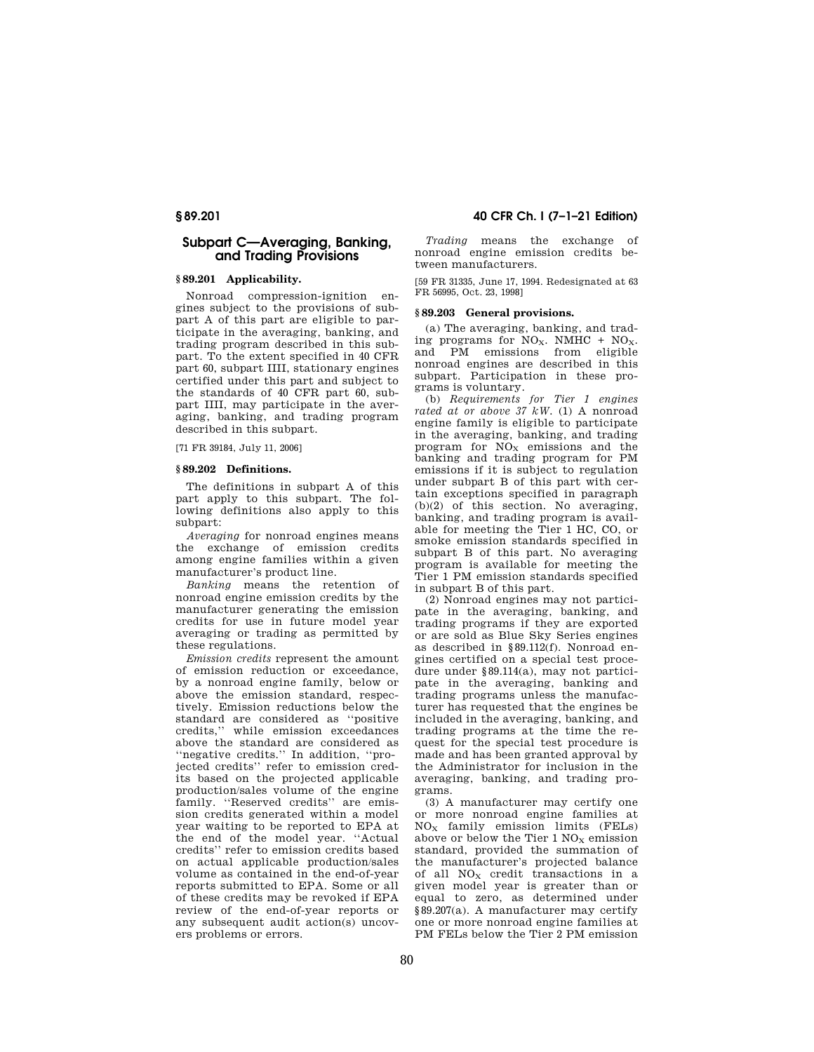## **Subpart C—Averaging, Banking, and Trading Provisions**

## **§ 89.201 Applicability.**

Nonroad compression-ignition engines subject to the provisions of subpart A of this part are eligible to participate in the averaging, banking, and trading program described in this subpart. To the extent specified in 40 CFR part 60, subpart IIII, stationary engines certified under this part and subject to the standards of 40 CFR part 60, subpart IIII, may participate in the averaging, banking, and trading program described in this subpart.

[71 FR 39184, July 11, 2006]

### **§ 89.202 Definitions.**

The definitions in subpart A of this part apply to this subpart. The following definitions also apply to this subpart:

*Averaging* for nonroad engines means the exchange of emission credits among engine families within a given manufacturer's product line.

*Banking* means the retention of nonroad engine emission credits by the manufacturer generating the emission credits for use in future model year averaging or trading as permitted by these regulations.

*Emission credits* represent the amount of emission reduction or exceedance, by a nonroad engine family, below or above the emission standard, respectively. Emission reductions below the standard are considered as ''positive credits,'' while emission exceedances above the standard are considered as ''negative credits.'' In addition, ''projected credits'' refer to emission credits based on the projected applicable production/sales volume of the engine family. ''Reserved credits'' are emission credits generated within a model year waiting to be reported to EPA at the end of the model year. ''Actual credits'' refer to emission credits based on actual applicable production/sales volume as contained in the end-of-year reports submitted to EPA. Some or all of these credits may be revoked if EPA review of the end-of-year reports or any subsequent audit action(s) uncovers problems or errors.

**§ 89.201 40 CFR Ch. I (7–1–21 Edition)** 

*Trading* means the exchange of nonroad engine emission credits between manufacturers.

[59 FR 31335, June 17, 1994. Redesignated at 63 FR 56995, Oct. 23, 1998]

## **§ 89.203 General provisions.**

(a) The averaging, banking, and trading programs for  $NO<sub>X</sub>$ . NMHC +  $NO<sub>X</sub>$ . and PM emissions from eligible nonroad engines are described in this subpart. Participation in these programs is voluntary.

(b) *Requirements for Tier 1 engines rated at or above 37 kW.* (1) A nonroad engine family is eligible to participate in the averaging, banking, and trading program for  $NO_X$  emissions and the banking and trading program for PM emissions if it is subject to regulation under subpart B of this part with certain exceptions specified in paragraph (b)(2) of this section. No averaging, banking, and trading program is available for meeting the Tier 1 HC, CO, or smoke emission standards specified in subpart B of this part. No averaging program is available for meeting the Tier 1 PM emission standards specified in subpart B of this part.

(2) Nonroad engines may not participate in the averaging, banking, and trading programs if they are exported or are sold as Blue Sky Series engines as described in §89.112(f). Nonroad engines certified on a special test procedure under §89.114(a), may not participate in the averaging, banking and trading programs unless the manufacturer has requested that the engines be included in the averaging, banking, and trading programs at the time the request for the special test procedure is made and has been granted approval by the Administrator for inclusion in the averaging, banking, and trading programs.

(3) A manufacturer may certify one or more nonroad engine families at  $NO<sub>X</sub>$  family emission limits (FELs) above or below the Tier  $1$  NO<sub>x</sub> emission standard, provided the summation of the manufacturer's projected balance of all  $NO<sub>X</sub>$  credit transactions in a given model year is greater than or equal to zero, as determined under §89.207(a). A manufacturer may certify one or more nonroad engine families at PM FELs below the Tier 2 PM emission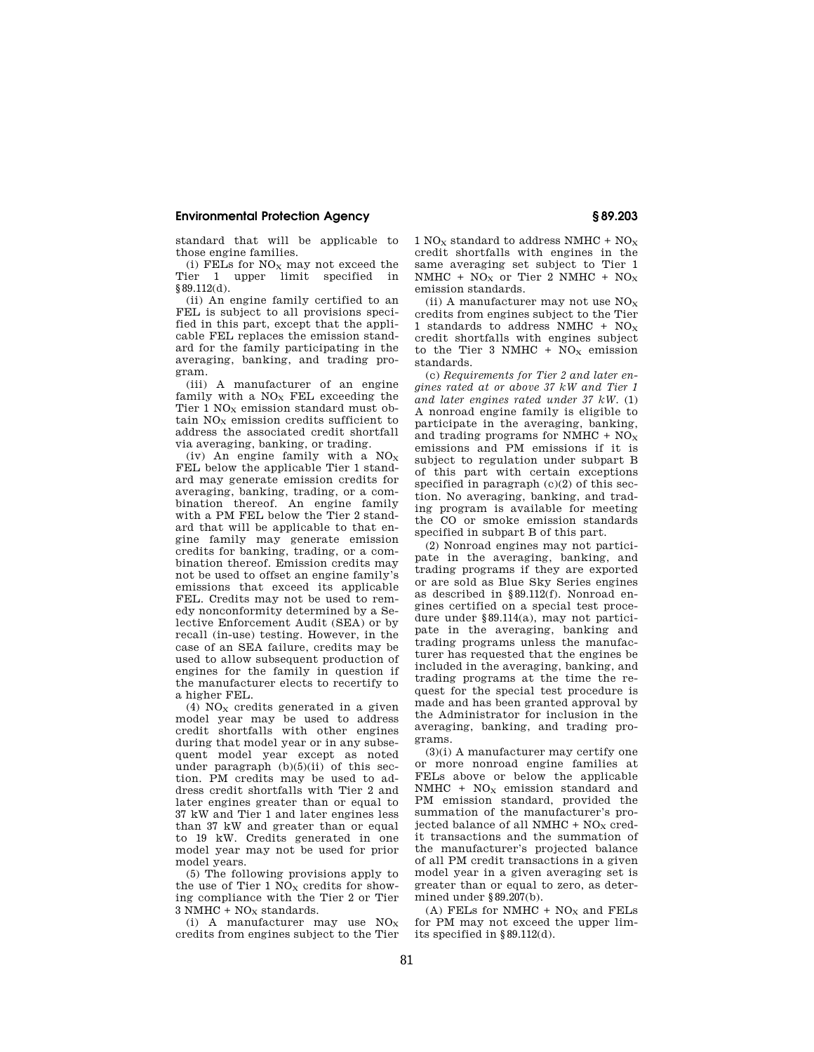standard that will be applicable to those engine families.

(i) FELs for  $NO<sub>x</sub>$  may not exceed the<br>ier 1 upper limit specified in Tier 1 upper limit specified §89.112(d).

(ii) An engine family certified to an FEL is subject to all provisions specified in this part, except that the applicable FEL replaces the emission standard for the family participating in the averaging, banking, and trading program.

(iii) A manufacturer of an engine family with a  $NO<sub>x</sub>$  FEL exceeding the Tier  $1$  NO<sub>x</sub> emission standard must obtain  $NO<sub>x</sub>$  emission credits sufficient to address the associated credit shortfall via averaging, banking, or trading.

(iv) An engine family with a  $NO<sub>x</sub>$ FEL below the applicable Tier 1 standard may generate emission credits for averaging, banking, trading, or a combination thereof. An engine family with a PM FEL below the Tier 2 standard that will be applicable to that engine family may generate emission credits for banking, trading, or a combination thereof. Emission credits may not be used to offset an engine family's emissions that exceed its applicable FEL. Credits may not be used to remedy nonconformity determined by a Selective Enforcement Audit (SEA) or by recall (in-use) testing. However, in the case of an SEA failure, credits may be used to allow subsequent production of engines for the family in question if the manufacturer elects to recertify to a higher FEL.

(4)  $NO<sub>x</sub>$  credits generated in a given model year may be used to address credit shortfalls with other engines during that model year or in any subsequent model year except as noted under paragraph  $(b)(5)(ii)$  of this section. PM credits may be used to address credit shortfalls with Tier 2 and later engines greater than or equal to 37 kW and Tier 1 and later engines less than 37 kW and greater than or equal to 19 kW. Credits generated in one model year may not be used for prior model years.

(5) The following provisions apply to the use of Tier  $1$  NO<sub>X</sub> credits for showing compliance with the Tier 2 or Tier  $3$  NMHC + NO<sub>x</sub> standards.

(i) A manufacturer may use  $NO<sub>x</sub>$ credits from engines subject to the Tier 1 NO<sub>x</sub> standard to address NMHC +  $NO<sub>x</sub>$ credit shortfalls with engines in the same averaging set subject to Tier 1 NMHC +  $NO<sub>X</sub>$  or Tier 2 NMHC +  $NO<sub>X</sub>$ emission standards.

(ii) A manufacturer may not use  $NO<sub>X</sub>$ credits from engines subject to the Tier 1 standards to address NMHC +  $NO_X$ credit shortfalls with engines subject to the Tier 3 NMHC +  $NO<sub>x</sub>$  emission standards.

(c) *Requirements for Tier 2 and later engines rated at or above 37 kW and Tier 1 and later engines rated under 37 kW.* (1) A nonroad engine family is eligible to participate in the averaging, banking, and trading programs for NMHC +  $NO<sub>x</sub>$ emissions and PM emissions if it is subject to regulation under subpart B of this part with certain exceptions specified in paragraph  $(c)(2)$  of this section. No averaging, banking, and trading program is available for meeting the CO or smoke emission standards specified in subpart B of this part.

(2) Nonroad engines may not participate in the averaging, banking, and trading programs if they are exported or are sold as Blue Sky Series engines as described in §89.112(f). Nonroad engines certified on a special test procedure under §89.114(a), may not participate in the averaging, banking and trading programs unless the manufacturer has requested that the engines be included in the averaging, banking, and trading programs at the time the request for the special test procedure is made and has been granted approval by the Administrator for inclusion in the averaging, banking, and trading programs.

(3)(i) A manufacturer may certify one or more nonroad engine families at FELs above or below the applicable  $NMHC + NO<sub>X</sub>$  emission standard and PM emission standard, provided the summation of the manufacturer's projected balance of all NMHC  $+$  NO<sub>x</sub> credit transactions and the summation of the manufacturer's projected balance of all PM credit transactions in a given model year in a given averaging set is greater than or equal to zero, as determined under §89.207(b).

(A) FELs for NMHC +  $NO<sub>X</sub>$  and FELs for PM may not exceed the upper limits specified in §89.112(d).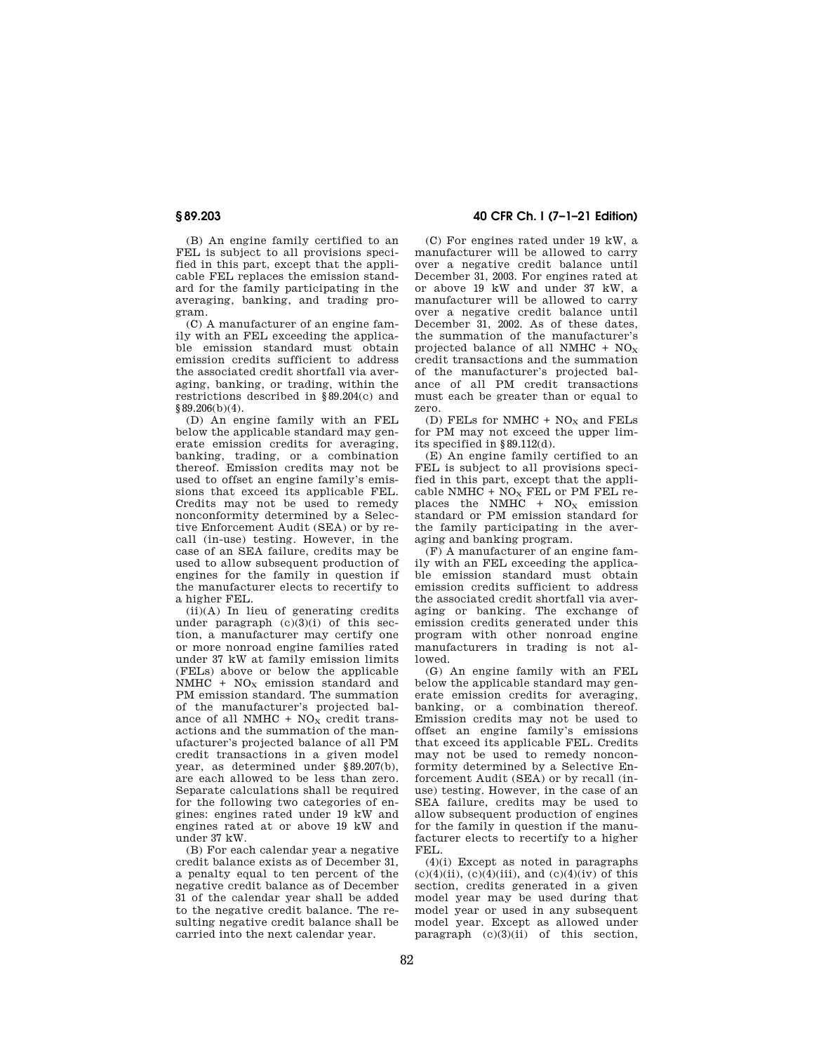(B) An engine family certified to an FEL is subject to all provisions specified in this part, except that the applicable FEL replaces the emission standard for the family participating in the averaging, banking, and trading program.

(C) A manufacturer of an engine family with an FEL exceeding the applicable emission standard must obtain emission credits sufficient to address the associated credit shortfall via averaging, banking, or trading, within the restrictions described in §89.204(c) and §89.206(b)(4).

(D) An engine family with an FEL below the applicable standard may generate emission credits for averaging, banking, trading, or a combination thereof. Emission credits may not be used to offset an engine family's emissions that exceed its applicable FEL. Credits may not be used to remedy nonconformity determined by a Selective Enforcement Audit (SEA) or by recall (in-use) testing. However, in the case of an SEA failure, credits may be used to allow subsequent production of engines for the family in question if the manufacturer elects to recertify to a higher FEL.

(ii)(A) In lieu of generating credits under paragraph  $(c)(3)(i)$  of this section, a manufacturer may certify one or more nonroad engine families rated under 37 kW at family emission limits (FELs) above or below the applicable NMHC +  $NO<sub>x</sub>$  emission standard and PM emission standard. The summation of the manufacturer's projected balance of all NMHC +  $NO<sub>x</sub>$  credit transactions and the summation of the manufacturer's projected balance of all PM credit transactions in a given model year, as determined under §89.207(b), are each allowed to be less than zero. Separate calculations shall be required for the following two categories of engines: engines rated under 19 kW and engines rated at or above 19 kW and under 37 kW.

(B) For each calendar year a negative credit balance exists as of December 31, a penalty equal to ten percent of the negative credit balance as of December 31 of the calendar year shall be added to the negative credit balance. The resulting negative credit balance shall be carried into the next calendar year.

# **§ 89.203 40 CFR Ch. I (7–1–21 Edition)**

(C) For engines rated under 19 kW, a manufacturer will be allowed to carry over a negative credit balance until December 31, 2003. For engines rated at or above 19 kW and under 37 kW, a manufacturer will be allowed to carry over a negative credit balance until December 31, 2002. As of these dates, the summation of the manufacturer's projected balance of all NMHC  $+$  NO<sub>x</sub> credit transactions and the summation of the manufacturer's projected balance of all PM credit transactions must each be greater than or equal to zero.

(D) FELs for NMHC +  $NO<sub>x</sub>$  and FELs for PM may not exceed the upper limits specified in §89.112(d).

(E) An engine family certified to an FEL is subject to all provisions specified in this part, except that the applicable NMHC +  $NO<sub>x</sub>$  FEL or PM FEL replaces the NMHC +  $NO<sub>X</sub>$  emission standard or PM emission standard for the family participating in the averaging and banking program.

(F) A manufacturer of an engine family with an FEL exceeding the applicable emission standard must obtain emission credits sufficient to address the associated credit shortfall via averaging or banking. The exchange of emission credits generated under this program with other nonroad engine manufacturers in trading is not allowed.

(G) An engine family with an FEL below the applicable standard may generate emission credits for averaging, banking, or a combination thereof. Emission credits may not be used to offset an engine family's emissions that exceed its applicable FEL. Credits may not be used to remedy nonconformity determined by a Selective Enforcement Audit (SEA) or by recall (inuse) testing. However, in the case of an SEA failure, credits may be used to allow subsequent production of engines for the family in question if the manufacturer elects to recertify to a higher FEL.

 $(4)(i)$  Except as noted in paragraphs  $(c)(4)(ii)$ ,  $(c)(4)(iii)$ , and  $(c)(4)(iv)$  of this section, credits generated in a given model year may be used during that model year or used in any subsequent model year. Except as allowed under paragraph  $(c)(3)(ii)$  of this section,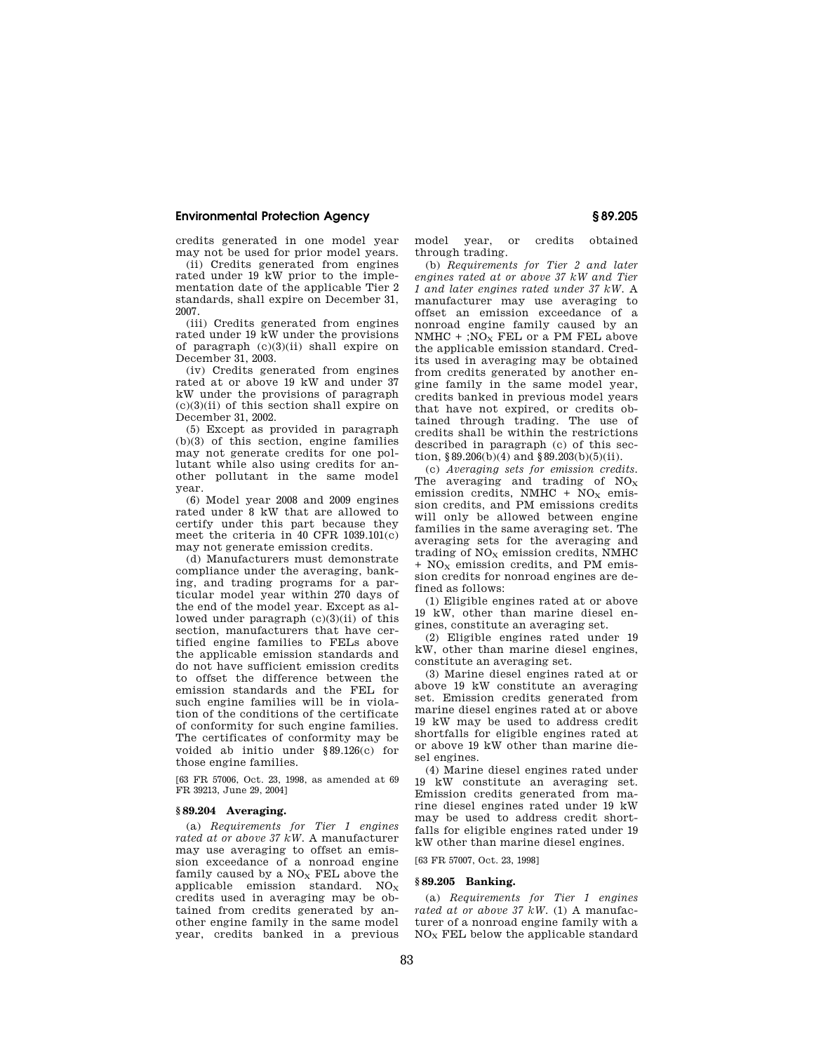credits generated in one model year may not be used for prior model years.

(ii) Credits generated from engines rated under 19 kW prior to the implementation date of the applicable Tier 2 standards, shall expire on December 31, 2007.

(iii) Credits generated from engines rated under 19 kW under the provisions of paragraph (c)(3)(ii) shall expire on December 31, 2003.

(iv) Credits generated from engines rated at or above 19 kW and under 37 kW under the provisions of paragraph  $(c)(3)(ii)$  of this section shall expire on December 31, 2002.

(5) Except as provided in paragraph (b)(3) of this section, engine families may not generate credits for one pollutant while also using credits for another pollutant in the same model year.

(6) Model year 2008 and 2009 engines rated under 8 kW that are allowed to certify under this part because they meet the criteria in 40 CFR 1039.101(c) may not generate emission credits.

(d) Manufacturers must demonstrate compliance under the averaging, banking, and trading programs for a particular model year within 270 days of the end of the model year. Except as allowed under paragraph (c)(3)(ii) of this section, manufacturers that have certified engine families to FELs above the applicable emission standards and do not have sufficient emission credits to offset the difference between the emission standards and the FEL for such engine families will be in violation of the conditions of the certificate of conformity for such engine families. The certificates of conformity may be voided ab initio under §89.126(c) for those engine families.

[63 FR 57006, Oct. 23, 1998, as amended at 69 FR 39213, June 29, 2004]

# **§ 89.204 Averaging.**

(a) *Requirements for Tier 1 engines rated at or above 37 kW.* A manufacturer may use averaging to offset an emission exceedance of a nonroad engine family caused by a  $NO<sub>x</sub>$  FEL above the applicable emission standard.  $NO<sub>x</sub>$ credits used in averaging may be obtained from credits generated by another engine family in the same model year, credits banked in a previous model year, or credits obtained through trading.

(b) *Requirements for Tier 2 and later engines rated at or above 37 kW and Tier 1 and later engines rated under 37 kW.* A manufacturer may use averaging to offset an emission exceedance of a nonroad engine family caused by an NMHC  $+$ ; NO<sub>X</sub> FEL or a PM FEL above the applicable emission standard. Credits used in averaging may be obtained from credits generated by another engine family in the same model year, credits banked in previous model years that have not expired, or credits obtained through trading. The use of credits shall be within the restrictions described in paragraph (c) of this section,  $$89.206(b)(4)$  and  $$89.203(b)(5)(ii)$ .

(c) *Averaging sets for emission credits.*  The averaging and trading of  $NO_X$ emission credits, NMHC +  $NO<sub>x</sub>$  emission credits, and PM emissions credits will only be allowed between engine families in the same averaging set. The averaging sets for the averaging and trading of  $NO<sub>X</sub>$  emission credits, NMHC  $+$  NO<sub>X</sub> emission credits, and PM emission credits for nonroad engines are defined as follows:

(1) Eligible engines rated at or above 19 kW, other than marine diesel engines, constitute an averaging set.

(2) Eligible engines rated under 19 kW, other than marine diesel engines, constitute an averaging set.

(3) Marine diesel engines rated at or above 19 kW constitute an averaging set. Emission credits generated from marine diesel engines rated at or above 19 kW may be used to address credit shortfalls for eligible engines rated at or above 19 kW other than marine diesel engines.

(4) Marine diesel engines rated under 19 kW constitute an averaging set. Emission credits generated from marine diesel engines rated under 19 kW may be used to address credit shortfalls for eligible engines rated under 19 kW other than marine diesel engines.

[63 FR 57007, Oct. 23, 1998]

## **§ 89.205 Banking.**

(a) *Requirements for Tier 1 engines rated at or above 37 kW.* (1) A manufacturer of a nonroad engine family with a NO<sup>X</sup> FEL below the applicable standard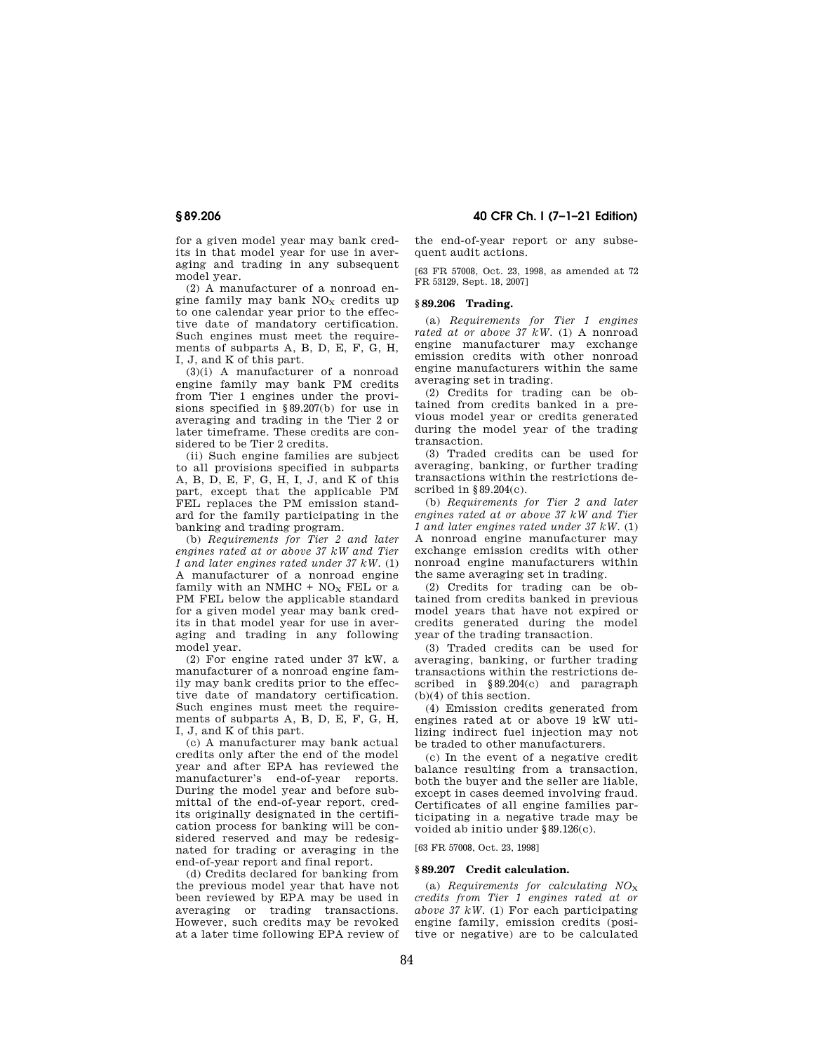for a given model year may bank credits in that model year for use in averaging and trading in any subsequent model year.

(2) A manufacturer of a nonroad engine family may bank  $NO<sub>x</sub>$  credits up to one calendar year prior to the effective date of mandatory certification. Such engines must meet the requirements of subparts A, B, D, E, F, G, H, I, J, and K of this part.

(3)(i) A manufacturer of a nonroad engine family may bank PM credits from Tier 1 engines under the provisions specified in  $\frac{89.207(b)}{200}$  for use in averaging and trading in the Tier 2 or later timeframe. These credits are considered to be Tier 2 credits.

(ii) Such engine families are subject to all provisions specified in subparts A, B, D, E, F, G, H, I, J, and K of this part, except that the applicable PM FEL replaces the PM emission standard for the family participating in the banking and trading program.

(b) *Requirements for Tier 2 and later engines rated at or above 37 kW and Tier 1 and later engines rated under 37 kW.* (1) A manufacturer of a nonroad engine family with an NMHC +  $NO<sub>X</sub>$  FEL or a PM FEL below the applicable standard for a given model year may bank credits in that model year for use in averaging and trading in any following model year.

(2) For engine rated under 37 kW, a manufacturer of a nonroad engine family may bank credits prior to the effective date of mandatory certification. Such engines must meet the requirements of subparts A, B, D, E, F, G, H, I, J, and K of this part.

(c) A manufacturer may bank actual credits only after the end of the model year and after EPA has reviewed the manufacturer's end-of-year reports. During the model year and before submittal of the end-of-year report, credits originally designated in the certification process for banking will be considered reserved and may be redesignated for trading or averaging in the end-of-year report and final report.

(d) Credits declared for banking from the previous model year that have not been reviewed by EPA may be used in averaging or trading transactions. However, such credits may be revoked at a later time following EPA review of

**§ 89.206 40 CFR Ch. I (7–1–21 Edition)** 

the end-of-year report or any subsequent audit actions.

[63 FR 57008, Oct. 23, 1998, as amended at 72 FR 53129, Sept. 18, 2007]

# **§ 89.206 Trading.**

(a) *Requirements for Tier 1 engines rated at or above 37 kW.* (1) A nonroad engine manufacturer may exchange emission credits with other nonroad engine manufacturers within the same averaging set in trading.

(2) Credits for trading can be obtained from credits banked in a previous model year or credits generated during the model year of the trading transaction.

(3) Traded credits can be used for averaging, banking, or further trading transactions within the restrictions described in §89.204(c).

(b) *Requirements for Tier 2 and later engines rated at or above 37 kW and Tier 1 and later engines rated under 37 kW.* (1) A nonroad engine manufacturer may exchange emission credits with other nonroad engine manufacturers within the same averaging set in trading.

(2) Credits for trading can be obtained from credits banked in previous model years that have not expired or credits generated during the model year of the trading transaction.

(3) Traded credits can be used for averaging, banking, or further trading transactions within the restrictions described in §89.204(c) and paragraph (b)(4) of this section.

(4) Emission credits generated from engines rated at or above 19 kW utilizing indirect fuel injection may not be traded to other manufacturers.

(c) In the event of a negative credit balance resulting from a transaction, both the buyer and the seller are liable, except in cases deemed involving fraud. Certificates of all engine families participating in a negative trade may be voided ab initio under §89.126(c).

[63 FR 57008, Oct. 23, 1998]

#### **§ 89.207 Credit calculation.**

(a) *Requirements for calculating NO*<sup>X</sup> *credits from Tier 1 engines rated at or above 37 kW.* (1) For each participating engine family, emission credits (positive or negative) are to be calculated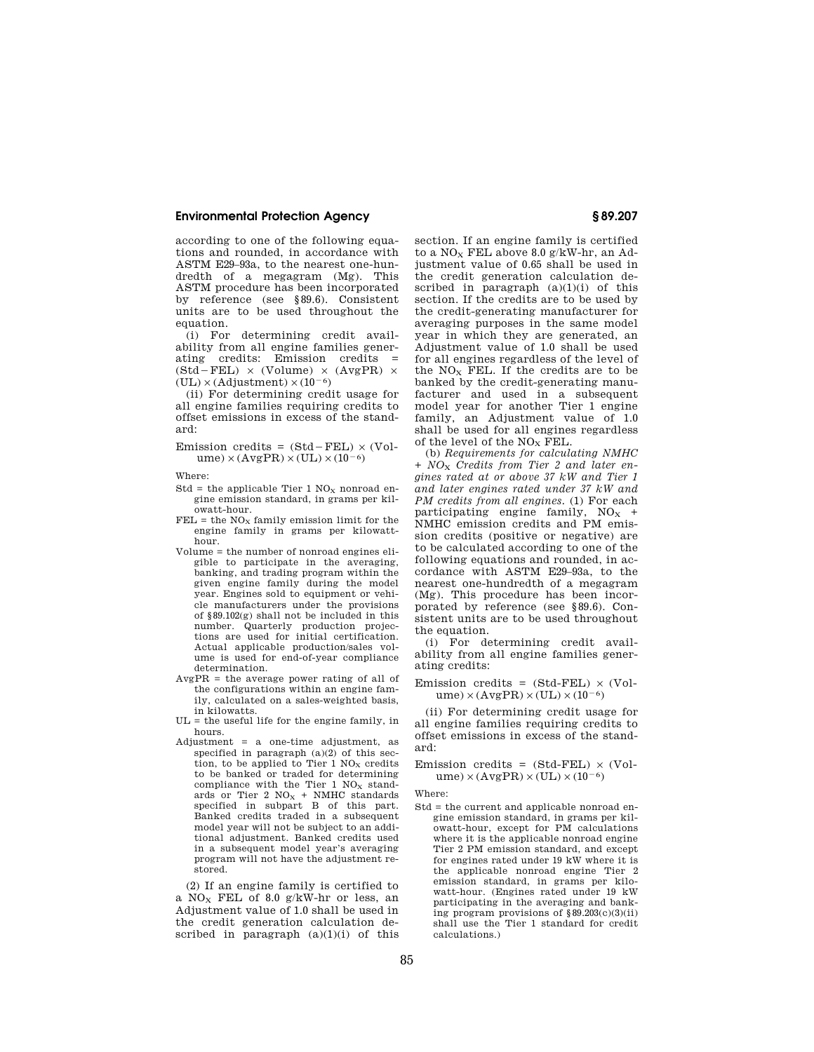according to one of the following equations and rounded, in accordance with ASTM E29–93a, to the nearest one-hundredth of a megagram (Mg). This ASTM procedure has been incorporated by reference (see §89.6). Consistent units are to be used throughout the equation.

(i) For determining credit availability from all engine families generating credits: Emission credits =<br>(Std-FEL) × (Volume) × (AvgPR) ×  $(UL) \times (Adjustment) \times (10^{-6})$ 

(ii) For determining credit usage for all engine families requiring credits to offset emissions in excess of the standard:

Emission credits =  $(Std - FEL) \times (Vol$  $ume) \times (AvgPR) \times (UL) \times (10^{-6})$ 

Where:

- Std = the applicable Tier 1  $NO<sub>X</sub>$  nonroad engine emission standard, in grams per kilowatt-hour.
- $FEL =$  the  $NO<sub>x</sub>$  family emission limit for the engine family in grams per kilowatthour.
- Volume = the number of nonroad engines eligible to participate in the averaging, banking, and trading program within the given engine family during the model year. Engines sold to equipment or vehicle manufacturers under the provisions of §89.102(g) shall not be included in this number. Quarterly production projections are used for initial certification. Actual applicable production/sales volume is used for end-of-year compliance determination.
- AvgPR = the average power rating of all of the configurations within an engine family, calculated on a sales-weighted basis, in kilowatts.
- $UL =$  the useful life for the engine family, in hours.
- Adjustment  $=$  a one-time adjustment, as specified in paragraph (a)(2) of this section, to be applied to Tier 1  $NO<sub>x</sub>$  credits to be banked or traded for determining compliance with the Tier 1  $NO<sub>x</sub>$  standards or Tier 2  $NO<sub>X</sub>$  + NMHC standards<br>specified in subpart B of this part. Banked credits traded in a subsequent model year will not be subject to an additional adjustment. Banked credits used in a subsequent model year's averaging program will not have the adjustment restored.

(2) If an engine family is certified to a  $NO<sub>x</sub>$  FEL of 8.0 g/kW-hr or less, an Adjustment value of 1.0 shall be used in the credit generation calculation described in paragraph  $(a)(1)(i)$  of this section. If an engine family is certified to a  $NO<sub>x</sub>$  FEL above 8.0 g/kW-hr, an Adjustment value of 0.65 shall be used in the credit generation calculation described in paragraph  $(a)(1)(i)$  of this section. If the credits are to be used by the credit-generating manufacturer for averaging purposes in the same model year in which they are generated, an Adjustment value of 1.0 shall be used for all engines regardless of the level of the  $NO<sub>X</sub>$  FEL. If the credits are to be banked by the credit-generating manufacturer and used in a subsequent model year for another Tier 1 engine family, an Adjustment value of 1.0 shall be used for all engines regardless of the level of the  $NO<sub>x</sub> FEL$ .

(b) *Requirements for calculating NMHC + NO*<sup>X</sup> *Credits from Tier 2 and later engines rated at or above 37 kW and Tier 1 and later engines rated under 37 kW and PM credits from all engines.* (1) For each participating engine family,  $NO<sub>x</sub>$  + NMHC emission credits and PM emission credits (positive or negative) are to be calculated according to one of the following equations and rounded, in accordance with ASTM E29–93a, to the nearest one-hundredth of a megagram (Mg). This procedure has been incorporated by reference (see §89.6). Consistent units are to be used throughout the equation.

(i) For determining credit availability from all engine families generating credits:

Emission credits =  $(Std-FEL) \times (Vol$  $ume) \times (AvgPR) \times (UL) \times (10^{-6})$ 

(ii) For determining credit usage for all engine families requiring credits to offset emissions in excess of the standard:

Emission credits =  $(Std-FEL) \times (Vol$  $ume) \times (AvgPR) \times (UL) \times (10^{-6})$ 

Where:

Std = the current and applicable nonroad engine emission standard, in grams per kilowatt-hour, except for PM calculations where it is the applicable nonroad engine Tier 2 PM emission standard, and except for engines rated under 19 kW where it is the applicable nonroad engine Tier 2 emission standard, in grams per kilowatt-hour. (Engines rated under 19 kW participating in the averaging and banking program provisions of §89.203(c)(3)(ii) shall use the Tier 1 standard for credit calculations.)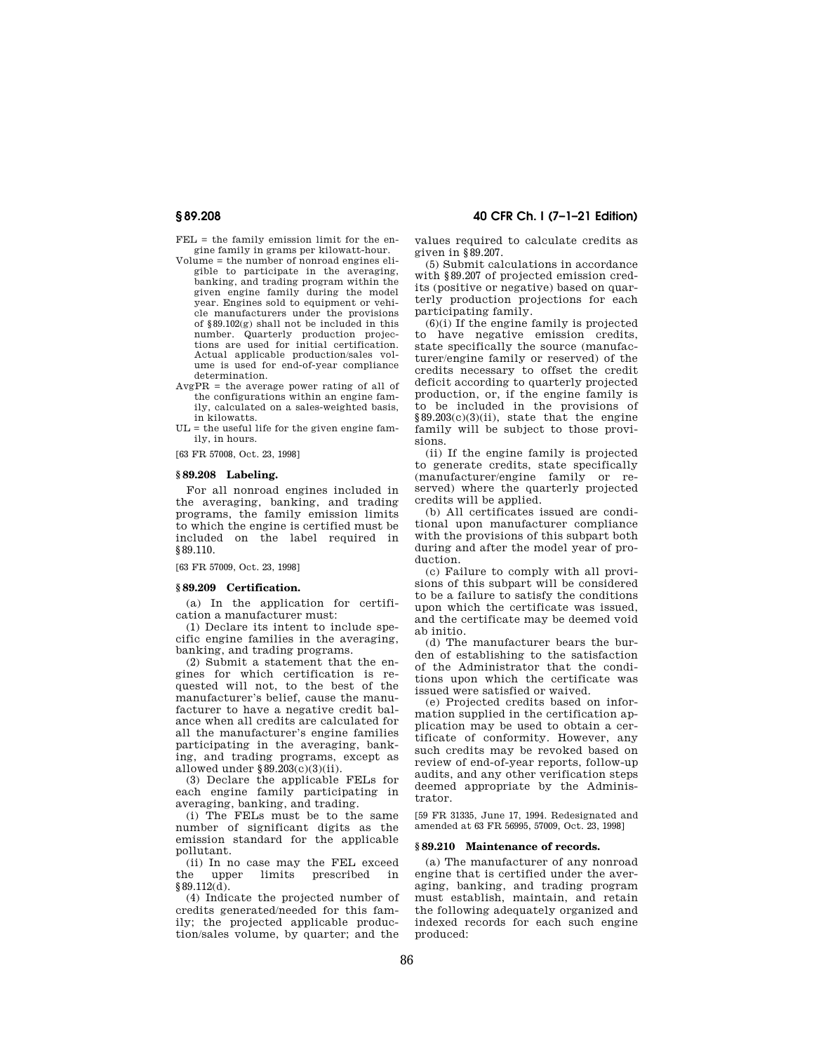- $FET<sub>i</sub>$  = the family emission limit for the engine family in grams per kilowatt-hour.
- Volume = the number of nonroad engines eligible to participate in the averaging, banking, and trading program within the given engine family during the model year. Engines sold to equipment or vehicle manufacturers under the provisions of §89.102(g) shall not be included in this number. Quarterly production projec-tions are used for initial certification. Actual applicable production/sales volume is used for end-of-year compliance determination.
- $AvgPR = the average power rating of all of$ the configurations within an engine family, calculated on a sales-weighted basis, in kilowatts.
- $UL =$  the useful life for the given engine family, in hours.

[63 FR 57008, Oct. 23, 1998]

## **§ 89.208 Labeling.**

For all nonroad engines included in the averaging, banking, and trading programs, the family emission limits to which the engine is certified must be included on the label required in §89.110.

[63 FR 57009, Oct. 23, 1998]

#### **§ 89.209 Certification.**

(a) In the application for certification a manufacturer must:

(1) Declare its intent to include specific engine families in the averaging, banking, and trading programs.

(2) Submit a statement that the engines for which certification is requested will not, to the best of the manufacturer's belief, cause the manufacturer to have a negative credit balance when all credits are calculated for all the manufacturer's engine families participating in the averaging, banking, and trading programs, except as allowed under §89.203(c)(3)(ii).

(3) Declare the applicable FELs for each engine family participating in averaging, banking, and trading.

(i) The FELs must be to the same number of significant digits as the emission standard for the applicable pollutant.

(ii) In no case may the FEL exceed the upper limits prescribed in §89.112(d).

(4) Indicate the projected number of credits generated/needed for this family; the projected applicable production/sales volume, by quarter; and the

values required to calculate credits as given in §89.207.

(5) Submit calculations in accordance with §89.207 of projected emission credits (positive or negative) based on quarterly production projections for each participating family.

 $(6)(i)$  If the engine family is projected to have negative emission credits, state specifically the source (manufacturer/engine family or reserved) of the credits necessary to offset the credit deficit according to quarterly projected production, or, if the engine family is to be included in the provisions of §89.203(c)(3)(ii), state that the engine family will be subject to those provisions.

(ii) If the engine family is projected to generate credits, state specifically (manufacturer/engine family or reserved) where the quarterly projected credits will be applied.

(b) All certificates issued are conditional upon manufacturer compliance with the provisions of this subpart both during and after the model year of production.

(c) Failure to comply with all provisions of this subpart will be considered to be a failure to satisfy the conditions upon which the certificate was issued, and the certificate may be deemed void ab initio.

(d) The manufacturer bears the burden of establishing to the satisfaction of the Administrator that the conditions upon which the certificate was issued were satisfied or waived.

(e) Projected credits based on information supplied in the certification application may be used to obtain a certificate of conformity. However, any such credits may be revoked based on review of end-of-year reports, follow-up audits, and any other verification steps deemed appropriate by the Administrator.

[59 FR 31335, June 17, 1994. Redesignated and amended at 63 FR 56995, 57009, Oct. 23, 1998]

#### **§ 89.210 Maintenance of records.**

(a) The manufacturer of any nonroad engine that is certified under the averaging, banking, and trading program must establish, maintain, and retain the following adequately organized and indexed records for each such engine produced: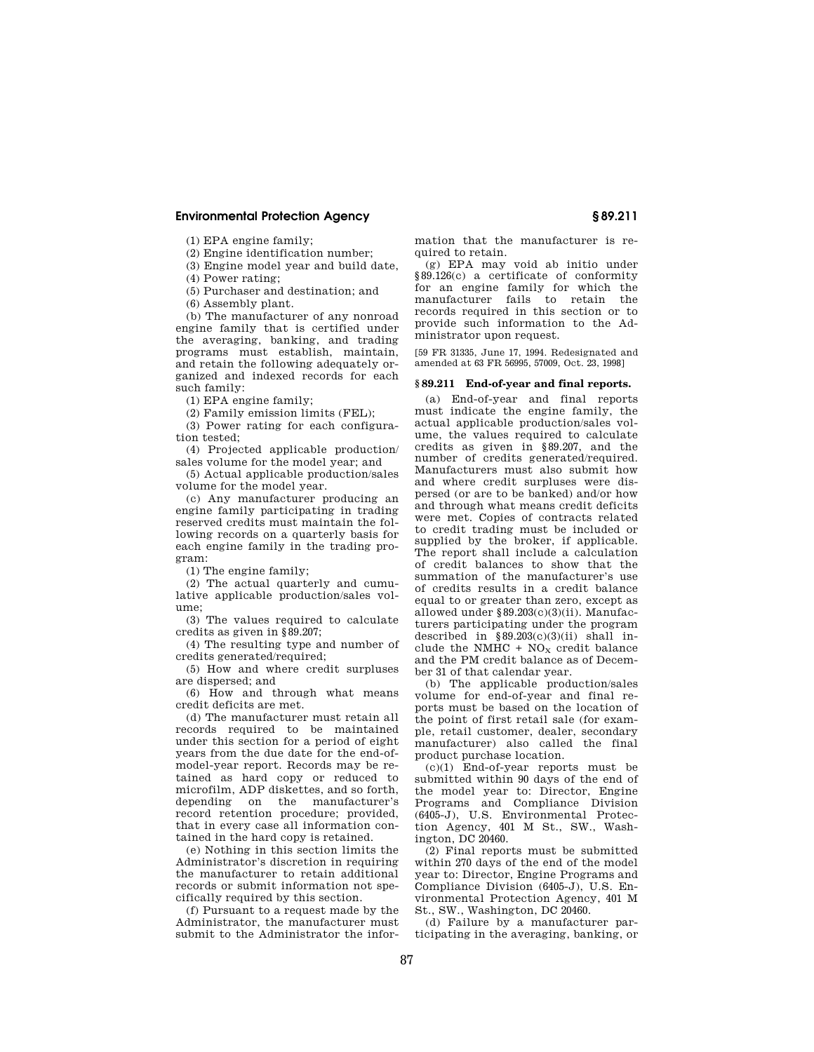(1) EPA engine family;

(2) Engine identification number;

(3) Engine model year and build date,

(4) Power rating;

(5) Purchaser and destination; and

(6) Assembly plant.

(b) The manufacturer of any nonroad engine family that is certified under the averaging, banking, and trading programs must establish, maintain, and retain the following adequately organized and indexed records for each such family:

(1) EPA engine family;

(2) Family emission limits (FEL);

(3) Power rating for each configuration tested;

(4) Projected applicable production/ sales volume for the model year; and

(5) Actual applicable production/sales volume for the model year.

(c) Any manufacturer producing an engine family participating in trading reserved credits must maintain the following records on a quarterly basis for each engine family in the trading program:

(1) The engine family;

(2) The actual quarterly and cumulative applicable production/sales volume;

(3) The values required to calculate credits as given in §89.207;

(4) The resulting type and number of credits generated/required;

(5) How and where credit surpluses are dispersed; and

(6) How and through what means credit deficits are met.

(d) The manufacturer must retain all records required to be maintained under this section for a period of eight years from the due date for the end-ofmodel-year report. Records may be retained as hard copy or reduced to microfilm, ADP diskettes, and so forth, depending on the manufacturer's record retention procedure; provided, that in every case all information contained in the hard copy is retained.

(e) Nothing in this section limits the Administrator's discretion in requiring the manufacturer to retain additional records or submit information not specifically required by this section.

(f) Pursuant to a request made by the Administrator, the manufacturer must submit to the Administrator the information that the manufacturer is required to retain.

(g) EPA may void ab initio under §89.126(c) a certificate of conformity for an engine family for which the manufacturer fails to retain the records required in this section or to provide such information to the Administrator upon request.

[59 FR 31335, June 17, 1994. Redesignated and amended at 63 FR 56995, 57009, Oct. 23, 1998]

#### **§ 89.211 End-of-year and final reports.**

(a) End-of-year and final reports must indicate the engine family, the actual applicable production/sales volume, the values required to calculate credits as given in §89.207, and the number of credits generated/required. Manufacturers must also submit how and where credit surpluses were dispersed (or are to be banked) and/or how and through what means credit deficits were met. Copies of contracts related to credit trading must be included or supplied by the broker, if applicable. The report shall include a calculation of credit balances to show that the summation of the manufacturer's use of credits results in a credit balance equal to or greater than zero, except as allowed under §89.203(c)(3)(ii). Manufacturers participating under the program described in  $\S 89.203(c)(3)(ii)$  shall include the NMHC +  $NO<sub>X</sub>$  credit balance and the PM credit balance as of December 31 of that calendar year.

(b) The applicable production/sales volume for end-of-year and final reports must be based on the location of the point of first retail sale (for example, retail customer, dealer, secondary manufacturer) also called the final product purchase location.

(c)(1) End-of-year reports must be submitted within 90 days of the end of the model year to: Director, Engine Programs and Compliance Division (6405-J), U.S. Environmental Protection Agency, 401 M St., SW., Washington, DC 20460.

(2) Final reports must be submitted within 270 days of the end of the model year to: Director, Engine Programs and Compliance Division (6405-J), U.S. Environmental Protection Agency, 401 M St., SW., Washington, DC 20460.

(d) Failure by a manufacturer participating in the averaging, banking, or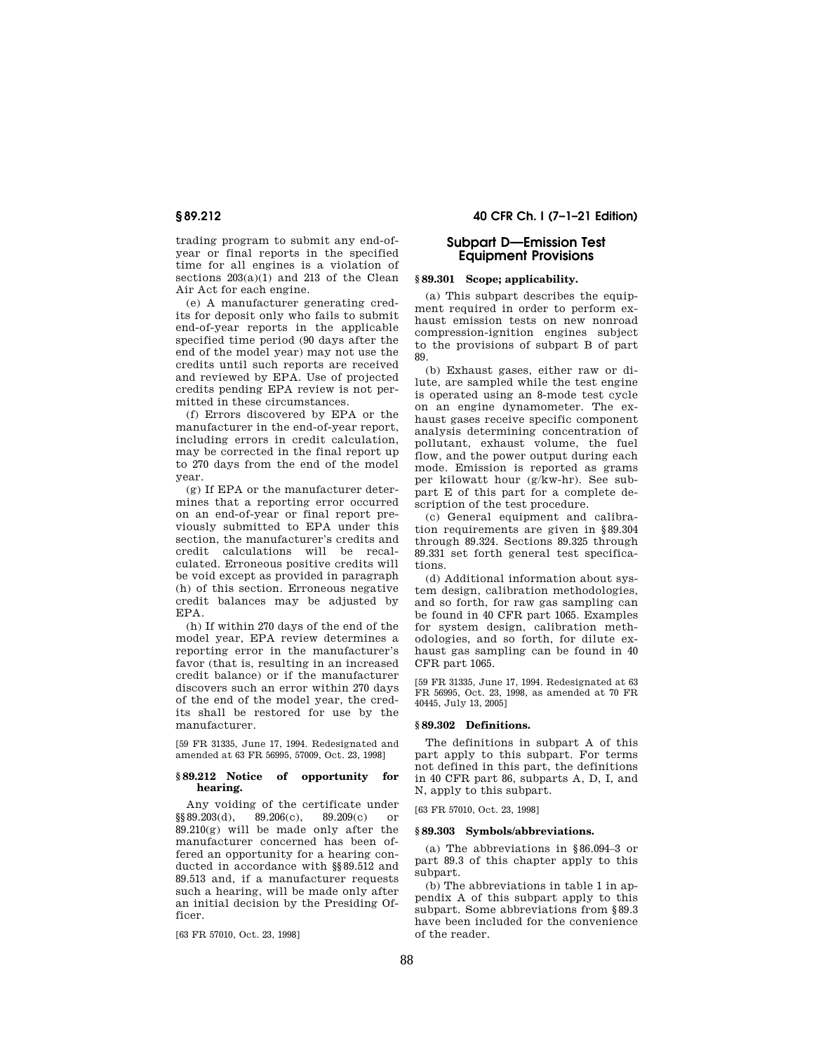trading program to submit any end-ofyear or final reports in the specified time for all engines is a violation of sections 203(a)(1) and 213 of the Clean Air Act for each engine.

(e) A manufacturer generating credits for deposit only who fails to submit end-of-year reports in the applicable specified time period (90 days after the end of the model year) may not use the credits until such reports are received and reviewed by EPA. Use of projected credits pending EPA review is not permitted in these circumstances.

(f) Errors discovered by EPA or the manufacturer in the end-of-year report, including errors in credit calculation, may be corrected in the final report up to 270 days from the end of the model year.

(g) If EPA or the manufacturer determines that a reporting error occurred on an end-of-year or final report previously submitted to EPA under this section, the manufacturer's credits and credit calculations will be recalculated. Erroneous positive credits will be void except as provided in paragraph (h) of this section. Erroneous negative credit balances may be adjusted by EPA.

(h) If within 270 days of the end of the model year, EPA review determines a reporting error in the manufacturer's favor (that is, resulting in an increased credit balance) or if the manufacturer discovers such an error within 270 days of the end of the model year, the credits shall be restored for use by the manufacturer.

[59 FR 31335, June 17, 1994. Redesignated and amended at 63 FR 56995, 57009, Oct. 23, 1998]

# **§ 89.212 Notice of opportunity for hearing.**

Any voiding of the certificate under  $89.203(d)$ ,  $89.206(c)$ ,  $89.209(c)$  or  $\S$ §89.203(d), 89.206(c), 89.209(c) or  $89.210(g)$  will be made only after the manufacturer concerned has been offered an opportunity for a hearing conducted in accordance with §§89.512 and 89.513 and, if a manufacturer requests such a hearing, will be made only after an initial decision by the Presiding Officer.

[63 FR 57010, Oct. 23, 1998]

**§ 89.212 40 CFR Ch. I (7–1–21 Edition)** 

# **Subpart D—Emission Test Equipment Provisions**

## **§ 89.301 Scope; applicability.**

(a) This subpart describes the equipment required in order to perform exhaust emission tests on new nonroad compression-ignition engines subject to the provisions of subpart B of part 89.

(b) Exhaust gases, either raw or dilute, are sampled while the test engine is operated using an 8-mode test cycle on an engine dynamometer. The exhaust gases receive specific component analysis determining concentration of pollutant, exhaust volume, the fuel flow, and the power output during each mode. Emission is reported as grams per kilowatt hour (g/kw-hr). See subpart E of this part for a complete description of the test procedure.

(c) General equipment and calibration requirements are given in §89.304 through 89.324. Sections 89.325 through 89.331 set forth general test specifications.

(d) Additional information about system design, calibration methodologies, and so forth, for raw gas sampling can be found in 40 CFR part 1065. Examples for system design, calibration methodologies, and so forth, for dilute exhaust gas sampling can be found in 40 CFR part 1065.

[59 FR 31335, June 17, 1994. Redesignated at 63 FR 56995, Oct. 23, 1998, as amended at 70 FR 40445, July 13, 2005]

### **§ 89.302 Definitions.**

The definitions in subpart A of this part apply to this subpart. For terms not defined in this part, the definitions in 40 CFR part 86, subparts A, D, I, and N, apply to this subpart.

[63 FR 57010, Oct. 23, 1998]

#### **§ 89.303 Symbols/abbreviations.**

(a) The abbreviations in §86.094–3 or part 89.3 of this chapter apply to this subpart.

(b) The abbreviations in table 1 in appendix A of this subpart apply to this subpart. Some abbreviations from §89.3 have been included for the convenience of the reader.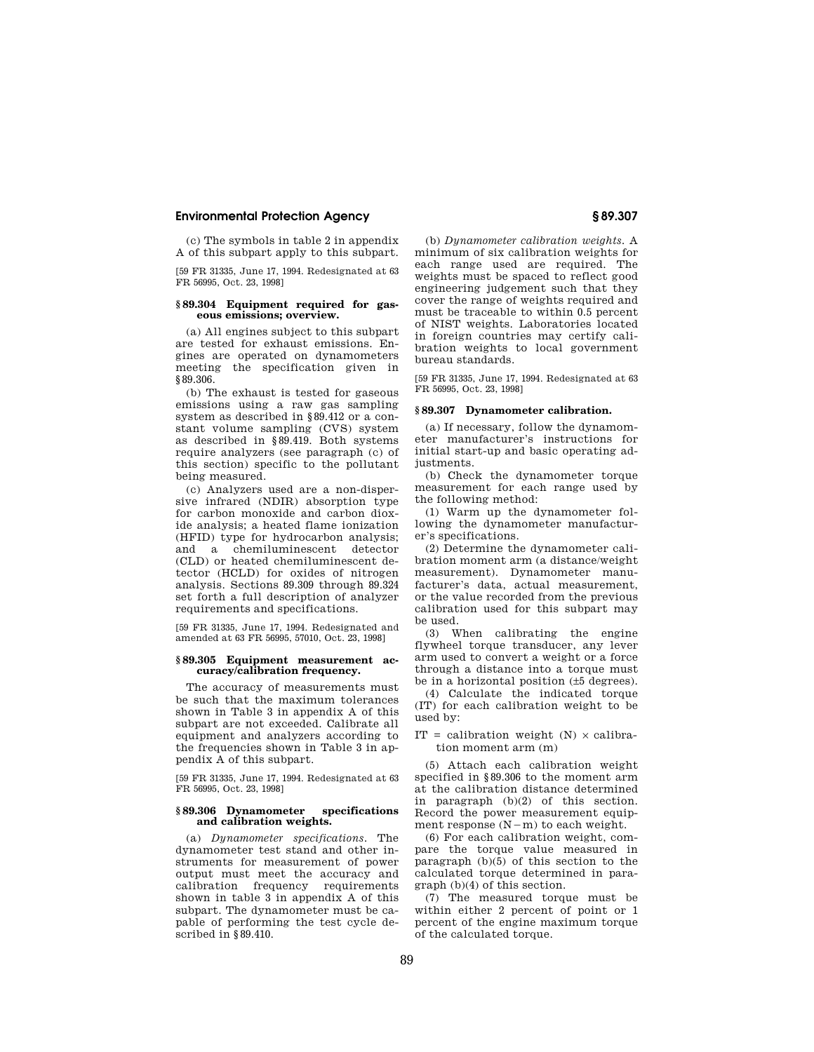(c) The symbols in table 2 in appendix A of this subpart apply to this subpart.

[59 FR 31335, June 17, 1994. Redesignated at 63 FR 56995, Oct. 23, 1998]

#### **§ 89.304 Equipment required for gaseous emissions; overview.**

(a) All engines subject to this subpart are tested for exhaust emissions. Engines are operated on dynamometers meeting the specification given in §89.306.

(b) The exhaust is tested for gaseous emissions using a raw gas sampling system as described in §89.412 or a constant volume sampling (CVS) system as described in §89.419. Both systems require analyzers (see paragraph (c) of this section) specific to the pollutant being measured.

(c) Analyzers used are a non-dispersive infrared (NDIR) absorption type for carbon monoxide and carbon dioxide analysis; a heated flame ionization (HFID) type for hydrocarbon analysis; and a chemiluminescent detector (CLD) or heated chemiluminescent detector (HCLD) for oxides of nitrogen analysis. Sections 89.309 through 89.324 set forth a full description of analyzer requirements and specifications.

[59 FR 31335, June 17, 1994. Redesignated and amended at 63 FR 56995, 57010, Oct. 23, 1998]

### **§ 89.305 Equipment measurement accuracy/calibration frequency.**

The accuracy of measurements must be such that the maximum tolerances shown in Table 3 in appendix A of this subpart are not exceeded. Calibrate all equipment and analyzers according to the frequencies shown in Table 3 in appendix A of this subpart.

[59 FR 31335, June 17, 1994. Redesignated at 63 FR 56995, Oct. 23, 1998]

#### **§ 89.306 Dynamometer specifications and calibration weights.**

(a) *Dynamometer specifications.* The dynamometer test stand and other instruments for measurement of power output must meet the accuracy and calibration frequency requirements shown in table 3 in appendix A of this subpart. The dynamometer must be capable of performing the test cycle described in §89.410.

(b) *Dynamometer calibration weights.* A minimum of six calibration weights for each range used are required. The weights must be spaced to reflect good engineering judgement such that they cover the range of weights required and must be traceable to within 0.5 percent of NIST weights. Laboratories located in foreign countries may certify calibration weights to local government bureau standards.

[59 FR 31335, June 17, 1994. Redesignated at 63 FR 56995, Oct. 23, 1998]

# **§ 89.307 Dynamometer calibration.**

(a) If necessary, follow the dynamometer manufacturer's instructions for initial start-up and basic operating adjustments.

(b) Check the dynamometer torque measurement for each range used by the following method:

(1) Warm up the dynamometer following the dynamometer manufacturer's specifications.

(2) Determine the dynamometer calibration moment arm (a distance/weight measurement). Dynamometer manufacturer's data, actual measurement, or the value recorded from the previous calibration used for this subpart may be used.

(3) When calibrating the engine flywheel torque transducer, any lever arm used to convert a weight or a force through a distance into a torque must be in a horizontal position (±5 degrees).

(4) Calculate the indicated torque (IT) for each calibration weight to be used by:

IT = calibration weight  $(N) \times$  calibration moment arm (m)

(5) Attach each calibration weight specified in §89.306 to the moment arm at the calibration distance determined in paragraph (b)(2) of this section. Record the power measurement equipment response  $(N-m)$  to each weight.

(6) For each calibration weight, compare the torque value measured in paragraph (b)(5) of this section to the calculated torque determined in paragraph (b)(4) of this section.

(7) The measured torque must be within either 2 percent of point or 1 percent of the engine maximum torque of the calculated torque.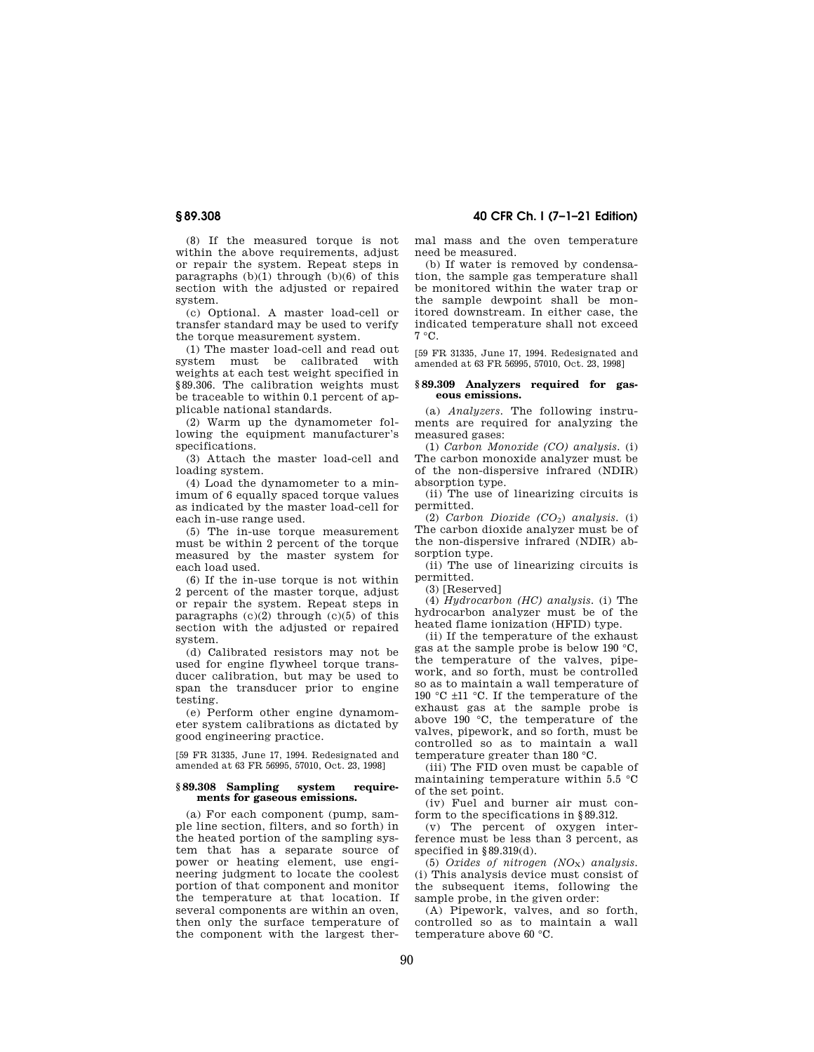**§ 89.308 40 CFR Ch. I (7–1–21 Edition)** 

(8) If the measured torque is not within the above requirements, adjust or repair the system. Repeat steps in paragraphs  $(b)(1)$  through  $(b)(6)$  of this section with the adjusted or repaired system.

(c) Optional. A master load-cell or transfer standard may be used to verify the torque measurement system.

(1) The master load-cell and read out system must be calibrated with weights at each test weight specified in §89.306. The calibration weights must be traceable to within 0.1 percent of applicable national standards.

(2) Warm up the dynamometer following the equipment manufacturer's specifications.

(3) Attach the master load-cell and loading system.

(4) Load the dynamometer to a minimum of 6 equally spaced torque values as indicated by the master load-cell for each in-use range used.

(5) The in-use torque measurement must be within 2 percent of the torque measured by the master system for each load used.

(6) If the in-use torque is not within 2 percent of the master torque, adjust or repair the system. Repeat steps in paragraphs  $(c)(2)$  through  $(c)(5)$  of this section with the adjusted or repaired system.

(d) Calibrated resistors may not be used for engine flywheel torque transducer calibration, but may be used to span the transducer prior to engine testing.

(e) Perform other engine dynamometer system calibrations as dictated by good engineering practice.

[59 FR 31335, June 17, 1994. Redesignated and amended at 63 FR 56995, 57010, Oct. 23, 1998]

#### **§ 89.308 Sampling system requirements for gaseous emissions.**

(a) For each component (pump, sample line section, filters, and so forth) in the heated portion of the sampling system that has a separate source of power or heating element, use engineering judgment to locate the coolest portion of that component and monitor the temperature at that location. If several components are within an oven, then only the surface temperature of the component with the largest thermal mass and the oven temperature need be measured.

(b) If water is removed by condensation, the sample gas temperature shall be monitored within the water trap or the sample dewpoint shall be monitored downstream. In either case, the indicated temperature shall not exceed 7 °C.

[59 FR 31335, June 17, 1994. Redesignated and amended at 63 FR 56995, 57010, Oct. 23, 1998]

#### **§ 89.309 Analyzers required for gaseous emissions.**

(a) *Analyzers.* The following instruments are required for analyzing the measured gases:

(1) *Carbon Monoxide (CO) analysis.* (i) The carbon monoxide analyzer must be of the non-dispersive infrared (NDIR) absorption type.

(ii) The use of linearizing circuits is permitted.

(2) *Carbon Dioxide (CO*2) *analysis.* (i) The carbon dioxide analyzer must be of the non-dispersive infrared (NDIR) absorption type.

(ii) The use of linearizing circuits is permitted.

(3) [Reserved]

(4) *Hydrocarbon (HC) analysis.* (i) The hydrocarbon analyzer must be of the heated flame ionization (HFID) type.

(ii) If the temperature of the exhaust gas at the sample probe is below 190 °C, the temperature of the valves, pipework, and so forth, must be controlled so as to maintain a wall temperature of 190 °C ±11 °C. If the temperature of the exhaust gas at the sample probe is above 190 °C, the temperature of the valves, pipework, and so forth, must be controlled so as to maintain a wall temperature greater than 180 °C.

(iii) The FID oven must be capable of maintaining temperature within 5.5 °C of the set point.

(iv) Fuel and burner air must conform to the specifications in §89.312.

(v) The percent of oxygen interference must be less than 3 percent, as specified in §89.319(d).

(5) *Oxides of nitrogen (NO*X) *analysis.*  (i) This analysis device must consist of the subsequent items, following the sample probe, in the given order:

(A) Pipework, valves, and so forth, controlled so as to maintain a wall temperature above 60 °C.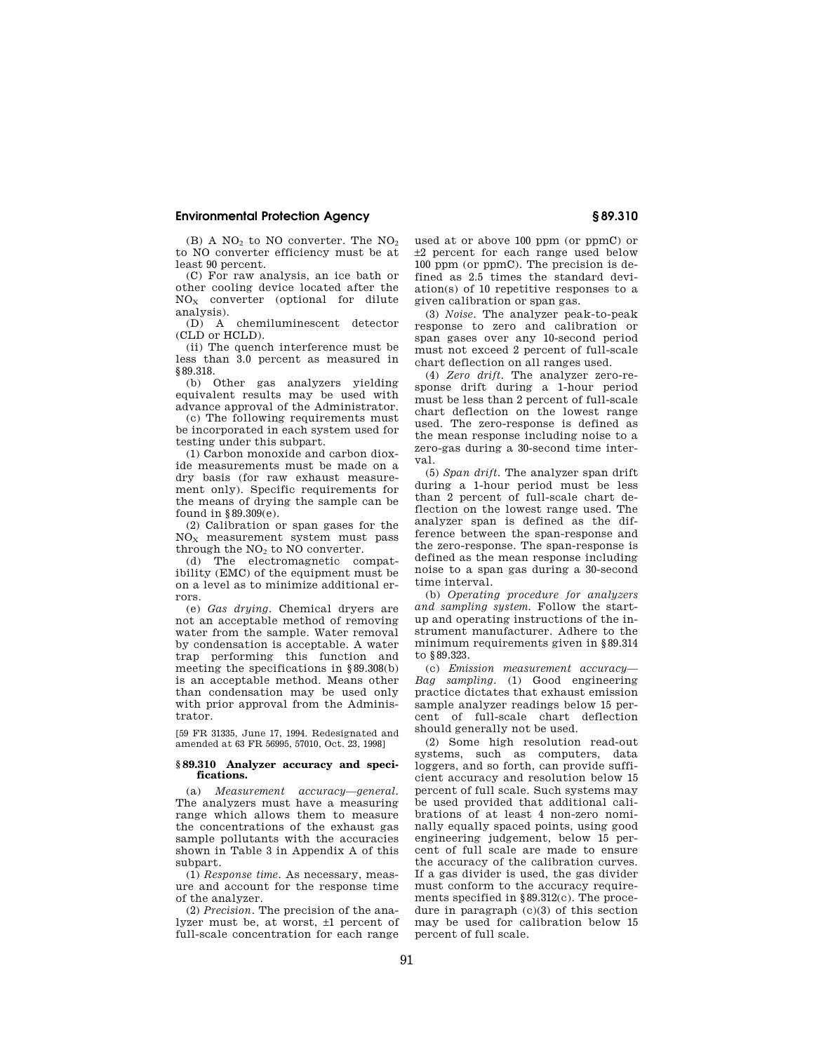(B) A  $NO<sub>2</sub>$  to NO converter. The  $NO<sub>2</sub>$ to NO converter efficiency must be at least 90 percent.

(C) For raw analysis, an ice bath or other cooling device located after the NO<sup>X</sup> converter (optional for dilute analysis).

(D) A chemiluminescent detector (CLD or HCLD).

(ii) The quench interference must be less than 3.0 percent as measured in §89.318.

(b) Other gas analyzers yielding equivalent results may be used with advance approval of the Administrator.

(c) The following requirements must be incorporated in each system used for testing under this subpart.

(1) Carbon monoxide and carbon dioxide measurements must be made on a dry basis (for raw exhaust measurement only). Specific requirements for the means of drying the sample can be found in §89.309(e).

(2) Calibration or span gases for the  $NO<sub>x</sub>$  measurement system must pass through the  $NO<sub>2</sub>$  to NO converter.

(d) The electromagnetic compatibility (EMC) of the equipment must be on a level as to minimize additional errors.

(e) *Gas drying.* Chemical dryers are not an acceptable method of removing water from the sample. Water removal by condensation is acceptable. A water trap performing this function and meeting the specifications in §89.308(b) is an acceptable method. Means other than condensation may be used only with prior approval from the Administrator.

[59 FR 31335, June 17, 1994. Redesignated and amended at 63 FR 56995, 57010, Oct. 23, 1998]

#### **§ 89.310 Analyzer accuracy and specifications.**

(a) *Measurement accuracy—general.*  The analyzers must have a measuring range which allows them to measure the concentrations of the exhaust gas sample pollutants with the accuracies shown in Table 3 in Appendix A of this subpart.

(1) *Response time.* As necessary, measure and account for the response time of the analyzer.

(2) *Precision.* The precision of the analyzer must be, at worst, ±1 percent of full-scale concentration for each range

used at or above 100 ppm (or ppmC) or ±2 percent for each range used below 100 ppm (or ppmC). The precision is defined as 2.5 times the standard deviation(s) of 10 repetitive responses to a given calibration or span gas.

(3) *Noise.* The analyzer peak-to-peak response to zero and calibration or span gases over any 10-second period must not exceed 2 percent of full-scale chart deflection on all ranges used.

(4) *Zero drift.* The analyzer zero-response drift during a 1-hour period must be less than 2 percent of full-scale chart deflection on the lowest range used. The zero-response is defined as the mean response including noise to a zero-gas during a 30-second time interval.

(5) *Span drift.* The analyzer span drift during a 1-hour period must be less than 2 percent of full-scale chart deflection on the lowest range used. The analyzer span is defined as the difference between the span-response and the zero-response. The span-response is defined as the mean response including noise to a span gas during a 30-second time interval.

(b) *Operating procedure for analyzers and sampling system.* Follow the startup and operating instructions of the instrument manufacturer. Adhere to the minimum requirements given in §89.314 to §89.323.

(c) *Emission measurement accuracy— Bag sampling.* (1) Good engineering practice dictates that exhaust emission sample analyzer readings below 15 percent of full-scale chart deflection should generally not be used.

(2) Some high resolution read-out systems, such as computers, data loggers, and so forth, can provide sufficient accuracy and resolution below 15 percent of full scale. Such systems may be used provided that additional calibrations of at least 4 non-zero nominally equally spaced points, using good engineering judgement, below 15 percent of full scale are made to ensure the accuracy of the calibration curves. If a gas divider is used, the gas divider must conform to the accuracy requirements specified in §89.312(c). The procedure in paragraph (c)(3) of this section may be used for calibration below 15 percent of full scale.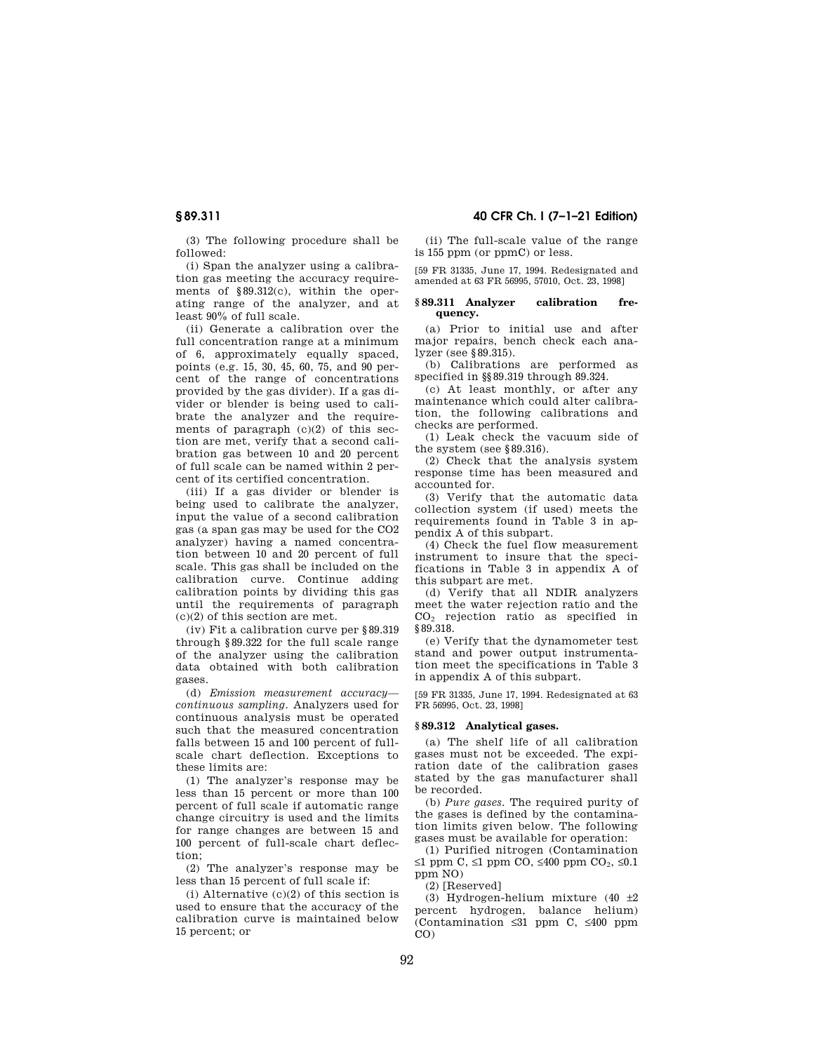**§ 89.311 40 CFR Ch. I (7–1–21 Edition)** 

(3) The following procedure shall be followed:

(i) Span the analyzer using a calibration gas meeting the accuracy requirements of §89.312(c), within the operating range of the analyzer, and at least 90% of full scale.

(ii) Generate a calibration over the full concentration range at a minimum of 6, approximately equally spaced, points (e.g. 15, 30, 45, 60, 75, and 90 percent of the range of concentrations provided by the gas divider). If a gas divider or blender is being used to calibrate the analyzer and the requirements of paragraph  $(c)(2)$  of this section are met, verify that a second calibration gas between 10 and 20 percent of full scale can be named within 2 percent of its certified concentration.

(iii) If a gas divider or blender is being used to calibrate the analyzer, input the value of a second calibration gas (a span gas may be used for the CO2 analyzer) having a named concentration between 10 and 20 percent of full scale. This gas shall be included on the calibration curve. Continue adding calibration points by dividing this gas until the requirements of paragraph (c)(2) of this section are met.

(iv) Fit a calibration curve per §89.319 through §89.322 for the full scale range of the analyzer using the calibration data obtained with both calibration gases.

(d) *Emission measurement accuracy continuous sampling.* Analyzers used for continuous analysis must be operated such that the measured concentration falls between 15 and 100 percent of fullscale chart deflection. Exceptions to these limits are:

(1) The analyzer's response may be less than 15 percent or more than 100 percent of full scale if automatic range change circuitry is used and the limits for range changes are between 15 and 100 percent of full-scale chart deflection;

(2) The analyzer's response may be less than 15 percent of full scale if:

(i) Alternative  $(c)(2)$  of this section is used to ensure that the accuracy of the calibration curve is maintained below 15 percent; or

(ii) The full-scale value of the range is 155 ppm (or ppmC) or less.

[59 FR 31335, June 17, 1994. Redesignated and amended at 63 FR 56995, 57010, Oct. 23, 1998]

#### **§ 89.311 Analyzer calibration frequency.**

(a) Prior to initial use and after major repairs, bench check each analyzer (see §89.315).

(b) Calibrations are performed as specified in §§89.319 through 89.324.

(c) At least monthly, or after any maintenance which could alter calibration, the following calibrations and checks are performed.

(1) Leak check the vacuum side of the system (see §89.316).

(2) Check that the analysis system response time has been measured and accounted for.

(3) Verify that the automatic data collection system (if used) meets the requirements found in Table 3 in appendix A of this subpart.

(4) Check the fuel flow measurement instrument to insure that the specifications in Table 3 in appendix A of this subpart are met.

(d) Verify that all NDIR analyzers meet the water rejection ratio and the CO<sup>2</sup> rejection ratio as specified in §89.318.

(e) Verify that the dynamometer test stand and power output instrumentation meet the specifications in Table 3 in appendix A of this subpart.

[59 FR 31335, June 17, 1994. Redesignated at 63 FR 56995, Oct. 23, 1998]

#### **§ 89.312 Analytical gases.**

(a) The shelf life of all calibration gases must not be exceeded. The expiration date of the calibration gases stated by the gas manufacturer shall be recorded.

(b) *Pure gases.* The required purity of the gases is defined by the contamination limits given below. The following gases must be available for operation:

(1) Purified nitrogen (Contamination ≤1 ppm C, ≤1 ppm CO, ≤400 ppm CO<sub>2</sub>, ≤0.1 ppm NO)

(2) [Reserved]

(3) Hydrogen-helium mixture (40  $\pm$ 2 percent hydrogen, balance helium) (Contamination ≤31 ppm C, ≤400 ppm CO)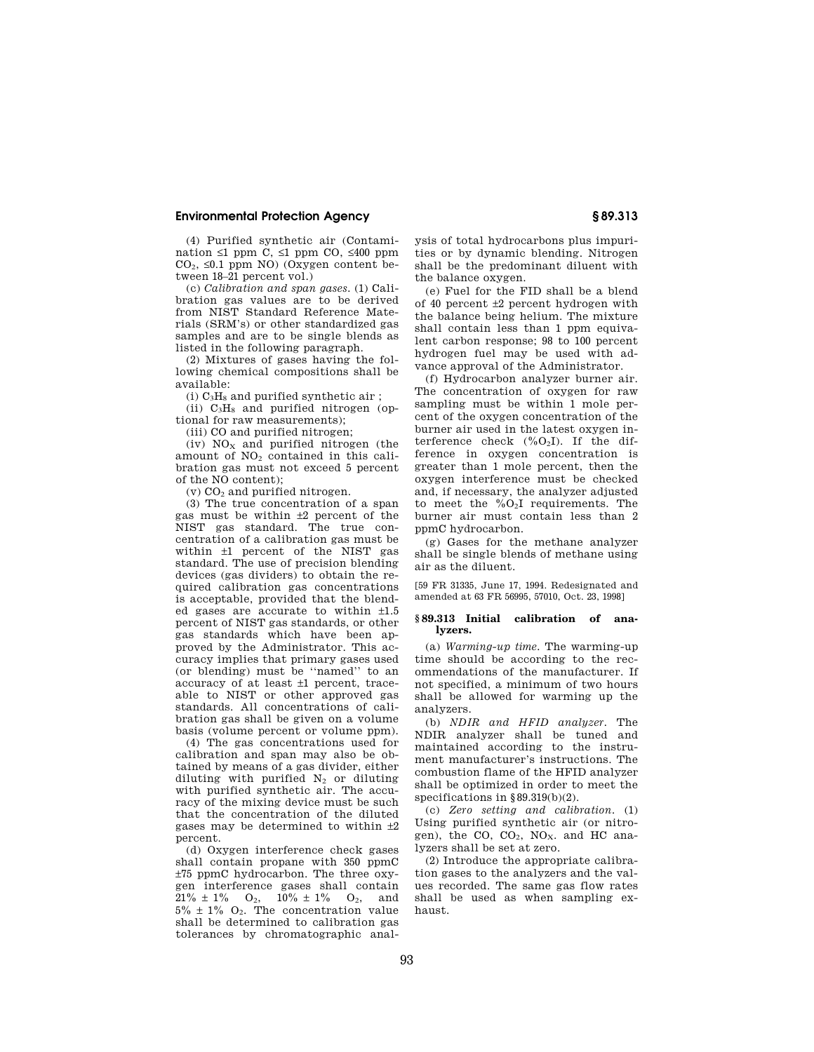(4) Purified synthetic air (Contamination ≤1 ppm C, ≤1 ppm CO, ≤400 ppm  $CO<sub>2</sub>$ ,  $\leq 0.1$  ppm NO) (Oxygen content between 18–21 percent vol.)

(c) *Calibration and span gases.* (1) Calibration gas values are to be derived from NIST Standard Reference Materials (SRM's) or other standardized gas samples and are to be single blends as listed in the following paragraph.

(2) Mixtures of gases having the following chemical compositions shall be available:

(i)  $C_3H_8$  and purified synthetic air;

(ii)  $C_3H_8$  and purified nitrogen (optional for raw measurements);

(iii) CO and purified nitrogen;

(iv)  $NO<sub>x</sub>$  and purified nitrogen (the amount of  $NO<sub>2</sub>$  contained in this calibration gas must not exceed 5 percent of the NO content);

 $(v)$  CO<sub>2</sub> and purified nitrogen.

(3) The true concentration of a span gas must be within ±2 percent of the NIST gas standard. The true concentration of a calibration gas must be within ±1 percent of the NIST gas standard. The use of precision blending devices (gas dividers) to obtain the required calibration gas concentrations is acceptable, provided that the blended gases are accurate to within ±1.5 percent of NIST gas standards, or other gas standards which have been approved by the Administrator. This accuracy implies that primary gases used (or blending) must be ''named'' to an accuracy of at least ±1 percent, traceable to NIST or other approved gas standards. All concentrations of calibration gas shall be given on a volume basis (volume percent or volume ppm).

(4) The gas concentrations used for calibration and span may also be obtained by means of a gas divider, either diluting with purified  $N_2$  or diluting with purified synthetic air. The accuracy of the mixing device must be such that the concentration of the diluted gases may be determined to within  $\pm 2$ percent.

(d) Oxygen interference check gases shall contain propane with 350 ppmC ±75 ppmC hydrocarbon. The three oxygen interference gases shall contain  $21\% \pm 1\%$  O<sub>2</sub>,  $10\% \pm 1\%$  O<sub>2</sub>, and  $5\% \pm 1\%$  O<sub>2</sub>. The concentration value shall be determined to calibration gas tolerances by chromatographic anal-

ysis of total hydrocarbons plus impurities or by dynamic blending. Nitrogen shall be the predominant diluent with the balance oxygen.

(e) Fuel for the FID shall be a blend of 40 percent  $\pm 2$  percent hydrogen with the balance being helium. The mixture shall contain less than 1 ppm equivalent carbon response; 98 to 100 percent hydrogen fuel may be used with advance approval of the Administrator.

(f) Hydrocarbon analyzer burner air. The concentration of oxygen for raw sampling must be within 1 mole percent of the oxygen concentration of the burner air used in the latest oxygen interference check  $(\%O_2I)$ . If the difference in oxygen concentration is greater than 1 mole percent, then the oxygen interference must be checked and, if necessary, the analyzer adjusted to meet the  $\%O_2I$  requirements. The burner air must contain less than 2 ppmC hydrocarbon.

(g) Gases for the methane analyzer shall be single blends of methane using air as the diluent.

[59 FR 31335, June 17, 1994. Redesignated and amended at 63 FR 56995, 57010, Oct. 23, 1998]

#### **§ 89.313 Initial calibration of analyzers.**

(a) *Warming-up time.* The warming-up time should be according to the recommendations of the manufacturer. If not specified, a minimum of two hours shall be allowed for warming up the analyzers.

(b) *NDIR and HFID analyzer.* The NDIR analyzer shall be tuned and maintained according to the instrument manufacturer's instructions. The combustion flame of the HFID analyzer shall be optimized in order to meet the specifications in §89.319(b)(2).

(c) *Zero setting and calibration.* (1) Using purified synthetic air (or nitrogen), the CO,  $CO<sub>2</sub>$ , NO<sub>x</sub>. and HC analyzers shall be set at zero.

(2) Introduce the appropriate calibration gases to the analyzers and the values recorded. The same gas flow rates shall be used as when sampling exhaust.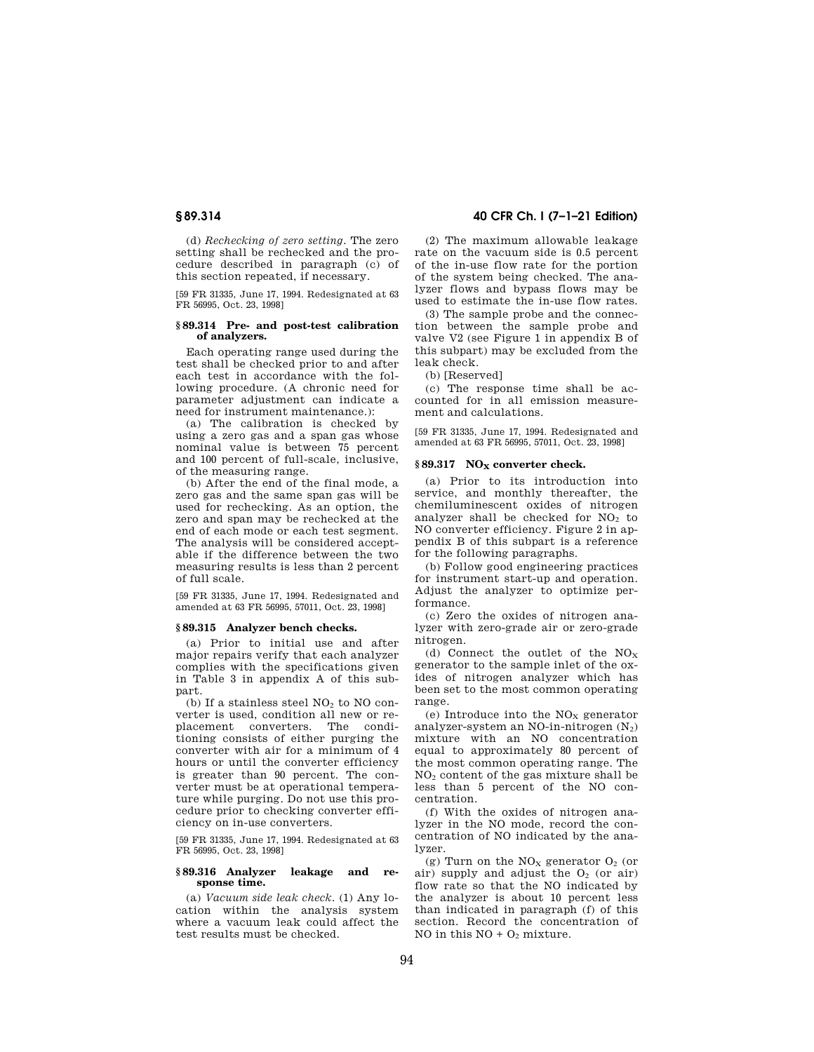(d) *Rechecking of zero setting.* The zero setting shall be rechecked and the procedure described in paragraph (c) of this section repeated, if necessary.

[59 FR 31335, June 17, 1994. Redesignated at 63 FR 56995, Oct. 23, 1998]

#### **§ 89.314 Pre- and post-test calibration of analyzers.**

Each operating range used during the test shall be checked prior to and after each test in accordance with the following procedure. (A chronic need for parameter adjustment can indicate a need for instrument maintenance.):

(a) The calibration is checked by using a zero gas and a span gas whose nominal value is between 75 percent and 100 percent of full-scale, inclusive, of the measuring range.

(b) After the end of the final mode, a zero gas and the same span gas will be used for rechecking. As an option, the zero and span may be rechecked at the end of each mode or each test segment. The analysis will be considered acceptable if the difference between the two measuring results is less than 2 percent of full scale.

[59 FR 31335, June 17, 1994. Redesignated and amended at 63 FR 56995, 57011, Oct. 23, 1998]

### **§ 89.315 Analyzer bench checks.**

(a) Prior to initial use and after major repairs verify that each analyzer complies with the specifications given in Table 3 in appendix A of this subpart.

(b) If a stainless steel  $NO<sub>2</sub>$  to  $NO$  converter is used, condition all new or replacement converters. The conditioning consists of either purging the converter with air for a minimum of 4 hours or until the converter efficiency is greater than 90 percent. The converter must be at operational temperature while purging. Do not use this procedure prior to checking converter efficiency on in-use converters.

[59 FR 31335, June 17, 1994. Redesignated at 63 FR 56995, Oct. 23, 1998]

#### **§ 89.316 Analyzer leakage and response time.**

(a) *Vacuum side leak check.* (1) Any location within the analysis system where a vacuum leak could affect the test results must be checked.

# **§ 89.314 40 CFR Ch. I (7–1–21 Edition)**

(2) The maximum allowable leakage rate on the vacuum side is 0.5 percent of the in-use flow rate for the portion of the system being checked. The analyzer flows and bypass flows may be used to estimate the in-use flow rates.

(3) The sample probe and the connection between the sample probe and valve V2 (see Figure 1 in appendix B of this subpart) may be excluded from the leak check.

(b) [Reserved]

(c) The response time shall be accounted for in all emission measurement and calculations.

[59 FR 31335, June 17, 1994. Redesignated and amended at 63 FR 56995, 57011, Oct. 23, 1998]

#### § 89.317 NO<sub>X</sub> converter check.

(a) Prior to its introduction into service, and monthly thereafter, the chemiluminescent oxides of nitrogen analyzer shall be checked for  $NO<sub>2</sub>$  to NO converter efficiency. Figure 2 in appendix B of this subpart is a reference for the following paragraphs.

(b) Follow good engineering practices for instrument start-up and operation. Adjust the analyzer to optimize performance.

(c) Zero the oxides of nitrogen analyzer with zero-grade air or zero-grade nitrogen.

(d) Connect the outlet of the  $NO_x$ generator to the sample inlet of the oxides of nitrogen analyzer which has been set to the most common operating range.

(e) Introduce into the  $NO<sub>x</sub>$  generator analyzer-system an NO-in-nitrogen  $(N_2)$ mixture with an NO concentration equal to approximately 80 percent of the most common operating range. The NO<sup>2</sup> content of the gas mixture shall be less than 5 percent of the NO concentration.

(f) With the oxides of nitrogen analyzer in the NO mode, record the concentration of NO indicated by the analyzer.

(g) Turn on the  $NO<sub>x</sub>$  generator  $O<sub>2</sub>$  (or air) supply and adjust the  $0<sub>2</sub>$  (or air) flow rate so that the NO indicated by the analyzer is about 10 percent less than indicated in paragraph (f) of this section. Record the concentration of NO in this  $NO + O_2$  mixture.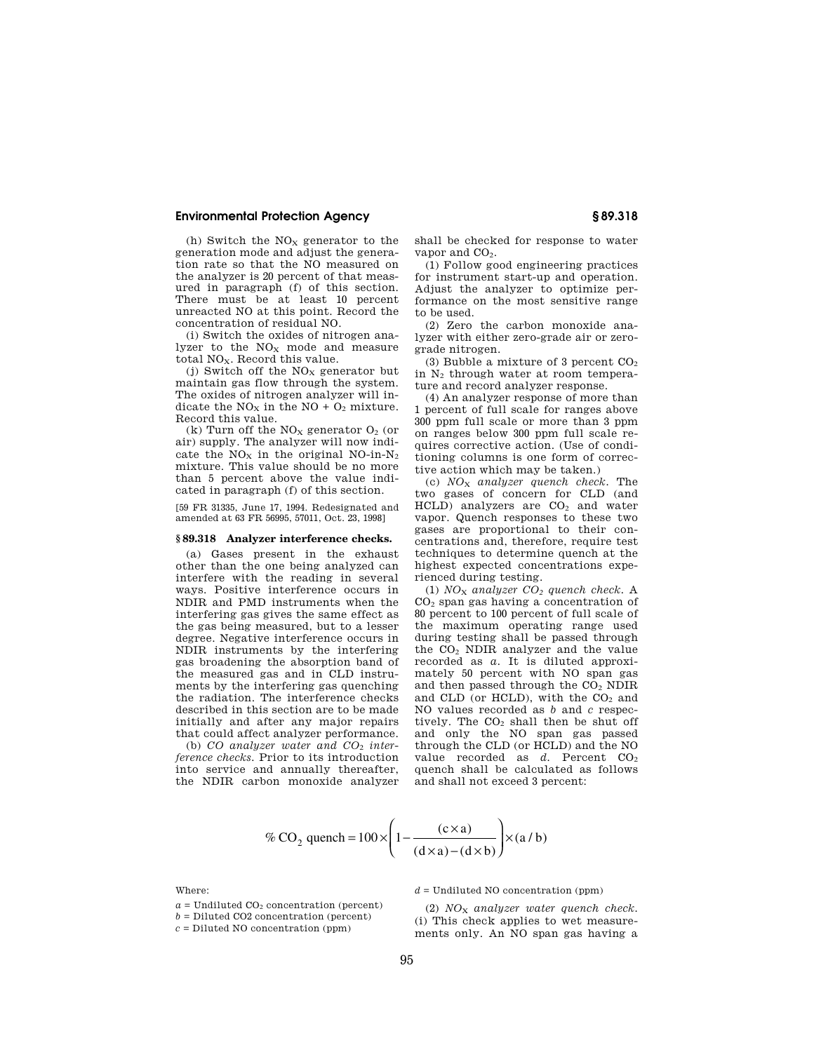(h) Switch the  $NO<sub>x</sub>$  generator to the generation mode and adjust the generation rate so that the NO measured on the analyzer is 20 percent of that measured in paragraph (f) of this section. There must be at least 10 percent unreacted NO at this point. Record the concentration of residual NO.

(i) Switch the oxides of nitrogen analyzer to the  $NO<sub>x</sub>$  mode and measure total NO<sub>x</sub>. Record this value.

(j) Switch off the  $NO<sub>x</sub>$  generator but maintain gas flow through the system. The oxides of nitrogen analyzer will indicate the  $NO<sub>X</sub>$  in the NO +  $O<sub>2</sub>$  mixture. Record this value.

(k) Turn off the  $NO<sub>x</sub>$  generator  $O<sub>2</sub>$  (or air) supply. The analyzer will now indicate the  $NO<sub>x</sub>$  in the original NO-in- $N<sub>2</sub>$ mixture. This value should be no more than 5 percent above the value indicated in paragraph (f) of this section.

[59 FR 31335, June 17, 1994. Redesignated and amended at 63 FR 56995, 57011, Oct. 23, 1998]

# **§ 89.318 Analyzer interference checks.**

(a) Gases present in the exhaust other than the one being analyzed can interfere with the reading in several ways. Positive interference occurs in NDIR and PMD instruments when the interfering gas gives the same effect as the gas being measured, but to a lesser degree. Negative interference occurs in NDIR instruments by the interfering gas broadening the absorption band of the measured gas and in CLD instruments by the interfering gas quenching the radiation. The interference checks described in this section are to be made initially and after any major repairs that could affect analyzer performance.

(b) *CO analyzer water and CO*<sup>2</sup> *interference checks.* Prior to its introduction into service and annually thereafter, the NDIR carbon monoxide analyzer shall be checked for response to water vapor and  $CO<sub>2</sub>$ .

(1) Follow good engineering practices for instrument start-up and operation. Adjust the analyzer to optimize performance on the most sensitive range to be used.

(2) Zero the carbon monoxide analyzer with either zero-grade air or zerograde nitrogen.

(3) Bubble a mixture of 3 percent  $CO<sub>2</sub>$ in N<sup>2</sup> through water at room temperature and record analyzer response.

(4) An analyzer response of more than 1 percent of full scale for ranges above 300 ppm full scale or more than 3 ppm on ranges below 300 ppm full scale requires corrective action. (Use of conditioning columns is one form of corrective action which may be taken.)

(c) *NO*<sup>X</sup> *analyzer quench check.* The two gases of concern for CLD (and  $HCLD$ ) analyzers are  $CO<sub>2</sub>$  and water vapor. Quench responses to these two gases are proportional to their concentrations and, therefore, require test techniques to determine quench at the highest expected concentrations experienced during testing.

(1) *NO*<sup>X</sup> *analyzer CO<sup>2</sup> quench check.* A CO<sup>2</sup> span gas having a concentration of 80 percent to 100 percent of full scale of the maximum operating range used during testing shall be passed through the CO<sup>2</sup> NDIR analyzer and the value recorded as *a.* It is diluted approximately 50 percent with NO span gas and then passed through the CO<sup>2</sup> NDIR and CLD (or HCLD), with the  $CO<sub>2</sub>$  and NO values recorded as *b* and *c* respectively. The  $CO<sub>2</sub>$  shall then be shut off and only the NO span gas passed through the CLD (or HCLD) and the NO value recorded as *d*. Percent CO<sub>2</sub> quench shall be calculated as follows and shall not exceed 3 percent:

$$
\% CO_2 \text{ quench} = 100 \times \left(1 - \frac{(c \times a)}{(d \times a) - (d \times b)}\right) \times (a/b)
$$

Where:

 $a =$  Undiluted  $CO<sub>2</sub>$  concentration (percent)

 $b =$  Diluted CO<sub>2</sub> concentration (percent)

 $c =$  Diluted NO concentration (ppm)

 $d =$  Undiluted NO concentration (ppm)

(2) *NO*<sup>X</sup> *analyzer water quench check.*  (i) This check applies to wet measurements only. An NO span gas having a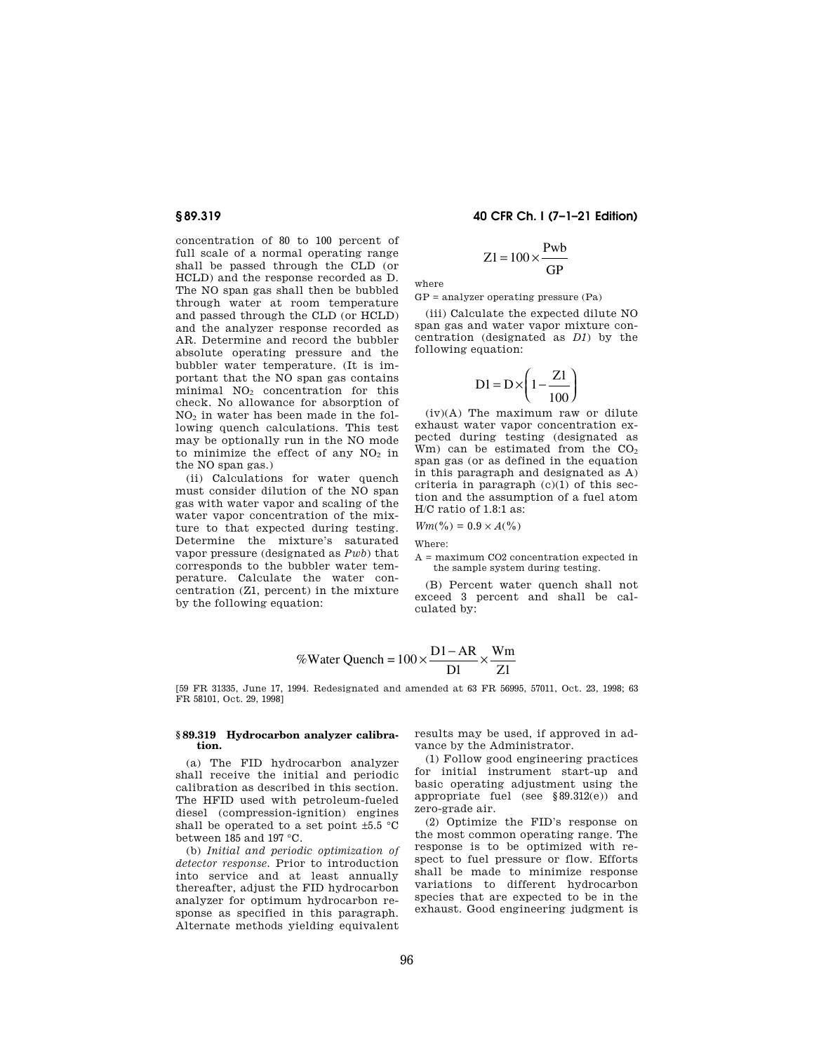concentration of 80 to 100 percent of full scale of a normal operating range shall be passed through the CLD (or HCLD) and the response recorded as D. The NO span gas shall then be bubbled through water at room temperature and passed through the CLD (or HCLD) and the analyzer response recorded as AR. Determine and record the bubbler absolute operating pressure and the bubbler water temperature. (It is important that the NO span gas contains minimal  $NO<sub>2</sub>$  concentration for this check. No allowance for absorption of NO<sup>2</sup> in water has been made in the following quench calculations. This test may be optionally run in the NO mode to minimize the effect of any  $NO<sub>2</sub>$  in the NO span gas.)

(ii) Calculations for water quench must consider dilution of the NO span gas with water vapor and scaling of the water vapor concentration of the mixture to that expected during testing. Determine the mixture's saturated vapor pressure (designated as *Pwb*) that corresponds to the bubbler water temperature. Calculate the water concentration (Z1, percent) in the mixture by the following equation:

# **§ 89.319 40 CFR Ch. I (7–1–21 Edition)**

$$
Z1 = 100 \times \frac{\text{Pwb}}{\text{GP}}
$$

where

GP = analyzer operating pressure (Pa)

(iii) Calculate the expected dilute NO span gas and water vapor mixture concentration (designated as *D1*) by the following equation:

$$
D1 = D \times \left(1 - \frac{Z1}{100}\right)
$$

(iv)(A) The maximum raw or dilute exhaust water vapor concentration expected during testing (designated as Wm) can be estimated from the  $CO<sub>2</sub>$ span gas (or as defined in the equation in this paragraph and designated as A) criteria in paragraph (c)(1) of this section and the assumption of a fuel atom H/C ratio of 1.8:1 as:

$$
Wm(\%) = 0.9 \times A(\%)
$$

Where:

A = maximum CO2 concentration expected in the sample system during testing.

(B) Percent water quench shall not exceed 3 percent and shall be calculated by:

$$
\% \text{Water Quench} = 100 \times \frac{\text{D1} - \text{AR}}{\text{D1}} \times \frac{\text{Wm}}{\text{Z1}}
$$

[59 FR 31335, June 17, 1994. Redesignated and amended at 63 FR 56995, 57011, Oct. 23, 1998; 63 FR 58101, Oct. 29, 1998]

# **§ 89.319 Hydrocarbon analyzer calibration.**

(a) The FID hydrocarbon analyzer shall receive the initial and periodic calibration as described in this section. The HFID used with petroleum-fueled diesel (compression-ignition) engines shall be operated to a set point  $\pm 5.5$  °C between 185 and 197 °C.

(b) *Initial and periodic optimization of detector response.* Prior to introduction into service and at least annually thereafter, adjust the FID hydrocarbon analyzer for optimum hydrocarbon response as specified in this paragraph. Alternate methods yielding equivalent

results may be used, if approved in advance by the Administrator.

(1) Follow good engineering practices for initial instrument start-up and basic operating adjustment using the appropriate fuel (see §89.312(e)) and zero-grade air.

(2) Optimize the FID's response on the most common operating range. The response is to be optimized with respect to fuel pressure or flow. Efforts shall be made to minimize response variations to different hydrocarbon species that are expected to be in the exhaust. Good engineering judgment is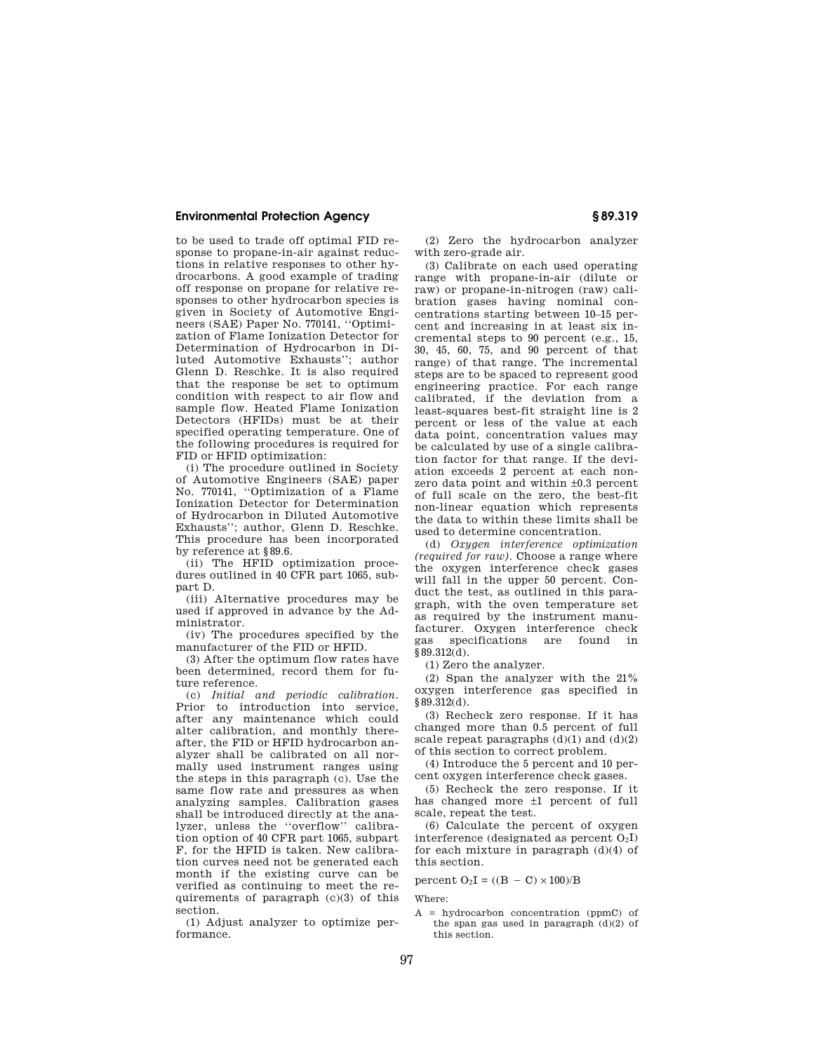to be used to trade off optimal FID response to propane-in-air against reductions in relative responses to other hydrocarbons. A good example of trading off response on propane for relative responses to other hydrocarbon species is given in Society of Automotive Engineers (SAE) Paper No. 770141, ''Optimization of Flame Ionization Detector for Determination of Hydrocarbon in Diluted Automotive Exhausts''; author Glenn D. Reschke. It is also required that the response be set to optimum condition with respect to air flow and sample flow. Heated Flame Ionization Detectors (HFIDs) must be at their specified operating temperature. One of the following procedures is required for FID or HFID optimization:

(i) The procedure outlined in Society of Automotive Engineers (SAE) paper No. 770141, ''Optimization of a Flame Ionization Detector for Determination of Hydrocarbon in Diluted Automotive Exhausts''; author, Glenn D. Reschke. This procedure has been incorporated by reference at §89.6.

(ii) The HFID optimization procedures outlined in 40 CFR part 1065, subpart D.

(iii) Alternative procedures may be used if approved in advance by the Administrator.

(iv) The procedures specified by the manufacturer of the FID or HFID.

(3) After the optimum flow rates have been determined, record them for future reference.

(c) *Initial and periodic calibration.*  Prior to introduction into service, after any maintenance which could alter calibration, and monthly thereafter, the FID or HFID hydrocarbon analyzer shall be calibrated on all normally used instrument ranges using the steps in this paragraph (c). Use the same flow rate and pressures as when analyzing samples. Calibration gases shall be introduced directly at the analyzer, unless the ''overflow'' calibration option of 40 CFR part 1065, subpart F, for the HFID is taken. New calibration curves need not be generated each month if the existing curve can be verified as continuing to meet the requirements of paragraph (c)(3) of this section.

(1) Adjust analyzer to optimize performance.

(2) Zero the hydrocarbon analyzer with zero-grade air.

(3) Calibrate on each used operating range with propane-in-air (dilute or raw) or propane-in-nitrogen (raw) calibration gases having nominal concentrations starting between 10–15 percent and increasing in at least six incremental steps to 90 percent (e.g., 15, 30, 45, 60, 75, and 90 percent of that range) of that range. The incremental steps are to be spaced to represent good engineering practice. For each range calibrated, if the deviation from a least-squares best-fit straight line is 2 percent or less of the value at each data point, concentration values may be calculated by use of a single calibration factor for that range. If the deviation exceeds 2 percent at each nonzero data point and within ±0.3 percent of full scale on the zero, the best-fit non-linear equation which represents the data to within these limits shall be used to determine concentration.

(d) *Oxygen interference optimization (required for raw).* Choose a range where the oxygen interference check gases will fall in the upper 50 percent. Conduct the test, as outlined in this paragraph, with the oven temperature set as required by the instrument manufacturer. Oxygen interference check gas specifications are found in  $§89.312(d).$ 

(1) Zero the analyzer.

(2) Span the analyzer with the 21% oxygen interference gas specified in §89.312(d).

(3) Recheck zero response. If it has changed more than 0.5 percent of full scale repeat paragraphs  $(d)(1)$  and  $(d)(2)$ of this section to correct problem.

(4) Introduce the 5 percent and 10 percent oxygen interference check gases.

(5) Recheck the zero response. If it has changed more ±1 percent of full scale, repeat the test.

(6) Calculate the percent of oxygen interference (designated as percent  $O_2I$ ) for each mixture in paragraph (d)(4) of this section.

percent  $O_2I = ((B - C) \times 100)/B$ 

Where:

 $A = hvdrocarbon concentration (pnmC) of$ the span gas used in paragraph  $(d)(2)$  of this section.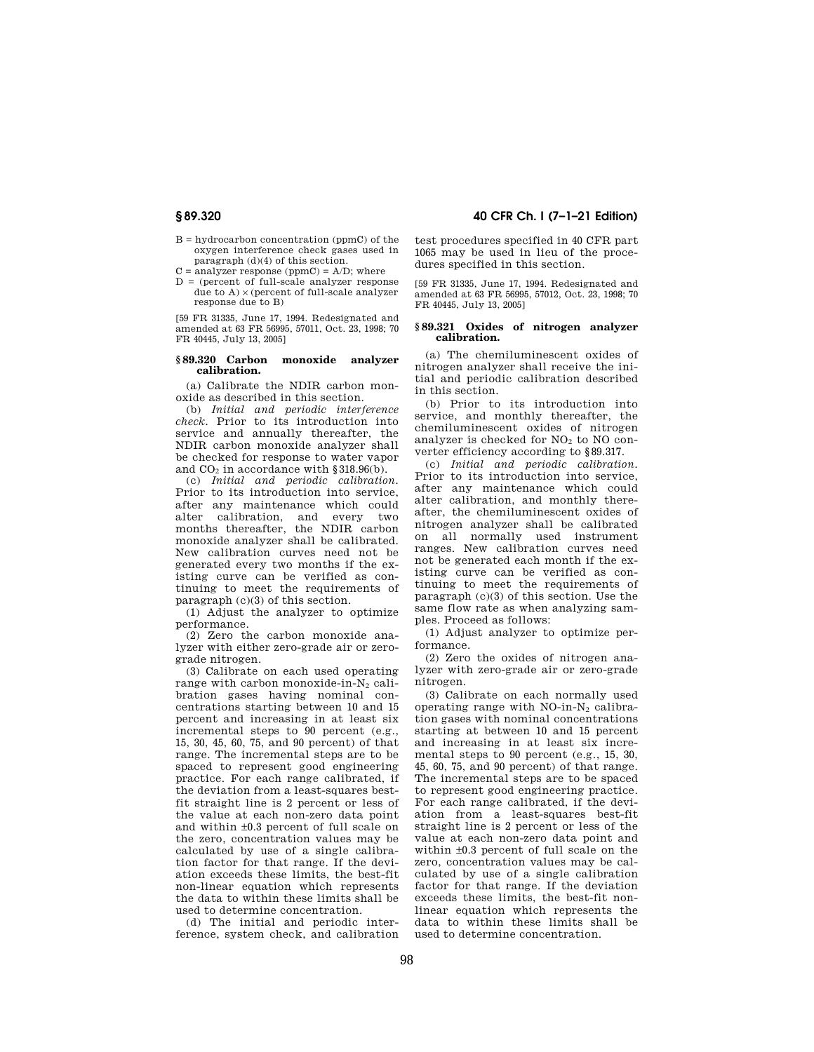$B = hvdrocarbon concentration (mmC) of the$ oxygen interference check gases used in paragraph (d)(4) of this section.

 $C =$  analyzer response (ppmC) =  $A/D$ ; where

 $D =$  (percent of full-scale analyzer response due to  $A$ )  $\times$  (percent of full-scale analyzer response due to B)

[59 FR 31335, June 17, 1994. Redesignated and amended at 63 FR 56995, 57011, Oct. 23, 1998; 70 FR 40445, July 13, 2005]

#### **§ 89.320 Carbon monoxide analyzer calibration.**

(a) Calibrate the NDIR carbon monoxide as described in this section.

(b) *Initial and periodic interference check.* Prior to its introduction into service and annually thereafter, the NDIR carbon monoxide analyzer shall be checked for response to water vapor and  $CO<sub>2</sub>$  in accordance with §318.96(b).

(c) *Initial and periodic calibration.*  Prior to its introduction into service, after any maintenance which could alter calibration, and every two months thereafter, the NDIR carbon monoxide analyzer shall be calibrated. New calibration curves need not be generated every two months if the existing curve can be verified as continuing to meet the requirements of paragraph (c)(3) of this section.

(1) Adjust the analyzer to optimize performance.

(2) Zero the carbon monoxide analyzer with either zero-grade air or zerograde nitrogen.

(3) Calibrate on each used operating range with carbon monoxide-in- $N_2$  calibration gases having nominal concentrations starting between 10 and 15 percent and increasing in at least six incremental steps to 90 percent (e.g., 15, 30, 45, 60, 75, and 90 percent) of that range. The incremental steps are to be spaced to represent good engineering practice. For each range calibrated, if the deviation from a least-squares bestfit straight line is 2 percent or less of the value at each non-zero data point and within ±0.3 percent of full scale on the zero, concentration values may be calculated by use of a single calibration factor for that range. If the deviation exceeds these limits, the best-fit non-linear equation which represents the data to within these limits shall be used to determine concentration.

(d) The initial and periodic interference, system check, and calibration

**§ 89.320 40 CFR Ch. I (7–1–21 Edition)** 

test procedures specified in 40 CFR part 1065 may be used in lieu of the procedures specified in this section.

[59 FR 31335, June 17, 1994. Redesignated and amended at 63 FR 56995, 57012, Oct. 23, 1998; 70 FR 40445, July 13, 2005]

### **§ 89.321 Oxides of nitrogen analyzer calibration.**

(a) The chemiluminescent oxides of nitrogen analyzer shall receive the initial and periodic calibration described in this section.

(b) Prior to its introduction into service, and monthly thereafter, the chemiluminescent oxides of nitrogen analyzer is checked for  $NO<sub>2</sub>$  to  $NO$  converter efficiency according to §89.317.

(c) *Initial and periodic calibration.*  Prior to its introduction into service, after any maintenance which could alter calibration, and monthly thereafter, the chemiluminescent oxides of nitrogen analyzer shall be calibrated on all normally used instrument ranges. New calibration curves need not be generated each month if the existing curve can be verified as continuing to meet the requirements of paragraph (c)(3) of this section. Use the same flow rate as when analyzing samples. Proceed as follows:

(1) Adjust analyzer to optimize performance.

(2) Zero the oxides of nitrogen analyzer with zero-grade air or zero-grade nitrogen.

(3) Calibrate on each normally used operating range with  $NO-in-N<sub>2</sub>$  calibration gases with nominal concentrations starting at between 10 and 15 percent and increasing in at least six incremental steps to 90 percent (e.g., 15, 30, 45, 60, 75, and 90 percent) of that range. The incremental steps are to be spaced to represent good engineering practice. For each range calibrated, if the deviation from a least-squares best-fit straight line is 2 percent or less of the value at each non-zero data point and within ±0.3 percent of full scale on the zero, concentration values may be calculated by use of a single calibration factor for that range. If the deviation exceeds these limits, the best-fit nonlinear equation which represents the data to within these limits shall be used to determine concentration.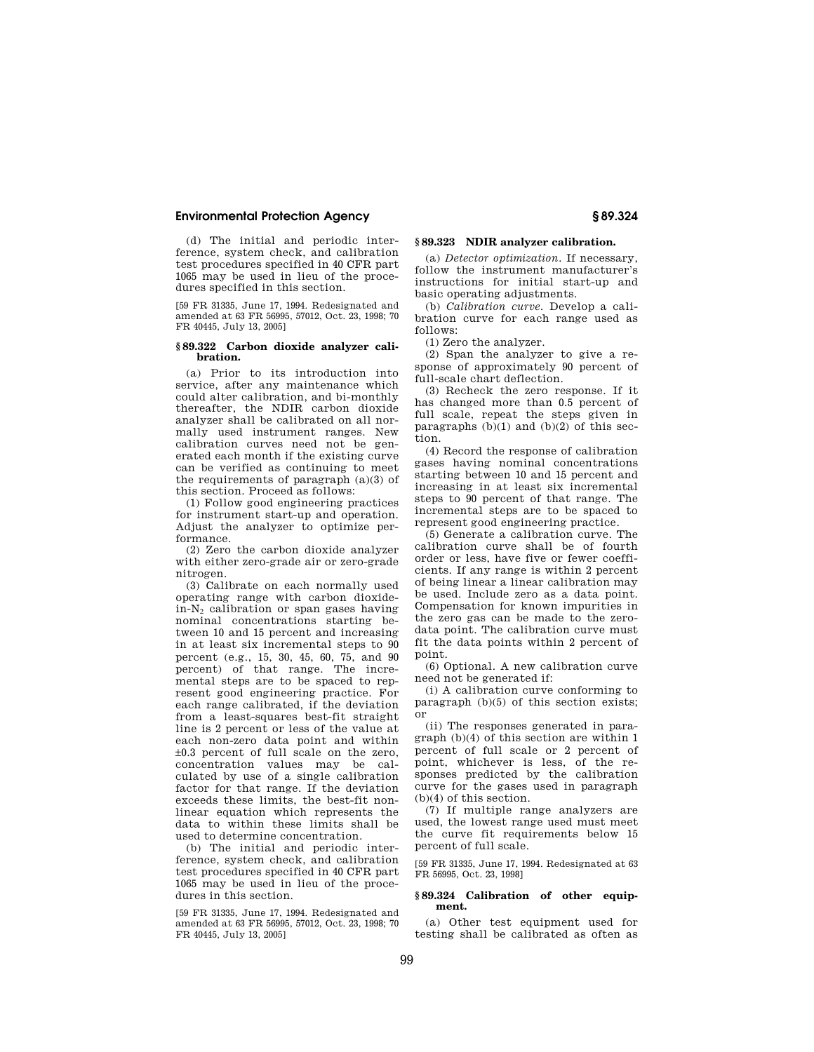(d) The initial and periodic interference, system check, and calibration test procedures specified in 40 CFR part 1065 may be used in lieu of the procedures specified in this section.

[59 FR 31335, June 17, 1994. Redesignated and amended at 63 FR 56995, 57012, Oct. 23, 1998; 70 FR 40445, July 13, 2005]

#### **§ 89.322 Carbon dioxide analyzer calibration.**

(a) Prior to its introduction into service, after any maintenance which could alter calibration, and bi-monthly thereafter, the NDIR carbon dioxide analyzer shall be calibrated on all normally used instrument ranges. New calibration curves need not be generated each month if the existing curve can be verified as continuing to meet the requirements of paragraph (a)(3) of this section. Proceed as follows:

(1) Follow good engineering practices for instrument start-up and operation. Adjust the analyzer to optimize performance.

(2) Zero the carbon dioxide analyzer with either zero-grade air or zero-grade nitrogen.

(3) Calibrate on each normally used operating range with carbon dioxide $in-N<sub>2</sub>$  calibration or span gases having nominal concentrations starting between 10 and 15 percent and increasing in at least six incremental steps to 90 percent (e.g., 15, 30, 45, 60, 75, and 90 percent) of that range. The incremental steps are to be spaced to represent good engineering practice. For each range calibrated, if the deviation from a least-squares best-fit straight line is 2 percent or less of the value at each non-zero data point and within ±0.3 percent of full scale on the zero, concentration values may be calculated by use of a single calibration factor for that range. If the deviation exceeds these limits, the best-fit nonlinear equation which represents the data to within these limits shall be used to determine concentration.

(b) The initial and periodic interference, system check, and calibration test procedures specified in 40 CFR part 1065 may be used in lieu of the procedures in this section.

[59 FR 31335, June 17, 1994. Redesignated and amended at 63 FR 56995, 57012, Oct. 23, 1998; 70 FR 40445, July 13, 2005]

# **§ 89.323 NDIR analyzer calibration.**

(a) *Detector optimization.* If necessary, follow the instrument manufacturer's instructions for initial start-up and basic operating adjustments.

(b) *Calibration curve.* Develop a calibration curve for each range used as follows:

(1) Zero the analyzer.

(2) Span the analyzer to give a response of approximately 90 percent of full-scale chart deflection.

(3) Recheck the zero response. If it has changed more than 0.5 percent of full scale, repeat the steps given in paragraphs  $(b)(1)$  and  $(b)(2)$  of this section.

(4) Record the response of calibration gases having nominal concentrations starting between 10 and 15 percent and increasing in at least six incremental steps to 90 percent of that range. The incremental steps are to be spaced to represent good engineering practice.

(5) Generate a calibration curve. The calibration curve shall be of fourth order or less, have five or fewer coefficients. If any range is within 2 percent of being linear a linear calibration may be used. Include zero as a data point. Compensation for known impurities in the zero gas can be made to the zerodata point. The calibration curve must fit the data points within 2 percent of point.

(6) Optional. A new calibration curve need not be generated if:

(i) A calibration curve conforming to paragraph (b)(5) of this section exists; or

(ii) The responses generated in paragraph (b)(4) of this section are within 1 percent of full scale or 2 percent of point, whichever is less, of the responses predicted by the calibration curve for the gases used in paragraph (b)(4) of this section.

(7) If multiple range analyzers are used, the lowest range used must meet the curve fit requirements below 15 percent of full scale.

[59 FR 31335, June 17, 1994. Redesignated at 63 FR 56995, Oct. 23, 1998]

#### **§ 89.324 Calibration of other equipment.**

(a) Other test equipment used for testing shall be calibrated as often as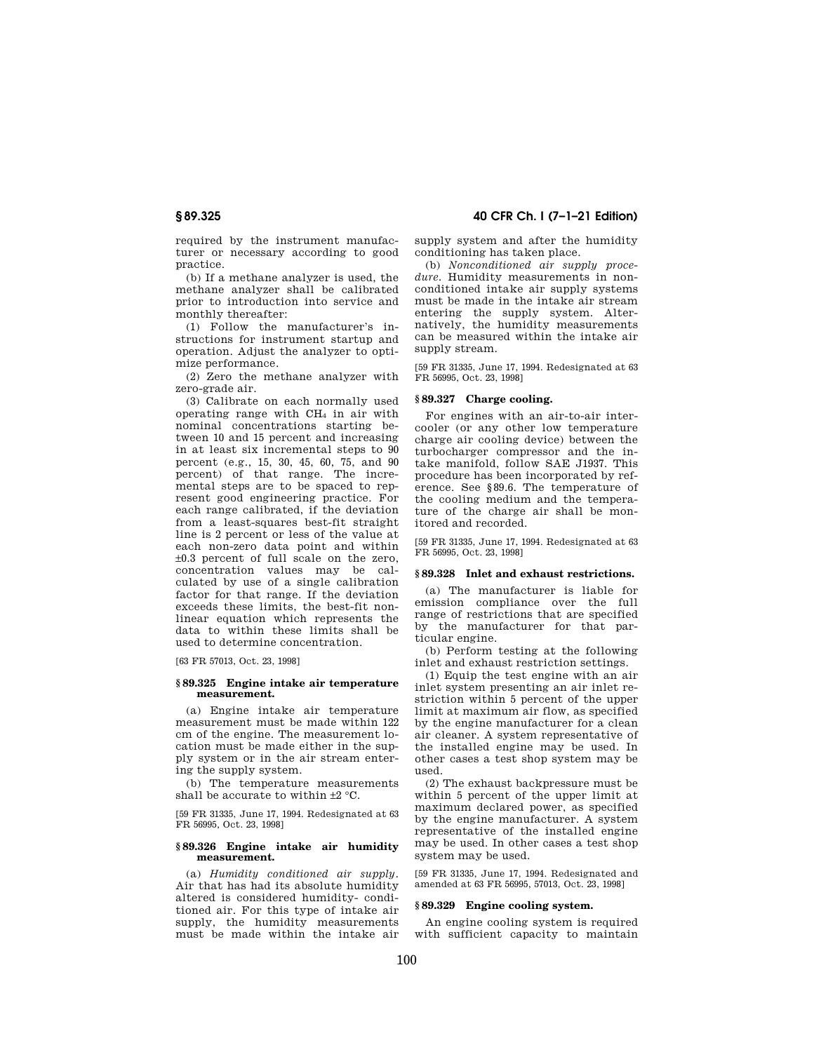required by the instrument manufacturer or necessary according to good practice.

(b) If a methane analyzer is used, the methane analyzer shall be calibrated prior to introduction into service and monthly thereafter:

(1) Follow the manufacturer's instructions for instrument startup and operation. Adjust the analyzer to optimize performance.

(2) Zero the methane analyzer with zero-grade air.

(3) Calibrate on each normally used operating range with CH<sup>4</sup> in air with nominal concentrations starting between 10 and 15 percent and increasing in at least six incremental steps to 90 percent (e.g., 15, 30, 45, 60, 75, and 90 percent) of that range. The incremental steps are to be spaced to represent good engineering practice. For each range calibrated, if the deviation from a least-squares best-fit straight line is 2 percent or less of the value at each non-zero data point and within ±0.3 percent of full scale on the zero, concentration values may be calculated by use of a single calibration factor for that range. If the deviation exceeds these limits, the best-fit nonlinear equation which represents the data to within these limits shall be used to determine concentration.

[63 FR 57013, Oct. 23, 1998]

#### **§ 89.325 Engine intake air temperature measurement.**

(a) Engine intake air temperature measurement must be made within 122 cm of the engine. The measurement location must be made either in the supply system or in the air stream entering the supply system.

(b) The temperature measurements shall be accurate to within ±2 °C.

[59 FR 31335, June 17, 1994. Redesignated at 63 FR 56995, Oct. 23, 1998]

## **§ 89.326 Engine intake air humidity measurement.**

(a) *Humidity conditioned air supply.*  Air that has had its absolute humidity altered is considered humidity- conditioned air. For this type of intake air supply, the humidity measurements must be made within the intake air

**§ 89.325 40 CFR Ch. I (7–1–21 Edition)** 

supply system and after the humidity conditioning has taken place.

(b) *Nonconditioned air supply proce*dure. Humidity measurements in nonconditioned intake air supply systems must be made in the intake air stream entering the supply system. Alternatively, the humidity measurements can be measured within the intake air supply stream.

[59 FR 31335, June 17, 1994. Redesignated at 63 FR 56995, Oct. 23, 1998]

# **§ 89.327 Charge cooling.**

For engines with an air-to-air intercooler (or any other low temperature charge air cooling device) between the turbocharger compressor and the intake manifold, follow SAE J1937. This procedure has been incorporated by reference. See §89.6. The temperature of the cooling medium and the temperature of the charge air shall be monitored and recorded.

[59 FR 31335, June 17, 1994. Redesignated at 63 FR 56995, Oct. 23, 1998]

#### **§ 89.328 Inlet and exhaust restrictions.**

(a) The manufacturer is liable for emission compliance over the full range of restrictions that are specified by the manufacturer for that particular engine.

(b) Perform testing at the following inlet and exhaust restriction settings.

(1) Equip the test engine with an air inlet system presenting an air inlet restriction within 5 percent of the upper limit at maximum air flow, as specified by the engine manufacturer for a clean air cleaner. A system representative of the installed engine may be used. In other cases a test shop system may be used.

(2) The exhaust backpressure must be within 5 percent of the upper limit at maximum declared power, as specified by the engine manufacturer. A system representative of the installed engine may be used. In other cases a test shop system may be used.

[59 FR 31335, June 17, 1994. Redesignated and amended at 63 FR 56995, 57013, Oct. 23, 1998]

## **§ 89.329 Engine cooling system.**

An engine cooling system is required with sufficient capacity to maintain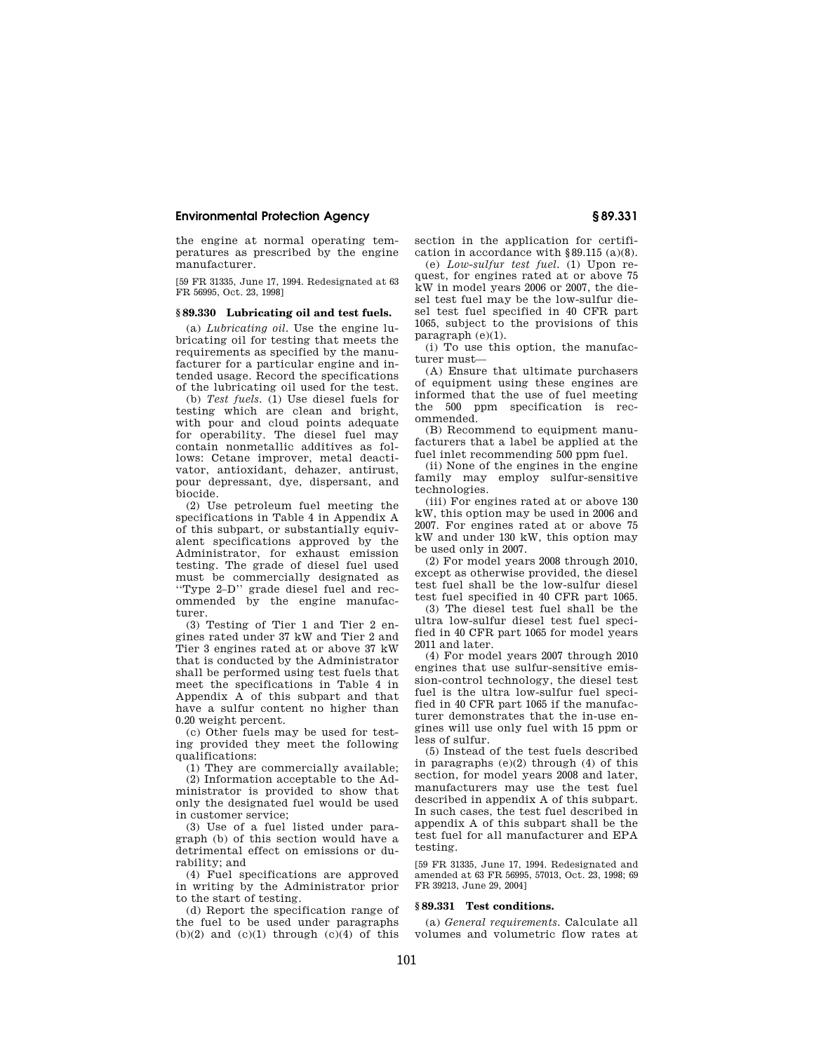the engine at normal operating temperatures as prescribed by the engine manufacturer.

[59 FR 31335, June 17, 1994. Redesignated at 63 FR 56995, Oct. 23, 1998]

## **§ 89.330 Lubricating oil and test fuels.**

(a) *Lubricating oil.* Use the engine lubricating oil for testing that meets the requirements as specified by the manufacturer for a particular engine and intended usage. Record the specifications of the lubricating oil used for the test.

(b) *Test fuels.* (1) Use diesel fuels for testing which are clean and bright, with pour and cloud points adequate for operability. The diesel fuel may contain nonmetallic additives as follows: Cetane improver, metal deactivator, antioxidant, dehazer, antirust, pour depressant, dye, dispersant, and biocide.

(2) Use petroleum fuel meeting the specifications in Table 4 in Appendix A of this subpart, or substantially equivalent specifications approved by the Administrator, for exhaust emission testing. The grade of diesel fuel used must be commercially designated as ''Type 2–D'' grade diesel fuel and recommended by the engine manufacturer.

(3) Testing of Tier 1 and Tier 2 engines rated under 37 kW and Tier 2 and Tier 3 engines rated at or above 37 kW that is conducted by the Administrator shall be performed using test fuels that meet the specifications in Table 4 in Appendix A of this subpart and that have a sulfur content no higher than 0.20 weight percent.

(c) Other fuels may be used for testing provided they meet the following qualifications:

(1) They are commercially available; (2) Information acceptable to the Administrator is provided to show that only the designated fuel would be used in customer service;

(3) Use of a fuel listed under paragraph (b) of this section would have a detrimental effect on emissions or durability; and

(4) Fuel specifications are approved in writing by the Administrator prior to the start of testing.

(d) Report the specification range of the fuel to be used under paragraphs  $(b)(2)$  and  $(c)(1)$  through  $(c)(4)$  of this

section in the application for certification in accordance with §89.115 (a)(8).

(e) *Low-sulfur test fuel.* (1) Upon request, for engines rated at or above 75 kW in model years 2006 or 2007, the diesel test fuel may be the low-sulfur diesel test fuel specified in 40 CFR part 1065, subject to the provisions of this paragraph (e)(1).

(i) To use this option, the manufacturer must—

(A) Ensure that ultimate purchasers of equipment using these engines are informed that the use of fuel meeting the 500 ppm specification is recommended.

(B) Recommend to equipment manufacturers that a label be applied at the fuel inlet recommending 500 ppm fuel.

(ii) None of the engines in the engine family may employ sulfur-sensitive technologies.

(iii) For engines rated at or above 130 kW, this option may be used in 2006 and 2007. For engines rated at or above 75 kW and under 130 kW, this option may be used only in 2007.

(2) For model years 2008 through 2010, except as otherwise provided, the diesel test fuel shall be the low-sulfur diesel test fuel specified in 40 CFR part 1065.

(3) The diesel test fuel shall be the ultra low-sulfur diesel test fuel specified in 40 CFR part 1065 for model years 2011 and later.

(4) For model years 2007 through 2010 engines that use sulfur-sensitive emission-control technology, the diesel test fuel is the ultra low-sulfur fuel specified in 40 CFR part 1065 if the manufacturer demonstrates that the in-use engines will use only fuel with 15 ppm or less of sulfur.

(5) Instead of the test fuels described in paragraphs  $(e)(2)$  through  $(4)$  of this section, for model years 2008 and later, manufacturers may use the test fuel described in appendix A of this subpart. In such cases, the test fuel described in appendix A of this subpart shall be the test fuel for all manufacturer and EPA testing.

[59 FR 31335, June 17, 1994. Redesignated and amended at 63 FR 56995, 57013, Oct. 23, 1998; 69 FR 39213, June 29, 2004]

#### **§ 89.331 Test conditions.**

(a) *General requirements.* Calculate all volumes and volumetric flow rates at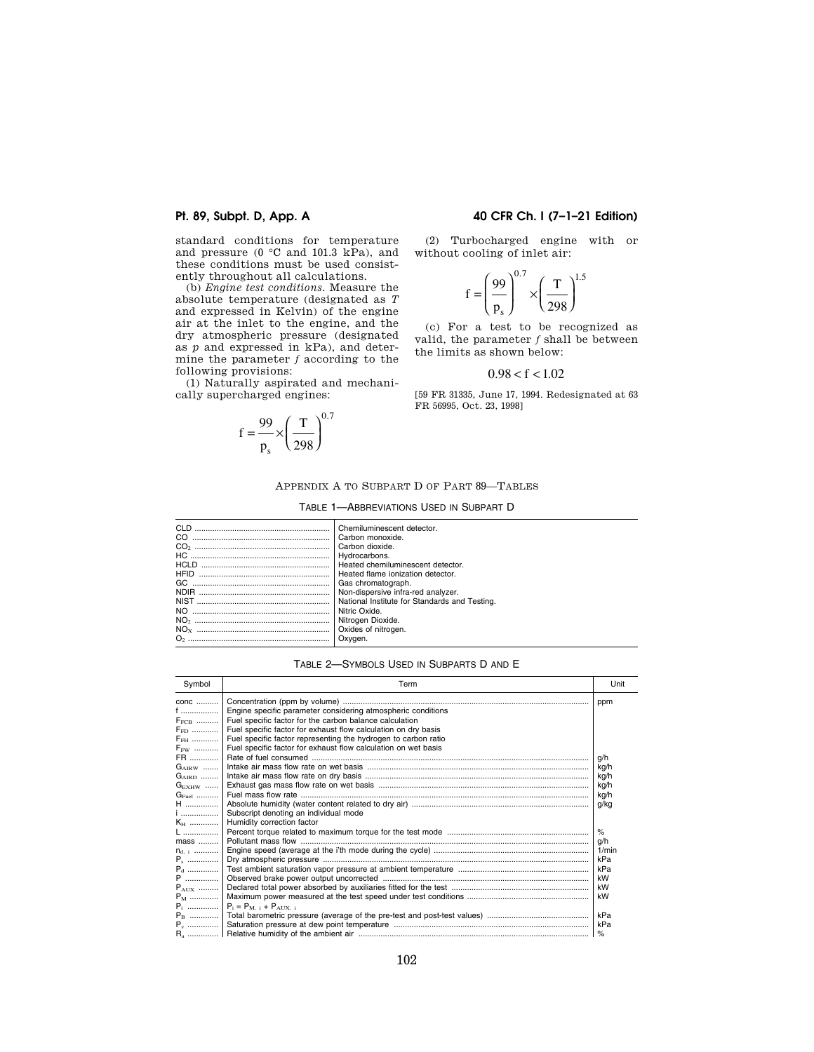standard conditions for temperature and pressure (0  $\degree$ C and 101.3 kPa), and these conditions must be used consistently throughout all calculations.

(b) *Engine test conditions.* Measure the absolute temperature (designated as *T*  and expressed in Kelvin) of the engine air at the inlet to the engine, and the dry atmospheric pressure (designated as *p* and expressed in kPa), and determine the parameter *f* according to the following provisions:

(1) Naturally aspirated and mechanically supercharged engines:

$$
f = \frac{99}{p_s} \times \left(\frac{T}{298}\right)^{0.7}
$$

# **Pt. 89, Subpt. D, App. A 40 CFR Ch. I (7–1–21 Edition)**

(2) Turbocharged engine with or without cooling of inlet air:

$$
f = \left(\frac{99}{P_s}\right)^{0.7} \times \left(\frac{T}{298}\right)^{1.5}
$$

(c) For a test to be recognized as valid, the parameter *f* shall be between the limits as shown below:

# $0.98 < f < 1.02$

[59 FR 31335, June 17, 1994. Redesignated at 63 FR 56995, Oct. 23, 1998]

### APPENDIX A TO SUBPART D OF PART 89—TABLES

#### TABLE 1—ABBREVIATIONS USED IN SUBPART D

| CLD. | Chemiluminescent detector.                    |
|------|-----------------------------------------------|
| CO   | Carbon monoxide.                              |
|      | I Carbon dioxide.                             |
|      | Hydrocarbons.                                 |
|      | Heated chemiluminescent detector.             |
|      | Heated flame ionization detector.             |
|      | I Gas chromatograph.                          |
|      | Non-dispersive infra-red analyzer.            |
|      | National Institute for Standards and Testing. |
|      | Nitric Oxide.                                 |
|      | Nitrogen Dioxide.                             |
|      | Oxides of nitrogen.                           |
|      |                                               |

## TABLE 2—SYMBOLS USED IN SUBPARTS D AND E

| Symbol            | Term                                                           | Unit  |
|-------------------|----------------------------------------------------------------|-------|
| conc              |                                                                | ppm   |
| $f$               | Engine specific parameter considering atmospheric conditions   |       |
| $F_{\text{FCB}}$  | Fuel specific factor for the carbon balance calculation        |       |
| <b>FED.</b>       | Fuel specific factor for exhaust flow calculation on dry basis |       |
| $F_{\rm FH}$      | Fuel specific factor representing the hydrogen to carbon ratio |       |
| $F_{FW}$          | Fuel specific factor for exhaust flow calculation on wet basis |       |
| FR                |                                                                | g/h   |
| $G_{\text{AIRW}}$ |                                                                | kg/h  |
| $G_{\text{AIBD}}$ |                                                                | kg/h  |
| $G_{\rm EXHW}$    |                                                                | kg/h  |
| $G_{\text{End}}$  |                                                                | kg/h  |
| <b>H</b>          |                                                                | g/kg  |
| $i$               | Subscript denoting an individual mode                          |       |
| $K_{\rm H}$       | Humidity correction factor                                     |       |
| $L$               |                                                                | $\%$  |
| $mass$            |                                                                | q/h   |
| $n_{d-1}$         |                                                                | 1/min |
| P.                |                                                                | kPa   |
| $P_{d}$           |                                                                | kPa   |
| P                 |                                                                | kW    |
| $P_{\text{AIIX}}$ |                                                                | kW    |
| $P_M$             |                                                                | kW    |
| $P_i$             | $P_i = P_{M-i} + P_{AIX-i}$                                    |       |
| $P_{\rm B}$       |                                                                |       |
| $P_v$             |                                                                |       |
|                   |                                                                |       |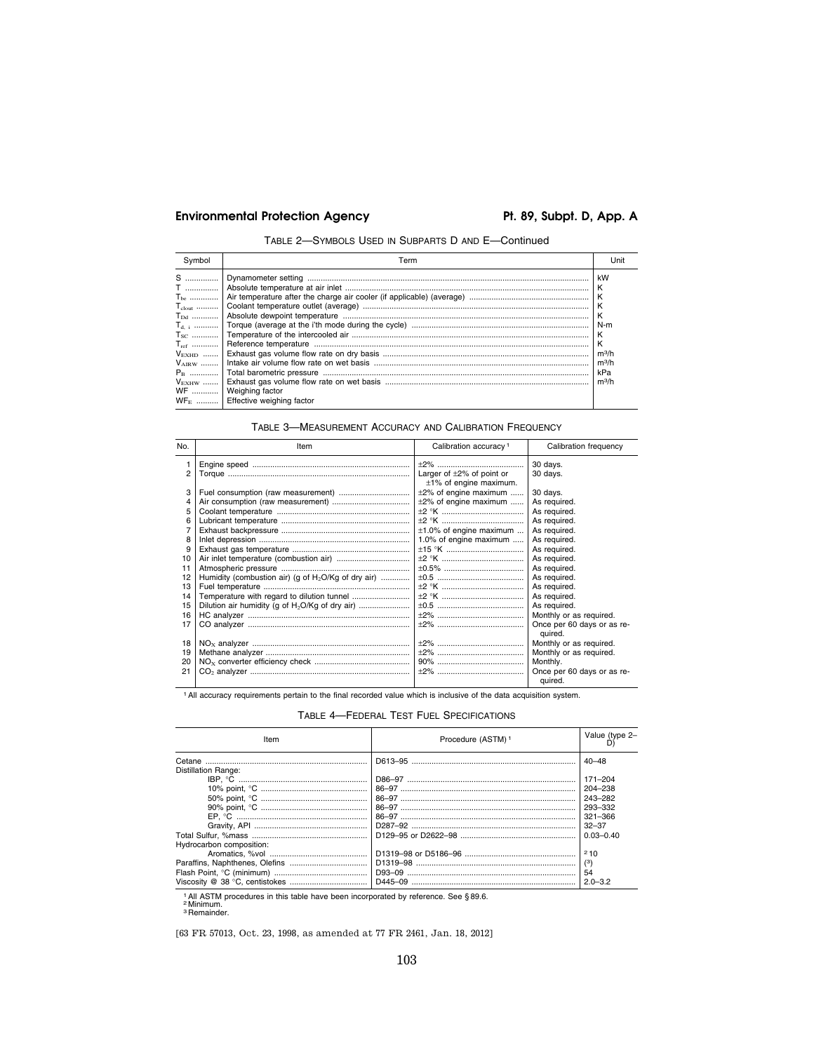# Environmental Protection Agency **Pt. 89, Subpt. D, App. A**

TABLE 2—SYMBOLS USED IN SUBPARTS D AND E—Continued

| Symbol | Term                                                     | Unit                                                                            |
|--------|----------------------------------------------------------|---------------------------------------------------------------------------------|
|        | WF    Weighing factor<br>$WFE$ Effective weighing factor | kW<br>K<br>К<br>K<br>К<br>N-m<br>K<br>K<br>$m^3/h$<br>$m^3/h$<br>kPa<br>$m^3/h$ |

# TABLE 3—MEASUREMENT ACCURACY AND CALIBRATION FREQUENCY

| No. | Item                                                            | Calibration accuracy <sup>1</sup>                               | Calibration frequency                 |
|-----|-----------------------------------------------------------------|-----------------------------------------------------------------|---------------------------------------|
|     |                                                                 |                                                                 | 30 days.                              |
| 2   |                                                                 | Larger of $\pm 2\%$ of point or<br>$\pm 1\%$ of engine maximum. | 30 days.                              |
|     |                                                                 | $\pm 2\%$ of engine maximum                                     | 30 days.                              |
|     |                                                                 | $\pm 2\%$ of engine maximum                                     | As required.                          |
| 5   |                                                                 |                                                                 | As required.                          |
|     |                                                                 |                                                                 | As required.                          |
|     |                                                                 | $\pm 1.0\%$ of engine maximum                                   | As required.                          |
| 8   |                                                                 | 1.0% of engine maximum                                          | As required.                          |
| 9   |                                                                 |                                                                 | As required.                          |
| 10  |                                                                 |                                                                 | As required.                          |
| 11  |                                                                 |                                                                 | As required.                          |
| 12  | Humidity (combustion air) (g of H <sub>2</sub> O/Kg of dry air) |                                                                 | As required.                          |
| 13  |                                                                 |                                                                 | As required.                          |
| 14  |                                                                 |                                                                 | As required.                          |
| 15  |                                                                 |                                                                 | As required.                          |
| 16  |                                                                 |                                                                 | Monthly or as required.               |
| 17  |                                                                 |                                                                 | Once per 60 days or as re-<br>quired. |
| 18  |                                                                 |                                                                 | Monthly or as required.               |
| 19  |                                                                 |                                                                 | Monthly or as required.               |
| 20  |                                                                 |                                                                 | Monthly.                              |
| 21  |                                                                 |                                                                 | Once per 60 days or as re-            |
|     |                                                                 |                                                                 | quired.                               |

1All accuracy requirements pertain to the final recorded value which is inclusive of the data acquisition system.

TABLE 4—FEDERAL TEST FUEL SPECIFICATIONS

| Item                     | Procedure (ASTM) <sup>1</sup> | Value (type 2- |
|--------------------------|-------------------------------|----------------|
| Distillation Range:      |                               | $40 - 48$      |
|                          |                               | $171 - 204$    |
|                          |                               | 204-238        |
|                          |                               | 243-282        |
|                          |                               | 293-332        |
|                          |                               | $321 - 366$    |
|                          |                               | $32 - 37$      |
|                          |                               | $0.03 - 0.40$  |
| Hydrocarbon composition: |                               |                |
|                          |                               | 210            |
|                          |                               | (3)            |
|                          |                               | 54             |
|                          | D445-09                       | $2.0 - 3.2$    |

1 All ASTM procedures in this table have been incorporated by reference. See § 89.6.<br><sup>2</sup> Minimum.<br><sup>3</sup> Remainder.

[63 FR 57013, Oct. 23, 1998, as amended at 77 FR 2461, Jan. 18, 2012]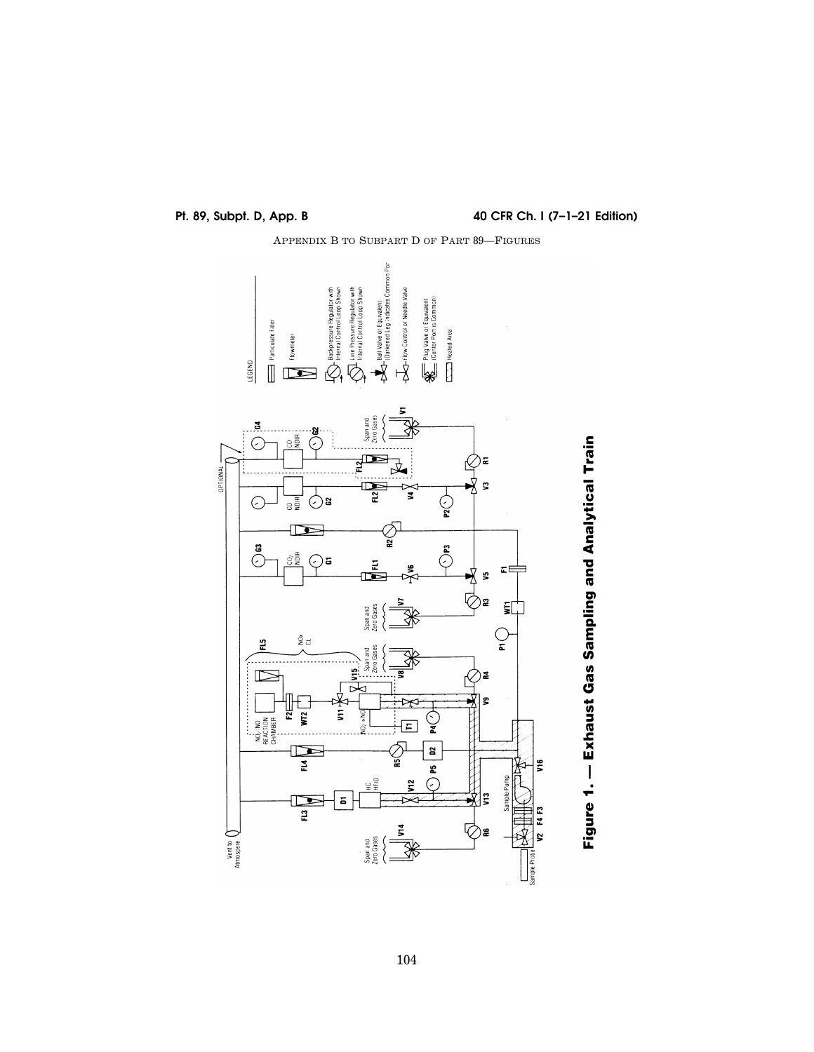**Pt. 89, Subpt. D, App. B 40 CFR Ch. I (7–1–21 Edition)** 





104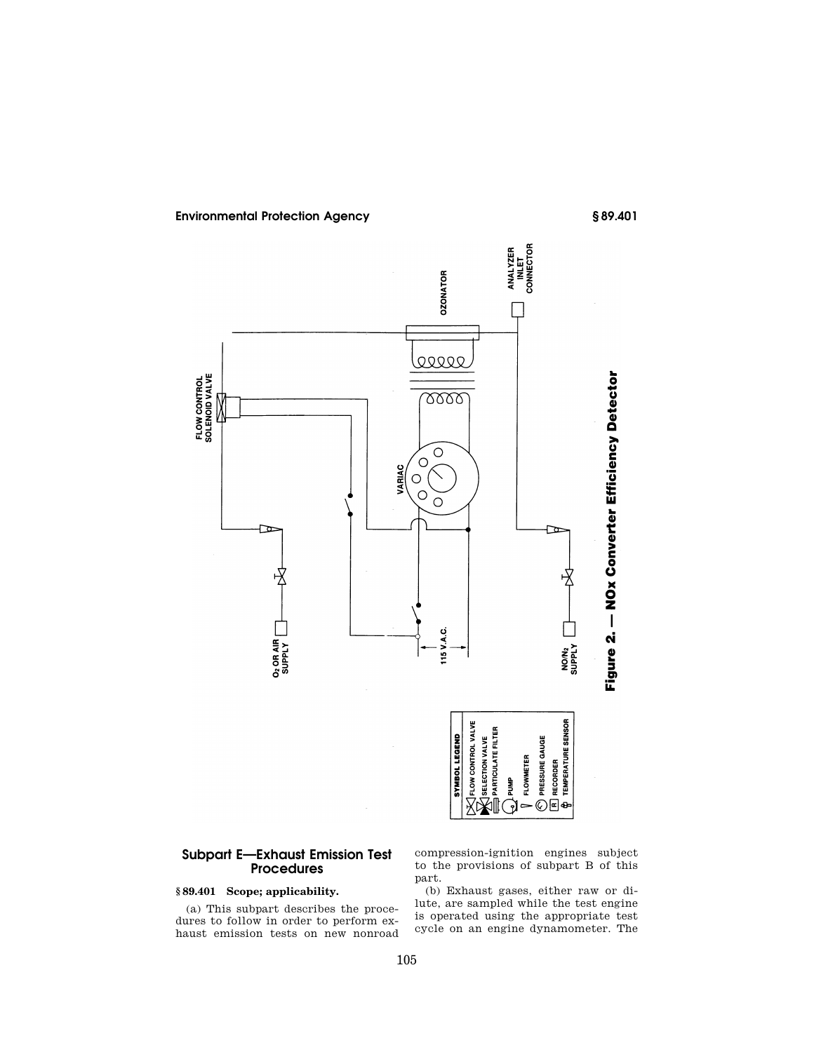

# **Subpart E—Exhaust Emission Test Procedures**

# **§ 89.401 Scope; applicability.**

(a) This subpart describes the procedures to follow in order to perform exhaust emission tests on new nonroad compression-ignition engines subject to the provisions of subpart B of this part.

(b) Exhaust gases, either raw or dilute, are sampled while the test engine is operated using the appropriate test cycle on an engine dynamometer. The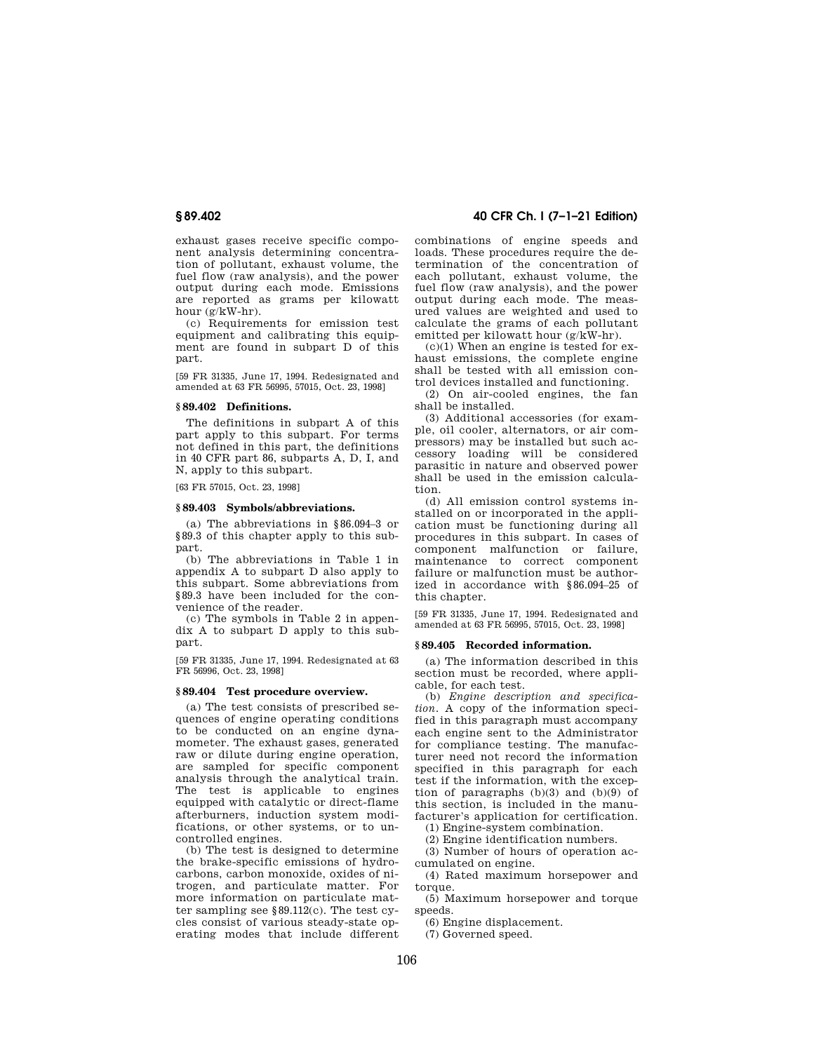exhaust gases receive specific component analysis determining concentration of pollutant, exhaust volume, the fuel flow (raw analysis), and the power output during each mode. Emissions are reported as grams per kilowatt hour (g/kW-hr).

(c) Requirements for emission test equipment and calibrating this equipment are found in subpart D of this part.

[59 FR 31335, June 17, 1994. Redesignated and amended at 63 FR 56995, 57015, Oct. 23, 1998]

# **§ 89.402 Definitions.**

The definitions in subpart A of this part apply to this subpart. For terms not defined in this part, the definitions in 40 CFR part 86, subparts A, D, I, and N, apply to this subpart.

[63 FR 57015, Oct. 23, 1998]

#### **§ 89.403 Symbols/abbreviations.**

(a) The abbreviations in §86.094–3 or §89.3 of this chapter apply to this subpart.

(b) The abbreviations in Table 1 in appendix A to subpart D also apply to this subpart. Some abbreviations from §89.3 have been included for the convenience of the reader.

(c) The symbols in Table 2 in appendix A to subpart D apply to this subpart.

[59 FR 31335, June 17, 1994. Redesignated at 63 FR 56996, Oct. 23, 1998]

# **§ 89.404 Test procedure overview.**

(a) The test consists of prescribed sequences of engine operating conditions to be conducted on an engine dynamometer. The exhaust gases, generated raw or dilute during engine operation, are sampled for specific component analysis through the analytical train. The test is applicable to engines equipped with catalytic or direct-flame afterburners, induction system modifications, or other systems, or to uncontrolled engines.

(b) The test is designed to determine the brake-specific emissions of hydrocarbons, carbon monoxide, oxides of nitrogen, and particulate matter. For more information on particulate matter sampling see §89.112(c). The test cycles consist of various steady-state operating modes that include different

# **§ 89.402 40 CFR Ch. I (7–1–21 Edition)**

combinations of engine speeds and loads. These procedures require the determination of the concentration of each pollutant, exhaust volume, the fuel flow (raw analysis), and the power output during each mode. The measured values are weighted and used to calculate the grams of each pollutant emitted per kilowatt hour (g/kW-hr).

 $(c)(1)$  When an engine is tested for exhaust emissions, the complete engine shall be tested with all emission control devices installed and functioning.

(2) On air-cooled engines, the fan shall be installed.

(3) Additional accessories (for example, oil cooler, alternators, or air compressors) may be installed but such accessory loading will be considered parasitic in nature and observed power shall be used in the emission calculation.

(d) All emission control systems installed on or incorporated in the application must be functioning during all procedures in this subpart. In cases of component malfunction or failure, maintenance to correct component failure or malfunction must be authorized in accordance with §86.094–25 of this chapter.

[59 FR 31335, June 17, 1994. Redesignated and amended at 63 FR 56995, 57015, Oct. 23, 1998]

### **§ 89.405 Recorded information.**

(a) The information described in this section must be recorded, where applicable, for each test.

(b) *Engine description and specification.* A copy of the information specified in this paragraph must accompany each engine sent to the Administrator for compliance testing. The manufacturer need not record the information specified in this paragraph for each test if the information, with the exception of paragraphs  $(b)(3)$  and  $(b)(9)$  of this section, is included in the manufacturer's application for certification.

(1) Engine-system combination.

(2) Engine identification numbers.

(3) Number of hours of operation accumulated on engine.

(4) Rated maximum horsepower and torque.

(5) Maximum horsepower and torque speeds.

(6) Engine displacement.

(7) Governed speed.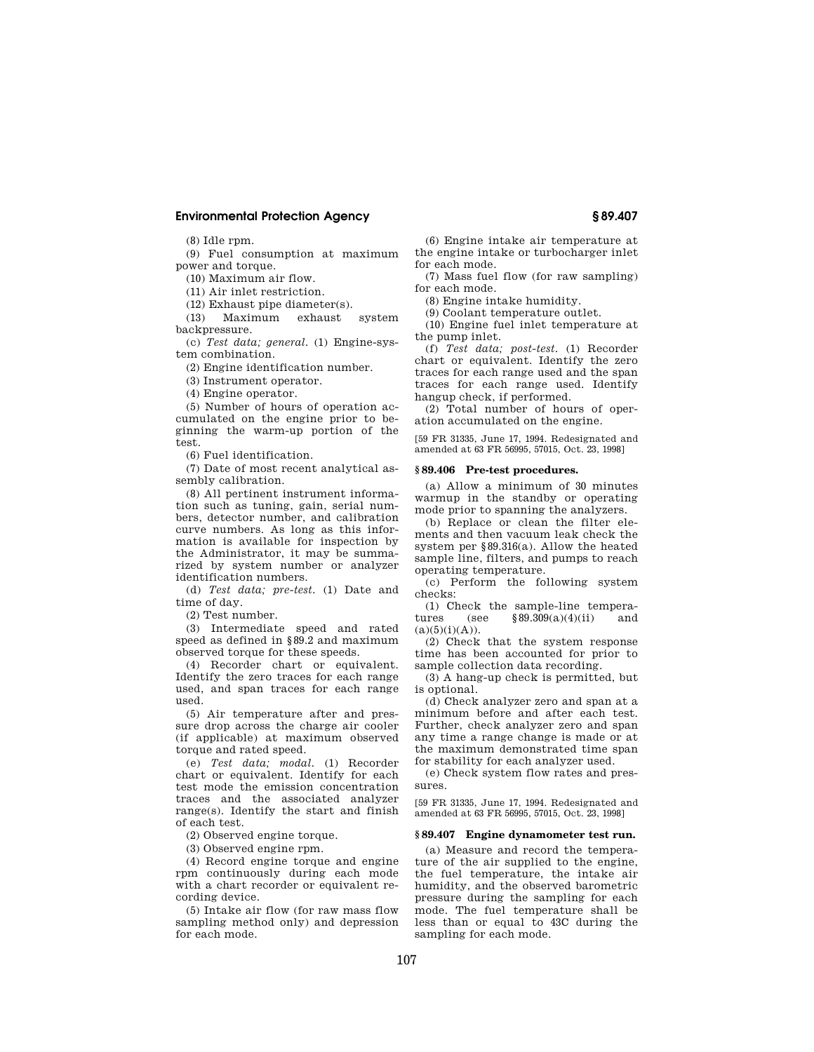(8) Idle rpm.

(9) Fuel consumption at maximum power and torque.

(10) Maximum air flow.

(11) Air inlet restriction.

(12) Exhaust pipe diameter(s).

(13) Maximum exhaust system backpressure.

(c) *Test data; general.* (1) Engine-system combination.

(2) Engine identification number.

(3) Instrument operator.

(4) Engine operator.

(5) Number of hours of operation accumulated on the engine prior to beginning the warm-up portion of the test.

(6) Fuel identification.

(7) Date of most recent analytical assembly calibration.

(8) All pertinent instrument information such as tuning, gain, serial numbers, detector number, and calibration curve numbers. As long as this information is available for inspection by the Administrator, it may be summarized by system number or analyzer identification numbers.

(d) *Test data; pre-test.* (1) Date and time of day.

(2) Test number.

(3) Intermediate speed and rated speed as defined in §89.2 and maximum observed torque for these speeds.

(4) Recorder chart or equivalent. Identify the zero traces for each range used, and span traces for each range used.

(5) Air temperature after and pressure drop across the charge air cooler (if applicable) at maximum observed torque and rated speed.

(e) *Test data; modal.* (1) Recorder chart or equivalent. Identify for each test mode the emission concentration traces and the associated analyzer range(s). Identify the start and finish of each test.

(2) Observed engine torque.

(3) Observed engine rpm.

(4) Record engine torque and engine rpm continuously during each mode with a chart recorder or equivalent recording device.

(5) Intake air flow (for raw mass flow sampling method only) and depression for each mode.

(6) Engine intake air temperature at the engine intake or turbocharger inlet for each mode.

(7) Mass fuel flow (for raw sampling) for each mode.

(8) Engine intake humidity.

(9) Coolant temperature outlet.

(10) Engine fuel inlet temperature at the pump inlet.

(f) *Test data; post-test.* (1) Recorder chart or equivalent. Identify the zero traces for each range used and the span traces for each range used. Identify hangup check, if performed.

(2) Total number of hours of operation accumulated on the engine.

[59 FR 31335, June 17, 1994. Redesignated and amended at 63 FR 56995, 57015, Oct. 23, 1998]

#### **§ 89.406 Pre-test procedures.**

(a) Allow a minimum of 30 minutes warmup in the standby or operating mode prior to spanning the analyzers.

(b) Replace or clean the filter elements and then vacuum leak check the system per §89.316(a). Allow the heated sample line, filters, and pumps to reach operating temperature.

(c) Perform the following system checks:

(1) Check the sample-line temperatures (see  $$89.309(a)(4)(ii)$  and  $(a)(5)(i)(A)).$ 

(2) Check that the system response time has been accounted for prior to sample collection data recording.

(3) A hang-up check is permitted, but is optional.

(d) Check analyzer zero and span at a minimum before and after each test. Further, check analyzer zero and span any time a range change is made or at the maximum demonstrated time span for stability for each analyzer used.

(e) Check system flow rates and pressures.

[59 FR 31335, June 17, 1994. Redesignated and amended at 63 FR 56995, 57015, Oct. 23, 1998]

#### **§ 89.407 Engine dynamometer test run.**

(a) Measure and record the temperature of the air supplied to the engine, the fuel temperature, the intake air humidity, and the observed barometric pressure during the sampling for each mode. The fuel temperature shall be less than or equal to 43C during the sampling for each mode.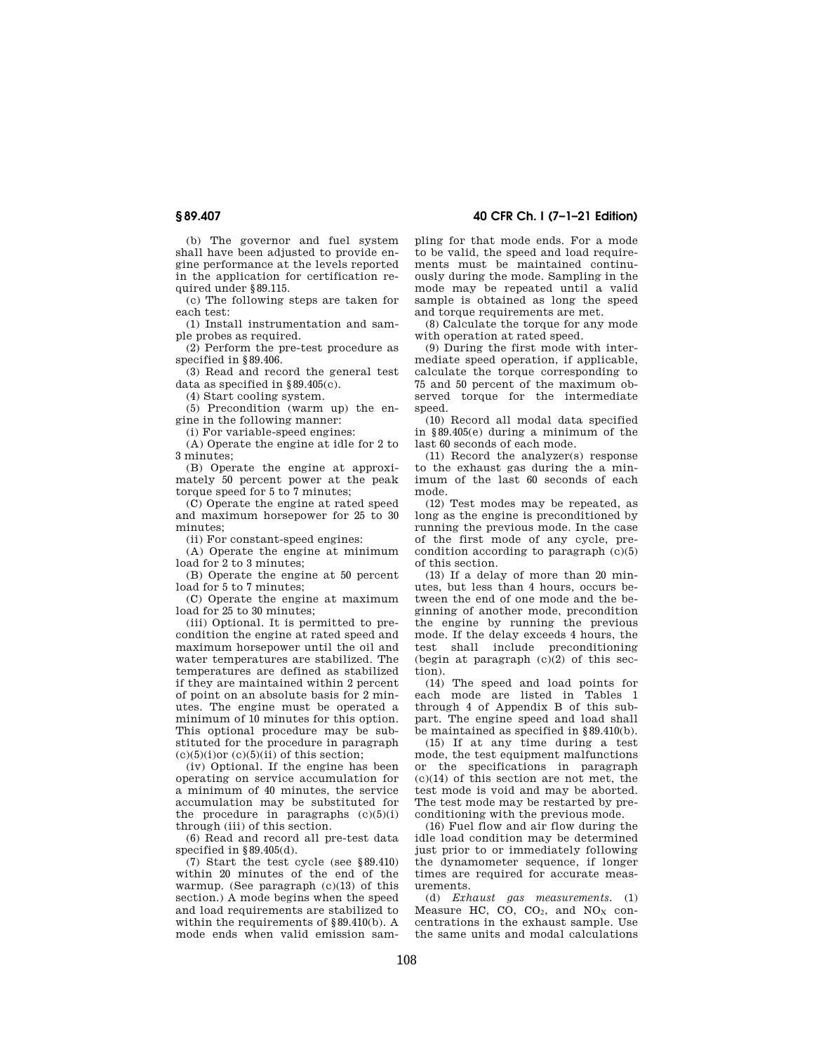(b) The governor and fuel system shall have been adjusted to provide engine performance at the levels reported in the application for certification required under §89.115.

(c) The following steps are taken for each test:

(1) Install instrumentation and sample probes as required.

(2) Perform the pre-test procedure as specified in §89.406.

(3) Read and record the general test data as specified in  $889.405(c)$ .

(4) Start cooling system.

(5) Precondition (warm up) the engine in the following manner:

(i) For variable-speed engines:

(A) Operate the engine at idle for 2 to 3 minutes;

(B) Operate the engine at approximately 50 percent power at the peak torque speed for 5 to 7 minutes;

(C) Operate the engine at rated speed and maximum horsepower for 25 to 30 minutes;

(ii) For constant-speed engines:

(A) Operate the engine at minimum load for 2 to 3 minutes;

(B) Operate the engine at 50 percent load for 5 to 7 minutes;

(C) Operate the engine at maximum load for 25 to 30 minutes;

(iii) Optional. It is permitted to precondition the engine at rated speed and maximum horsepower until the oil and water temperatures are stabilized. The temperatures are defined as stabilized if they are maintained within 2 percent of point on an absolute basis for 2 minutes. The engine must be operated a minimum of 10 minutes for this option. This optional procedure may be substituted for the procedure in paragraph  $(c)(5)(i)$ or  $(c)(5)(ii)$  of this section;

(iv) Optional. If the engine has been operating on service accumulation for a minimum of 40 minutes, the service accumulation may be substituted for the procedure in paragraphs  $(c)(5)(i)$ through (iii) of this section.

(6) Read and record all pre-test data specified in §89.405(d).

(7) Start the test cycle (see §89.410) within 20 minutes of the end of the warmup. (See paragraph  $(c)(13)$  of this section.) A mode begins when the speed and load requirements are stabilized to within the requirements of §89.410(b). A mode ends when valid emission sam-

**§ 89.407 40 CFR Ch. I (7–1–21 Edition)** 

pling for that mode ends. For a mode to be valid, the speed and load requirements must be maintained continuously during the mode. Sampling in the mode may be repeated until a valid sample is obtained as long the speed and torque requirements are met.

(8) Calculate the torque for any mode with operation at rated speed.

(9) During the first mode with intermediate speed operation, if applicable, calculate the torque corresponding to 75 and 50 percent of the maximum observed torque for the intermediate speed.

(10) Record all modal data specified in §89.405(e) during a minimum of the last 60 seconds of each mode.

(11) Record the analyzer(s) response to the exhaust gas during the a minimum of the last 60 seconds of each mode.

(12) Test modes may be repeated, as long as the engine is preconditioned by running the previous mode. In the case of the first mode of any cycle, precondition according to paragraph  $(c)(5)$ of this section.

(13) If a delay of more than 20 minutes, but less than 4 hours, occurs between the end of one mode and the beginning of another mode, precondition the engine by running the previous mode. If the delay exceeds 4 hours, the test shall include preconditioning (begin at paragraph  $(c)(2)$  of this section).

(14) The speed and load points for each mode are listed in Tables 1 through 4 of Appendix B of this subpart. The engine speed and load shall be maintained as specified in §89.410(b).

(15) If at any time during a test mode, the test equipment malfunctions or the specifications in paragraph (c)(14) of this section are not met, the test mode is void and may be aborted. The test mode may be restarted by preconditioning with the previous mode.

(16) Fuel flow and air flow during the idle load condition may be determined just prior to or immediately following the dynamometer sequence, if longer times are required for accurate measurements.

(d) *Exhaust gas measurements.* (1)  $Mearmathbb{R}$  CO,  $CO<sub>2</sub>$ , and  $NO<sub>X</sub>$  concentrations in the exhaust sample. Use the same units and modal calculations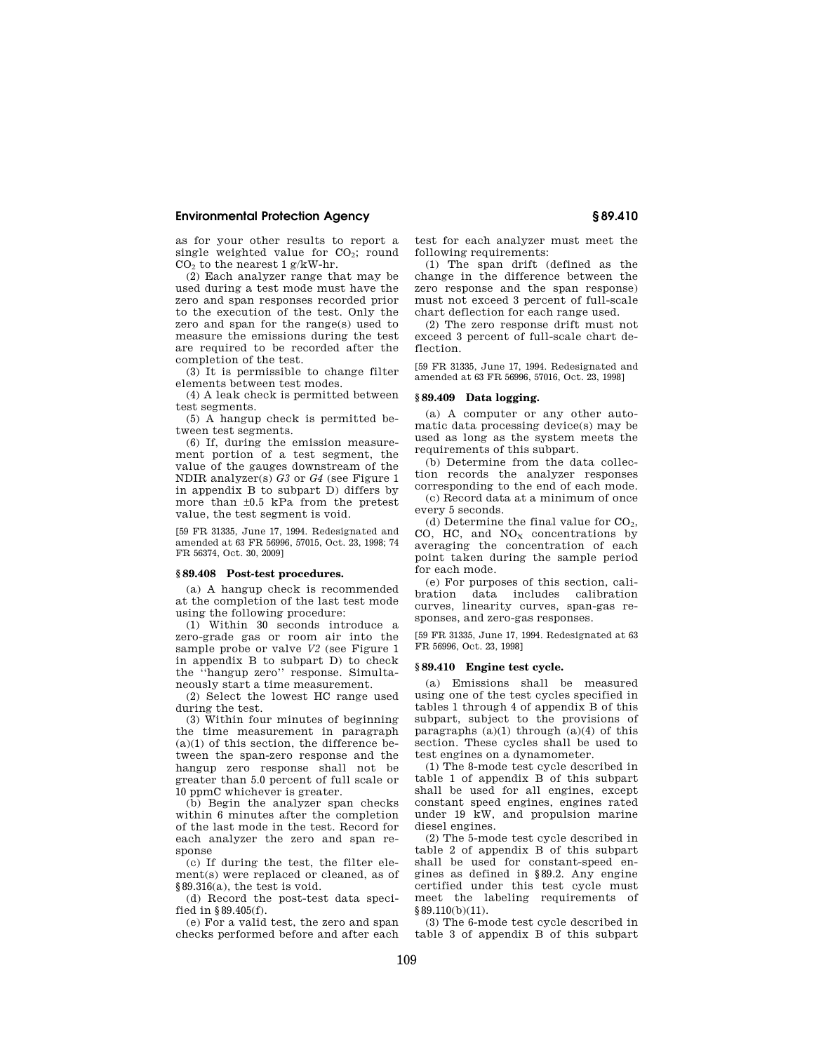as for your other results to report a single weighted value for  $CO<sub>2</sub>$ ; round CO<sup>2</sup> to the nearest 1 g/kW-hr.

(2) Each analyzer range that may be used during a test mode must have the zero and span responses recorded prior to the execution of the test. Only the zero and span for the range(s) used to measure the emissions during the test are required to be recorded after the completion of the test.

(3) It is permissible to change filter elements between test modes.

(4) A leak check is permitted between test segments.

(5) A hangup check is permitted between test segments.

(6) If, during the emission measurement portion of a test segment, the value of the gauges downstream of the NDIR analyzer(s) *G3* or *G4* (see Figure 1 in appendix B to subpart D) differs by more than ±0.5 kPa from the pretest value, the test segment is void.

[59 FR 31335, June 17, 1994. Redesignated and amended at 63 FR 56996, 57015, Oct. 23, 1998; 74 FR 56374, Oct. 30, 2009]

# **§ 89.408 Post-test procedures.**

(a) A hangup check is recommended at the completion of the last test mode using the following procedure:

(1) Within 30 seconds introduce a zero-grade gas or room air into the sample probe or valve *V2* (see Figure 1 in appendix B to subpart D) to check the ''hangup zero'' response. Simultaneously start a time measurement.

(2) Select the lowest HC range used during the test.

(3) Within four minutes of beginning the time measurement in paragraph  $(a)(1)$  of this section, the difference between the span-zero response and the hangup zero response shall not be greater than 5.0 percent of full scale or 10 ppmC whichever is greater.

(b) Begin the analyzer span checks within 6 minutes after the completion of the last mode in the test. Record for each analyzer the zero and span response

(c) If during the test, the filter element(s) were replaced or cleaned, as of §89.316(a), the test is void.

(d) Record the post-test data specified in §89.405(f).

(e) For a valid test, the zero and span checks performed before and after each test for each analyzer must meet the following requirements:

(1) The span drift (defined as the change in the difference between the zero response and the span response) must not exceed 3 percent of full-scale chart deflection for each range used.

(2) The zero response drift must not exceed 3 percent of full-scale chart deflection.

[59 FR 31335, June 17, 1994. Redesignated and amended at 63 FR 56996, 57016, Oct. 23, 1998]

# **§ 89.409 Data logging.**

(a) A computer or any other automatic data processing device(s) may be used as long as the system meets the requirements of this subpart.

(b) Determine from the data collection records the analyzer responses corresponding to the end of each mode.

(c) Record data at a minimum of once every 5 seconds.

(d) Determine the final value for  $CO<sub>2</sub>$ , CO, HC, and  $NO<sub>X</sub>$  concentrations by averaging the concentration of each point taken during the sample period for each mode.

(e) For purposes of this section, calibration data includes calibration curves, linearity curves, span-gas responses, and zero-gas responses.

[59 FR 31335, June 17, 1994. Redesignated at 63 FR 56996, Oct. 23, 1998]

#### **§ 89.410 Engine test cycle.**

(a) Emissions shall be measured using one of the test cycles specified in tables 1 through 4 of appendix B of this subpart, subject to the provisions of paragraphs  $(a)(1)$  through  $(a)(4)$  of this section. These cycles shall be used to test engines on a dynamometer.

(1) The 8-mode test cycle described in table 1 of appendix B of this subpart shall be used for all engines, except constant speed engines, engines rated under 19 kW, and propulsion marine diesel engines.

(2) The 5-mode test cycle described in table 2 of appendix B of this subpart shall be used for constant-speed engines as defined in §89.2. Any engine certified under this test cycle must meet the labeling requirements of §89.110(b)(11).

(3) The 6-mode test cycle described in table 3 of appendix B of this subpart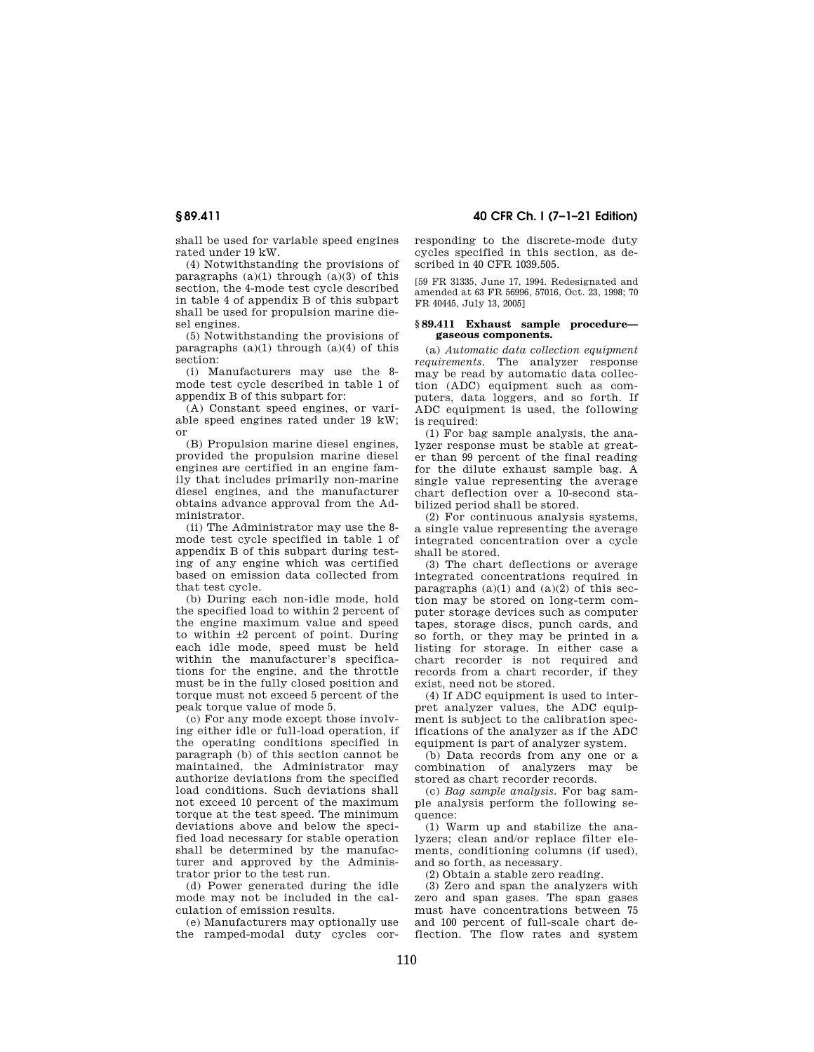shall be used for variable speed engines rated under 19 kW.

(4) Notwithstanding the provisions of paragraphs  $(a)(1)$  through  $(a)(3)$  of this section, the 4-mode test cycle described in table 4 of appendix B of this subpart shall be used for propulsion marine diesel engines.

(5) Notwithstanding the provisions of paragraphs  $(a)(1)$  through  $(a)(4)$  of this section:

(i) Manufacturers may use the 8 mode test cycle described in table 1 of appendix B of this subpart for:

(A) Constant speed engines, or variable speed engines rated under 19 kW; or

(B) Propulsion marine diesel engines, provided the propulsion marine diesel engines are certified in an engine family that includes primarily non-marine diesel engines, and the manufacturer obtains advance approval from the Administrator.

(ii) The Administrator may use the 8 mode test cycle specified in table 1 of appendix B of this subpart during testing of any engine which was certified based on emission data collected from that test cycle.

(b) During each non-idle mode, hold the specified load to within 2 percent of the engine maximum value and speed to within ±2 percent of point. During each idle mode, speed must be held within the manufacturer's specifications for the engine, and the throttle must be in the fully closed position and torque must not exceed 5 percent of the peak torque value of mode 5.

(c) For any mode except those involving either idle or full-load operation, if the operating conditions specified in paragraph (b) of this section cannot be maintained, the Administrator may authorize deviations from the specified load conditions. Such deviations shall not exceed 10 percent of the maximum torque at the test speed. The minimum deviations above and below the specified load necessary for stable operation shall be determined by the manufacturer and approved by the Administrator prior to the test run.

(d) Power generated during the idle mode may not be included in the calculation of emission results.

(e) Manufacturers may optionally use the ramped-modal duty cycles cor-

**§ 89.411 40 CFR Ch. I (7–1–21 Edition)** 

responding to the discrete-mode duty cycles specified in this section, as described in 40 CFR 1039.505.

[59 FR 31335, June 17, 1994. Redesignated and amended at 63 FR 56996, 57016, Oct. 23, 1998; 70 FR 40445, July 13, 2005]

#### **§ 89.411 Exhaust sample procedure gaseous components.**

(a) *Automatic data collection equipment requirements.* The analyzer response may be read by automatic data collection (ADC) equipment such as computers, data loggers, and so forth. If ADC equipment is used, the following is required:

(1) For bag sample analysis, the analyzer response must be stable at greater than 99 percent of the final reading for the dilute exhaust sample bag. A single value representing the average chart deflection over a 10-second stabilized period shall be stored.

(2) For continuous analysis systems, a single value representing the average integrated concentration over a cycle shall be stored.

(3) The chart deflections or average integrated concentrations required in paragraphs  $(a)(1)$  and  $(a)(2)$  of this section may be stored on long-term computer storage devices such as computer tapes, storage discs, punch cards, and so forth, or they may be printed in a listing for storage. In either case a chart recorder is not required and records from a chart recorder, if they exist, need not be stored.

(4) If ADC equipment is used to interpret analyzer values, the ADC equipment is subject to the calibration specifications of the analyzer as if the ADC equipment is part of analyzer system.

(b) Data records from any one or a combination of analyzers may be stored as chart recorder records.

(c) *Bag sample analysis.* For bag sample analysis perform the following sequence:

(1) Warm up and stabilize the analyzers; clean and/or replace filter elements, conditioning columns (if used), and so forth, as necessary.

(2) Obtain a stable zero reading.

(3) Zero and span the analyzers with zero and span gases. The span gases must have concentrations between 75 and 100 percent of full-scale chart deflection. The flow rates and system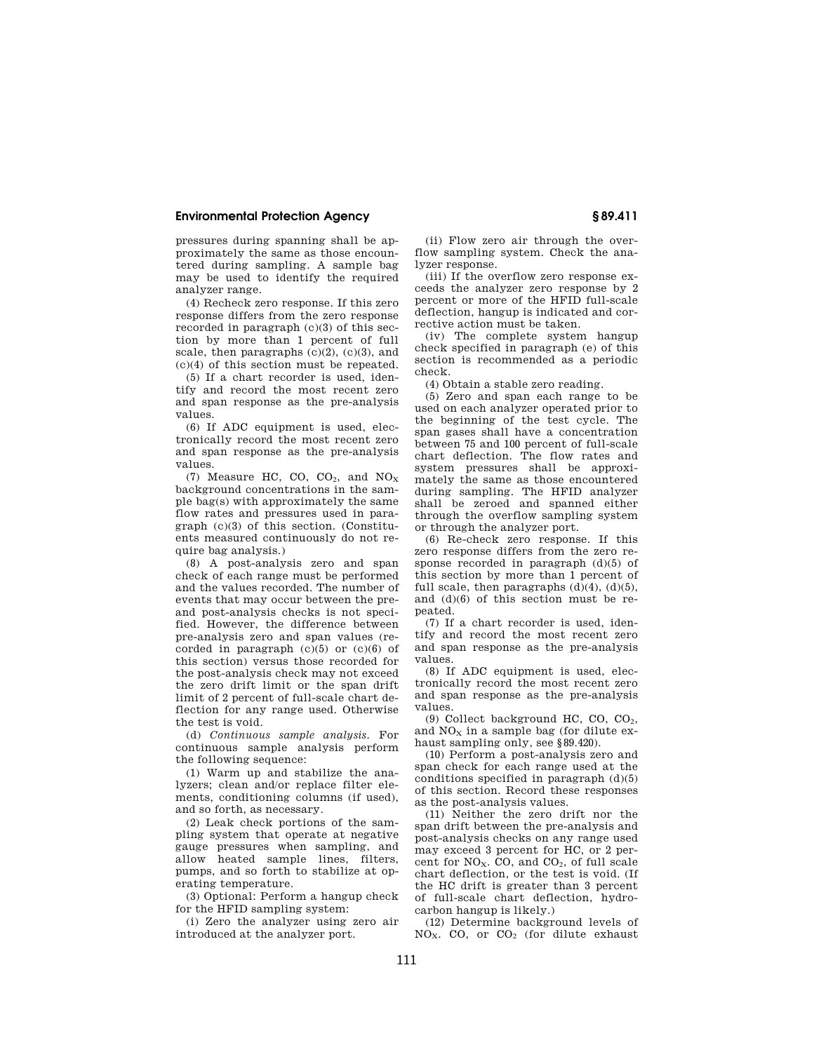pressures during spanning shall be approximately the same as those encountered during sampling. A sample bag may be used to identify the required analyzer range.

(4) Recheck zero response. If this zero response differs from the zero response recorded in paragraph (c)(3) of this section by more than 1 percent of full scale, then paragraphs  $(c)(2)$ ,  $(c)(3)$ , and (c)(4) of this section must be repeated.

(5) If a chart recorder is used, identify and record the most recent zero and span response as the pre-analysis values.

(6) If ADC equipment is used, electronically record the most recent zero and span response as the pre-analysis values.

(7) Measure HC, CO, CO<sub>2</sub>, and  $NO_X$ background concentrations in the sample bag(s) with approximately the same flow rates and pressures used in paragraph (c)(3) of this section. (Constituents measured continuously do not require bag analysis.)

(8) A post-analysis zero and span check of each range must be performed and the values recorded. The number of events that may occur between the preand post-analysis checks is not specified. However, the difference between pre-analysis zero and span values (recorded in paragraph  $(c)(5)$  or  $(c)(6)$  of this section) versus those recorded for the post-analysis check may not exceed the zero drift limit or the span drift limit of 2 percent of full-scale chart deflection for any range used. Otherwise the test is void.

(d) *Continuous sample analysis.* For continuous sample analysis perform the following sequence:

(1) Warm up and stabilize the analyzers; clean and/or replace filter elements, conditioning columns (if used), and so forth, as necessary.

(2) Leak check portions of the sampling system that operate at negative gauge pressures when sampling, and allow heated sample lines, filters, pumps, and so forth to stabilize at operating temperature.

(3) Optional: Perform a hangup check for the HFID sampling system:

(i) Zero the analyzer using zero air introduced at the analyzer port.

(ii) Flow zero air through the overflow sampling system. Check the analyzer response.

(iii) If the overflow zero response exceeds the analyzer zero response by 2 percent or more of the HFID full-scale deflection, hangup is indicated and corrective action must be taken.

(iv) The complete system hangup check specified in paragraph (e) of this section is recommended as a periodic check.

(4) Obtain a stable zero reading.

(5) Zero and span each range to be used on each analyzer operated prior to the beginning of the test cycle. The span gases shall have a concentration between 75 and 100 percent of full-scale chart deflection. The flow rates and system pressures shall be approximately the same as those encountered during sampling. The HFID analyzer shall be zeroed and spanned either through the overflow sampling system or through the analyzer port.

(6) Re-check zero response. If this zero response differs from the zero response recorded in paragraph (d)(5) of this section by more than 1 percent of full scale, then paragraphs  $(d)(4)$ ,  $(d)(5)$ , and (d)(6) of this section must be repeated.

(7) If a chart recorder is used, identify and record the most recent zero and span response as the pre-analysis values.

(8) If ADC equipment is used, electronically record the most recent zero and span response as the pre-analysis values.

(9) Collect background HC, CO, CO2, and  $NO<sub>x</sub>$  in a sample bag (for dilute exhaust sampling only, see §89.420).

(10) Perform a post-analysis zero and span check for each range used at the conditions specified in paragraph  $(d)(5)$ of this section. Record these responses as the post-analysis values.

(11) Neither the zero drift nor the span drift between the pre-analysis and post-analysis checks on any range used may exceed 3 percent for HC, or 2 percent for  $NO<sub>x</sub>$ . CO, and  $CO<sub>2</sub>$ , of full scale chart deflection, or the test is void. (If the HC drift is greater than 3 percent of full-scale chart deflection, hydrocarbon hangup is likely.)

(12) Determine background levels of NOX. CO, or CO<sup>2</sup> (for dilute exhaust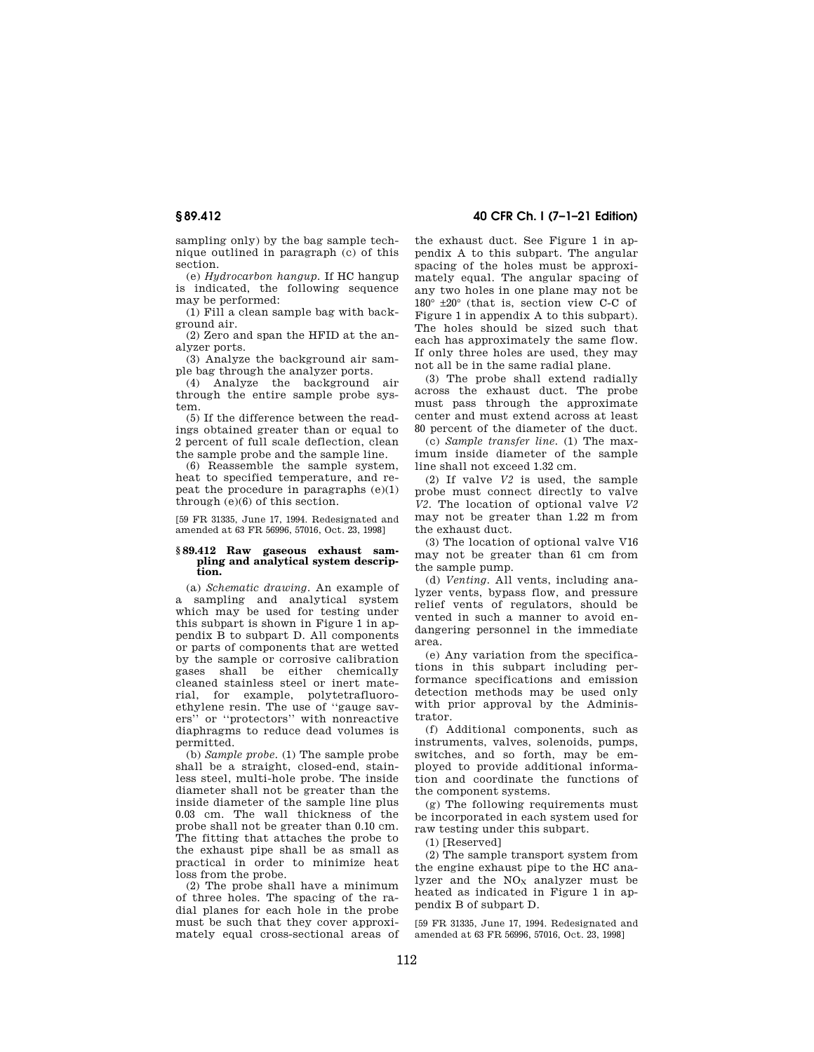sampling only) by the bag sample technique outlined in paragraph (c) of this section.

(e) *Hydrocarbon hangup.* If HC hangup is indicated, the following sequence may be performed:

(1) Fill a clean sample bag with background air.

(2) Zero and span the HFID at the analyzer ports.

(3) Analyze the background air sample bag through the analyzer ports.

(4) Analyze the background air through the entire sample probe system.

(5) If the difference between the readings obtained greater than or equal to 2 percent of full scale deflection, clean the sample probe and the sample line.

(6) Reassemble the sample system, heat to specified temperature, and repeat the procedure in paragraphs  $(e)(1)$ through  $(e)(6)$  of this section.

[59 FR 31335, June 17, 1994. Redesignated and amended at 63 FR 56996, 57016, Oct. 23, 1998]

#### **§ 89.412 Raw gaseous exhaust sampling and analytical system description.**

(a) *Schematic drawing.* An example of a sampling and analytical system which may be used for testing under this subpart is shown in Figure 1 in appendix B to subpart D. All components or parts of components that are wetted by the sample or corrosive calibration gases shall be either chemically cleaned stainless steel or inert material, for example, polytetrafluoroethylene resin. The use of ''gauge savers'' or ''protectors'' with nonreactive diaphragms to reduce dead volumes is permitted.

(b) *Sample probe.* (1) The sample probe shall be a straight, closed-end, stainless steel, multi-hole probe. The inside diameter shall not be greater than the inside diameter of the sample line plus 0.03 cm. The wall thickness of the probe shall not be greater than 0.10 cm. The fitting that attaches the probe to the exhaust pipe shall be as small as practical in order to minimize heat loss from the probe.

(2) The probe shall have a minimum of three holes. The spacing of the radial planes for each hole in the probe must be such that they cover approximately equal cross-sectional areas of

**§ 89.412 40 CFR Ch. I (7–1–21 Edition)** 

the exhaust duct. See Figure 1 in appendix A to this subpart. The angular spacing of the holes must be approximately equal. The angular spacing of any two holes in one plane may not be 180° ±20° (that is, section view C-C of Figure 1 in appendix A to this subpart). The holes should be sized such that each has approximately the same flow. If only three holes are used, they may not all be in the same radial plane.

(3) The probe shall extend radially across the exhaust duct. The probe must pass through the approximate center and must extend across at least 80 percent of the diameter of the duct.

(c) *Sample transfer line.* (1) The maximum inside diameter of the sample line shall not exceed 1.32 cm.

(2) If valve *V2* is used, the sample probe must connect directly to valve *V2.* The location of optional valve *V2*  may not be greater than 1.22 m from the exhaust duct.

(3) The location of optional valve V16 may not be greater than 61 cm from the sample pump.

(d) *Venting.* All vents, including analyzer vents, bypass flow, and pressure relief vents of regulators, should be vented in such a manner to avoid endangering personnel in the immediate area.

(e) Any variation from the specifications in this subpart including performance specifications and emission detection methods may be used only with prior approval by the Administrator.

(f) Additional components, such as instruments, valves, solenoids, pumps, switches, and so forth, may be employed to provide additional information and coordinate the functions of the component systems.

(g) The following requirements must be incorporated in each system used for raw testing under this subpart.

(1) [Reserved]

(2) The sample transport system from the engine exhaust pipe to the HC analyzer and the  $NO<sub>x</sub>$  analyzer must be heated as indicated in Figure 1 in appendix B of subpart D.

[59 FR 31335, June 17, 1994. Redesignated and amended at 63 FR 56996, 57016, Oct. 23, 1998]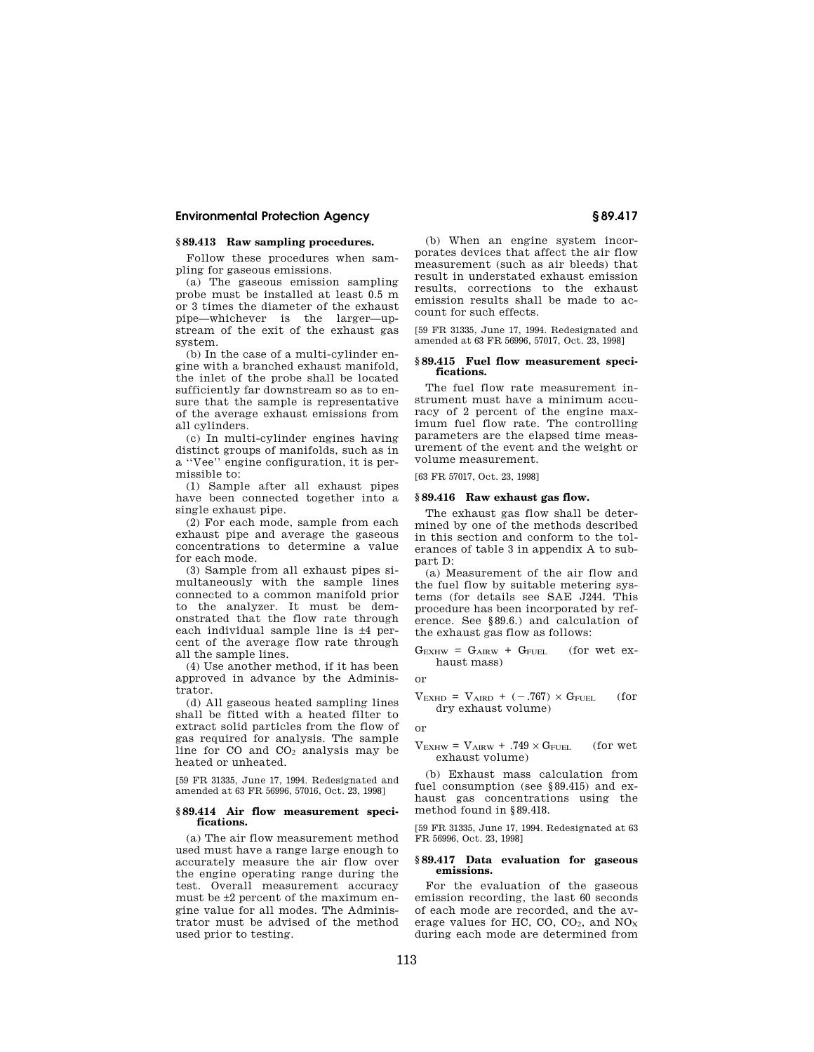# **§ 89.413 Raw sampling procedures.**

Follow these procedures when sampling for gaseous emissions.

(a) The gaseous emission sampling probe must be installed at least 0.5 m or 3 times the diameter of the exhaust pipe—whichever is the larger—upstream of the exit of the exhaust gas system.

(b) In the case of a multi-cylinder engine with a branched exhaust manifold, the inlet of the probe shall be located sufficiently far downstream so as to ensure that the sample is representative of the average exhaust emissions from all cylinders.

(c) In multi-cylinder engines having distinct groups of manifolds, such as in a ''Vee'' engine configuration, it is permissible to:

(1) Sample after all exhaust pipes have been connected together into a single exhaust pipe.

(2) For each mode, sample from each exhaust pipe and average the gaseous concentrations to determine a value for each mode.

(3) Sample from all exhaust pipes simultaneously with the sample lines connected to a common manifold prior to the analyzer. It must be demonstrated that the flow rate through each individual sample line is ±4 percent of the average flow rate through all the sample lines.

(4) Use another method, if it has been approved in advance by the Administrator.

(d) All gaseous heated sampling lines shall be fitted with a heated filter to extract solid particles from the flow of gas required for analysis. The sample line for  $CO$  and  $CO<sub>2</sub>$  analysis may be heated or unheated.

[59 FR 31335, June 17, 1994. Redesignated and amended at 63 FR 56996, 57016, Oct. 23, 1998]

#### **§ 89.414 Air flow measurement specifications.**

(a) The air flow measurement method used must have a range large enough to accurately measure the air flow over the engine operating range during the test. Overall measurement accuracy must be ±2 percent of the maximum engine value for all modes. The Administrator must be advised of the method used prior to testing.

(b) When an engine system incorporates devices that affect the air flow measurement (such as air bleeds) that result in understated exhaust emission results, corrections to the exhaust emission results shall be made to account for such effects.

[59 FR 31335, June 17, 1994. Redesignated and amended at 63 FR 56996, 57017, Oct. 23, 1998]

#### **§ 89.415 Fuel flow measurement specifications.**

The fuel flow rate measurement instrument must have a minimum accuracy of 2 percent of the engine maximum fuel flow rate. The controlling parameters are the elapsed time measurement of the event and the weight or volume measurement.

[63 FR 57017, Oct. 23, 1998]

## **§ 89.416 Raw exhaust gas flow.**

The exhaust gas flow shall be determined by one of the methods described in this section and conform to the tolerances of table 3 in appendix A to subpart D:

(a) Measurement of the air flow and the fuel flow by suitable metering systems (for details see SAE J244. This procedure has been incorporated by reference. See §89.6.) and calculation of the exhaust gas flow as follows:

$$
G_{EXHW} = G_{AIRW} + G_{FUEL}
$$
 (for wet ex-  
haust mass)

or

$$
V_{EXHD} = V_{AIBD} + (-.767) \times G_{FUEL}
$$
 (for  
dry exhaust volume) (101)

or

 $V_{\text{EXHW}} = V_{\text{AIRW}} + .749 \times G_{\text{FUEL}}$  (for wet exhaust volume)

(b) Exhaust mass calculation from fuel consumption (see §89.415) and exhaust gas concentrations using the method found in §89.418.

[59 FR 31335, June 17, 1994. Redesignated at 63 FR 56996, Oct. 23, 1998]

### **§ 89.417 Data evaluation for gaseous emissions.**

For the evaluation of the gaseous emission recording, the last 60 seconds of each mode are recorded, and the average values for HC, CO,  $CO<sub>2</sub>$ , and  $NO<sub>X</sub>$ during each mode are determined from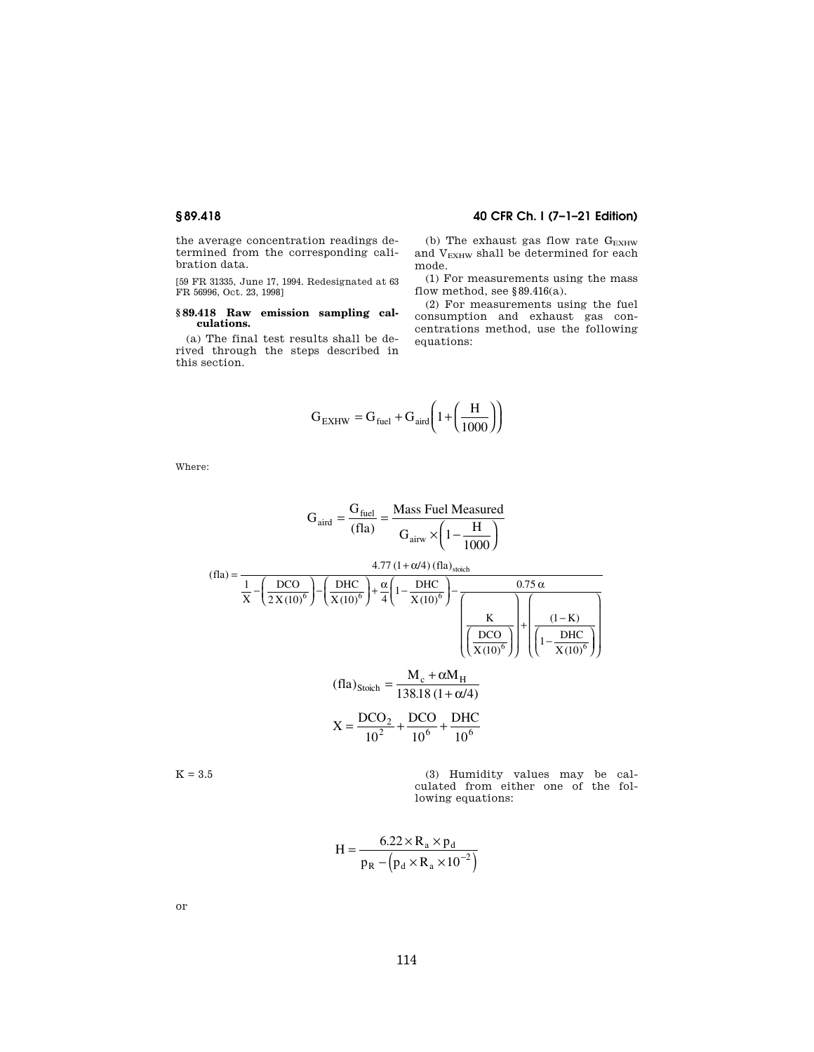**§ 89.418 40 CFR Ch. I (7–1–21 Edition)** 

the average concentration readings determined from the corresponding calibration data.

[59 FR 31335, June 17, 1994. Redesignated at 63 FR 56996, Oct. 23, 1998]

# **§ 89.418 Raw emission sampling calculations.**

(a) The final test results shall be derived through the steps described in this section.

(b) The exhaust gas flow rate  $G_{\rm EXHW}$ and VEXHW shall be determined for each mode.

(1) For measurements using the mass flow method, see §89.416(a).

(2) For measurements using the fuel consumption and exhaust gas concentrations method, use the following equations:

$$
G_{\text{EXHW}} = G_{\text{fuel}} + G_{\text{aird}} \left( 1 + \left( \frac{H}{1000} \right) \right)
$$

Where:

$$
G_{\text{aird}} = \frac{G_{\text{fuel}}}{(fla)} = \frac{\text{Mass Feul Measured}}{G_{\text{airw}} \times \left(1 - \frac{H}{1000}\right)}
$$

$$
(fla) = \frac{4.77 (1 + \alpha/4) (fla)_{stoich}}{X - \left(\frac{DCO}{2 X (10)^6}\right) - \left(\frac{DHC}{X (10)^6}\right) + \frac{\alpha}{4} \left(1 - \frac{DHC}{X (10)^6}\right) - \frac{0.75 \alpha}{\left(\frac{K}{X (10)^6}\right) + \left(\frac{(1 - K)}{X (10)^6}\right)}
$$

$$
(\text{fla})_{\text{Stoich}} = \frac{M_c + \alpha M_H}{138.18 (1 + \alpha/4)}
$$

$$
X = \frac{\text{DCO}_2}{\frac{128.18}{1.12}} + \frac{\text{DCO}}{1.286} + \frac{\text{DHC}}{1.286}
$$

$$
X = \frac{DCO_2}{10^2} + \frac{DCO}{10^6} + \frac{DTC}{10^6}
$$

 $K = 3.5$  (3) Humidity values may be calculated from either one of the following equations:

$$
H = \frac{6.22 \times R_a \times p_d}{p_R - (p_d \times R_a \times 10^{-2})}
$$

or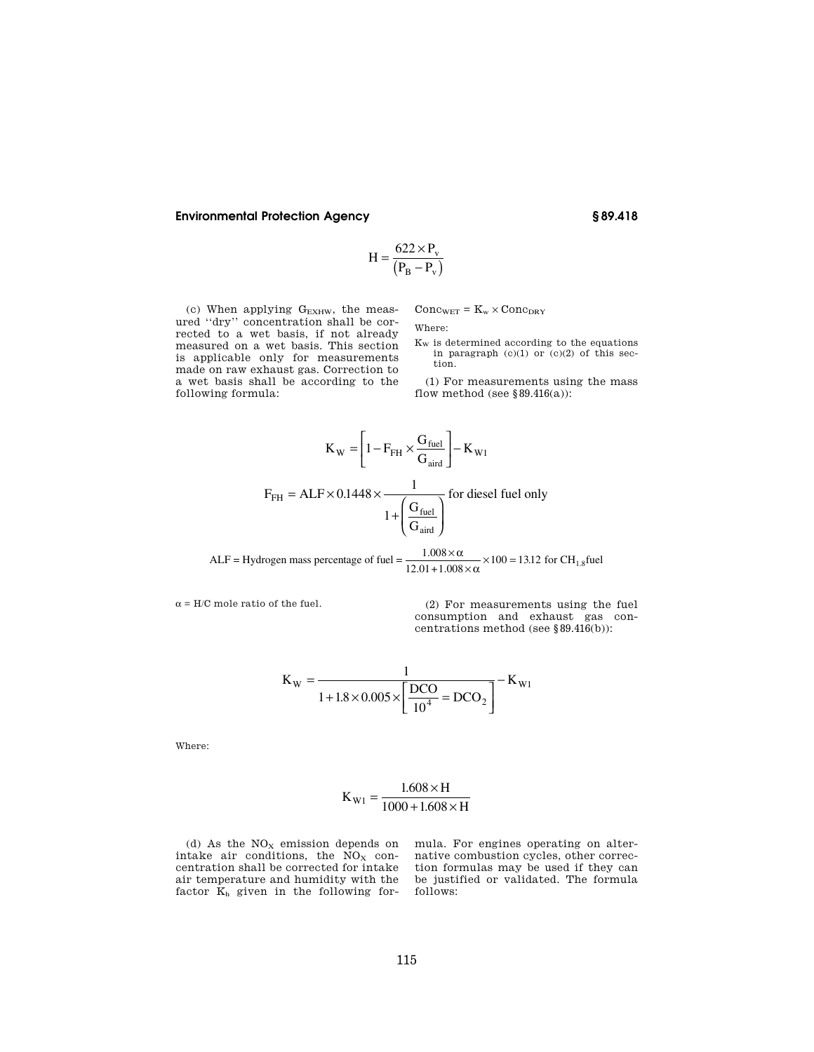$$
H = \frac{622 \times P_v}{(P_B - P_v)}
$$

(c) When applying  $\rm G_{EXHW},$  the measured ''dry'' concentration shall be corrected to a wet basis, if not already measured on a wet basis. This section is applicable only for measurements made on raw exhaust gas. Correction to a wet basis shall be according to the following formula:

 $Conc_{WET} = K_w \times Conc_{DRY}$ 

Where:

 $\mathbf{K}_{\textrm{W}}$  is determined according to the equations in paragraph (c)(1) or (c)(2) of this section.

(1) For measurements using the mass flow method (see  $§ 89.416(a)$ ):

$$
K_{\rm W} = \left[1 - F_{\rm FH} \times \frac{G_{\rm fuel}}{G_{\rm aird}}\right] - K_{\rm W1}
$$

$$
F_{\rm FH} = ALF \times 0.1448 \times \frac{1}{1 + \left(\frac{G_{\rm fuel}}{G_{\rm aird}}\right)} \text{ for diesel fuel only}
$$

ALF = Hydrogen mass percentage of fuel =  $\frac{1.008 \times \alpha}{12.01 + 1.008 \times \alpha} \times 100 = 13.12$  for CH<sub>1.8</sub> fuel

 $\alpha$  = H/C mole ratio of the fuel. (2) For measurements using the fuel consumption and exhaust gas concentrations method (see §89.416(b)):

$$
K_{\rm W} = \frac{1}{1 + 1.8 \times 0.005 \times \left[\frac{\rm DCO}{10^4} = \rm DCO_2\right]} - K_{\rm W1}
$$

Where:

$$
K_{\text{W1}} = \frac{1.608 \times H}{1000 + 1.608 \times H}
$$

(d) As the  $NO<sub>X</sub>$  emission depends on intake air conditions, the  $\overline{NO_X}$  concentration shall be corrected for intake air temperature and humidity with the factor  $\bar{K}_h$  given in the following formula. For engines operating on alternative combustion cycles, other correction formulas may be used if they can be justified or validated. The formula follows: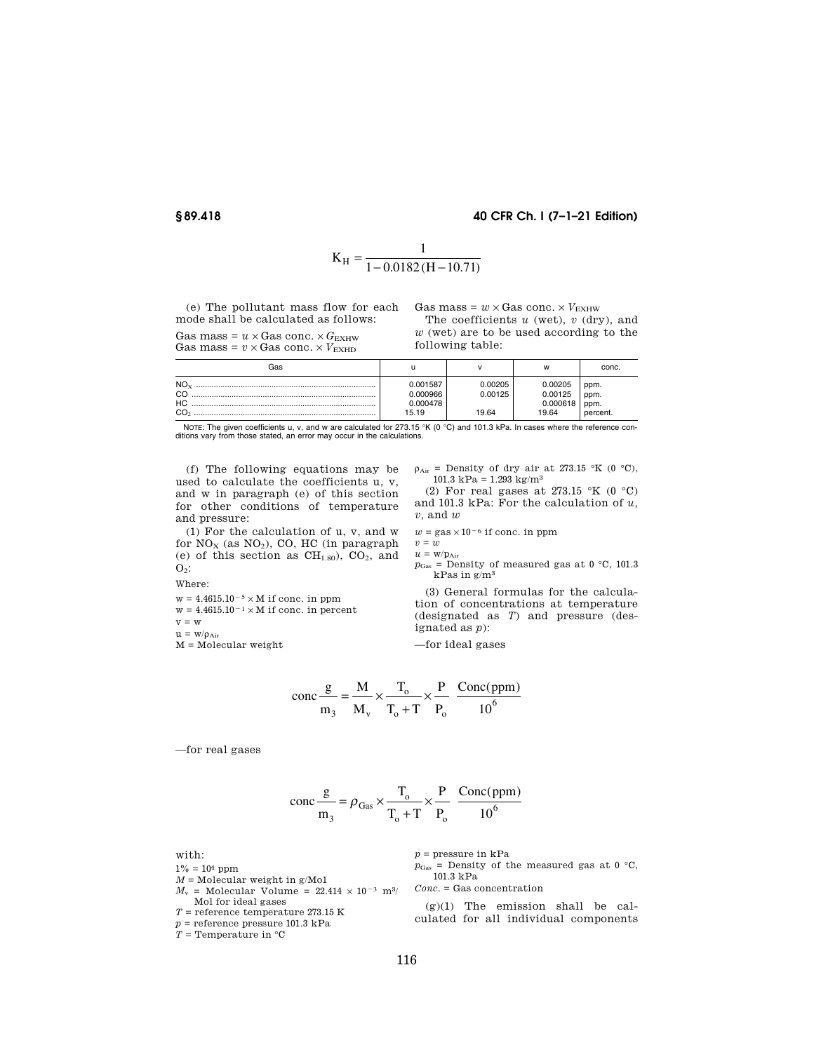# **§ 89.418 40 CFR Ch. I (7–1–21 Edition)**

$$
K_{H} = \frac{1}{1 - 0.0182(H - 10.71)}
$$

(e) The pollutant mass flow for each mode shall be calculated as follows:

Gas mass =  $u \times$  Gas conc.  $\times$  *G*<sub>EXHW</sub> Gas mass =  $v \times$  Gas conc.  $\times$   $V_{\text{EXHD}}$ 

Gas mass =  $w \times$  Gas conc.  $\times$   $V_{\text{EXHW}}$ The coefficients *u* (wet), *v* (dry), and

*w* (wet) are to be used according to the following table:

| Gas                      |                                           |                             | w                                       | conc.                            |
|--------------------------|-------------------------------------------|-----------------------------|-----------------------------------------|----------------------------------|
| $NO_{Y}$<br>НC<br>$\sim$ | 0.001587<br>0.000966<br>0.000478<br>15.19 | 0.00205<br>0.00125<br>19.64 | 0.00205<br>0.00125<br>0.000618<br>19.64 | ppm.<br>ppm.<br>ppm.<br>percent. |

NOTE: The given coefficients u, v, and w are calculated for 273.15 °K (0 °C) and 101.3 kPa. In cases where the reference con-<br>ditions vary from those stated, an error may occur in the calculations.

(f) The following equations may be used to calculate the coefficients u, v, and w in paragraph (e) of this section for other conditions of temperature and pressure:

(1) For the calculation of u, v, and w for  $NO<sub>x</sub>$  (as  $NO<sub>2</sub>$ ), CO, HC (in paragraph (e) of this section as  $CH<sub>1.80</sub>$ ),  $CO<sub>2</sub>$ , and  $O_2$ :

Where:

 $\rm w=4.4615.10^{-5}\times M$  if conc. in ppm

 $w = 4.4615.10^{-1} \times M$  if conc. in percent

 $v = w$ 

 $u = w/\rho_{Air}$ 

 $M = Molecular weight$ 

 $\rho_{\text{Air}}$  = Density of dry air at 273.15 °K (0 °C), 101.3 kPa =  $1.293$  kg/m<sup>3</sup>

(2) For real gases at 273.15 °K (0 °C) and 101.3 kPa: For the calculation of *u, v,* and *w* 

 $w = {\rm gas} \times 10^{-6}$  if conc. in ppm

 $v = w$  $u = w/p_{Air}$ 

 $p_{\text{Gas}}$  = Density of measured gas at 0 °C, 101.3 kPas in g/m3

(3) General formulas for the calculation of concentrations at temperature (designated as *T*) and pressure (designated as *p*):

—for ideal gases

$$
\text{conc}\frac{\text{g}}{\text{m}_3} = \frac{\text{M}}{\text{M}_\text{v}} \times \frac{\text{T}_\text{o}}{\text{T}_\text{o} + \text{T}} \times \frac{\text{P}}{\text{P}_\text{o}} \frac{\text{Conc(ppm)}}{10^6}
$$

—for real gases

$$
\text{conc}\frac{\text{g}}{\text{m}_3} = \rho_{\text{Gas}} \times \frac{\text{T}_\text{o}}{\text{T}_\text{o} + \text{T}} \times \frac{\text{P}}{\text{P}_\text{o}} \frac{\text{Conc(ppm)}}{10^6}
$$

with:

 $1\% = 10^4$  ppm

 $M =$  Molecular weight in g/Mo1

 $M_v$  = Molecular Volume = 22.414  $\times$  10<sup>-3</sup> m<sup>3</sup>/

- Mol for ideal gases
- $T =$  reference temperature 273.15 K

*p* = reference pressure 101.3 kPa

 $T =$  Temperature in  $^{\circ}$ C

 $p =$  pressure in  $kPa$ 

 $p_{\text{Gas}}$  = Density of the measured gas at 0  $\degree$ C, 101.3 kPa

*Conc.* = Gas concentration

 $(g)(1)$  The emission shall be calculated for all individual components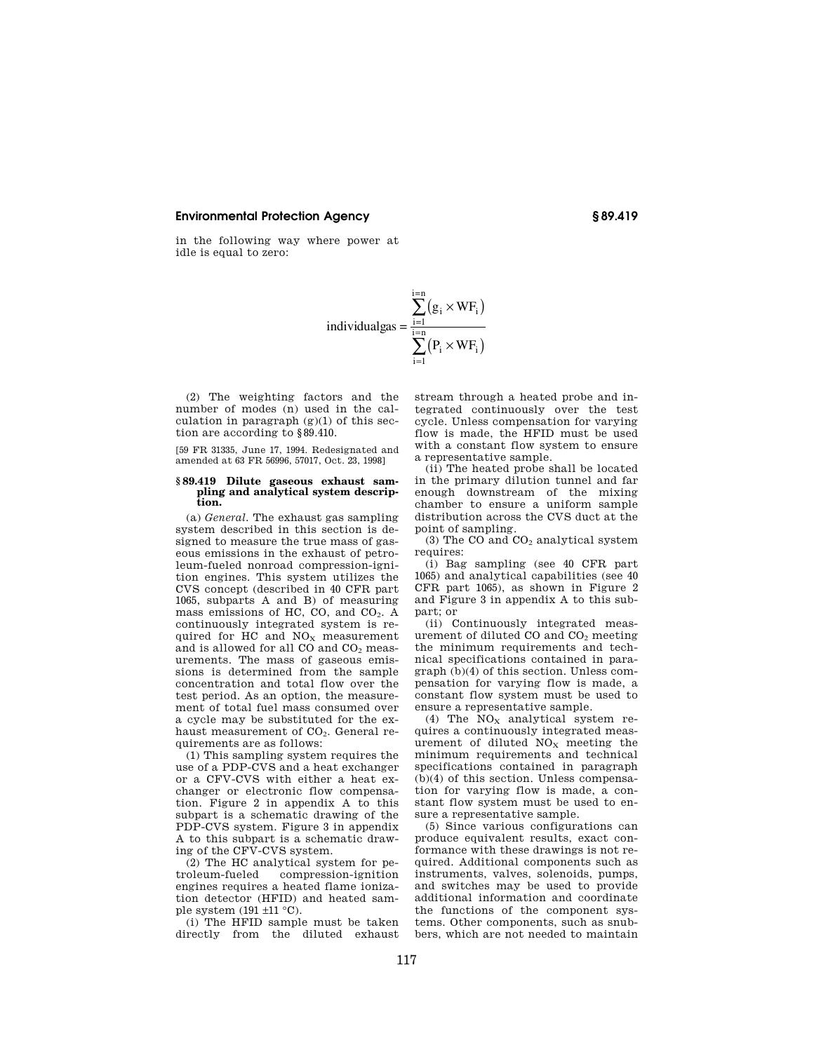in the following way where power at idle is equal to zero:

$$
individualgas = \frac{\displaystyle\sum_{i=1}^{i=n} (g_i \times WF_i)}{\displaystyle\sum_{i=1}^{i=n} (P_i \times WF_i)}
$$

(2) The weighting factors and the number of modes (n) used in the calculation in paragraph  $(g)(1)$  of this section are according to §89.410.

[59 FR 31335, June 17, 1994. Redesignated and amended at 63 FR 56996, 57017, Oct. 23, 1998]

# **§ 89.419 Dilute gaseous exhaust sam-pling and analytical system description.**

(a) *General.* The exhaust gas sampling system described in this section is designed to measure the true mass of gaseous emissions in the exhaust of petroleum-fueled nonroad compression-ignition engines. This system utilizes the CVS concept (described in 40 CFR part 1065, subparts A and B) of measuring mass emissions of HC, CO, and CO<sub>2</sub>. A continuously integrated system is required for HC and NO<sub>X</sub> measurement and is allowed for all CO and  $CO<sub>2</sub>$  measurements. The mass of gaseous emissions is determined from the sample concentration and total flow over the test period. As an option, the measurement of total fuel mass consumed over a cycle may be substituted for the exhaust measurement of  $CO<sub>2</sub>$ . General requirements are as follows:

(1) This sampling system requires the use of a PDP-CVS and a heat exchanger or a CFV-CVS with either a heat exchanger or electronic flow compensation. Figure 2 in appendix A to this subpart is a schematic drawing of the PDP-CVS system. Figure 3 in appendix A to this subpart is a schematic drawing of the CFV-CVS system.

(2) The HC analytical system for petroleum-fueled compression-ignition engines requires a heated flame ionization detector (HFID) and heated sample system  $(191 \pm 11 \degree C)$ .

(i) The HFID sample must be taken directly from the diluted exhaust stream through a heated probe and integrated continuously over the test cycle. Unless compensation for varying flow is made, the HFID must be used with a constant flow system to ensure a representative sample.

(ii) The heated probe shall be located in the primary dilution tunnel and far enough downstream of the mixing chamber to ensure a uniform sample distribution across the CVS duct at the point of sampling.

(3) The CO and  $CO<sub>2</sub>$  analytical system requires:

(i) Bag sampling (see 40 CFR part 1065) and analytical capabilities (see 40 CFR part 1065), as shown in Figure 2 and Figure 3 in appendix A to this subpart; or

(ii) Continuously integrated measurement of diluted CO and CO<sub>2</sub> meeting the minimum requirements and technical specifications contained in paragraph (b)(4) of this section. Unless compensation for varying flow is made, a constant flow system must be used to ensure a representative sample.

(4) The  $NO<sub>x</sub>$  analytical system requires a continuously integrated measurement of diluted  $NO<sub>X</sub>$  meeting the minimum requirements and technical specifications contained in paragraph (b)(4) of this section. Unless compensation for varying flow is made, a constant flow system must be used to ensure a representative sample.

(5) Since various configurations can produce equivalent results, exact conformance with these drawings is not required. Additional components such as instruments, valves, solenoids, pumps, and switches may be used to provide additional information and coordinate the functions of the component systems. Other components, such as snubbers, which are not needed to maintain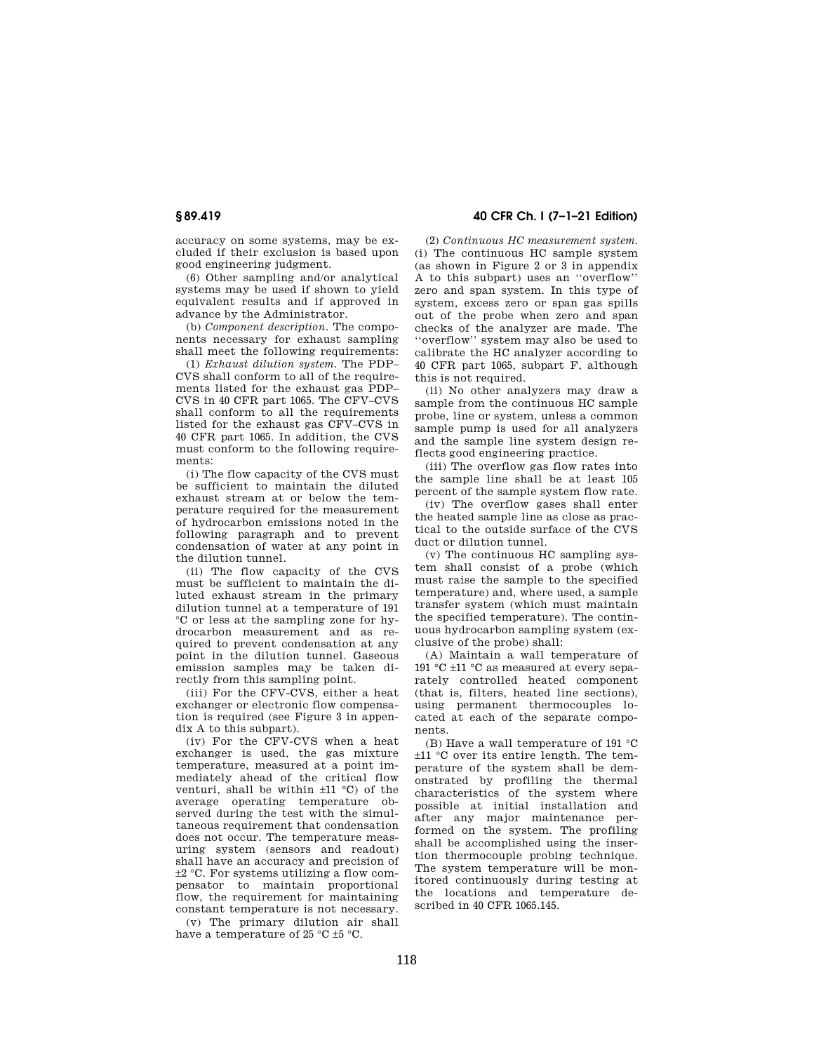accuracy on some systems, may be excluded if their exclusion is based upon good engineering judgment.

(6) Other sampling and/or analytical systems may be used if shown to yield equivalent results and if approved in advance by the Administrator.

(b) *Component description.* The components necessary for exhaust sampling shall meet the following requirements:

(1) *Exhaust dilution system.* The PDP– CVS shall conform to all of the requirements listed for the exhaust gas PDP– CVS in 40 CFR part 1065. The CFV–CVS shall conform to all the requirements listed for the exhaust gas CFV–CVS in 40 CFR part 1065. In addition, the CVS must conform to the following requirements:

(i) The flow capacity of the CVS must be sufficient to maintain the diluted exhaust stream at or below the temperature required for the measurement of hydrocarbon emissions noted in the following paragraph and to prevent condensation of water at any point in the dilution tunnel.

(ii) The flow capacity of the CVS must be sufficient to maintain the diluted exhaust stream in the primary dilution tunnel at a temperature of 191 °C or less at the sampling zone for hydrocarbon measurement and as required to prevent condensation at any point in the dilution tunnel. Gaseous emission samples may be taken directly from this sampling point.

(iii) For the CFV-CVS, either a heat exchanger or electronic flow compensation is required (see Figure 3 in appendix A to this subpart).

(iv) For the CFV-CVS when a heat exchanger is used, the gas mixture temperature, measured at a point immediately ahead of the critical flow venturi, shall be within ±11 °C) of the average operating temperature observed during the test with the simultaneous requirement that condensation does not occur. The temperature measuring system (sensors and readout) shall have an accuracy and precision of ±2 °C. For systems utilizing a flow compensator to maintain proportional flow, the requirement for maintaining constant temperature is not necessary.

(v) The primary dilution air shall have a temperature of 25 °C  $\pm$ 5 °C.

**§ 89.419 40 CFR Ch. I (7–1–21 Edition)** 

(2) *Continuous HC measurement system.*  (i) The continuous HC sample system (as shown in Figure 2 or 3 in appendix A to this subpart) uses an ''overflow'' zero and span system. In this type of system, excess zero or span gas spills out of the probe when zero and span checks of the analyzer are made. The ''overflow'' system may also be used to calibrate the HC analyzer according to 40 CFR part 1065, subpart F, although this is not required.

(ii) No other analyzers may draw a sample from the continuous HC sample probe, line or system, unless a common sample pump is used for all analyzers and the sample line system design reflects good engineering practice.

(iii) The overflow gas flow rates into the sample line shall be at least 105 percent of the sample system flow rate.

(iv) The overflow gases shall enter the heated sample line as close as practical to the outside surface of the CVS duct or dilution tunnel.

(v) The continuous HC sampling system shall consist of a probe (which must raise the sample to the specified temperature) and, where used, a sample transfer system (which must maintain the specified temperature). The continuous hydrocarbon sampling system (exclusive of the probe) shall:

(A) Maintain a wall temperature of 191 °C ±11 °C as measured at every separately controlled heated component (that is, filters, heated line sections), using permanent thermocouples located at each of the separate components.

(B) Have a wall temperature of 191 °C ±11 °C over its entire length. The temperature of the system shall be demonstrated by profiling the thermal characteristics of the system where possible at initial installation and after any major maintenance performed on the system. The profiling shall be accomplished using the insertion thermocouple probing technique. The system temperature will be monitored continuously during testing at the locations and temperature described in 40 CFR 1065.145.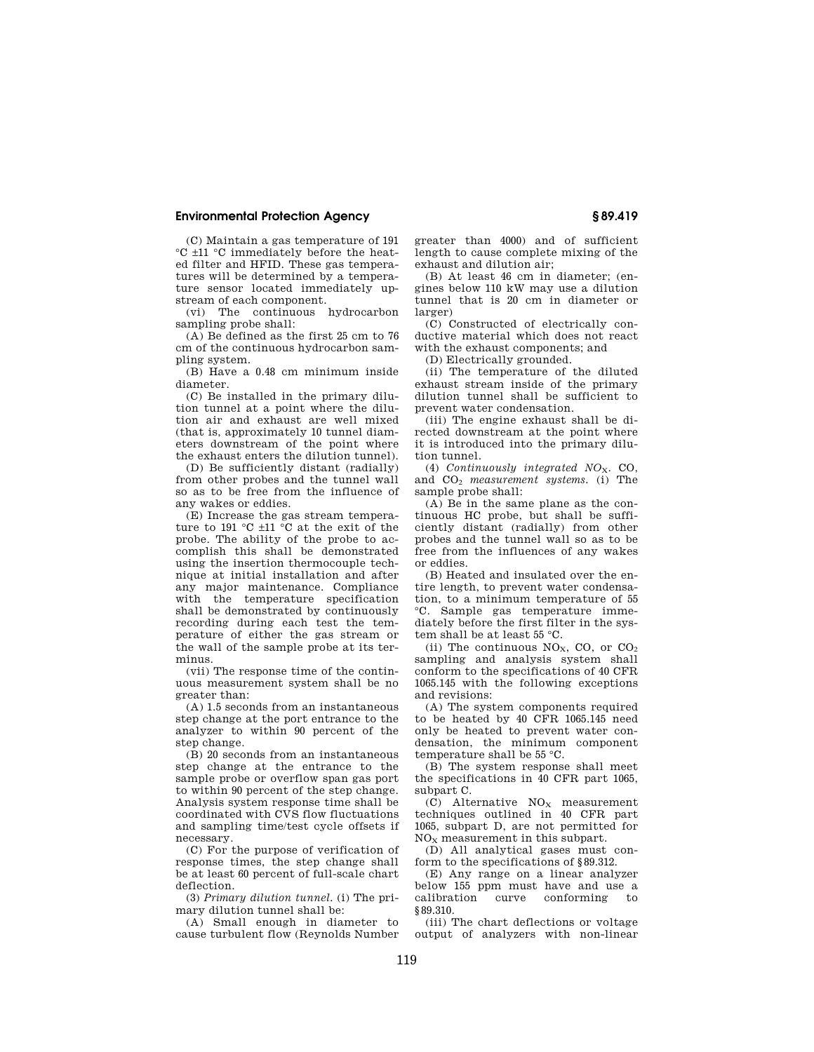(C) Maintain a gas temperature of 191 °C ±11 °C immediately before the heated filter and HFID. These gas temperatures will be determined by a temperature sensor located immediately upstream of each component.

(vi) The continuous hydrocarbon sampling probe shall:

(A) Be defined as the first 25 cm to 76 cm of the continuous hydrocarbon sampling system.

(B) Have a 0.48 cm minimum inside diameter.

(C) Be installed in the primary dilution tunnel at a point where the dilution air and exhaust are well mixed (that is, approximately 10 tunnel diameters downstream of the point where the exhaust enters the dilution tunnel).

(D) Be sufficiently distant (radially) from other probes and the tunnel wall so as to be free from the influence of any wakes or eddies.

(E) Increase the gas stream temperature to 191 °C ±11 °C at the exit of the probe. The ability of the probe to accomplish this shall be demonstrated using the insertion thermocouple technique at initial installation and after any major maintenance. Compliance with the temperature specification shall be demonstrated by continuously recording during each test the temperature of either the gas stream or the wall of the sample probe at its terminus.

(vii) The response time of the continuous measurement system shall be no greater than:

(A) 1.5 seconds from an instantaneous step change at the port entrance to the analyzer to within 90 percent of the step change.

(B) 20 seconds from an instantaneous step change at the entrance to the sample probe or overflow span gas port to within 90 percent of the step change. Analysis system response time shall be coordinated with CVS flow fluctuations and sampling time/test cycle offsets if necessary.

(C) For the purpose of verification of response times, the step change shall be at least 60 percent of full-scale chart deflection.

(3) *Primary dilution tunnel.* (i) The primary dilution tunnel shall be:

(A) Small enough in diameter to cause turbulent flow (Reynolds Number greater than 4000) and of sufficient length to cause complete mixing of the exhaust and dilution air;

(B) At least 46 cm in diameter; (engines below 110 kW may use a dilution tunnel that is 20 cm in diameter or larger)

(C) Constructed of electrically conductive material which does not react with the exhaust components; and

(D) Electrically grounded.

(ii) The temperature of the diluted exhaust stream inside of the primary dilution tunnel shall be sufficient to prevent water condensation.

(iii) The engine exhaust shall be directed downstream at the point where it is introduced into the primary dilution tunnel.

(4) *Continuously integrated NO*X. CO, and CO<sup>2</sup> *measurement systems.* (i) The sample probe shall:

(A) Be in the same plane as the continuous HC probe, but shall be sufficiently distant (radially) from other probes and the tunnel wall so as to be free from the influences of any wakes or eddies.

(B) Heated and insulated over the entire length, to prevent water condensation, to a minimum temperature of 55 °C. Sample gas temperature immediately before the first filter in the system shall be at least 55 °C.

(ii) The continuous  $NO<sub>x</sub>$ , CO, or  $CO<sub>2</sub>$ sampling and analysis system shall conform to the specifications of 40 CFR 1065.145 with the following exceptions and revisions:

(A) The system components required to be heated by 40 CFR 1065.145 need only be heated to prevent water condensation, the minimum component temperature shall be 55 °C.

(B) The system response shall meet the specifications in 40 CFR part 1065, subpart C.

 $(C)$  Alternative  $NO<sub>X</sub>$  measurement techniques outlined in 40 CFR part 1065, subpart D, are not permitted for  $NO<sub>x</sub>$  measurement in this subpart.

(D) All analytical gases must conform to the specifications of §89.312.

(E) Any range on a linear analyzer below 155 ppm must have and use a curve conforming §89.310.

(iii) The chart deflections or voltage output of analyzers with non-linear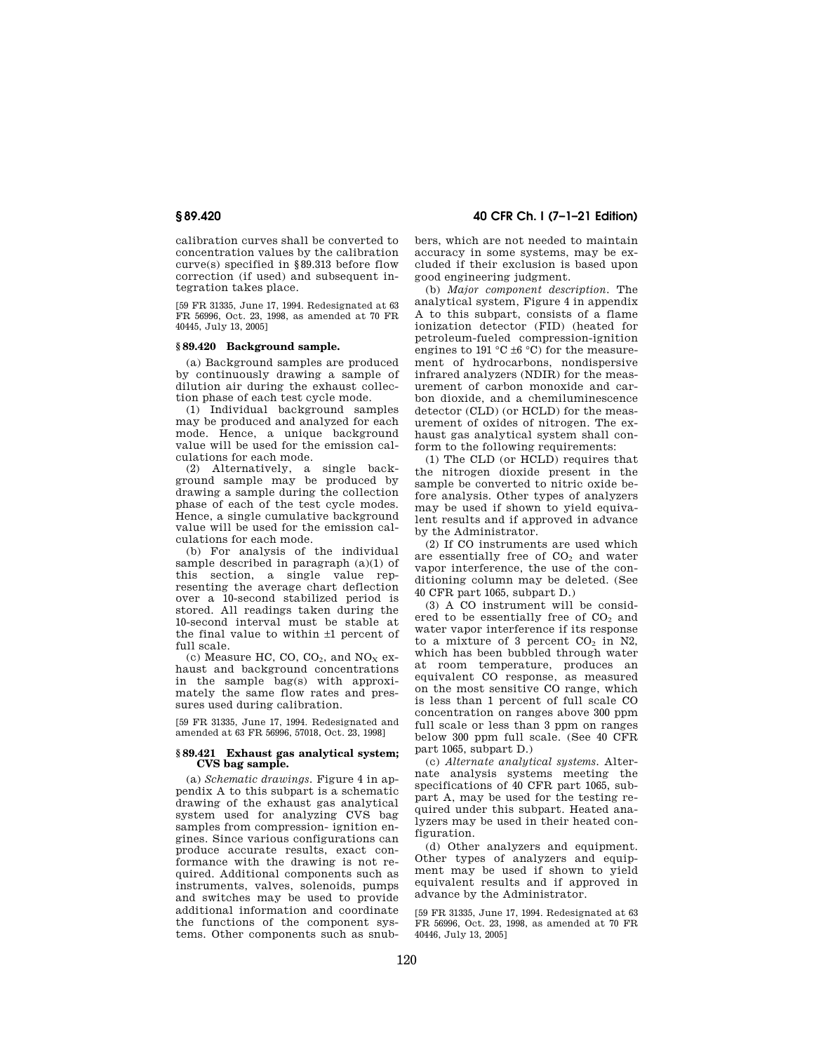calibration curves shall be converted to concentration values by the calibration curve(s) specified in §89.313 before flow correction (if used) and subsequent integration takes place.

[59 FR 31335, June 17, 1994. Redesignated at 63 FR 56996, Oct. 23, 1998, as amended at 70 FR 40445, July 13, 2005]

### **§ 89.420 Background sample.**

(a) Background samples are produced by continuously drawing a sample of dilution air during the exhaust collection phase of each test cycle mode.

(1) Individual background samples may be produced and analyzed for each mode. Hence, a unique background value will be used for the emission calculations for each mode.

(2) Alternatively, a single background sample may be produced by drawing a sample during the collection phase of each of the test cycle modes. Hence, a single cumulative background value will be used for the emission calculations for each mode.

(b) For analysis of the individual sample described in paragraph  $(a)(1)$  of this section, a single value representing the average chart deflection over a 10-second stabilized period is stored. All readings taken during the 10-second interval must be stable at the final value to within ±1 percent of full scale.

(c) Measure HC, CO,  $CO<sub>2</sub>$ , and  $NO<sub>X</sub>$  exhaust and background concentrations in the sample bag(s) with approximately the same flow rates and pressures used during calibration.

[59 FR 31335, June 17, 1994. Redesignated and amended at 63 FR 56996, 57018, Oct. 23, 1998]

### **§ 89.421 Exhaust gas analytical system; CVS bag sample.**

(a) *Schematic drawings.* Figure 4 in appendix A to this subpart is a schematic drawing of the exhaust gas analytical system used for analyzing CVS bag samples from compression- ignition engines. Since various configurations can produce accurate results, exact conformance with the drawing is not required. Additional components such as instruments, valves, solenoids, pumps and switches may be used to provide additional information and coordinate the functions of the component systems. Other components such as snub-

**§ 89.420 40 CFR Ch. I (7–1–21 Edition)** 

bers, which are not needed to maintain accuracy in some systems, may be excluded if their exclusion is based upon good engineering judgment.

(b) *Major component description.* The analytical system, Figure 4 in appendix A to this subpart, consists of a flame ionization detector (FID) (heated for petroleum-fueled compression-ignition engines to 191 °C  $\pm$ 6 °C) for the measurement of hydrocarbons, nondispersive infrared analyzers (NDIR) for the measurement of carbon monoxide and carbon dioxide, and a chemiluminescence detector (CLD) (or HCLD) for the measurement of oxides of nitrogen. The exhaust gas analytical system shall conform to the following requirements:

(1) The CLD (or HCLD) requires that the nitrogen dioxide present in the sample be converted to nitric oxide before analysis. Other types of analyzers may be used if shown to yield equivalent results and if approved in advance by the Administrator.

(2) If CO instruments are used which are essentially free of  $CO<sub>2</sub>$  and water vapor interference, the use of the conditioning column may be deleted. (See 40 CFR part 1065, subpart D.)

(3) A CO instrument will be considered to be essentially free of  $CO<sub>2</sub>$  and water vapor interference if its response to a mixture of 3 percent  $CO<sub>2</sub>$  in N2, which has been bubbled through water at room temperature, produces an equivalent CO response, as measured on the most sensitive CO range, which is less than 1 percent of full scale CO concentration on ranges above 300 ppm full scale or less than 3 ppm on ranges below 300 ppm full scale. (See 40 CFR part 1065, subpart D.)

(c) *Alternate analytical systems.* Alternate analysis systems meeting the specifications of 40 CFR part 1065, subpart A, may be used for the testing required under this subpart. Heated analyzers may be used in their heated configuration.

(d) Other analyzers and equipment. Other types of analyzers and equipment may be used if shown to yield equivalent results and if approved in advance by the Administrator.

[59 FR 31335, June 17, 1994. Redesignated at 63 FR 56996, Oct. 23, 1998, as amended at 70 FR 40446, July 13, 2005]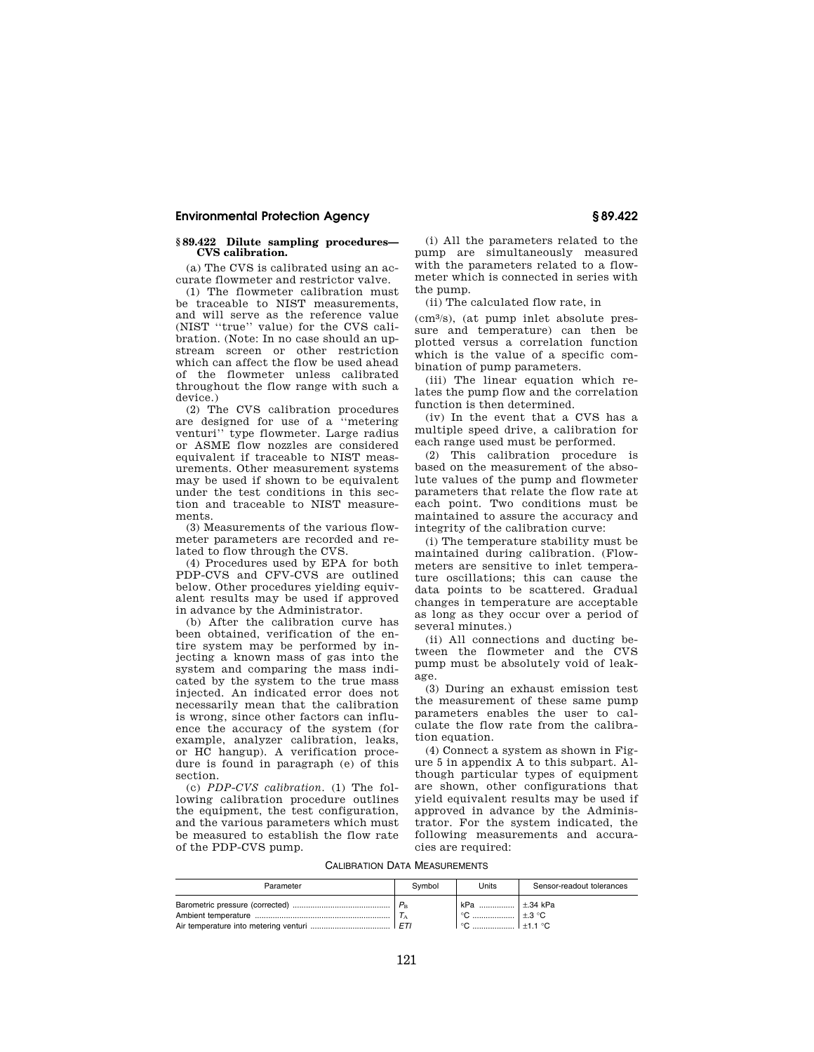## **§ 89.422 Dilute sampling procedures— CVS calibration.**

(a) The CVS is calibrated using an accurate flowmeter and restrictor valve.

(1) The flowmeter calibration must be traceable to NIST measurements, and will serve as the reference value (NIST ''true'' value) for the CVS calibration. (Note: In no case should an upstream screen or other restriction which can affect the flow be used ahead of the flowmeter unless calibrated throughout the flow range with such a device.)

(2) The CVS calibration procedures are designed for use of a ''metering venturi'' type flowmeter. Large radius or ASME flow nozzles are considered equivalent if traceable to NIST measurements. Other measurement systems may be used if shown to be equivalent under the test conditions in this section and traceable to NIST measurements.

(3) Measurements of the various flowmeter parameters are recorded and related to flow through the CVS.

(4) Procedures used by EPA for both PDP-CVS and CFV-CVS are outlined below. Other procedures yielding equivalent results may be used if approved in advance by the Administrator.

(b) After the calibration curve has been obtained, verification of the entire system may be performed by injecting a known mass of gas into the system and comparing the mass indicated by the system to the true mass injected. An indicated error does not necessarily mean that the calibration is wrong, since other factors can influence the accuracy of the system (for example, analyzer calibration, leaks, or HC hangup). A verification procedure is found in paragraph (e) of this section.

(c) *PDP-CVS calibration.* (1) The following calibration procedure outlines the equipment, the test configuration, and the various parameters which must be measured to establish the flow rate of the PDP-CVS pump.

(i) All the parameters related to the pump are simultaneously measured with the parameters related to a flowmeter which is connected in series with the pump.

(ii) The calculated flow rate, in

(cm3/s), (at pump inlet absolute pressure and temperature) can then be plotted versus a correlation function which is the value of a specific combination of pump parameters.

(iii) The linear equation which relates the pump flow and the correlation function is then determined.

(iv) In the event that a CVS has a multiple speed drive, a calibration for each range used must be performed.

(2) This calibration procedure is based on the measurement of the absolute values of the pump and flowmeter parameters that relate the flow rate at each point. Two conditions must be maintained to assure the accuracy and integrity of the calibration curve:

(i) The temperature stability must be maintained during calibration. (Flowmeters are sensitive to inlet temperature oscillations; this can cause the data points to be scattered. Gradual changes in temperature are acceptable as long as they occur over a period of several minutes.)

(ii) All connections and ducting between the flowmeter and the CVS pump must be absolutely void of leakage.

(3) During an exhaust emission test the measurement of these same pump parameters enables the user to calculate the flow rate from the calibration equation.

(4) Connect a system as shown in Figure 5 in appendix A to this subpart. Although particular types of equipment are shown, other configurations that yield equivalent results may be used if approved in advance by the Administrator. For the system indicated, the following measurements and accuracies are required:

CALIBRATION DATA MEASUREMENTS

| Parameter | Symbol      | Units                            | Sensor-readout tolerances |
|-----------|-------------|----------------------------------|---------------------------|
|           | $P_{\rm p}$ | kPa<br>+ °C ………………… <sup>-</sup> | ∣±.34 kPa<br>$+.3 °C$     |
|           | FTI         | $\circ$                          | $+1$ 1 $^{\circ}$ C       |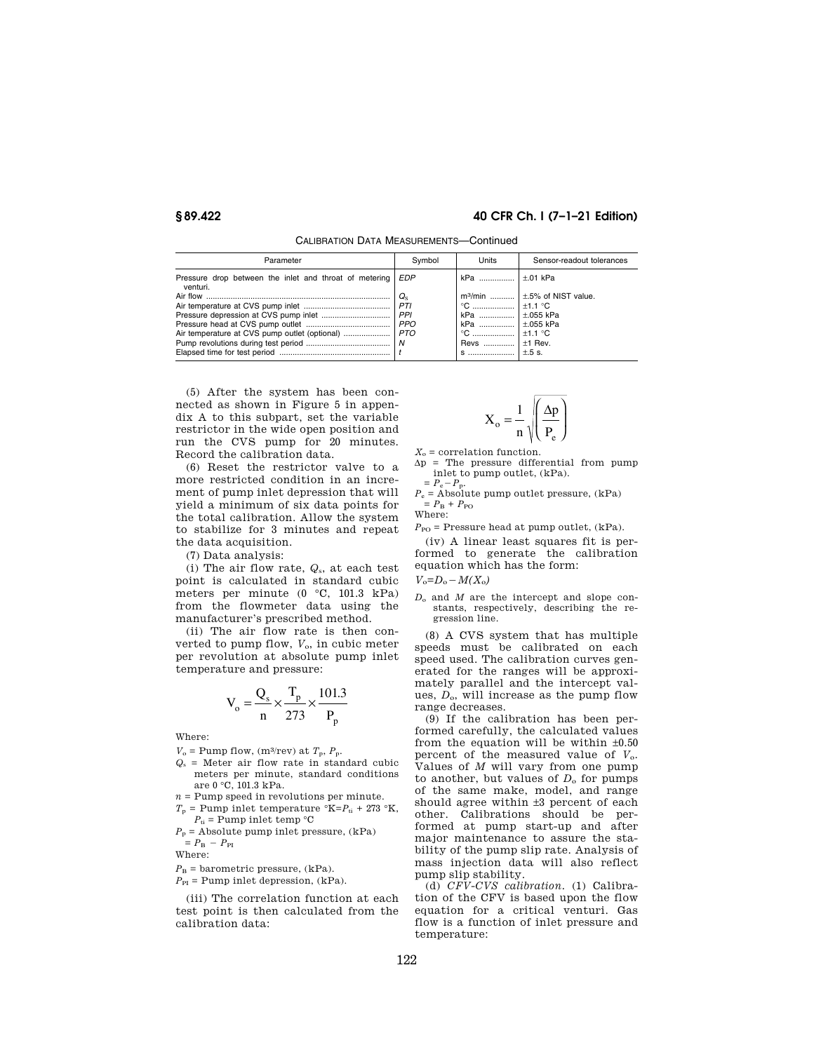# **§ 89.422 40 CFR Ch. I (7–1–21 Edition)**

| Parameter                                                              | Symbol     | Units               | Sensor-readout tolerances           |
|------------------------------------------------------------------------|------------|---------------------|-------------------------------------|
| Pressure drop between the inlet and throat of metering EDP<br>venturi. |            | kPa    ±.01 kPa     |                                     |
|                                                                        | $Q_{S}$    |                     | $m^3$ /min $\pm 5\%$ of NIST value. |
|                                                                        | PTI        | °C ……………… I ±1.1 °C |                                     |
|                                                                        | PPI        | kPa    ±.055 kPa    |                                     |
|                                                                        | <b>PPO</b> | kPa    ±.055 kPa    |                                     |
|                                                                        |            | °C ………………   ±1.1 °C |                                     |
|                                                                        |            | Revs    ±1 Rev.     |                                     |
|                                                                        |            | $S$                 | $\pm$ .5 s.                         |

CALIBRATION DATA MEASUREMENTS—Continued

(5) After the system has been connected as shown in Figure 5 in appendix A to this subpart, set the variable restrictor in the wide open position and run the CVS pump for 20 minutes. Record the calibration data.

(6) Reset the restrictor valve to a more restricted condition in an increment of pump inlet depression that will yield a minimum of six data points for the total calibration. Allow the system to stabilize for 3 minutes and repeat the data acquisition.

(7) Data analysis:

(i) The air flow rate, *Q*s, at each test point is calculated in standard cubic meters per minute (0 °C, 101.3 kPa) from the flowmeter data using the manufacturer's prescribed method.

(ii) The air flow rate is then converted to pump flow,  $V_0$ , in cubic meter per revolution at absolute pump inlet temperature and pressure:

$$
V_o = \frac{Q_s}{n} \times \frac{T_p}{273} \times \frac{101.3}{P_p}
$$

Where:

- $V_o$  = Pump flow, (m<sup>3</sup>/rev) at  $T_p$ ,  $P_p$ .
- $Q<sub>s</sub>$  = Meter air flow rate in standard cubic meters per minute, standard conditions are 0 °C, 101.3 kPa.
- $n =$  Pump speed in revolutions per minute.
- $T_p$  = Pump inlet temperature  ${}^{\circ}$ K= $P_{ti}$  + 273  ${}^{\circ}$ K,  $P_{\text{ti}}$  = Pump inlet temp  $^{\circ}$ C

 $P_p$  = Absolute pump inlet pressure,  $(kPa)$  $= P_{\rm B} - P_{\rm PI}$ 

Where:

$$
P_{\rm B}
$$
 = barometric pressure, (kPa).

 $P_{\text{PI}}$  = Pump inlet depression, (kPa).

(iii) The correlation function at each test point is then calculated from the calibration data:

$$
X_o = \frac{1}{n} \sqrt{\frac{\Delta p}{P_e}}
$$

 $X_0$  = correlation function.

 $\Delta p$  = The pressure differential from pump inlet to pump outlet, (kPa).  $= P_e - P_p$ 

 $P_e$  = Absolute pump outlet pressure,  $(kPa)$  $= P_{\rm B} + P_{\rm PO}$ 

Where:

 $P_{\rm PO}$  = Pressure head at pump outlet, (kPa).

(iv) A linear least squares fit is performed to generate the calibration equation which has the form:

 $V_o = D_o - M(X_o)$ 

*D*<sup>o</sup> and *M* are the intercept and slope constants, respectively, describing the regression line.

(8) A CVS system that has multiple speeds must be calibrated on each speed used. The calibration curves generated for the ranges will be approximately parallel and the intercept values, *D*o, will increase as the pump flow range decreases.

(9) If the calibration has been performed carefully, the calculated values from the equation will be within  $\pm 0.50$ percent of the measured value of *V*o. Values of *M* will vary from one pump to another, but values of  $D_0$  for pumps of the same make, model, and range should agree within ±3 percent of each other. Calibrations should be performed at pump start-up and after major maintenance to assure the stability of the pump slip rate. Analysis of mass injection data will also reflect pump slip stability.

(d) *CFV-CVS calibration.* (1) Calibration of the CFV is based upon the flow equation for a critical venturi. Gas flow is a function of inlet pressure and temperature: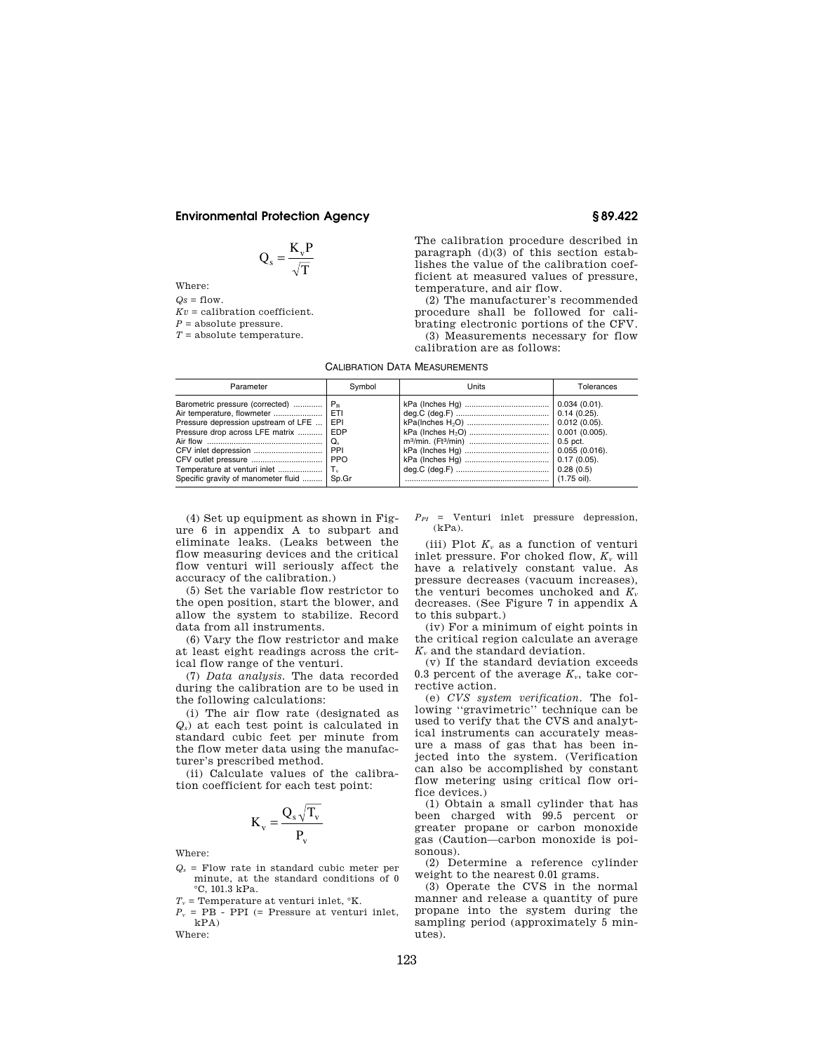$$
Q_s = \frac{K_v P}{\sqrt{T}}
$$

Where:

 $Qs = flow$ .  $Kv =$  calibration coefficient.

 $P =$ absolute pressure.

*T* = absolute temperature.

The calibration procedure described in paragraph  $(d)(3)$  of this section establishes the value of the calibration coefficient at measured values of pressure, temperature, and air flow.

(2) The manufacturer's recommended procedure shall be followed for calibrating electronic portions of the CFV. (3) Measurements necessary for flow

calibration are as follows:

CALIBRATION DATA MEASUREMENTS

| Parameter                                                                                                                                                                          | Symbol      | Units | Tolerances             |
|------------------------------------------------------------------------------------------------------------------------------------------------------------------------------------|-------------|-------|------------------------|
| Barometric pressure (corrected)    P <sub>B</sub><br>Pressure depression upstream of LFE<br>Pressure drop across LFE matrix    EDP<br>Specific gravity of manometer fluid    Sp.Gr | I EPI<br>Q. |       | $(1.75 \text{ oil})$ . |

(4) Set up equipment as shown in Figure 6 in appendix A to subpart and eliminate leaks. (Leaks between the flow measuring devices and the critical flow venturi will seriously affect the accuracy of the calibration.)

(5) Set the variable flow restrictor to the open position, start the blower, and allow the system to stabilize. Record data from all instruments.

(6) Vary the flow restrictor and make at least eight readings across the critical flow range of the venturi.

(7) *Data analysis.* The data recorded during the calibration are to be used in the following calculations:

(i) The air flow rate (designated as *Qs*) at each test point is calculated in standard cubic feet per minute from the flow meter data using the manufacturer's prescribed method.

(ii) Calculate values of the calibration coefficient for each test point:

$$
K_v = \frac{Q_s \sqrt{T_v}}{P_v}
$$

Where:

*Q<sup>s</sup>* = Flow rate in standard cubic meter per minute, at the standard conditions of 0 °C, 101.3 kPa.

 $T_v$  = Temperature at venturi inlet,  $K$ .

 $P_v$  = PB - PPI (= Pressure at venturi inlet, kPA) Where:

 $P_{PI}$  = Venturi inlet pressure depression, (kPa).

(iii) Plot *K<sup>v</sup>* as a function of venturi inlet pressure. For choked flow, *K<sup>v</sup>* will have a relatively constant value. As pressure decreases (vacuum increases), the venturi becomes unchoked and  $K_v$ decreases. (See Figure 7 in appendix A to this subpart.)

(iv) For a minimum of eight points in the critical region calculate an average *K<sup>v</sup>* and the standard deviation.

(v) If the standard deviation exceeds 0.3 percent of the average  $K_v$ , take corrective action.

(e) *CVS system verification.* The following ''gravimetric'' technique can be used to verify that the CVS and analytical instruments can accurately measure a mass of gas that has been injected into the system. (Verification can also be accomplished by constant flow metering using critical flow orifice devices.)

(1) Obtain a small cylinder that has been charged with 99.5 percent or greater propane or carbon monoxide gas (Caution—carbon monoxide is poisonous).

(2) Determine a reference cylinder weight to the nearest 0.01 grams.

(3) Operate the CVS in the normal manner and release a quantity of pure propane into the system during the sampling period (approximately 5 minutes).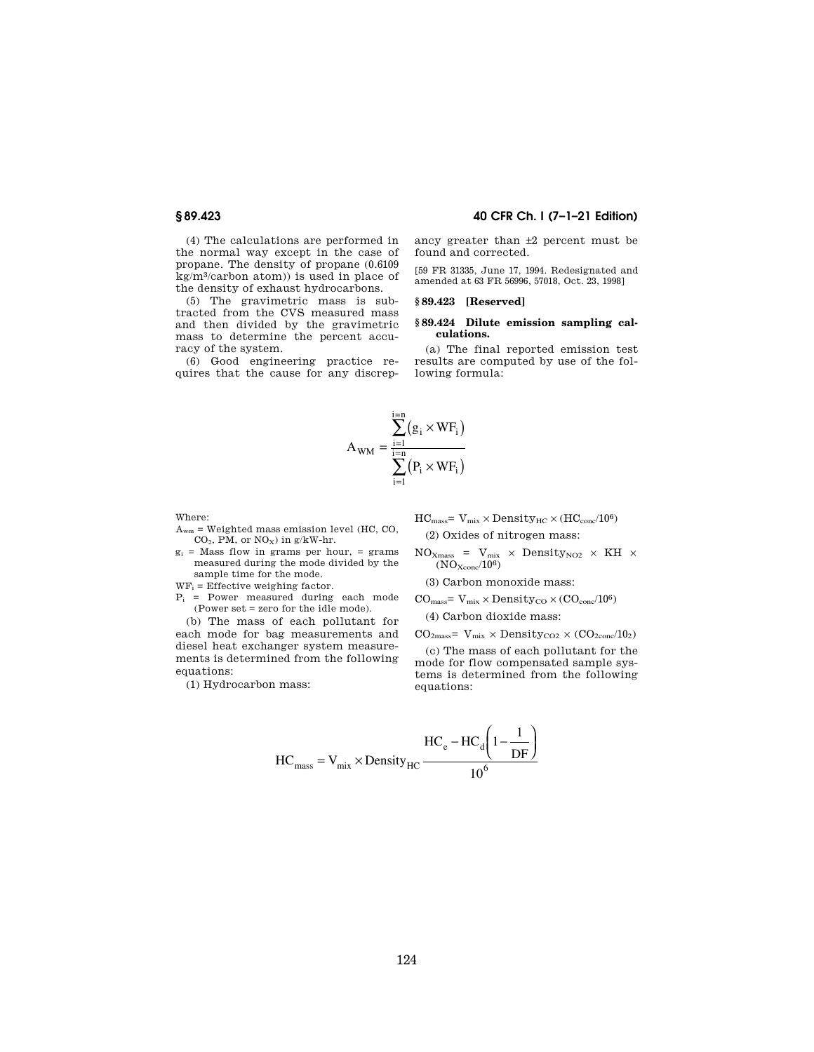**§ 89.423 40 CFR Ch. I (7–1–21 Edition)** 

(4) The calculations are performed in the normal way except in the case of propane. The density of propane (0.6109 kg/m3/carbon atom)) is used in place of the density of exhaust hydrocarbons.

(5) The gravimetric mass is subtracted from the CVS measured mass and then divided by the gravimetric mass to determine the percent accuracy of the system.

(6) Good engineering practice requires that the cause for any discrepancy greater than ±2 percent must be found and corrected.

[59 FR 31335, June 17, 1994. Redesignated and amended at 63 FR 56996, 57018, Oct. 23, 1998]

### **§ 89.423 [Reserved]**

# **§ 89.424 Dilute emission sampling calculations.**

(a) The final reported emission test results are computed by use of the following formula:

$$
A_{WM} = \frac{\displaystyle\sum_{i=1}^{i=n} \bigl(g_i \times WF_i\bigr)}{\displaystyle\sum_{i=1}^{i=n} \bigl(P_i \times WF_i\bigr)}
$$

Where:

 $A_{wm}$  = Weighted mass emission level (HC, CO,  $CO<sub>2</sub>$ , PM, or NO<sub>x</sub>) in g/kW-hr.

 $g_i$  = Mass flow in grams per hour, = grams measured during the mode divided by the sample time for the mode.

 $WF_i =$  Effective weighing factor.

 $P_i$  = Power measured during each mode (Power set = zero for the idle mode).

(b) The mass of each pollutant for each mode for bag measurements and diesel heat exchanger system measurements is determined from the following equations:

(1) Hydrocarbon mass:

$$
HC_{mass} = V_{mix} \times Density_{HC} \times (HC_{conc}/10^6)
$$
  
(2) Oxides of nitrogen mass:

 $NO_{Xmass}$  =  $V_{mix}$  × Density<sub>NO2</sub> × KH ×  $(NO<sub>Xcone</sub>/10<sup>6</sup>)$ 

(3) Carbon monoxide mass:

$$
CO_{mass}\textcolor{red}{=V_{mix}\times Density_{CO}\times (CO_{conc}/10^6)}
$$

(4) Carbon dioxide mass:

 $CO<sub>2mass</sub> = V<sub>mix</sub> \times Density<sub>CO2</sub> \times (CO<sub>2conc</sub>/10<sub>2</sub>)$ 

(c) The mass of each pollutant for the mode for flow compensated sample systems is determined from the following equations:

$$
HC_{\text{mass}} = V_{\text{mix}} \times \text{Density}_{HC} \frac{HC_e - HC_d \left(1 - \frac{1}{DF}\right)}{10^6}
$$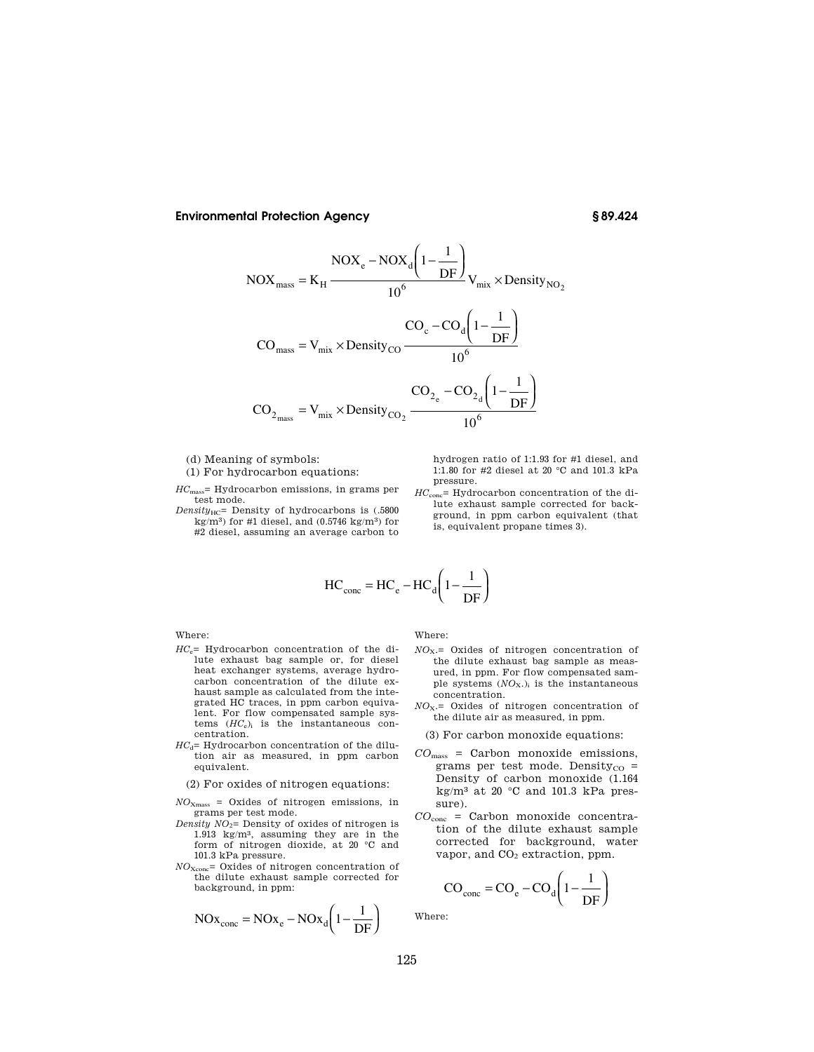$$
NOX_{mass} = K_{H} \frac{NOX_{e} - NOX_{d} \left(1 - \frac{1}{DF}\right)}{10^{6}} V_{mix} \times Density_{NO_{2}}
$$

$$
CO_{mass} = V_{mix} \times Density_{CO} \frac{CO_{c} - CO_{d} \left(1 - \frac{1}{DF}\right)}{10^{6}}
$$

$$
CO_{2_{mass}} = V_{mix} \times Density_{CO_{2}} \frac{CO_{2_{e}} - CO_{2_{d}} \left(1 - \frac{1}{DF}\right)}{10^{6}}
$$

(d) Meaning of symbols:

(1) For hydrocarbon equations:

*HC*mass= Hydrocarbon emissions, in grams per test mode.

*Density*<sub>HC</sub>= Density of hydrocarbons is (.5800 kg/m<sup>3</sup>) for #1 diesel, and  $(0.5746 \text{ kg/m}^3)$  for #2 diesel, assuming an average carbon to

hydrogen ratio of 1:1.93 for #1 diesel, and 1:1.80 for #2 diesel at 20 °C and 101.3 kPa pressure.

*HC*conc= Hydrocarbon concentration of the dilute exhaust sample corrected for background, in ppm carbon equivalent (that is, equivalent propane times 3).

$$
HC_{\text{conc}} = HC_e - HC_d \left(1 - \frac{1}{DF}\right)
$$

Where:

- *HC*e= Hydrocarbon concentration of the dilute exhaust bag sample or, for diesel heat exchanger systems, average hydrocarbon concentration of the dilute exhaust sample as calculated from the integrated HC traces, in ppm carbon equivalent. For flow compensated sample systems (*HC*e)<sup>i</sup> is the instantaneous concentration.
- $HC_{\rm d}=$  Hydrocarbon concentration of the dilution air as measured, in ppm carbon equivalent.

(2) For oxides of nitrogen equations:

- *NO*Xmass = Oxides of nitrogen emissions, in grams per test mode.
- *Density NO*2= Density of oxides of nitrogen is 1.913 kg/m3, assuming they are in the form of nitrogen dioxide, at 20 °C and 101.3 kPa pressure.
- *NO*Xconc= Oxides of nitrogen concentration of the dilute exhaust sample corrected for background, in ppm:

$$
NOx_{\text{conc}} = NOx_{\text{e}} - NOx_{\text{d}} \left( 1 - \frac{1}{DF} \right)
$$

Where:

- *NO*X.= Oxides of nitrogen concentration of the dilute exhaust bag sample as measured, in ppm. For flow compensated sample systems (*NO*X.)<sup>i</sup> is the instantaneous concentration.
- *NO*X.= Oxides of nitrogen concentration of the dilute air as measured, in ppm.

(3) For carbon monoxide equations:

- *CO*mass = Carbon monoxide emissions, grams per test mode. Density $_{\rm CO}$  = Density of carbon monoxide (1.164 kg/m<sup>3</sup> at 20  $\degree$ C and 101.3 kPa pressure).
- *CO*conc = Carbon monoxide concentration of the dilute exhaust sample corrected for background, water vapor, and  $CO<sub>2</sub>$  extraction, ppm.

$$
CO_{\text{conc}} = CO_{\text{e}} - CO_{\text{d}} \left( 1 - \frac{1}{DF} \right)
$$

Where: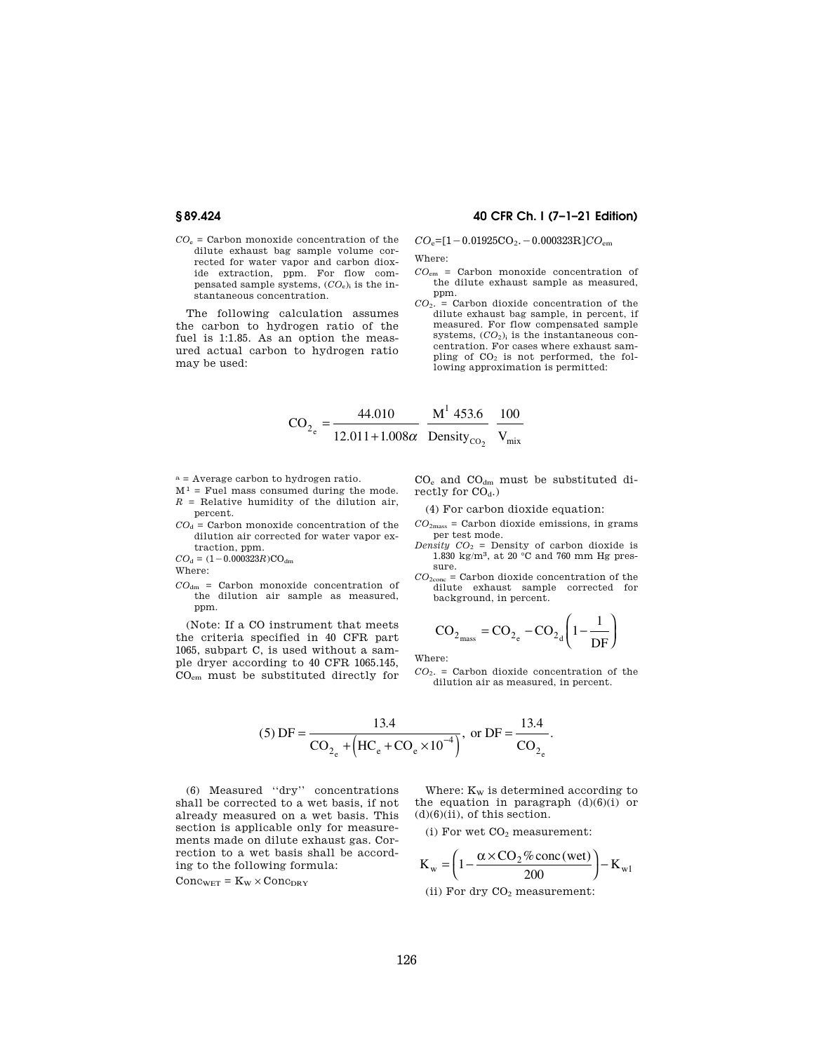- **§ 89.424 40 CFR Ch. I (7–1–21 Edition)**
- $CO<sub>e</sub>$  = Carbon monoxide concentration of the dilute exhaust bag sample volume corrected for water vapor and carbon dioxide extraction, ppm. For flow compensated sample systems,  $(CO_e)$ <sub>i</sub> is the instantaneous concentration.

The following calculation assumes the carbon to hydrogen ratio of the fuel is 1:1.85. As an option the measured actual carbon to hydrogen ratio may be used:

 $CO_e=[1-0.01925CO_2. -0.000323R]CO<sub>em</sub>$ 

Where:

- *CO*em = Carbon monoxide concentration of the dilute exhaust sample as measured, ppm.
- *CO*2. = Carbon dioxide concentration of the dilute exhaust bag sample, in percent, if measured. For flow compensated sample systems,  $(CO_2)$ <sub>i</sub> is the instantaneous concentration. For cases where exhaust sampling of  $CO<sub>2</sub>$  is not performed, the following approximation is permitted:

$$
CO_{2_e} = \frac{44.010}{12.011 + 1.008\alpha} \frac{M^1 453.6}{Density_{CO_2}} \frac{100}{V_{mix}}
$$

- a = Average carbon to hydrogen ratio.
- $\mathbf{M}^1$  = Fuel mass consumed during the mode.  $R =$  Relative humidity of the dilution air,
- percent.  $CO<sub>d</sub>$  = Carbon monoxide concentration of the dilution air corrected for water vapor extraction, ppm.

 $CO<sub>d</sub> = (1 - 0.000323R)CO<sub>dm</sub>$ 

Where:

ppm.

*CO*dm = Carbon monoxide concentration of the dilution air sample as measured,

(Note: If a CO instrument that meets the criteria specified in 40 CFR part 1065, subpart C, is used without a sample dryer according to 40 CFR 1065.145, COem must be substituted directly for

CO<sup>e</sup> and COdm must be substituted directly for  $CO<sub>d</sub>$ .)

(4) For carbon dioxide equation:

- $CO<sub>2</sub>$ <sub>mass</sub> = Carbon dioxide emissions, in grams per test mode.
- *Density*  $CO_2$  = Density of carbon dioxide is  $1.830$  kg/m², at 20  $^{\circ}\mathrm{C}$  and 760 mm Hg pressure.
- $CO_{2\mathrm{conc}}$  = Carbon dioxide concentration of the dilute exhaust sample corrected for background, in percent.

$$
\text{CO}_{2_{\text{mass}}} = \text{CO}_{2_{\text{e}}} - \text{CO}_{2_{\text{d}}} \left( 1 - \frac{1}{\text{DF}} \right)
$$

Where:

*CO*2. = Carbon dioxide concentration of the dilution air as measured, in percent.

(5) 
$$
DF = \frac{13.4}{CO_{2_e} + (HC_e + CO_e \times 10^{-4})}
$$
, or  $DF = \frac{13.4}{CO_{2_e}}$ .

(6) Measured ''dry'' concentrations shall be corrected to a wet basis, if not already measured on a wet basis. This section is applicable only for measurements made on dilute exhaust gas. Correction to a wet basis shall be according to the following formula:

 $Conc_{WET} = K_W \times Conc_{DRY}$ 

Where:  $K_W$  is determined according to the equation in paragraph  $(d)(6)(i)$  or  $(d)(6)(ii)$ , of this section.

(i) For wet  $\mathrm{CO}_2$  measurement:

$$
K_{w} = \left(1 - \frac{\alpha \times CO_{2} \% \text{ conc (wet)}}{200}\right) - K_{w1}
$$

(ii) For dry  $CO<sub>2</sub>$  measurement: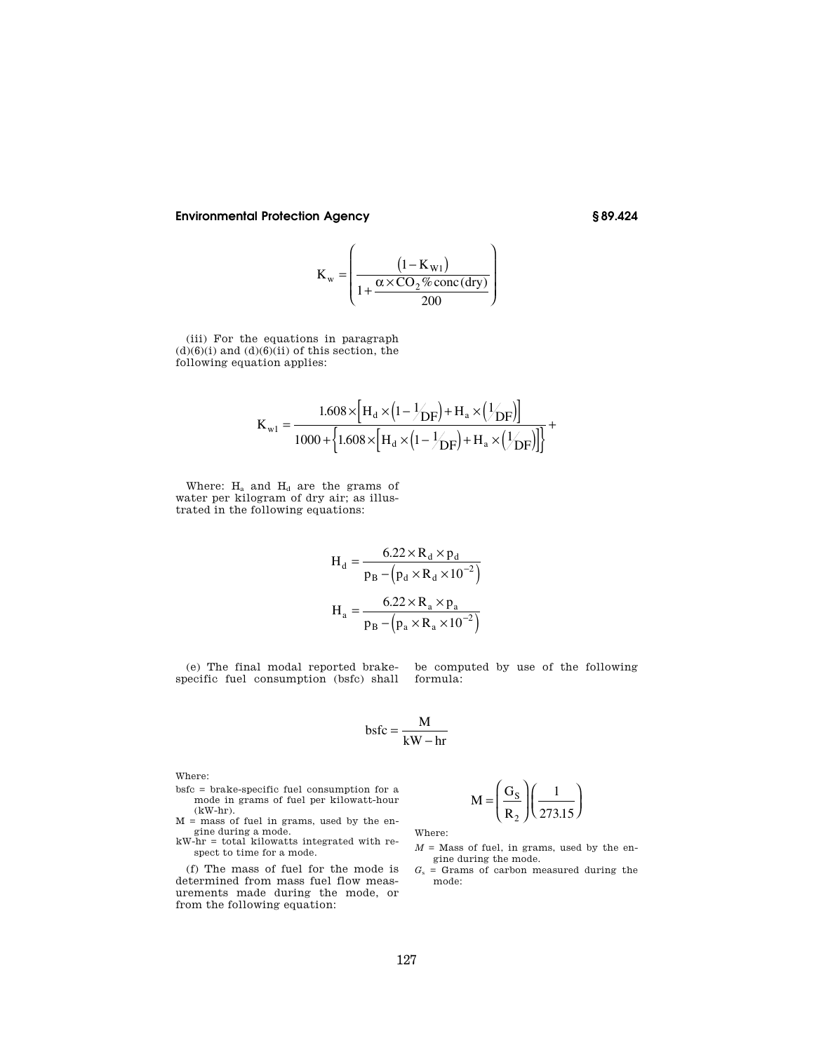$$
K_{w} = \left(\frac{\left(1 - K_{w1}\right)}{1 + \frac{\alpha \times CO_{2} \% \text{ conc (dry)}}{200}}\right)
$$

 $\overline{ }$ 

 $\overline{a}$ 

(iii) For the equations in paragraph  $(d)(6)(i)$  and  $(d)(6)(ii)$  of this section, the following equation applies:

$$
K_{w1} = \frac{1.608 \times [H_d \times (1 - \frac{1}{2}/H_a \times (\frac{1}{2}H_c)]}{1000 + \left\{1.608 \times [H_d \times (1 - \frac{1}{2}H_c) + H_a \times (\frac{1}{2}H_c)]\right\}} +
$$

Where:  $H_a$  and  $H_d$  are the grams of water per kilogram of dry air; as illustrated in the following equations:

$$
H_d = \frac{6.22 \times R_d \times p_d}{p_B - (p_d \times R_d \times 10^{-2})}
$$

$$
H_a = \frac{6.22 \times R_a \times p_a}{p_B - (p_a \times R_a \times 10^{-2})}
$$

(e) The final modal reported brakespecific fuel consumption (bsfc) shall

be computed by use of the following formula:

$$
bsfc = \frac{M}{kW - hr}
$$

Where:

- bsfc = brake-specific fuel consumption for a mode in grams of fuel per kilowatt-hour  $(kW-hr)$ .
- $M =$  mass of fuel in grams, used by the engine during a mode.
- kW-hr = total kilowatts integrated with respect to time for a mode.

(f) The mass of fuel for the mode is determined from mass fuel flow measurements made during the mode, or from the following equation:

$$
M = \left(\frac{G_S}{R_2}\right) \left(\frac{1}{273.15}\right)
$$

Where:

 $M =$  Mass of fuel, in grams, used by the engine during the mode.

⎠

 $G_s$  = Grams of carbon measured during the mode: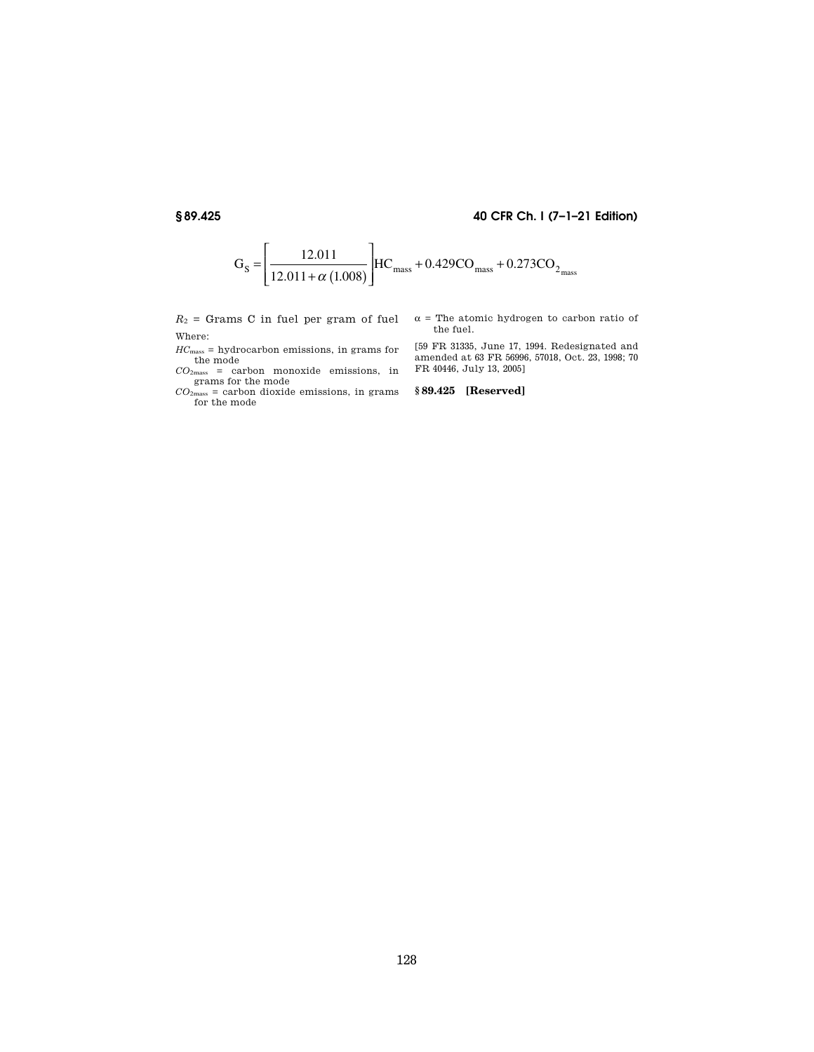# **§ 89.425 40 CFR Ch. I (7–1–21 Edition)**



 $R_2$  = Grams C in fuel per gram of fuel Where:

*HC*mass = hydrocarbon emissions, in grams for

the mode<br>  $CO_{2\text{mass}} = \text{carbon}$  monoxide emissions, in grams for the mode

 $CO<sub>2</sub>_{mass}$  = carbon dioxide emissions, in grams for the mode

 $\alpha$  = The atomic hydrogen to carbon ratio of the fuel.

[59 FR 31335, June 17, 1994. Redesignated and amended at 63 FR 56996, 57018, Oct. 23, 1998; 70 FR 40446, July 13, 2005]

**§ 89.425 [Reserved]**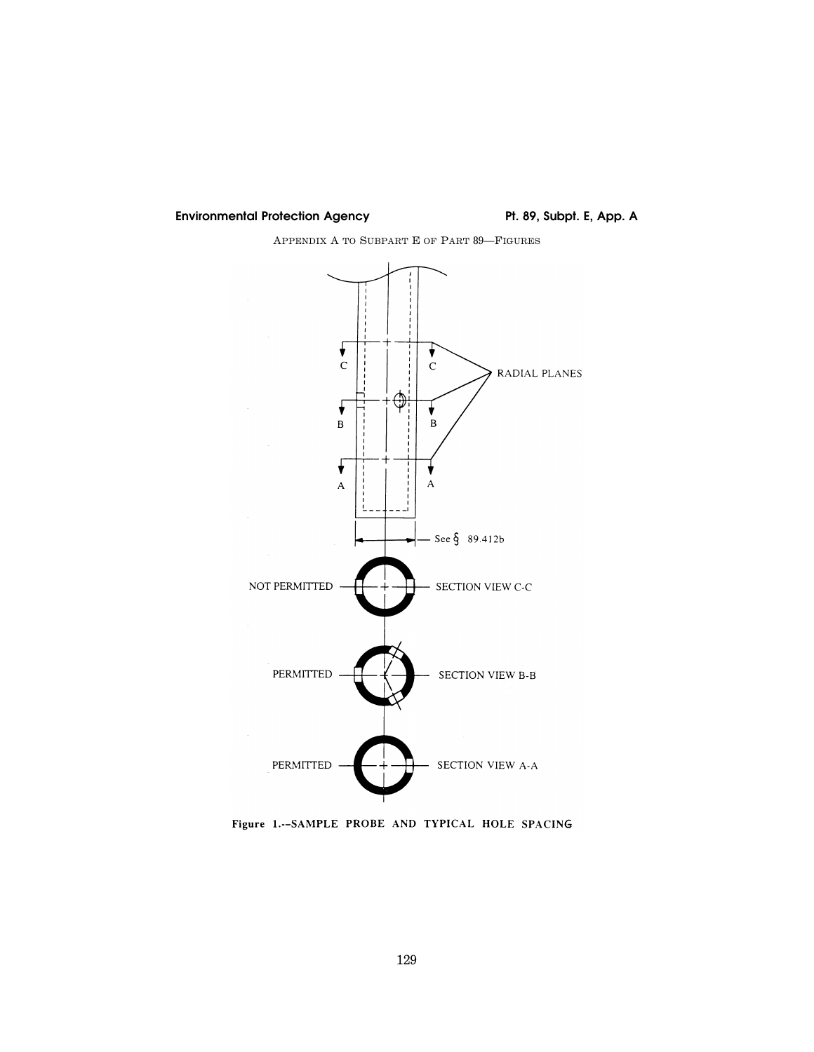# Environmental Protection Agency **Pt. 89, Subpt. E, App. A**

APPENDIX A TO SUBPART E OF PART 89—FIGURES



Figure 1.--SAMPLE PROBE AND TYPICAL HOLE SPACING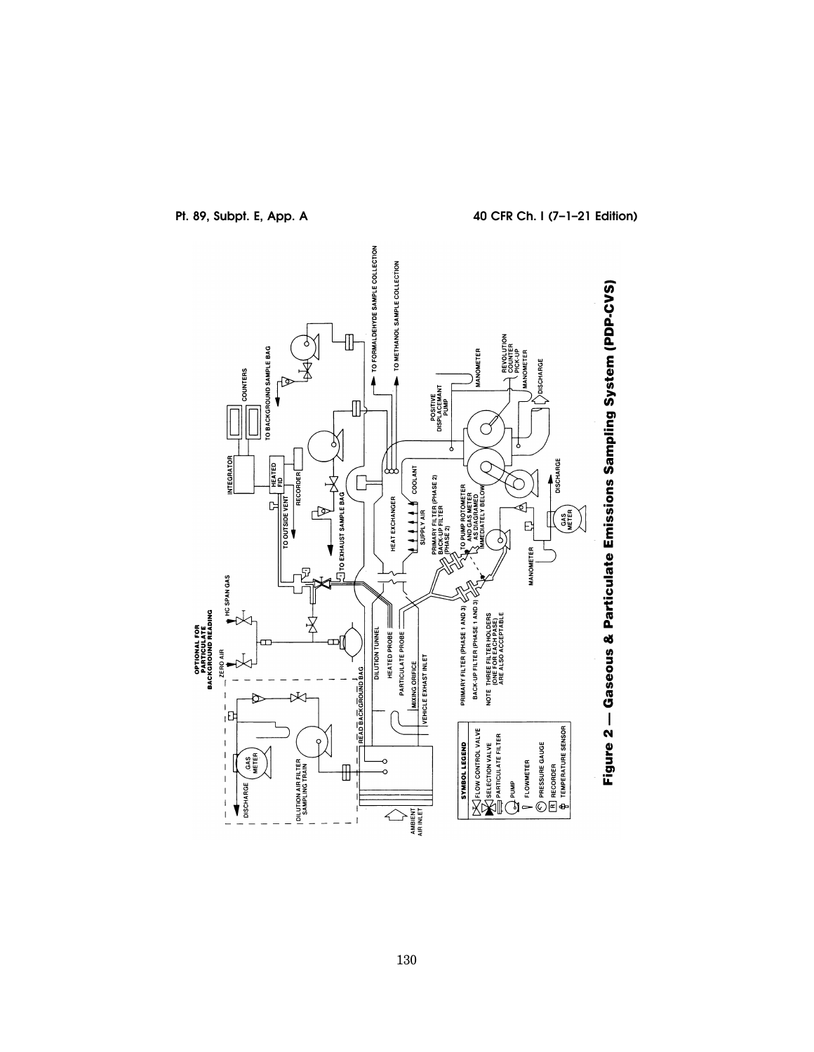

**Pt. 89, Subpt. E, App. A 40 CFR Ch. I (7–1–21 Edition)**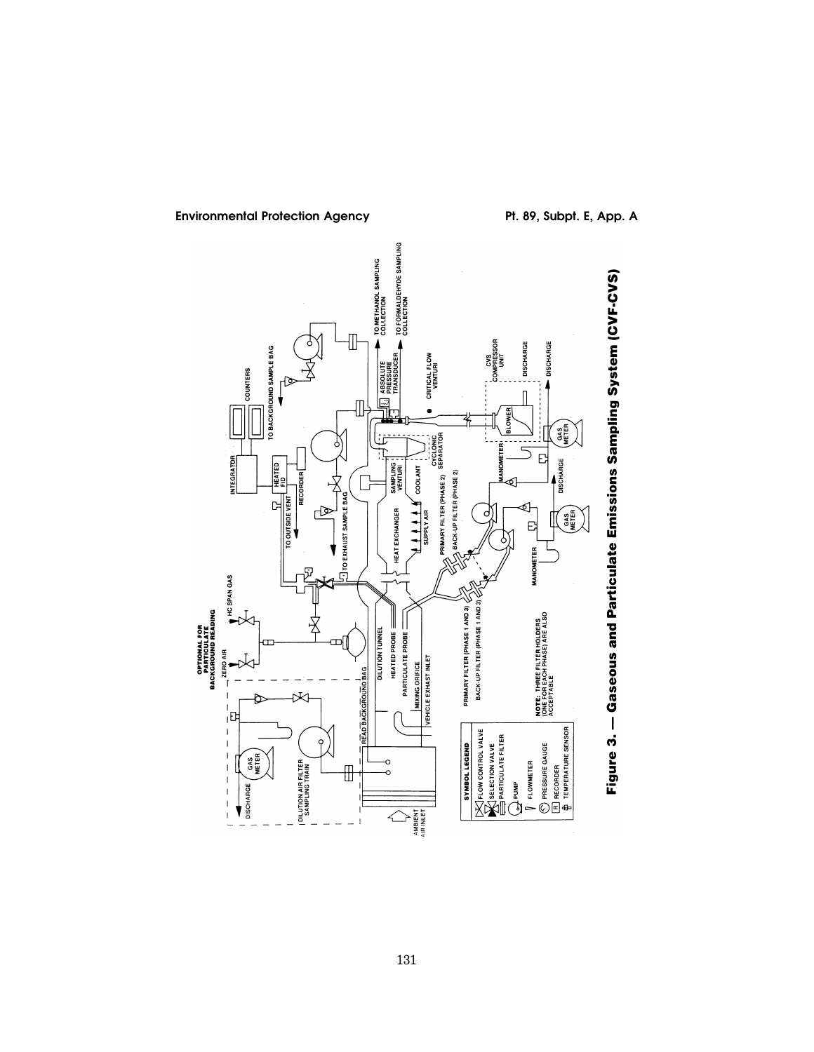

Environmental Protection Agency **Pt. 89, Subpt. E, App. A**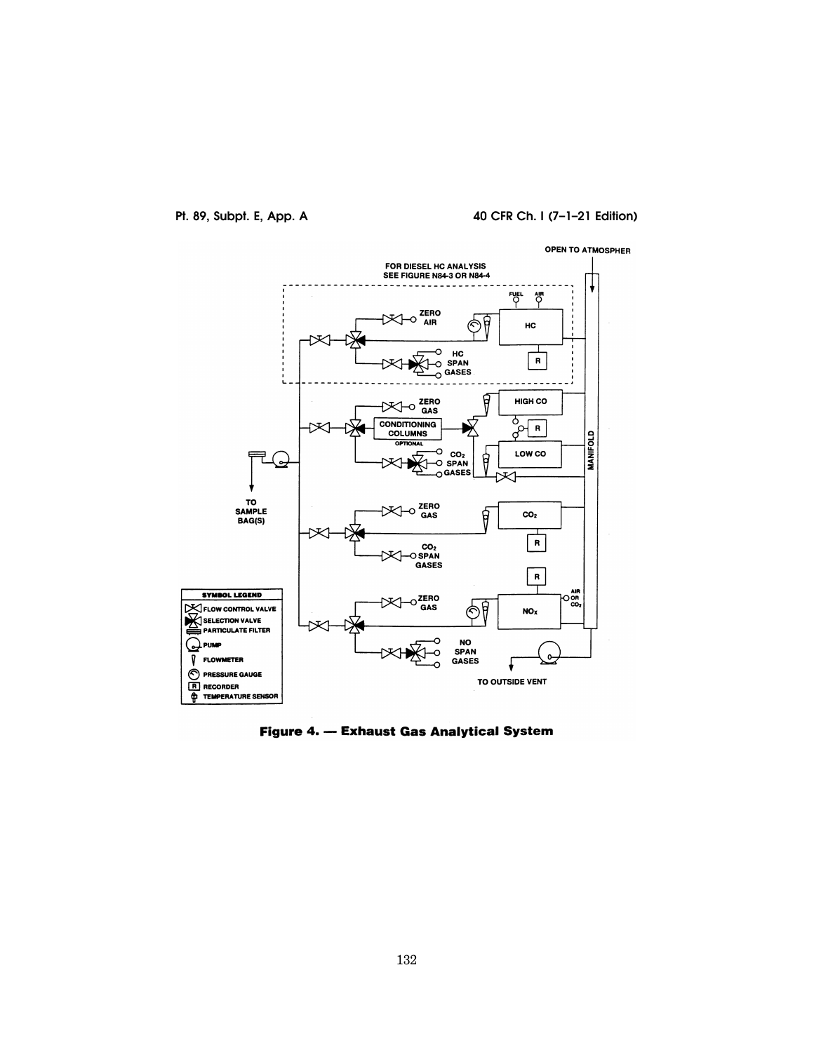# **Pt. 89, Subpt. E, App. A 40 CFR Ch. I (7–1–21 Edition)**



Figure 4. - Exhaust Gas Analytical System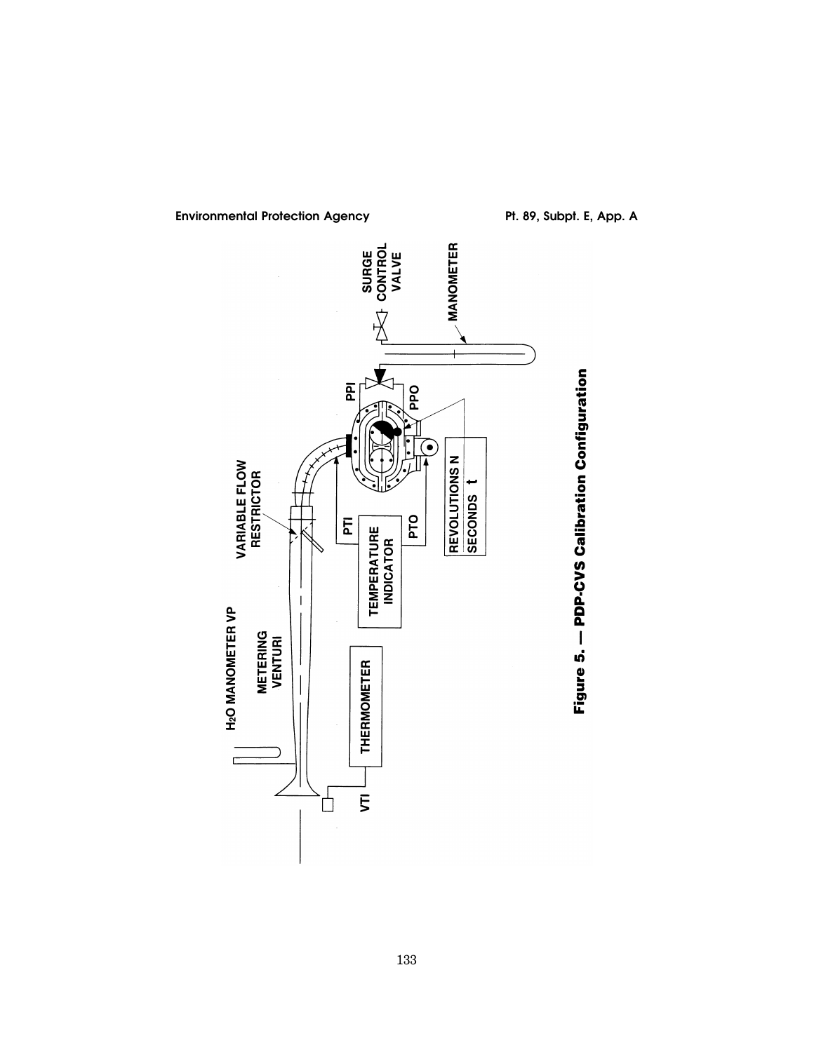

Environmental Protection Agency **Pt. 89, Subpt. E, App. A**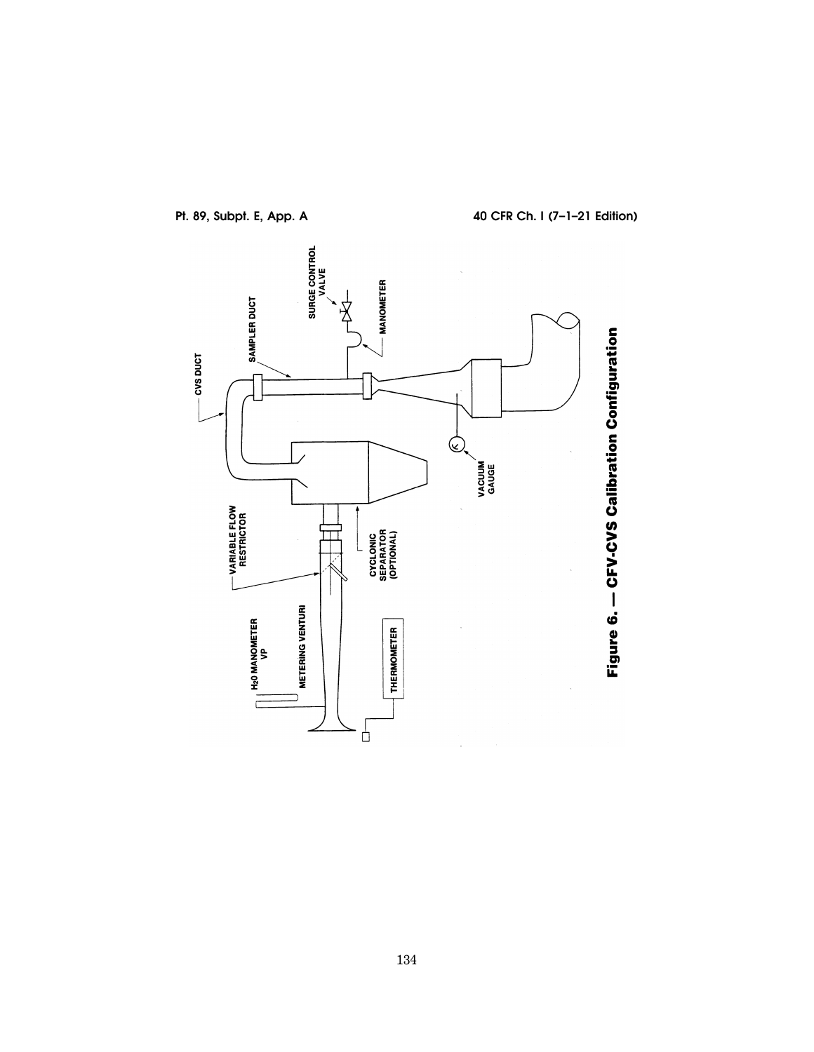

**Pt. 89, Subpt. E, App. A 40 CFR Ch. I (7–1–21 Edition)**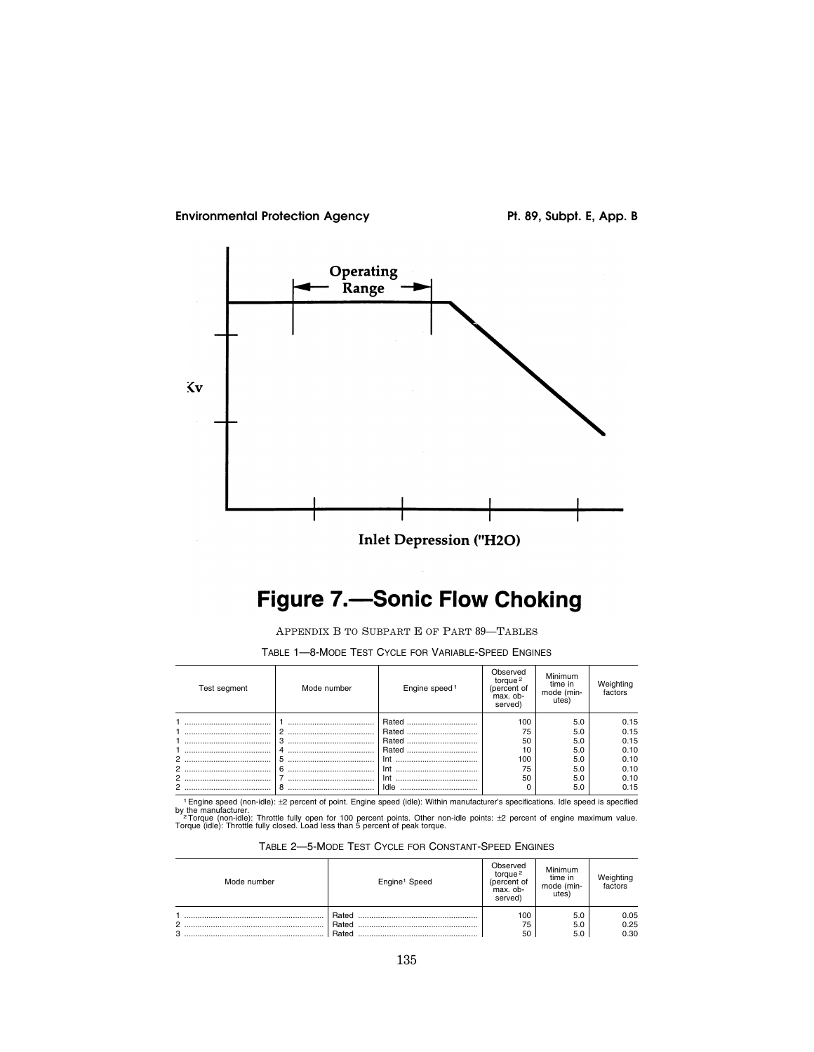



# **Figure 7.-Sonic Flow Choking**

APPENDIX B TO SUBPART E OF PART 89—TABLES

| Test segment | Mode number | Engine speed <sup>1</sup> | Observed<br>torque $2$<br>(percent of<br>max. ob-<br>served) | Minimum<br>time in<br>mode (min-<br>utes) | Weighting<br>factors |
|--------------|-------------|---------------------------|--------------------------------------------------------------|-------------------------------------------|----------------------|
|              |             | Rated                     | 100                                                          | 5.0                                       | 0.15                 |
|              |             | Rated                     | 75                                                           | 5.0                                       | 0.15                 |
|              |             | Rated                     | 50                                                           | 5.0                                       | 0.15                 |
|              |             | Rated                     | 10                                                           | 5.0                                       | 0.10                 |
| 2            |             | Int                       | 100                                                          | 5.0                                       | 0.10                 |
| 2            |             | Int                       | 75                                                           | 5.0                                       | 0.10                 |
| 2            |             | Int                       | 50                                                           | 5.0                                       | 0.10                 |
| 2            |             | Idle                      |                                                              | 5.0                                       | 0.15                 |

TABLE 1—8-MODE TEST CYCLE FOR VARIABLE-SPEED ENGINES

<sup>1</sup> Engine speed (non-idle): ±2 percent of point. Engine speed (idle): Within manufacturer's specifications. Idle speed is specified<br><sup>2</sup> Torque (non-idle): Throttle fully open for 100 percent points. Other non-idle points:

| TABLE 2-5-MODE TEST CYCLE FOR CONSTANT-SPEED ENGINES |  |  |  |  |  |
|------------------------------------------------------|--|--|--|--|--|
|------------------------------------------------------|--|--|--|--|--|

| Mode number    | Engine <sup>1</sup> Speed | Observed<br>torque <sup>2</sup><br>(percent of<br>max. ob-<br>served) | Minimum<br>time in<br>mode (min-<br>utes) | Weighting<br>factors |
|----------------|---------------------------|-----------------------------------------------------------------------|-------------------------------------------|----------------------|
| $\overline{2}$ | Rated<br>Rated            | 100<br>75                                                             | 5.0<br>5.0                                | 0.05<br>0.25         |
| 3              | Rated                     | 50                                                                    | 5.0                                       | 0.30                 |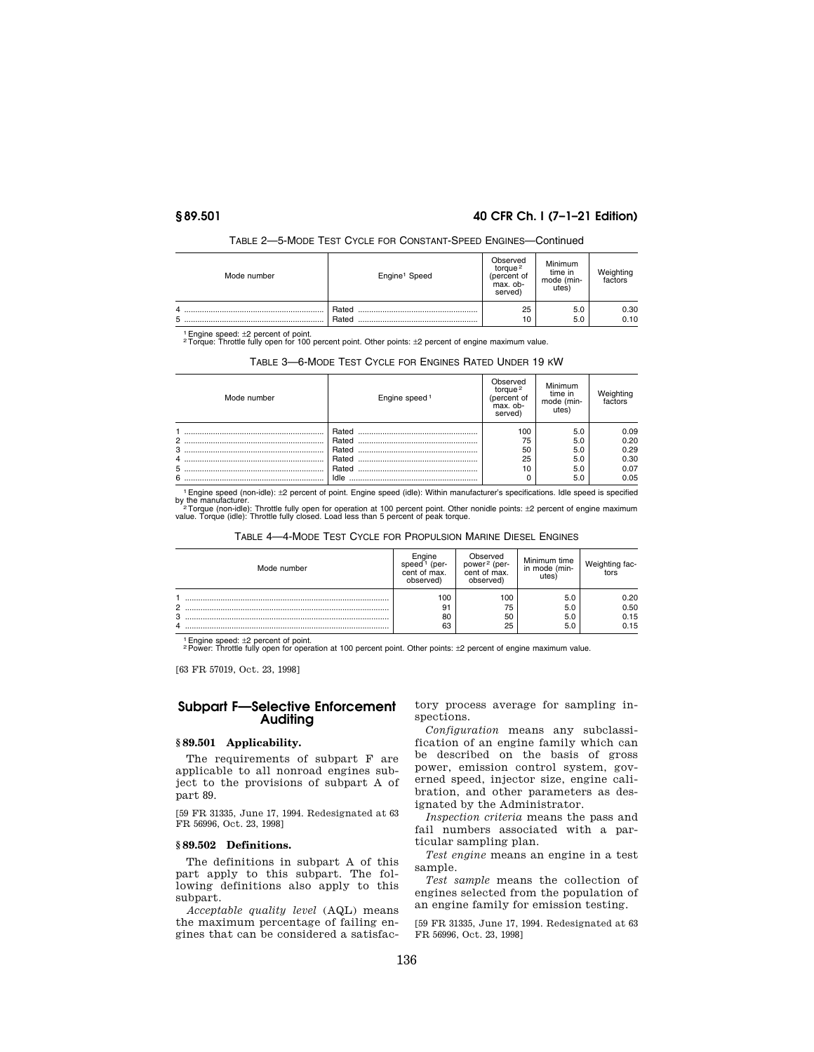# **§ 89.501 40 CFR Ch. I (7–1–21 Edition)**

| Mode number | Engine <sup>1</sup> Speed | Observed<br>torque <sup>2</sup><br>(percent of<br>max. ob-<br>served) | Minimum<br>time in<br>mode (min-<br>utes <sup>'</sup> | factors |
|-------------|---------------------------|-----------------------------------------------------------------------|-------------------------------------------------------|---------|
| 5           | Rated                     | 25                                                                    | 5.0                                                   | 0.30    |
|             | Rated                     | 10                                                                    | 5.0                                                   | 0.10    |

## TABLE 2—5-MODE TEST CYCLE FOR CONSTANT-SPEED ENGINES—Continued

<sup>1</sup> Engine speed: ±2 percent of point.<br><sup>2</sup>Torque: Throttle fully open for 100 percent point. Other points: ±2 percent of engine maximum value.

| TABLE 3-6-MODE TEST CYCLE FOR ENGINES RATED UNDER 19 KW |  |
|---------------------------------------------------------|--|
|---------------------------------------------------------|--|

| Mode number | Engine speed <sup>1</sup> | Observed<br>toraue <sup>2</sup><br>(percent of<br>max. ob-<br>served) | Minimum<br>time in<br>mode (min-<br>utes <sup>'</sup> | factors |
|-------------|---------------------------|-----------------------------------------------------------------------|-------------------------------------------------------|---------|
|             | Rated                     | 100                                                                   | 5.0                                                   | 0.09    |
|             | Rated                     | 75                                                                    | 5.0                                                   | 0.20    |
|             | Rated                     | 50                                                                    | 5.0                                                   | 0.29    |
| 4           | Rated                     | 25                                                                    | 5.0                                                   | 0.30    |
|             | Rated                     | 10                                                                    | 5.0                                                   | 0.07    |
| 6           | Idle                      |                                                                       | 5.0                                                   | 0.05    |

1Engine speed (non-idle): ±2 percent of point. Engine speed (idle): Within manufacturer's specifications. Idle speed is specified

by the manufacturer.<br>- <sup>2</sup> Torque (non-idle): Throttle fully open for operation at 100 percent point. Other nonidle points: ±2 percent of engine maximum<br>value. Torque (idle): Throttle fully closed. Load less than 5 percent

TABLE 4—4-MODE TEST CYCLE FOR PROPULSION MARINE DIESEL ENGINES

| Mode number | -naine<br>(per-<br>cent of max.<br>observed) | Observed<br>power <sup>2</sup> (per-<br>cent of max.<br>observed) | Minimum time<br>in mode (min-<br>utes) | Weighting fac-<br>l          |
|-------------|----------------------------------------------|-------------------------------------------------------------------|----------------------------------------|------------------------------|
| 2<br>3<br>4 | 100<br>91<br>80<br>63                        | 100<br>75<br>50<br>25                                             | 5.0<br>5.0<br>5.0<br>5.0               | 0.20<br>0.50<br>0.15<br>0.15 |

<sup>1</sup> Engine speed: ±2 percent of point.<br><sup>2</sup> Power: Throttle fully open for operation at 100 percent point. Other points: ±2 percent of engine maximum value.

[63 FR 57019, Oct. 23, 1998]

# **Subpart F—Selective Enforcement Auditing**

# **§ 89.501 Applicability.**

The requirements of subpart F are applicable to all nonroad engines subject to the provisions of subpart A of part 89.

[59 FR 31335, June 17, 1994. Redesignated at 63 FR 56996, Oct. 23, 1998]

# **§ 89.502 Definitions.**

The definitions in subpart A of this part apply to this subpart. The following definitions also apply to this subpart.

*Acceptable quality level* (AQL) means the maximum percentage of failing engines that can be considered a satisfactory process average for sampling inspections.

*Configuration* means any subclassification of an engine family which can be described on the basis of gross power, emission control system, governed speed, injector size, engine calibration, and other parameters as designated by the Administrator.

*Inspection criteria* means the pass and fail numbers associated with a particular sampling plan.

*Test engine* means an engine in a test sample.

*Test sample* means the collection of engines selected from the population of an engine family for emission testing.

[59 FR 31335, June 17, 1994. Redesignated at 63 FR 56996, Oct. 23, 1998]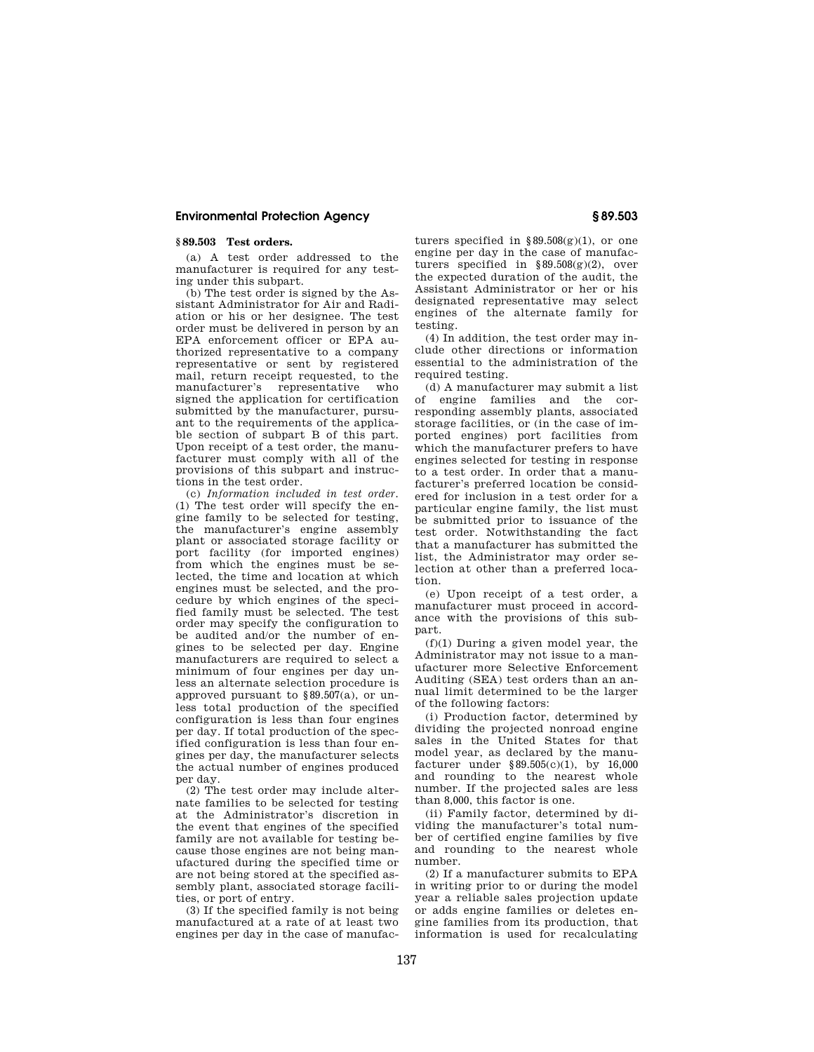# **§ 89.503 Test orders.**

(a) A test order addressed to the manufacturer is required for any testing under this subpart.

(b) The test order is signed by the Assistant Administrator for Air and Radiation or his or her designee. The test order must be delivered in person by an EPA enforcement officer or EPA authorized representative to a company representative or sent by registered mail, return receipt requested, to the manufacturer's representative who signed the application for certification submitted by the manufacturer, pursuant to the requirements of the applicable section of subpart B of this part. Upon receipt of a test order, the manufacturer must comply with all of the provisions of this subpart and instructions in the test order.

(c) *Information included in test order.*  (1) The test order will specify the engine family to be selected for testing, the manufacturer's engine assembly plant or associated storage facility or port facility (for imported engines) from which the engines must be selected, the time and location at which engines must be selected, and the procedure by which engines of the specified family must be selected. The test order may specify the configuration to be audited and/or the number of engines to be selected per day. Engine manufacturers are required to select a minimum of four engines per day unless an alternate selection procedure is approved pursuant to §89.507(a), or unless total production of the specified configuration is less than four engines per day. If total production of the specified configuration is less than four engines per day, the manufacturer selects the actual number of engines produced per day.

(2) The test order may include alternate families to be selected for testing at the Administrator's discretion in the event that engines of the specified family are not available for testing because those engines are not being manufactured during the specified time or are not being stored at the specified assembly plant, associated storage facilities, or port of entry.

(3) If the specified family is not being manufactured at a rate of at least two engines per day in the case of manufacturers specified in  $\S 89.508(g)(1)$ , or one engine per day in the case of manufacturers specified in §89.508(g)(2), over the expected duration of the audit, the Assistant Administrator or her or his designated representative may select engines of the alternate family for testing.

(4) In addition, the test order may include other directions or information essential to the administration of the required testing.

(d) A manufacturer may submit a list of engine families and the corresponding assembly plants, associated storage facilities, or (in the case of imported engines) port facilities from which the manufacturer prefers to have engines selected for testing in response to a test order. In order that a manufacturer's preferred location be considered for inclusion in a test order for a particular engine family, the list must be submitted prior to issuance of the test order. Notwithstanding the fact that a manufacturer has submitted the list, the Administrator may order selection at other than a preferred location.

(e) Upon receipt of a test order, a manufacturer must proceed in accordance with the provisions of this subpart.

(f)(1) During a given model year, the Administrator may not issue to a manufacturer more Selective Enforcement Auditing (SEA) test orders than an annual limit determined to be the larger of the following factors:

(i) Production factor, determined by dividing the projected nonroad engine sales in the United States for that model year, as declared by the manufacturer under §89.505(c)(1), by 16,000 and rounding to the nearest whole number. If the projected sales are less than 8,000, this factor is one.

(ii) Family factor, determined by dividing the manufacturer's total number of certified engine families by five and rounding to the nearest whole number.

(2) If a manufacturer submits to EPA in writing prior to or during the model year a reliable sales projection update or adds engine families or deletes engine families from its production, that information is used for recalculating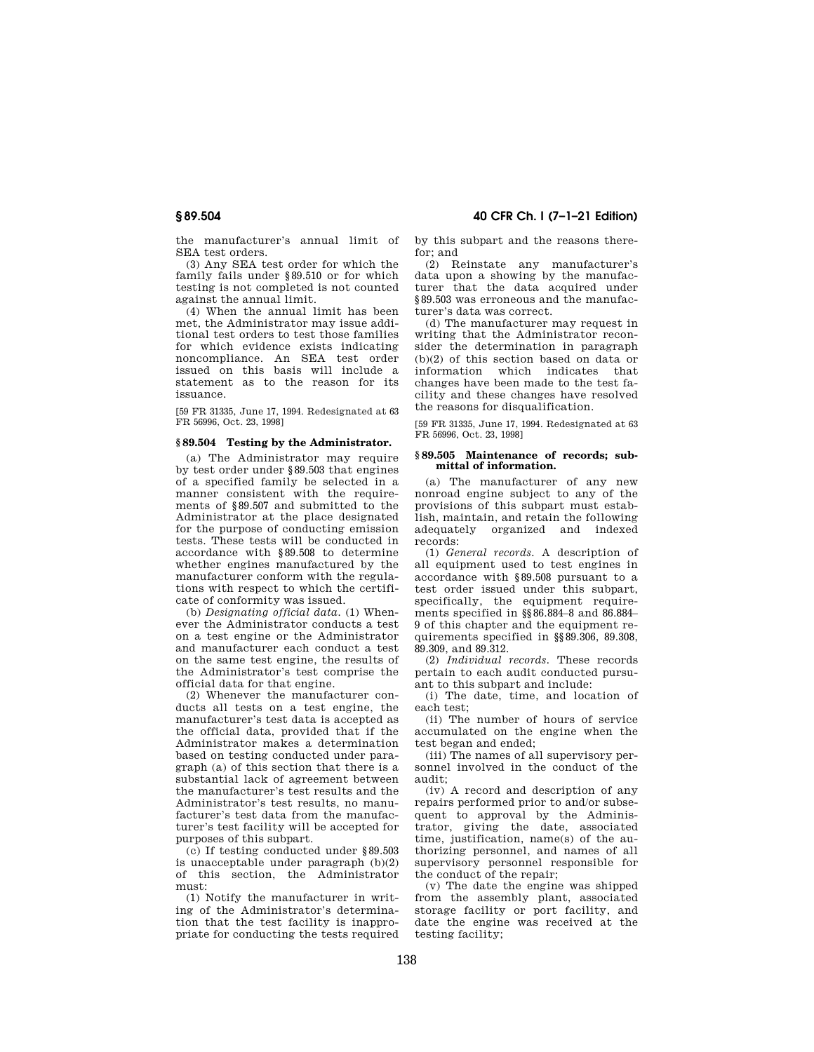the manufacturer's annual limit of SEA test orders.

(3) Any SEA test order for which the family fails under §89.510 or for which testing is not completed is not counted against the annual limit.

(4) When the annual limit has been met, the Administrator may issue additional test orders to test those families for which evidence exists indicating noncompliance. An SEA test order issued on this basis will include a statement as to the reason for its issuance.

[59 FR 31335, June 17, 1994. Redesignated at 63 FR 56996, Oct. 23, 19981

### **§ 89.504 Testing by the Administrator.**

(a) The Administrator may require by test order under §89.503 that engines of a specified family be selected in a manner consistent with the requirements of §89.507 and submitted to the Administrator at the place designated for the purpose of conducting emission tests. These tests will be conducted in accordance with §89.508 to determine whether engines manufactured by the manufacturer conform with the regulations with respect to which the certificate of conformity was issued.

(b) *Designating official data.* (1) Whenever the Administrator conducts a test on a test engine or the Administrator and manufacturer each conduct a test on the same test engine, the results of the Administrator's test comprise the official data for that engine.

(2) Whenever the manufacturer conducts all tests on a test engine, the manufacturer's test data is accepted as the official data, provided that if the Administrator makes a determination based on testing conducted under paragraph (a) of this section that there is a substantial lack of agreement between the manufacturer's test results and the Administrator's test results, no manufacturer's test data from the manufacturer's test facility will be accepted for purposes of this subpart.

(c) If testing conducted under §89.503 is unacceptable under paragraph (b)(2) of this section, the Administrator must:

(1) Notify the manufacturer in writing of the Administrator's determination that the test facility is inappropriate for conducting the tests required by this subpart and the reasons therefor; and

(2) Reinstate any manufacturer's data upon a showing by the manufacturer that the data acquired under §89.503 was erroneous and the manufacturer's data was correct.

(d) The manufacturer may request in writing that the Administrator reconsider the determination in paragraph (b)(2) of this section based on data or information which indicates that changes have been made to the test facility and these changes have resolved the reasons for disqualification.

[59 FR 31335, June 17, 1994. Redesignated at 63 FR 56996, Oct. 23, 1998]

#### **§ 89.505 Maintenance of records; submittal of information.**

(a) The manufacturer of any new nonroad engine subject to any of the provisions of this subpart must establish, maintain, and retain the following adequately organized and indexed records:

(1) *General records.* A description of all equipment used to test engines in accordance with §89.508 pursuant to a test order issued under this subpart, specifically, the equipment requirements specified in §§86.884–8 and 86.884– 9 of this chapter and the equipment requirements specified in §§89.306, 89.308, 89.309, and 89.312.

(2) *Individual records.* These records pertain to each audit conducted pursuant to this subpart and include:

(i) The date, time, and location of each test;

(ii) The number of hours of service accumulated on the engine when the test began and ended;

(iii) The names of all supervisory personnel involved in the conduct of the audit;

(iv) A record and description of any repairs performed prior to and/or subsequent to approval by the Administrator, giving the date, associated time, justification, name(s) of the authorizing personnel, and names of all supervisory personnel responsible for the conduct of the repair;

(v) The date the engine was shipped from the assembly plant, associated storage facility or port facility, and date the engine was received at the testing facility;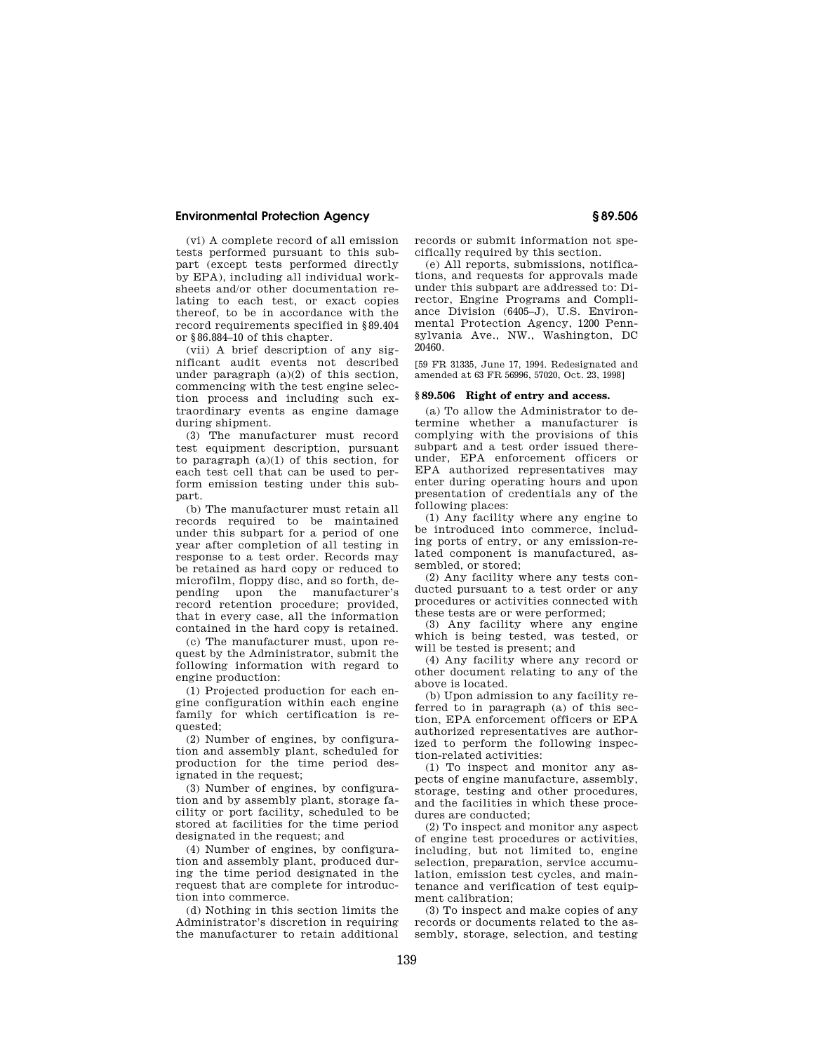(vi) A complete record of all emission tests performed pursuant to this subpart (except tests performed directly by EPA), including all individual worksheets and/or other documentation relating to each test, or exact copies thereof, to be in accordance with the record requirements specified in §89.404 or §86.884–10 of this chapter.

(vii) A brief description of any significant audit events not described under paragraph (a)(2) of this section, commencing with the test engine selection process and including such extraordinary events as engine damage during shipment.

(3) The manufacturer must record test equipment description, pursuant to paragraph  $(a)(1)$  of this section, for each test cell that can be used to perform emission testing under this subpart.

(b) The manufacturer must retain all records required to be maintained under this subpart for a period of one year after completion of all testing in response to a test order. Records may be retained as hard copy or reduced to microfilm, floppy disc, and so forth, depending upon the manufacturer's record retention procedure; provided, that in every case, all the information contained in the hard copy is retained.

(c) The manufacturer must, upon request by the Administrator, submit the following information with regard to engine production:

(1) Projected production for each engine configuration within each engine family for which certification is requested;

(2) Number of engines, by configuration and assembly plant, scheduled for production for the time period designated in the request;

(3) Number of engines, by configuration and by assembly plant, storage facility or port facility, scheduled to be stored at facilities for the time period designated in the request; and

(4) Number of engines, by configuration and assembly plant, produced during the time period designated in the request that are complete for introduction into commerce.

(d) Nothing in this section limits the Administrator's discretion in requiring the manufacturer to retain additional records or submit information not specifically required by this section.

(e) All reports, submissions, notifications, and requests for approvals made under this subpart are addressed to: Director, Engine Programs and Compliance Division (6405–J), U.S. Environmental Protection Agency, 1200 Pennsylvania Ave., NW., Washington, DC 20460.

[59 FR 31335, June 17, 1994. Redesignated and amended at 63 FR 56996, 57020, Oct. 23, 1998]

#### **§ 89.506 Right of entry and access.**

(a) To allow the Administrator to determine whether a manufacturer is complying with the provisions of this subpart and a test order issued thereunder, EPA enforcement officers or EPA authorized representatives may enter during operating hours and upon presentation of credentials any of the following places:

(1) Any facility where any engine to be introduced into commerce, including ports of entry, or any emission-related component is manufactured, assembled, or stored;

(2) Any facility where any tests conducted pursuant to a test order or any procedures or activities connected with these tests are or were performed;

(3) Any facility where any engine which is being tested, was tested, or will be tested is present; and

(4) Any facility where any record or other document relating to any of the above is located.

(b) Upon admission to any facility referred to in paragraph (a) of this section, EPA enforcement officers or EPA authorized representatives are authorized to perform the following inspection-related activities:

(1) To inspect and monitor any aspects of engine manufacture, assembly, storage, testing and other procedures, and the facilities in which these procedures are conducted;

(2) To inspect and monitor any aspect of engine test procedures or activities, including, but not limited to, engine selection, preparation, service accumulation, emission test cycles, and maintenance and verification of test equipment calibration;

(3) To inspect and make copies of any records or documents related to the assembly, storage, selection, and testing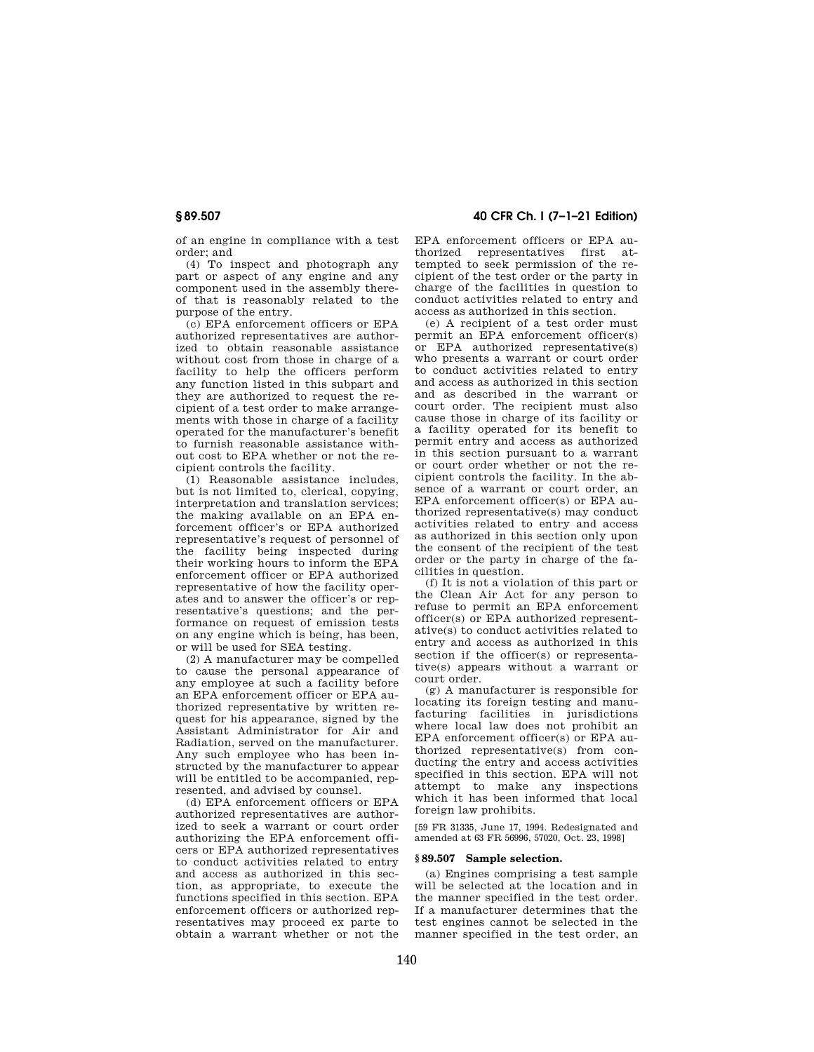of an engine in compliance with a test order; and

(4) To inspect and photograph any part or aspect of any engine and any component used in the assembly thereof that is reasonably related to the purpose of the entry.

(c) EPA enforcement officers or EPA authorized representatives are authorized to obtain reasonable assistance without cost from those in charge of a facility to help the officers perform any function listed in this subpart and they are authorized to request the recipient of a test order to make arrangements with those in charge of a facility operated for the manufacturer's benefit to furnish reasonable assistance without cost to EPA whether or not the recipient controls the facility.

(1) Reasonable assistance includes, but is not limited to, clerical, copying, interpretation and translation services; the making available on an EPA enforcement officer's or EPA authorized representative's request of personnel of the facility being inspected during their working hours to inform the EPA enforcement officer or EPA authorized representative of how the facility operates and to answer the officer's or representative's questions; and the performance on request of emission tests on any engine which is being, has been, or will be used for SEA testing.

(2) A manufacturer may be compelled to cause the personal appearance of any employee at such a facility before an EPA enforcement officer or EPA authorized representative by written request for his appearance, signed by the Assistant Administrator for Air and Radiation, served on the manufacturer. Any such employee who has been instructed by the manufacturer to appear will be entitled to be accompanied, represented, and advised by counsel.

(d) EPA enforcement officers or EPA authorized representatives are authorized to seek a warrant or court order authorizing the EPA enforcement officers or EPA authorized representatives to conduct activities related to entry and access as authorized in this section, as appropriate, to execute the functions specified in this section. EPA enforcement officers or authorized representatives may proceed ex parte to obtain a warrant whether or not the

# **§ 89.507 40 CFR Ch. I (7–1–21 Edition)**

EPA enforcement officers or EPA authorized representatives first attempted to seek permission of the recipient of the test order or the party in charge of the facilities in question to conduct activities related to entry and access as authorized in this section.

(e) A recipient of a test order must permit an EPA enforcement officer(s) or EPA authorized representative(s) who presents a warrant or court order to conduct activities related to entry and access as authorized in this section and as described in the warrant or court order. The recipient must also cause those in charge of its facility or a facility operated for its benefit to permit entry and access as authorized in this section pursuant to a warrant or court order whether or not the recipient controls the facility. In the absence of a warrant or court order, an EPA enforcement officer(s) or EPA authorized representative(s) may conduct activities related to entry and access as authorized in this section only upon the consent of the recipient of the test order or the party in charge of the facilities in question.

(f) It is not a violation of this part or the Clean Air Act for any person to refuse to permit an EPA enforcement officer(s) or EPA authorized representative(s) to conduct activities related to entry and access as authorized in this section if the officer(s) or representative(s) appears without a warrant or court order.

(g) A manufacturer is responsible for locating its foreign testing and manufacturing facilities in jurisdictions where local law does not prohibit an EPA enforcement officer(s) or EPA authorized representative(s) from conducting the entry and access activities specified in this section. EPA will not attempt to make any inspections which it has been informed that local foreign law prohibits.

[59 FR 31335, June 17, 1994. Redesignated and amended at 63 FR 56996, 57020, Oct. 23, 1998]

# **§ 89.507 Sample selection.**

(a) Engines comprising a test sample will be selected at the location and in the manner specified in the test order. If a manufacturer determines that the test engines cannot be selected in the manner specified in the test order, an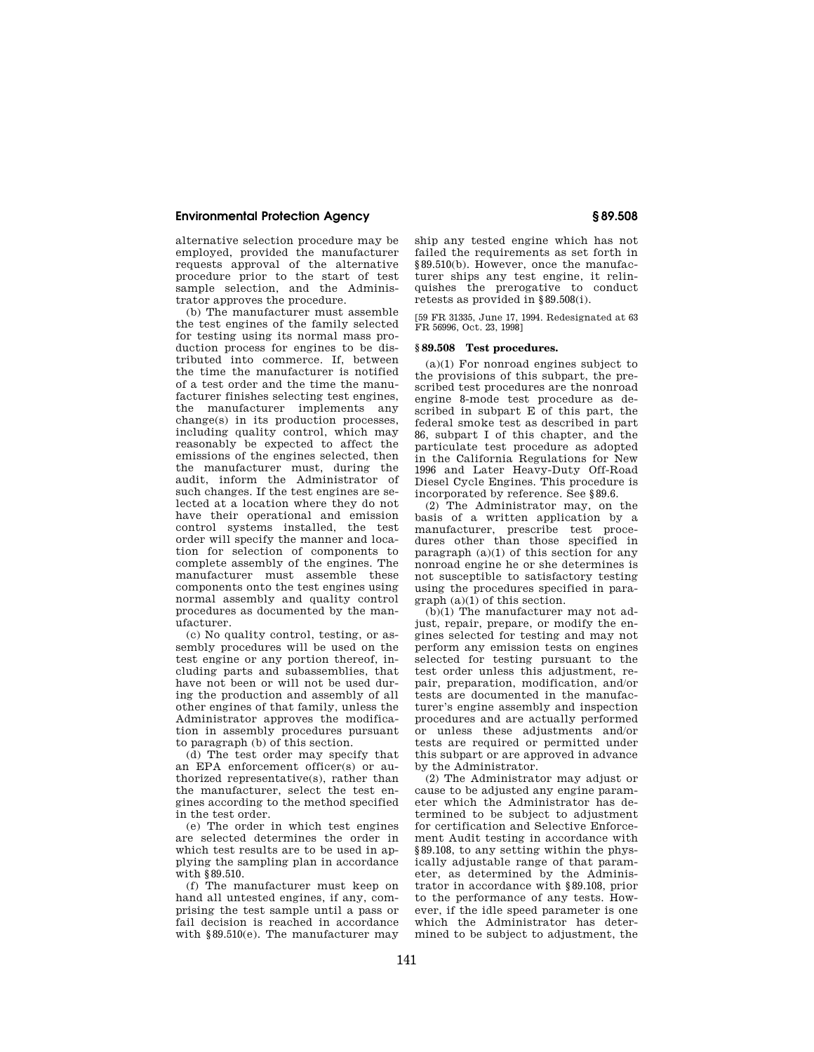alternative selection procedure may be employed, provided the manufacturer requests approval of the alternative procedure prior to the start of test sample selection, and the Administrator approves the procedure.

(b) The manufacturer must assemble the test engines of the family selected for testing using its normal mass production process for engines to be distributed into commerce. If, between the time the manufacturer is notified of a test order and the time the manufacturer finishes selecting test engines, the manufacturer implements any change(s) in its production processes, including quality control, which may reasonably be expected to affect the emissions of the engines selected, then the manufacturer must, during the audit, inform the Administrator of such changes. If the test engines are selected at a location where they do not have their operational and emission control systems installed, the test order will specify the manner and location for selection of components to complete assembly of the engines. The manufacturer must assemble these components onto the test engines using normal assembly and quality control procedures as documented by the manufacturer.

(c) No quality control, testing, or assembly procedures will be used on the test engine or any portion thereof, including parts and subassemblies, that have not been or will not be used during the production and assembly of all other engines of that family, unless the Administrator approves the modification in assembly procedures pursuant to paragraph (b) of this section.

(d) The test order may specify that an EPA enforcement officer(s) or authorized representative(s), rather than the manufacturer, select the test engines according to the method specified in the test order.

(e) The order in which test engines are selected determines the order in which test results are to be used in applying the sampling plan in accordance with §89.510.

(f) The manufacturer must keep on hand all untested engines, if any, comprising the test sample until a pass or fail decision is reached in accordance with §89.510(e). The manufacturer may ship any tested engine which has not failed the requirements as set forth in §89.510(b). However, once the manufacturer ships any test engine, it relinquishes the prerogative to conduct retests as provided in §89.508(i).

[59 FR 31335, June 17, 1994. Redesignated at 63 FR 56996, Oct. 23, 1998]

# **§ 89.508 Test procedures.**

(a)(1) For nonroad engines subject to the provisions of this subpart, the prescribed test procedures are the nonroad engine 8-mode test procedure as described in subpart E of this part, the federal smoke test as described in part 86, subpart I of this chapter, and the particulate test procedure as adopted in the California Regulations for New 1996 and Later Heavy-Duty Off-Road Diesel Cycle Engines. This procedure is incorporated by reference. See §89.6.

(2) The Administrator may, on the basis of a written application by a manufacturer, prescribe test procedures other than those specified in paragraph  $(a)(1)$  of this section for any nonroad engine he or she determines is not susceptible to satisfactory testing using the procedures specified in paragraph (a)(1) of this section.

(b)(1) The manufacturer may not adjust, repair, prepare, or modify the engines selected for testing and may not perform any emission tests on engines selected for testing pursuant to the test order unless this adjustment, repair, preparation, modification, and/or tests are documented in the manufacturer's engine assembly and inspection procedures and are actually performed or unless these adjustments and/or tests are required or permitted under this subpart or are approved in advance by the Administrator.

(2) The Administrator may adjust or cause to be adjusted any engine parameter which the Administrator has determined to be subject to adjustment for certification and Selective Enforcement Audit testing in accordance with §89.108, to any setting within the physically adjustable range of that parameter, as determined by the Administrator in accordance with §89.108, prior to the performance of any tests. However, if the idle speed parameter is one which the Administrator has determined to be subject to adjustment, the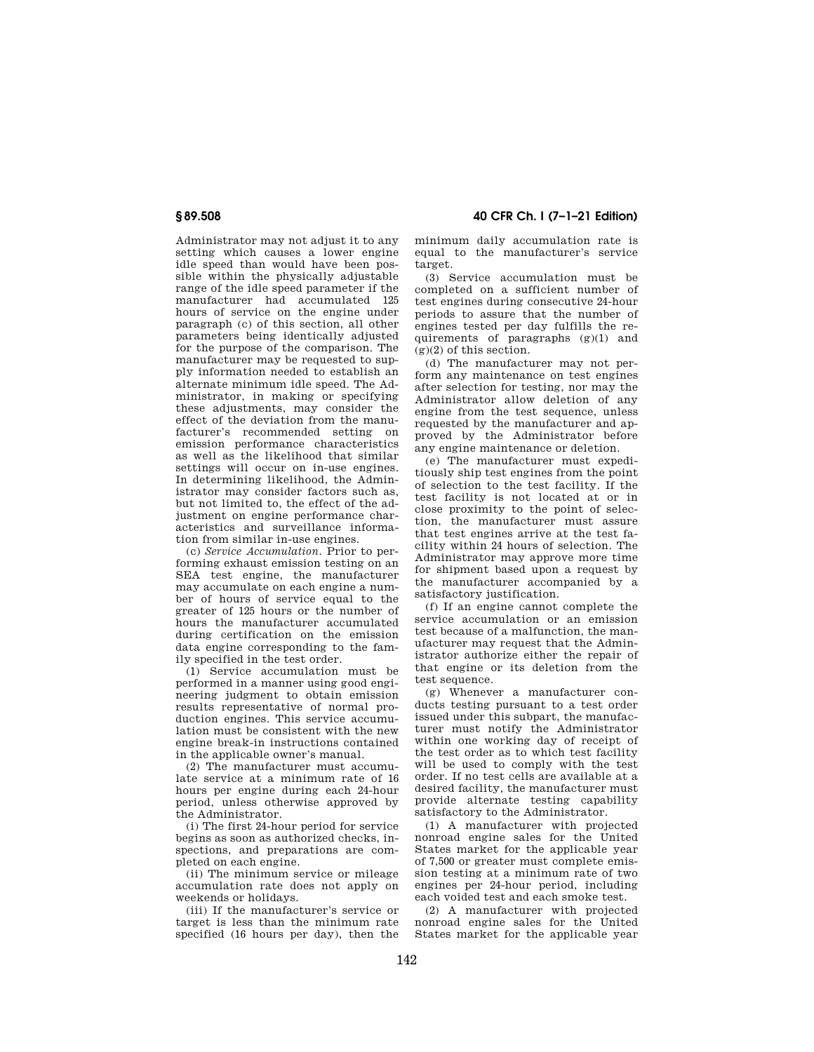Administrator may not adjust it to any setting which causes a lower engine idle speed than would have been possible within the physically adjustable range of the idle speed parameter if the manufacturer had accumulated 125 hours of service on the engine under paragraph (c) of this section, all other parameters being identically adjusted for the purpose of the comparison. The manufacturer may be requested to supply information needed to establish an alternate minimum idle speed. The Administrator, in making or specifying these adjustments, may consider the effect of the deviation from the manufacturer's recommended setting on emission performance characteristics as well as the likelihood that similar settings will occur on in-use engines. In determining likelihood, the Administrator may consider factors such as, but not limited to, the effect of the adjustment on engine performance characteristics and surveillance information from similar in-use engines.

(c) *Service Accumulation.* Prior to performing exhaust emission testing on an SEA test engine, the manufacturer may accumulate on each engine a number of hours of service equal to the greater of 125 hours or the number of hours the manufacturer accumulated during certification on the emission data engine corresponding to the family specified in the test order.

(1) Service accumulation must be performed in a manner using good engineering judgment to obtain emission results representative of normal production engines. This service accumulation must be consistent with the new engine break-in instructions contained in the applicable owner's manual.

(2) The manufacturer must accumulate service at a minimum rate of 16 hours per engine during each 24-hour period, unless otherwise approved by the Administrator.

(i) The first 24-hour period for service begins as soon as authorized checks, inspections, and preparations are completed on each engine.

(ii) The minimum service or mileage accumulation rate does not apply on weekends or holidays.

(iii) If the manufacturer's service or target is less than the minimum rate specified (16 hours per day), then the

**§ 89.508 40 CFR Ch. I (7–1–21 Edition)** 

minimum daily accumulation rate is equal to the manufacturer's service target.

(3) Service accumulation must be completed on a sufficient number of test engines during consecutive 24-hour periods to assure that the number of engines tested per day fulfills the requirements of paragraphs (g)(1) and  $(g)(2)$  of this section.

(d) The manufacturer may not perform any maintenance on test engines after selection for testing, nor may the Administrator allow deletion of any engine from the test sequence, unless requested by the manufacturer and approved by the Administrator before any engine maintenance or deletion.

(e) The manufacturer must expeditiously ship test engines from the point of selection to the test facility. If the test facility is not located at or in close proximity to the point of selection, the manufacturer must assure that test engines arrive at the test facility within 24 hours of selection. The Administrator may approve more time for shipment based upon a request by the manufacturer accompanied by a satisfactory justification.

(f) If an engine cannot complete the service accumulation or an emission test because of a malfunction, the manufacturer may request that the Administrator authorize either the repair of that engine or its deletion from the test sequence.

(g) Whenever a manufacturer conducts testing pursuant to a test order issued under this subpart, the manufacturer must notify the Administrator within one working day of receipt of the test order as to which test facility will be used to comply with the test order. If no test cells are available at a desired facility, the manufacturer must provide alternate testing capability satisfactory to the Administrator.

(1) A manufacturer with projected nonroad engine sales for the United States market for the applicable year of 7,500 or greater must complete emission testing at a minimum rate of two engines per 24-hour period, including each voided test and each smoke test.

(2) A manufacturer with projected nonroad engine sales for the United States market for the applicable year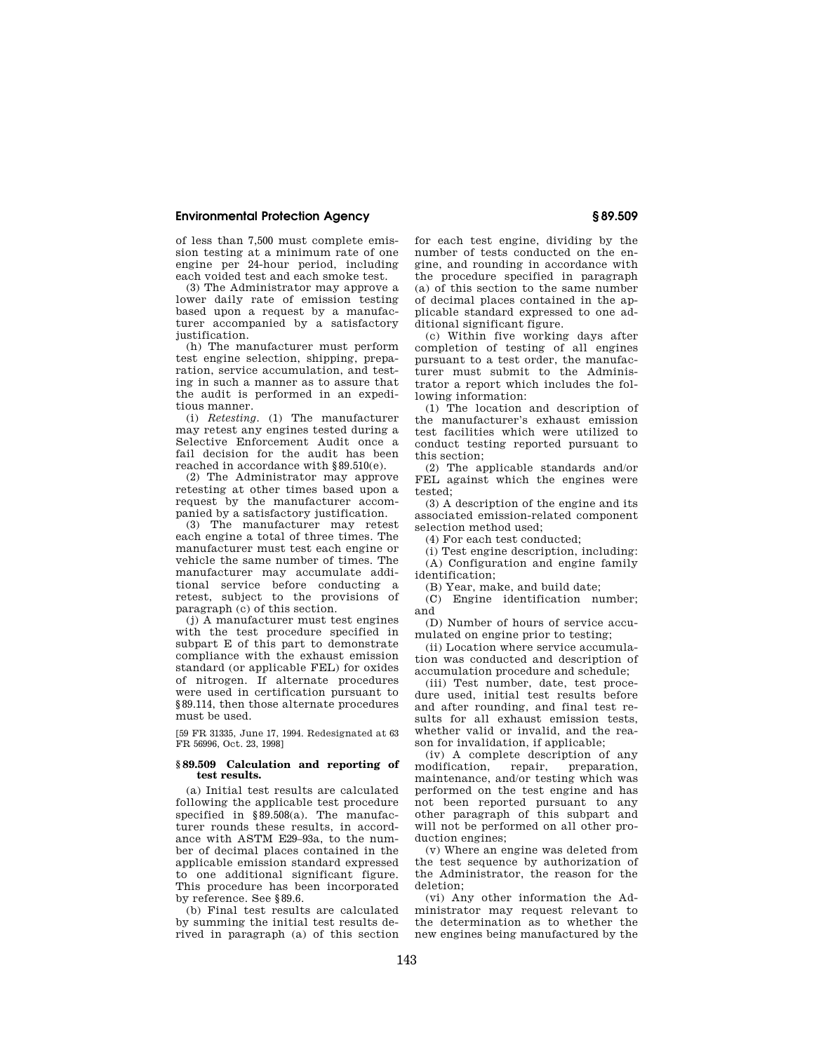of less than 7,500 must complete emission testing at a minimum rate of one engine per 24-hour period, including each voided test and each smoke test.

(3) The Administrator may approve a lower daily rate of emission testing based upon a request by a manufacturer accompanied by a satisfactory justification.

(h) The manufacturer must perform test engine selection, shipping, preparation, service accumulation, and testing in such a manner as to assure that the audit is performed in an expeditious manner.

(i) *Retesting.* (1) The manufacturer may retest any engines tested during a Selective Enforcement Audit once a fail decision for the audit has been reached in accordance with §89.510(e).

(2) The Administrator may approve retesting at other times based upon a request by the manufacturer accompanied by a satisfactory justification.

(3) The manufacturer may retest each engine a total of three times. The manufacturer must test each engine or vehicle the same number of times. The manufacturer may accumulate additional service before conducting a retest, subject to the provisions of paragraph (c) of this section.

(j) A manufacturer must test engines with the test procedure specified in subpart E of this part to demonstrate compliance with the exhaust emission standard (or applicable FEL) for oxides of nitrogen. If alternate procedures were used in certification pursuant to §89.114, then those alternate procedures must be used.

[59 FR 31335, June 17, 1994. Redesignated at 63 FR 56996, Oct. 23, 1998]

### **§ 89.509 Calculation and reporting of test results.**

(a) Initial test results are calculated following the applicable test procedure specified in §89.508(a). The manufacturer rounds these results, in accordance with ASTM E29–93a, to the number of decimal places contained in the applicable emission standard expressed to one additional significant figure. This procedure has been incorporated by reference. See §89.6.

(b) Final test results are calculated by summing the initial test results derived in paragraph (a) of this section for each test engine, dividing by the number of tests conducted on the engine, and rounding in accordance with the procedure specified in paragraph (a) of this section to the same number of decimal places contained in the applicable standard expressed to one additional significant figure.

(c) Within five working days after completion of testing of all engines pursuant to a test order, the manufacturer must submit to the Administrator a report which includes the following information:

(1) The location and description of the manufacturer's exhaust emission test facilities which were utilized to conduct testing reported pursuant to this section;

(2) The applicable standards and/or FEL against which the engines were tested;

(3) A description of the engine and its associated emission-related component selection method used;

(4) For each test conducted;

(i) Test engine description, including: (A) Configuration and engine family identification;

(B) Year, make, and build date;

(C) Engine identification number; and

(D) Number of hours of service accumulated on engine prior to testing;

(ii) Location where service accumulation was conducted and description of accumulation procedure and schedule;

(iii) Test number, date, test procedure used, initial test results before and after rounding, and final test results for all exhaust emission tests, whether valid or invalid, and the reason for invalidation, if applicable;

(iv) A complete description of any<br>nodification, repair, preparation, modification, repair, preparation, maintenance, and/or testing which was performed on the test engine and has not been reported pursuant to any other paragraph of this subpart and will not be performed on all other production engines;

(v) Where an engine was deleted from the test sequence by authorization of the Administrator, the reason for the deletion;

(vi) Any other information the Administrator may request relevant to the determination as to whether the new engines being manufactured by the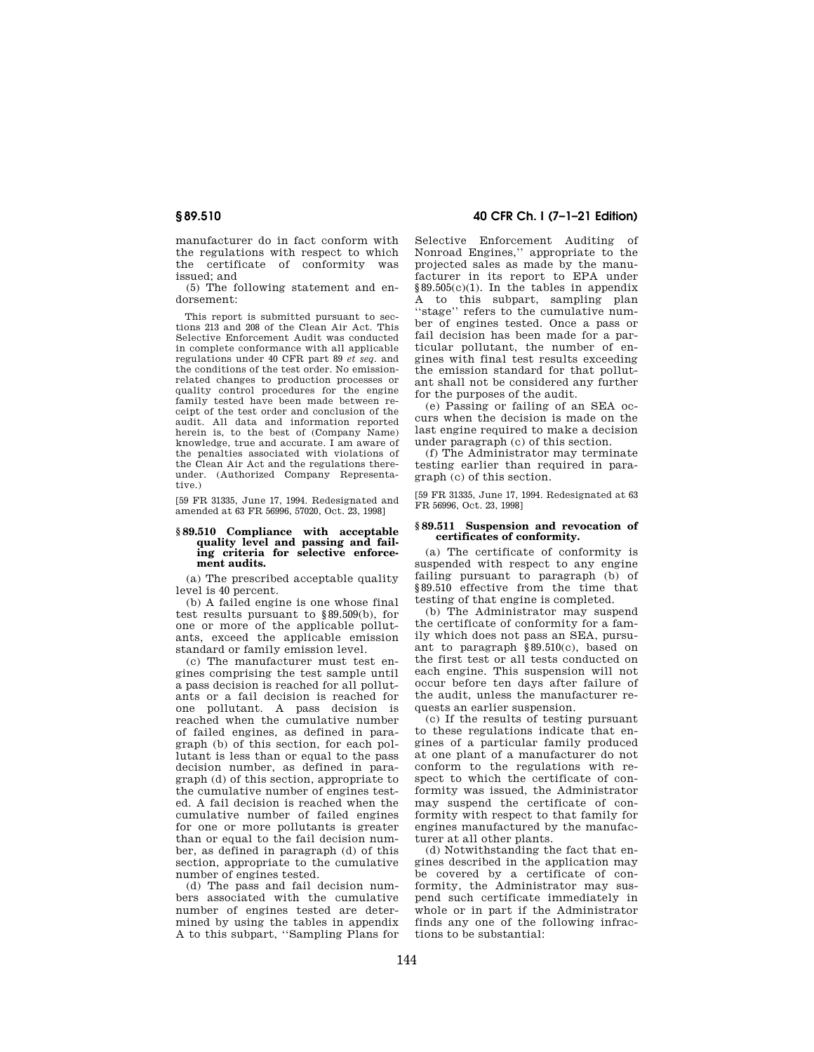manufacturer do in fact conform with the regulations with respect to which the certificate of conformity was issued; and

(5) The following statement and endorsement:

This report is submitted pursuant to sections 213 and 208 of the Clean Air Act. This Selective Enforcement Audit was conducted in complete conformance with all applicable regulations under 40 CFR part 89 *et seq.* and the conditions of the test order. No emissionrelated changes to production processes or quality control procedures for the engine family tested have been made between receipt of the test order and conclusion of the audit. All data and information reported herein is, to the best of (Company Name) knowledge, true and accurate. I am aware of the penalties associated with violations of the Clean Air Act and the regulations thereunder. (Authorized Company Representative.)

[59 FR 31335, June 17, 1994. Redesignated and amended at 63 FR 56996, 57020, Oct. 23, 1998]

#### **§ 89.510 Compliance with acceptable quality level and passing and failing criteria for selective enforcement audits.**

(a) The prescribed acceptable quality level is 40 percent.

(b) A failed engine is one whose final test results pursuant to §89.509(b), for one or more of the applicable pollutants, exceed the applicable emission standard or family emission level.

(c) The manufacturer must test engines comprising the test sample until a pass decision is reached for all pollutants or a fail decision is reached for one pollutant. A pass decision is reached when the cumulative number of failed engines, as defined in paragraph (b) of this section, for each pollutant is less than or equal to the pass decision number, as defined in paragraph (d) of this section, appropriate to the cumulative number of engines tested. A fail decision is reached when the cumulative number of failed engines for one or more pollutants is greater than or equal to the fail decision number, as defined in paragraph (d) of this section, appropriate to the cumulative number of engines tested.

(d) The pass and fail decision numbers associated with the cumulative number of engines tested are determined by using the tables in appendix A to this subpart, ''Sampling Plans for

# **§ 89.510 40 CFR Ch. I (7–1–21 Edition)**

Selective Enforcement Auditing of Nonroad Engines,'' appropriate to the projected sales as made by the manufacturer in its report to EPA under §89.505(c)(1). In the tables in appendix A to this subpart, sampling plan ''stage'' refers to the cumulative number of engines tested. Once a pass or fail decision has been made for a particular pollutant, the number of engines with final test results exceeding the emission standard for that pollutant shall not be considered any further for the purposes of the audit.

(e) Passing or failing of an SEA occurs when the decision is made on the last engine required to make a decision under paragraph (c) of this section.

(f) The Administrator may terminate testing earlier than required in paragraph (c) of this section.

[59 FR 31335, June 17, 1994. Redesignated at 63 FR 56996, Oct. 23, 1998]

#### **§ 89.511 Suspension and revocation of certificates of conformity.**

(a) The certificate of conformity is suspended with respect to any engine failing pursuant to paragraph (b) of §89.510 effective from the time that testing of that engine is completed.

(b) The Administrator may suspend the certificate of conformity for a family which does not pass an SEA, pursuant to paragraph §89.510(c), based on the first test or all tests conducted on each engine. This suspension will not occur before ten days after failure of the audit, unless the manufacturer requests an earlier suspension.

(c) If the results of testing pursuant to these regulations indicate that engines of a particular family produced at one plant of a manufacturer do not conform to the regulations with respect to which the certificate of conformity was issued, the Administrator may suspend the certificate of conformity with respect to that family for engines manufactured by the manufacturer at all other plants.

(d) Notwithstanding the fact that engines described in the application may be covered by a certificate of conformity, the Administrator may suspend such certificate immediately in whole or in part if the Administrator finds any one of the following infractions to be substantial: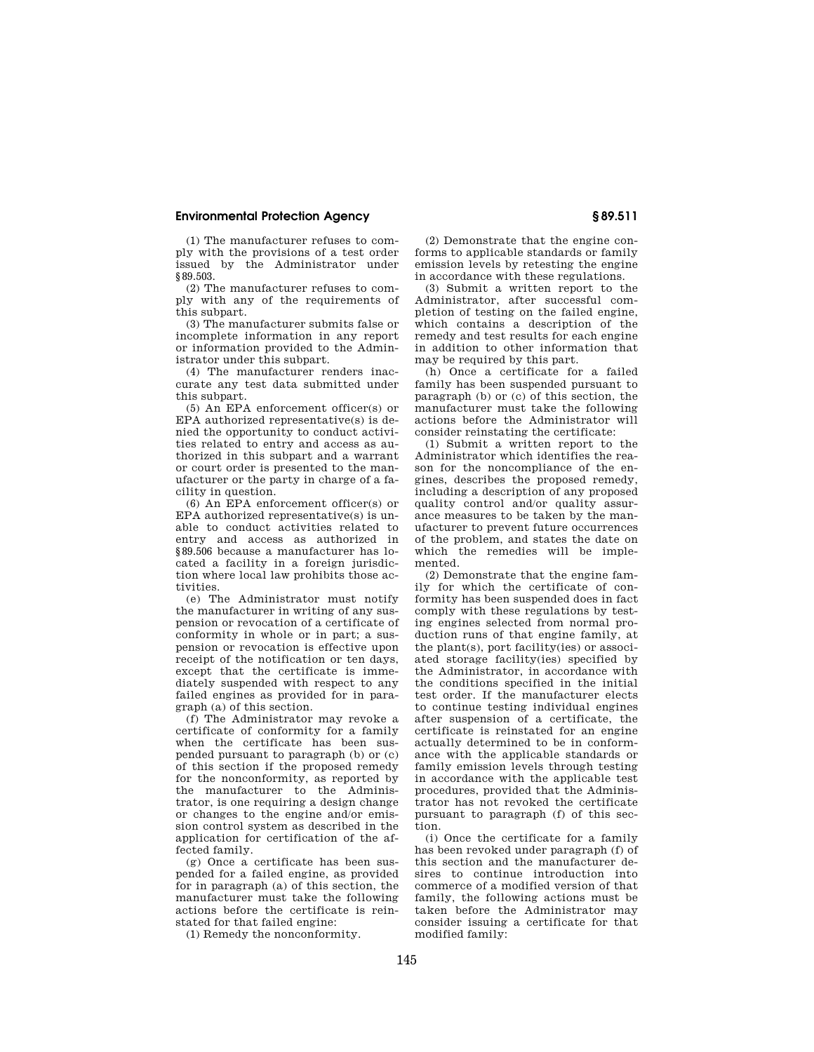(1) The manufacturer refuses to comply with the provisions of a test order issued by the Administrator under §89.503.

(2) The manufacturer refuses to comply with any of the requirements of this subpart.

(3) The manufacturer submits false or incomplete information in any report or information provided to the Administrator under this subpart.

(4) The manufacturer renders inaccurate any test data submitted under this subpart.

(5) An EPA enforcement officer(s) or EPA authorized representative(s) is denied the opportunity to conduct activities related to entry and access as authorized in this subpart and a warrant or court order is presented to the manufacturer or the party in charge of a facility in question.

(6) An EPA enforcement officer(s) or EPA authorized representative(s) is unable to conduct activities related to entry and access as authorized in §89.506 because a manufacturer has located a facility in a foreign jurisdiction where local law prohibits those activities.

(e) The Administrator must notify the manufacturer in writing of any suspension or revocation of a certificate of conformity in whole or in part; a suspension or revocation is effective upon receipt of the notification or ten days, except that the certificate is immediately suspended with respect to any failed engines as provided for in paragraph (a) of this section.

(f) The Administrator may revoke a certificate of conformity for a family when the certificate has been suspended pursuant to paragraph (b) or (c) of this section if the proposed remedy for the nonconformity, as reported by the manufacturer to the Administrator, is one requiring a design change or changes to the engine and/or emission control system as described in the application for certification of the affected family.

(g) Once a certificate has been suspended for a failed engine, as provided for in paragraph (a) of this section, the manufacturer must take the following actions before the certificate is reinstated for that failed engine:

(1) Remedy the nonconformity.

(2) Demonstrate that the engine conforms to applicable standards or family emission levels by retesting the engine in accordance with these regulations.

(3) Submit a written report to the Administrator, after successful completion of testing on the failed engine, which contains a description of the remedy and test results for each engine in addition to other information that may be required by this part.

(h) Once a certificate for a failed family has been suspended pursuant to paragraph (b) or (c) of this section, the manufacturer must take the following actions before the Administrator will consider reinstating the certificate:

(1) Submit a written report to the Administrator which identifies the reason for the noncompliance of the engines, describes the proposed remedy, including a description of any proposed quality control and/or quality assurance measures to be taken by the manufacturer to prevent future occurrences of the problem, and states the date on which the remedies will be implemented.

(2) Demonstrate that the engine family for which the certificate of conformity has been suspended does in fact comply with these regulations by testing engines selected from normal production runs of that engine family, at the plant(s), port facility(ies) or associated storage facility(ies) specified by the Administrator, in accordance with the conditions specified in the initial test order. If the manufacturer elects to continue testing individual engines after suspension of a certificate, the certificate is reinstated for an engine actually determined to be in conformance with the applicable standards or family emission levels through testing in accordance with the applicable test procedures, provided that the Administrator has not revoked the certificate pursuant to paragraph (f) of this section.

(i) Once the certificate for a family has been revoked under paragraph (f) of this section and the manufacturer desires to continue introduction into commerce of a modified version of that family, the following actions must be taken before the Administrator may consider issuing a certificate for that modified family: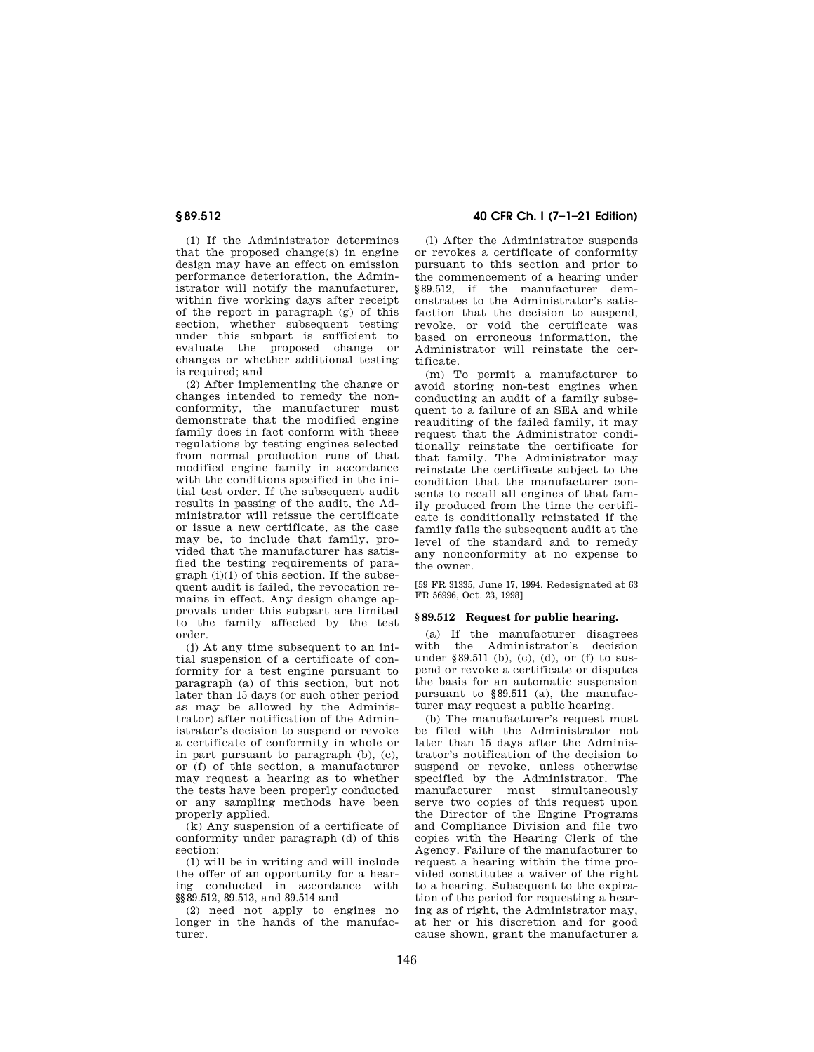(1) If the Administrator determines that the proposed change(s) in engine design may have an effect on emission performance deterioration, the Administrator will notify the manufacturer, within five working days after receipt of the report in paragraph (g) of this section, whether subsequent testing under this subpart is sufficient to evaluate the proposed change or changes or whether additional testing is required; and

(2) After implementing the change or changes intended to remedy the nonconformity, the manufacturer must demonstrate that the modified engine family does in fact conform with these regulations by testing engines selected from normal production runs of that modified engine family in accordance with the conditions specified in the initial test order. If the subsequent audit results in passing of the audit, the Administrator will reissue the certificate or issue a new certificate, as the case may be, to include that family, provided that the manufacturer has satisfied the testing requirements of para $graph (i)(1)$  of this section. If the subsequent audit is failed, the revocation remains in effect. Any design change approvals under this subpart are limited to the family affected by the test order.

(j) At any time subsequent to an initial suspension of a certificate of conformity for a test engine pursuant to paragraph (a) of this section, but not later than 15 days (or such other period as may be allowed by the Administrator) after notification of the Administrator's decision to suspend or revoke a certificate of conformity in whole or in part pursuant to paragraph (b), (c), or (f) of this section, a manufacturer may request a hearing as to whether the tests have been properly conducted or any sampling methods have been properly applied.

(k) Any suspension of a certificate of conformity under paragraph (d) of this section:

(1) will be in writing and will include the offer of an opportunity for a hearing conducted in accordance with §§89.512, 89.513, and 89.514 and

(2) need not apply to engines no longer in the hands of the manufacturer.

**§ 89.512 40 CFR Ch. I (7–1–21 Edition)** 

(l) After the Administrator suspends or revokes a certificate of conformity pursuant to this section and prior to the commencement of a hearing under §89.512, if the manufacturer demonstrates to the Administrator's satisfaction that the decision to suspend, revoke, or void the certificate was based on erroneous information, the Administrator will reinstate the certificate.

(m) To permit a manufacturer to avoid storing non-test engines when conducting an audit of a family subsequent to a failure of an SEA and while reauditing of the failed family, it may request that the Administrator conditionally reinstate the certificate for that family. The Administrator may reinstate the certificate subject to the condition that the manufacturer consents to recall all engines of that family produced from the time the certificate is conditionally reinstated if the family fails the subsequent audit at the level of the standard and to remedy any nonconformity at no expense to the owner.

[59 FR 31335, June 17, 1994. Redesignated at 63 FR 56996, Oct. 23, 1998]

# **§ 89.512 Request for public hearing.**

(a) If the manufacturer disagrees with the Administrator's decision under §89.511 (b), (c), (d), or (f) to suspend or revoke a certificate or disputes the basis for an automatic suspension pursuant to §89.511 (a), the manufacturer may request a public hearing.

(b) The manufacturer's request must be filed with the Administrator not later than 15 days after the Administrator's notification of the decision to suspend or revoke, unless otherwise specified by the Administrator. The manufacturer must simultaneously serve two copies of this request upon the Director of the Engine Programs and Compliance Division and file two copies with the Hearing Clerk of the Agency. Failure of the manufacturer to request a hearing within the time provided constitutes a waiver of the right to a hearing. Subsequent to the expiration of the period for requesting a hearing as of right, the Administrator may, at her or his discretion and for good cause shown, grant the manufacturer a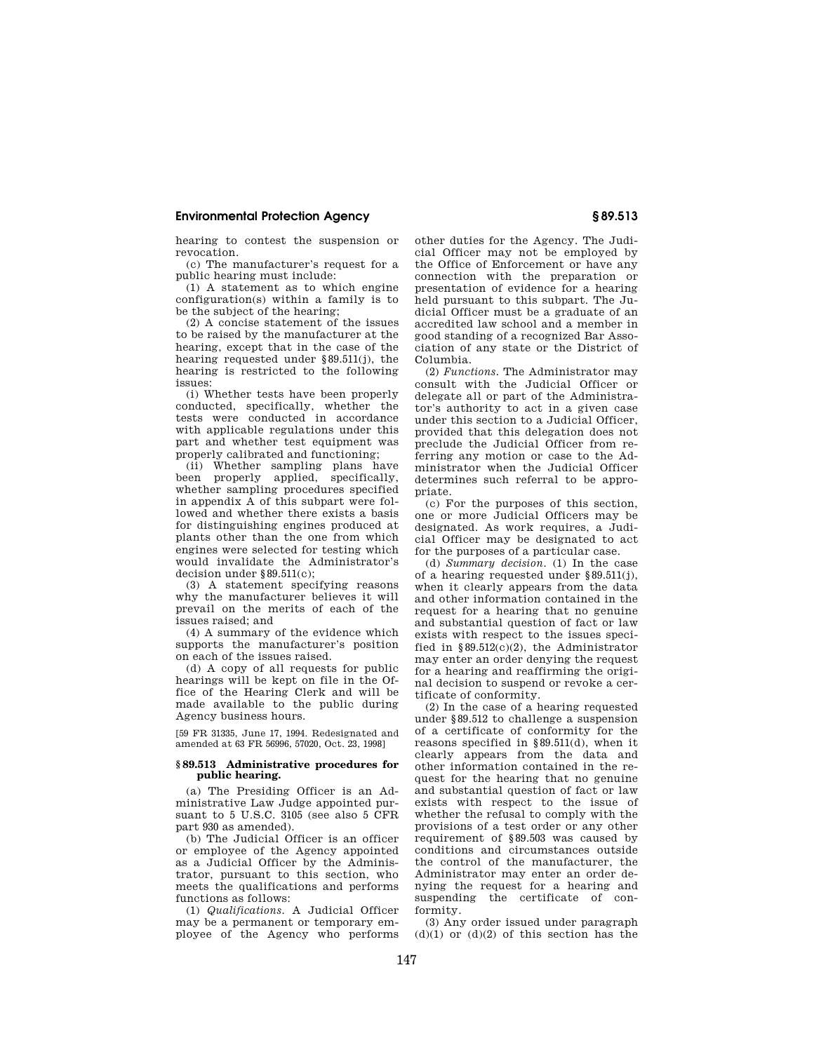hearing to contest the suspension or revocation.

(c) The manufacturer's request for a public hearing must include:

(1) A statement as to which engine configuration(s) within a family is to be the subject of the hearing;

(2) A concise statement of the issues to be raised by the manufacturer at the hearing, except that in the case of the hearing requested under §89.511(j), the hearing is restricted to the following issues:

(i) Whether tests have been properly conducted, specifically, whether the tests were conducted in accordance with applicable regulations under this part and whether test equipment was properly calibrated and functioning;

(ii) Whether sampling plans have been properly applied, specifically, whether sampling procedures specified in appendix A of this subpart were followed and whether there exists a basis for distinguishing engines produced at plants other than the one from which engines were selected for testing which would invalidate the Administrator's decision under §89.511(c);

(3) A statement specifying reasons why the manufacturer believes it will prevail on the merits of each of the issues raised; and

(4) A summary of the evidence which supports the manufacturer's position on each of the issues raised.

(d) A copy of all requests for public hearings will be kept on file in the Office of the Hearing Clerk and will be made available to the public during Agency business hours.

[59 FR 31335, June 17, 1994. Redesignated and amended at 63 FR 56996, 57020, Oct. 23, 1998]

### **§ 89.513 Administrative procedures for public hearing.**

(a) The Presiding Officer is an Administrative Law Judge appointed pursuant to 5 U.S.C. 3105 (see also 5 CFR part 930 as amended).

(b) The Judicial Officer is an officer or employee of the Agency appointed as a Judicial Officer by the Administrator, pursuant to this section, who meets the qualifications and performs functions as follows:

(1) *Qualifications.* A Judicial Officer may be a permanent or temporary employee of the Agency who performs other duties for the Agency. The Judicial Officer may not be employed by the Office of Enforcement or have any connection with the preparation or presentation of evidence for a hearing held pursuant to this subpart. The Judicial Officer must be a graduate of an accredited law school and a member in good standing of a recognized Bar Association of any state or the District of Columbia.

(2) *Functions.* The Administrator may consult with the Judicial Officer or delegate all or part of the Administrator's authority to act in a given case under this section to a Judicial Officer, provided that this delegation does not preclude the Judicial Officer from referring any motion or case to the Administrator when the Judicial Officer determines such referral to be appropriate.

(c) For the purposes of this section, one or more Judicial Officers may be designated. As work requires, a Judicial Officer may be designated to act for the purposes of a particular case.

(d) *Summary decision.* (1) In the case of a hearing requested under §89.511(j), when it clearly appears from the data and other information contained in the request for a hearing that no genuine and substantial question of fact or law exists with respect to the issues specified in §89.512(c)(2), the Administrator may enter an order denying the request for a hearing and reaffirming the original decision to suspend or revoke a certificate of conformity.

(2) In the case of a hearing requested under §89.512 to challenge a suspension of a certificate of conformity for the reasons specified in §89.511(d), when it clearly appears from the data and other information contained in the request for the hearing that no genuine and substantial question of fact or law exists with respect to the issue of whether the refusal to comply with the provisions of a test order or any other requirement of §89.503 was caused by conditions and circumstances outside the control of the manufacturer, the Administrator may enter an order denying the request for a hearing and suspending the certificate of conformity.

(3) Any order issued under paragraph  $(d)(1)$  or  $(d)(2)$  of this section has the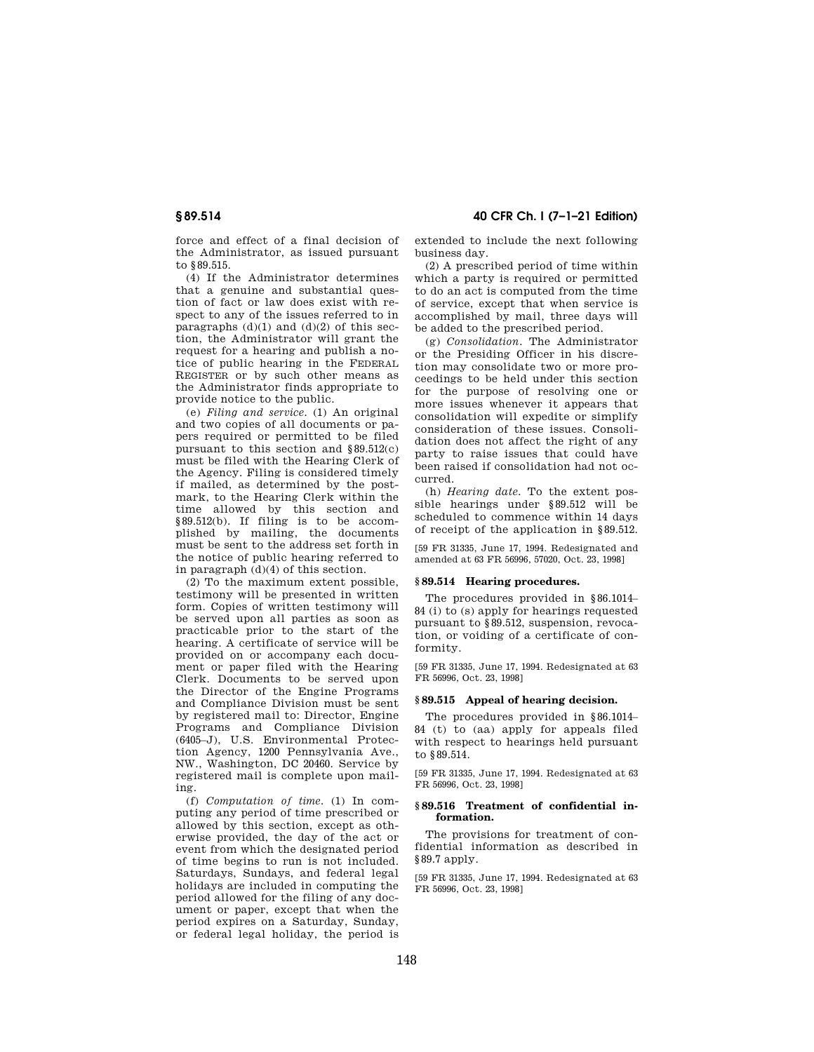force and effect of a final decision of the Administrator, as issued pursuant to §89.515.

(4) If the Administrator determines that a genuine and substantial question of fact or law does exist with respect to any of the issues referred to in paragraphs  $(d)(1)$  and  $(d)(2)$  of this section, the Administrator will grant the request for a hearing and publish a notice of public hearing in the FEDERAL REGISTER or by such other means as the Administrator finds appropriate to provide notice to the public.

(e) *Filing and service.* (1) An original and two copies of all documents or papers required or permitted to be filed pursuant to this section and  $§89.512(c)$ must be filed with the Hearing Clerk of the Agency. Filing is considered timely if mailed, as determined by the postmark, to the Hearing Clerk within the time allowed by this section and §89.512(b). If filing is to be accomplished by mailing, the documents must be sent to the address set forth in the notice of public hearing referred to in paragraph (d)(4) of this section.

(2) To the maximum extent possible, testimony will be presented in written form. Copies of written testimony will be served upon all parties as soon as practicable prior to the start of the hearing. A certificate of service will be provided on or accompany each document or paper filed with the Hearing Clerk. Documents to be served upon the Director of the Engine Programs and Compliance Division must be sent by registered mail to: Director, Engine Programs and Compliance Division (6405–J), U.S. Environmental Protection Agency, 1200 Pennsylvania Ave., NW., Washington, DC 20460. Service by registered mail is complete upon mailing.

(f) *Computation of time.* (1) In computing any period of time prescribed or allowed by this section, except as otherwise provided, the day of the act or event from which the designated period of time begins to run is not included. Saturdays, Sundays, and federal legal holidays are included in computing the period allowed for the filing of any document or paper, except that when the period expires on a Saturday, Sunday, or federal legal holiday, the period is

**§ 89.514 40 CFR Ch. I (7–1–21 Edition)** 

extended to include the next following business day.

(2) A prescribed period of time within which a party is required or permitted to do an act is computed from the time of service, except that when service is accomplished by mail, three days will be added to the prescribed period.

(g) *Consolidation.* The Administrator or the Presiding Officer in his discretion may consolidate two or more proceedings to be held under this section for the purpose of resolving one or more issues whenever it appears that consolidation will expedite or simplify consideration of these issues. Consolidation does not affect the right of any party to raise issues that could have been raised if consolidation had not occurred.

(h) *Hearing date.* To the extent possible hearings under §89.512 will be scheduled to commence within 14 days of receipt of the application in §89.512.

[59 FR 31335, June 17, 1994. Redesignated and amended at 63 FR 56996, 57020, Oct. 23, 1998]

#### **§ 89.514 Hearing procedures.**

The procedures provided in §86.1014– 84 (i) to (s) apply for hearings requested pursuant to §89.512, suspension, revocation, or voiding of a certificate of conformity.

[59 FR 31335, June 17, 1994. Redesignated at 63 FR 56996, Oct. 23, 1998]

#### **§ 89.515 Appeal of hearing decision.**

The procedures provided in §86.1014– 84 (t) to (aa) apply for appeals filed with respect to hearings held pursuant to §89.514.

[59 FR 31335, June 17, 1994. Redesignated at 63 FR 56996, Oct. 23, 1998]

### **§ 89.516 Treatment of confidential information.**

The provisions for treatment of confidential information as described in §89.7 apply.

[59 FR 31335, June 17, 1994. Redesignated at 63 FR 56996, Oct. 23, 1998]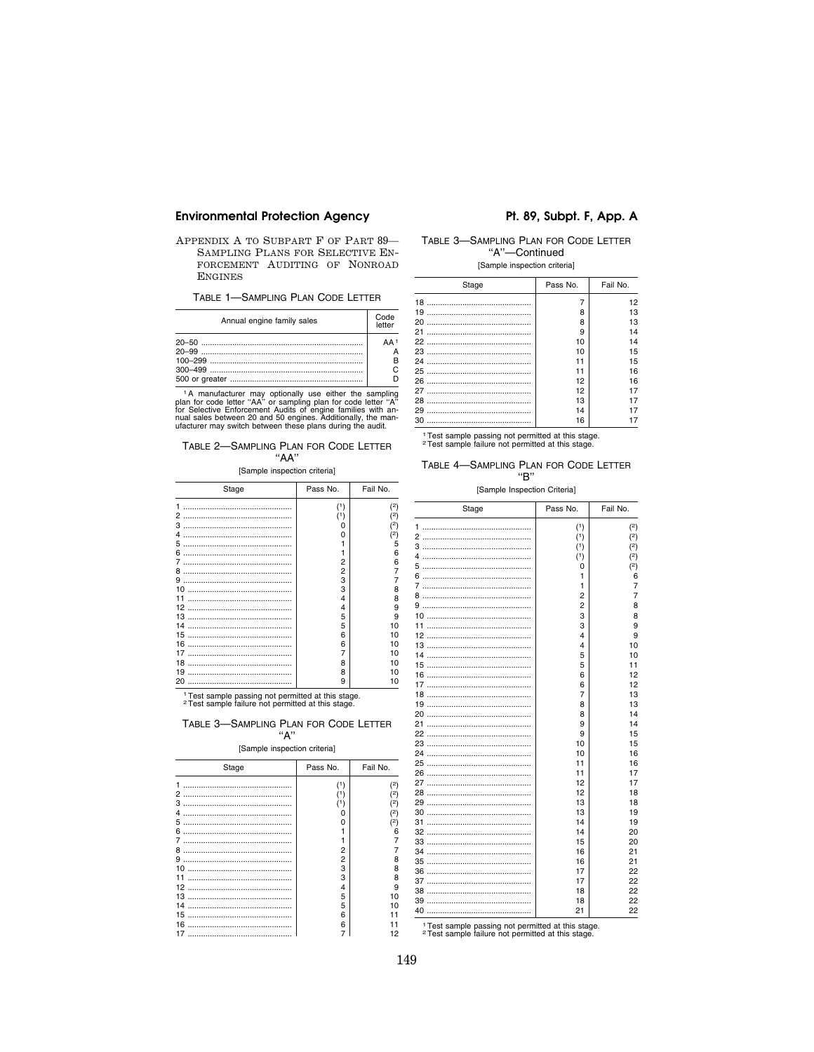APPENDIX A TO SUBPART F OF PART 89-SAMPLING PLANS FOR SELECTIVE EN-FORCEMENT AUDITING OF NONROAD **ENGINES** 

TABLE 1-SAMPLING PLAN CODE LETTER

| Annual engine family sales | Code<br>letter               |
|----------------------------|------------------------------|
|                            | $\Delta \Delta$ <sup>1</sup> |

The manufacturer may optionally use either the sampling<br>plan for code letter "AA" or sampling plan for code letter "A"<br>for Selective Enforcement Audits of engine families with an-<br>nual sales between 20 and 50 engines. Add

### TABLE 2-SAMPLING PLAN FOR CODE LETTER  $"AA"$

#### [Sample inspection criteria]

| Stage    | Pass No.   | Fail No.  |
|----------|------------|-----------|
| 1<br>2   | (1)<br>(1) | (2)<br>(2 |
| 3        | ი          | (2        |
| 4<br>5   |            | 2)<br>5   |
| 6        |            | 6         |
| 7<br>8   | 2<br>2     | 6         |
| 9        | 3          |           |
| 10       | 3          | 8         |
| 11<br>12 | 4<br>4     | 8<br>9    |
| 13       | 5          | 9         |
| 14       | 5          | 10        |
| 15<br>16 | 6<br>6     | 10<br>10  |
| 17       | 7          | 10        |
| 18<br>19 | 8<br>8     | 10<br>10  |
| 20       | 9          | 10        |
|          |            |           |

<sup>1</sup>Test sample passing not permitted at this stage.<br><sup>2</sup>Test sample failure not permitted at this stage.

# TABLE 3-SAMPLING PLAN FOR CODE LETTER "А"

#### [Sample inspection criteria]

| Stage   | Pass No. | Fail No. |
|---------|----------|----------|
|         |          | 2)       |
| 2       |          | 2)       |
| з       |          | 2)       |
| 4       | Ω        | 2)       |
| 5       | ŋ        | 2)       |
| 6       |          | հ        |
| 7       |          |          |
| 8       | 2        |          |
| 9       | 2        | 8        |
| 10      | 3        | 8        |
| 11      | 3        | 8        |
| 12<br>. | 4        | 9        |
| 13      | 5        | 10       |
| 14      | 5        | 10       |
| 15      | 6        |          |
| 16      | 6        |          |
| 17      |          | 12       |

# Pt. 89, Subpt. F, App. A

# TABLE 3-SAMPLING PLAN FOR CODE LETTER "A"-Continued

[Sample inspection criteria]

| Stage | Pass No. | Fail No. |
|-------|----------|----------|
|       |          | 12       |
|       | 8        | 13       |
|       | 8        | 13       |
|       | 9        | 14       |
|       | 10       | 14       |
|       | 10       | 15       |
|       | 11       | 15       |
|       | 11       | 16       |
|       | 12       | 16       |
|       | 12       | 17       |
|       | 13       | 17       |
|       | 14       | 17       |
|       | 16       | 17       |

<sup>1</sup> Test sample passing not permitted at this stage. <sup>2</sup> Test sample failure not permitted at this stage.

### TABLE 4-SAMPLING PLAN FOR CODE LETTER "B"

[Sample Inspection Criteria]

| Stage | Pass No.       | Fail No.       |
|-------|----------------|----------------|
| 1     | (1)            | (2)            |
|       | (1)            | (2)            |
|       | (1)            | (2)            |
| 4     | (1)            | (2)            |
|       | $\Omega$       | (2)            |
|       | 1              | 6              |
|       | $\mathbf{1}$   | 7              |
|       | $\overline{2}$ | $\overline{7}$ |
|       | 2              | 8              |
|       | 3              | 8              |
|       | 3              | 9              |
|       | 4              | 9              |
|       | 4              | 10             |
|       | 5              | 10             |
|       | 5              | 11             |
|       | 6              | 12             |
|       | 6              | 12             |
| 18    | 7              | 13             |
|       | 8              | 13             |
|       | 8              | 14             |
|       | 9              | 14             |
|       | 9              | 15             |
|       | 10             | 15             |
|       | 10             | 16             |
|       | 11             | 16             |
|       | 11             | 17             |
|       | 12             | 17             |
|       | 12             | 18             |
|       | 13             | 18             |
|       | 13             | 19             |
|       | 14             | 19             |
|       | 14             | 20             |
|       | 15             | 20             |
| 34    | 16             | 21             |
|       | 16             | 21             |
|       | 17             | 22             |
|       | 17             | 22             |
|       | 18             | 22             |
|       | 18             | 22             |
|       | 21             | 22             |

<sup>1</sup> Test sample passing not permitted at this stage. <sup>2</sup> Test sample publics not permitted at this stage.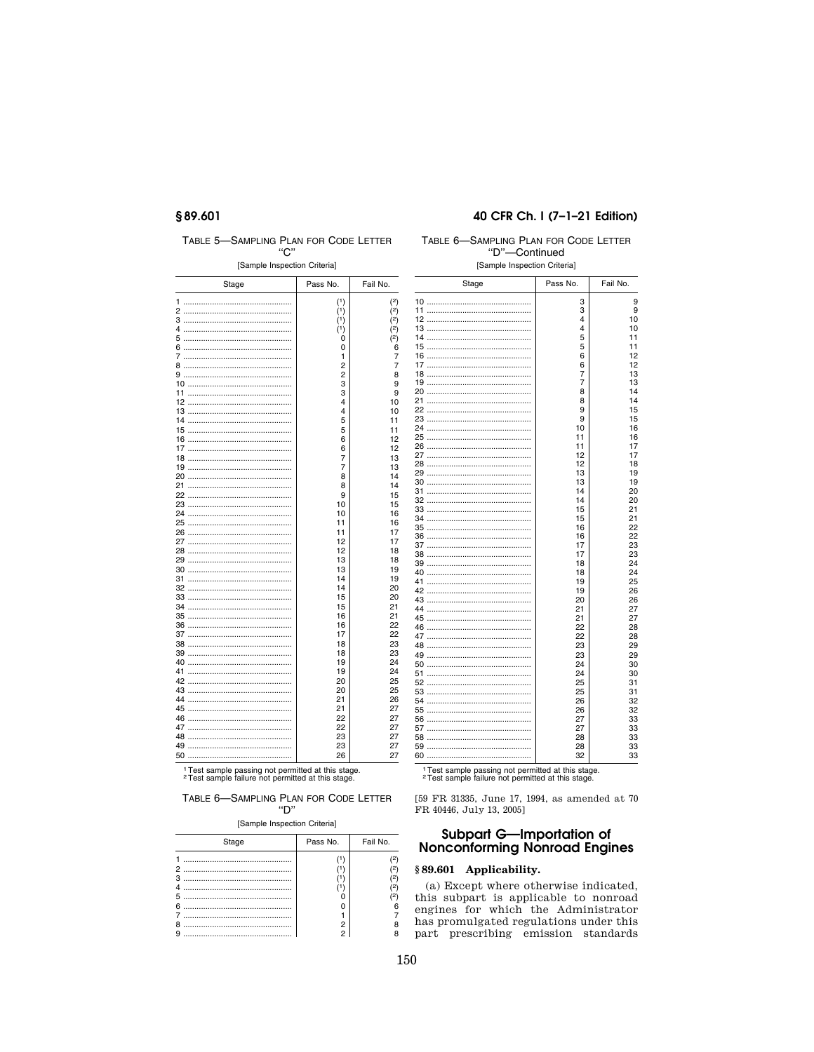# §89.601

TABLE 5-SAMPLING PLAN FOR CODE LETTER

# 40 CFR Ch. I (7-1-21 Edition)

# TA

| [Sample Inspection Criteria] |          |                     |
|------------------------------|----------|---------------------|
| Stage                        | Pass No. | Fail No.            |
| 1                            | (1)      | (2)                 |
| 2                            | (1)      | (2)                 |
| 3                            | (1)      | (2)                 |
| 4                            | (1)      | (2)                 |
| 5                            | 0        | (2)                 |
| 6                            | 0        | $\ddot{\mathbf{6}}$ |
| 7                            | 1        | 7                   |
| 8                            | 2        | 7                   |
| 9                            | 2        | 8                   |
|                              | 3        | 9                   |
| 11                           | 3        | 9                   |
| 12                           | 4        | 10                  |
|                              | 4        | 10                  |
| 14                           | 5<br>5   | 11                  |
|                              | 6        | 11                  |
| 17                           | 6        | 12<br>12            |
|                              | 7        | 13                  |
|                              | 7        | 13                  |
|                              | 8        | 14                  |
| 21                           | 8        | 14                  |
| 22                           | 9        | 15                  |
|                              | 10       | 15                  |
|                              | 10       | 16                  |
| 25                           | 11       | 16                  |
|                              | 11       | 17                  |
|                              | 12       | 17                  |
|                              | 12       | 18                  |
|                              | 13       | 18                  |
|                              | 13       | 19                  |
| 31                           | 14       | 19                  |
|                              | 14       | 20                  |
|                              | 15       | 20                  |
|                              | 15       | 21                  |
|                              | 16<br>16 | 21<br>22            |
| 37                           | 17       | 22                  |
|                              | 18       | 23                  |
|                              | 18       | 23                  |
|                              | 19       | 24                  |
| 41                           | 19       | 24                  |
|                              | 20       | 25                  |
|                              | 20       | 25                  |
|                              | 21       | 26                  |
| 45                           | 21       | 27                  |
|                              | 22       | 27                  |
| 47                           | 22       | 27                  |
| 48                           | 23       | 27                  |
| 49                           | 23       | 27                  |
|                              | 26       | 27                  |
|                              |          |                     |

<sup>1</sup> Test sample passing not permitted at this stage.<br><sup>2</sup> Test sample failure not permitted at this stage.

TABLE 6-SAMPLING PLAN FOR CODE LETTER  $"D"$ 

[Sample Inspection Criteria]

| Stage                           | Pass No. | Fail No. |
|---------------------------------|----------|----------|
| 2<br>з<br>Δ<br>5<br>6<br>я<br>g | 2        |          |

| ABLE 6—SAMPLING PLAN FOR CODE LETTER |  |
|--------------------------------------|--|
| "D"-Continued                        |  |
| [Sample Inspection Criteria]         |  |

| Stage | Pass No. | Fail No. |
|-------|----------|----------|
|       |          |          |
|       | 3        | 9        |
|       | 3        | 9        |
|       | 4        | 10       |
|       | 4        | 10       |
|       | 5        | 11       |
|       | 5        | 11       |
|       | 6        | 12       |
| 17    | 6        | 12       |
|       | 7<br>7   | 13<br>13 |
|       |          |          |
|       | 8        | 14       |
| 21    | 8        | 14       |
|       | 9<br>9   | 15<br>15 |
|       |          | 16       |
|       | 10<br>11 | 16       |
|       | 11       | 17       |
|       | 12       | 17       |
|       | 12       | 18       |
|       | 13       | 19       |
|       | 13       | 19       |
| 31    | 14       | 20       |
|       | 14       | 20       |
|       | 15       | 21       |
|       | 15       | 21       |
|       | 16       | 22       |
|       | 16       | 22       |
|       | 17       | 23       |
|       | 17       | 23       |
|       | 18       | 24       |
|       | 18       | 24       |
|       | 19       | 25       |
|       | 19       | 26       |
|       | 20       | 26       |
|       | 21       | 27       |
|       | 21       | 27       |
|       | 22       | 28       |
|       | 22       | 28       |
|       | 23       | 29       |
|       | 23       | 29       |
|       | 24       | 30       |
| 51    | 24       | 30       |
|       | 25       | 31       |
|       | 25       | 31       |
|       | 26       | 32       |
|       | 26       | 32       |
|       | 27       | 33       |
|       | 27       | 33       |
|       | 28       | 33       |
|       |          |          |
|       | 28       | 33       |

<sup>1</sup> Test sample passing not permitted at this stage.<br><sup>2</sup> Test sample failure not permitted at this stage.

[59 FR 31335, June 17, 1994, as amended at 70 FR 40446, July 13, 2005]

# **Subpart G-Importation of<br>Nonconforming Nonroad Engines**

# §89.601 Applicability.

(a) Except where otherwise indicated, this subpart is applicable to nonroad<br>engines for which the Administrator has promulgated regulations under this part prescribing emission standards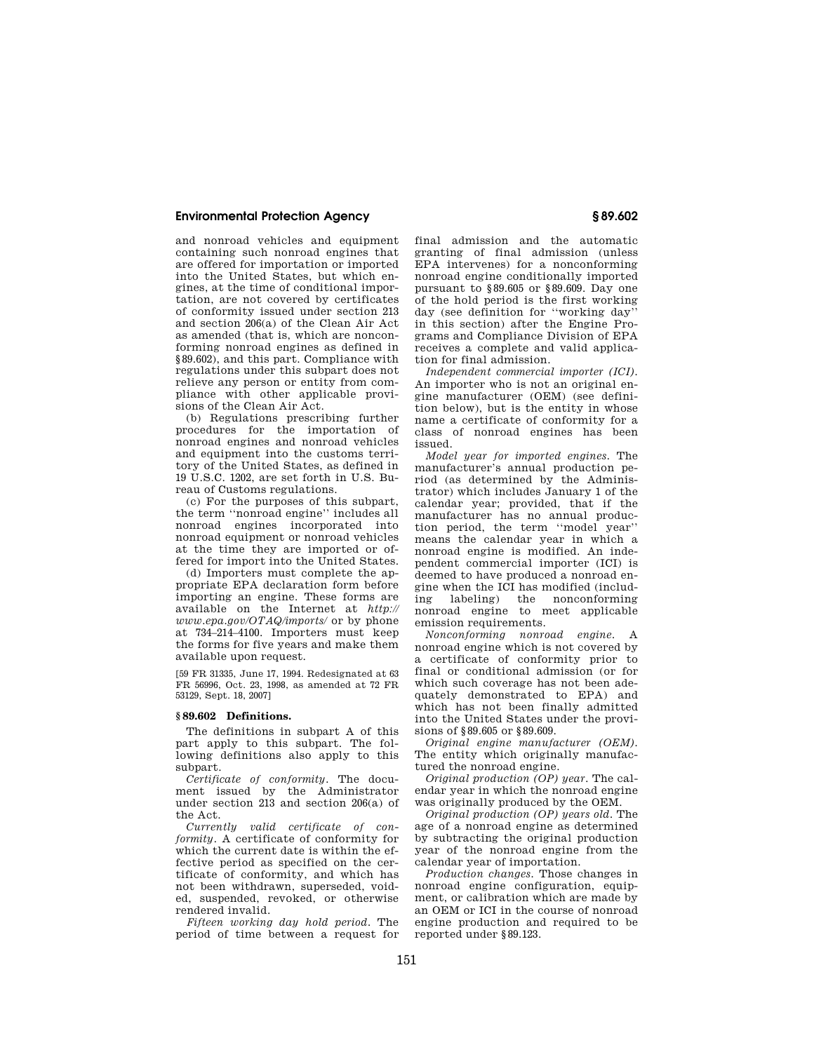and nonroad vehicles and equipment containing such nonroad engines that are offered for importation or imported into the United States, but which engines, at the time of conditional importation, are not covered by certificates of conformity issued under section 213 and section 206(a) of the Clean Air Act as amended (that is, which are nonconforming nonroad engines as defined in §89.602), and this part. Compliance with regulations under this subpart does not relieve any person or entity from compliance with other applicable provisions of the Clean Air Act.

(b) Regulations prescribing further procedures for the importation of nonroad engines and nonroad vehicles and equipment into the customs territory of the United States, as defined in 19 U.S.C. 1202, are set forth in U.S. Bureau of Customs regulations.

(c) For the purposes of this subpart, the term ''nonroad engine'' includes all nonroad engines incorporated into nonroad equipment or nonroad vehicles at the time they are imported or offered for import into the United States.

(d) Importers must complete the appropriate EPA declaration form before importing an engine. These forms are available on the Internet at *http:// www.epa.gov/OTAQ/imports/* or by phone at 734–214–4100. Importers must keep the forms for five years and make them available upon request.

[59 FR 31335, June 17, 1994. Redesignated at 63 FR 56996, Oct. 23, 1998, as amended at 72 FR 53129, Sept. 18, 2007]

### **§ 89.602 Definitions.**

The definitions in subpart A of this part apply to this subpart. The following definitions also apply to this subpart.

*Certificate of conformity.* The document issued by the Administrator under section 213 and section 206(a) of the Act.

*Currently valid certificate of conformity.* A certificate of conformity for which the current date is within the effective period as specified on the certificate of conformity, and which has not been withdrawn, superseded, voided, suspended, revoked, or otherwise rendered invalid.

*Fifteen working day hold period.* The period of time between a request for final admission and the automatic granting of final admission (unless EPA intervenes) for a nonconforming nonroad engine conditionally imported pursuant to §89.605 or §89.609. Day one of the hold period is the first working day (see definition for ''working day'' in this section) after the Engine Programs and Compliance Division of EPA receives a complete and valid application for final admission.

*Independent commercial importer (ICI).*  An importer who is not an original engine manufacturer (OEM) (see definition below), but is the entity in whose name a certificate of conformity for a class of nonroad engines has been issued.

*Model year for imported engines.* The manufacturer's annual production period (as determined by the Administrator) which includes January 1 of the calendar year; provided, that if the manufacturer has no annual production period, the term ''model year'' means the calendar year in which a nonroad engine is modified. An independent commercial importer (ICI) is deemed to have produced a nonroad engine when the ICI has modified (including labeling) the nonconforming nonroad engine to meet applicable emission requirements.

*Nonconforming nonroad engine.* A nonroad engine which is not covered by a certificate of conformity prior to final or conditional admission (or for which such coverage has not been adequately demonstrated to EPA) and which has not been finally admitted into the United States under the provisions of §89.605 or §89.609.

*Original engine manufacturer (OEM).*  The entity which originally manufactured the nonroad engine.

*Original production (OP) year.* The calendar year in which the nonroad engine was originally produced by the OEM.

*Original production (OP) years old.* The age of a nonroad engine as determined by subtracting the original production year of the nonroad engine from the calendar year of importation.

*Production changes.* Those changes in nonroad engine configuration, equipment, or calibration which are made by an OEM or ICI in the course of nonroad engine production and required to be reported under §89.123.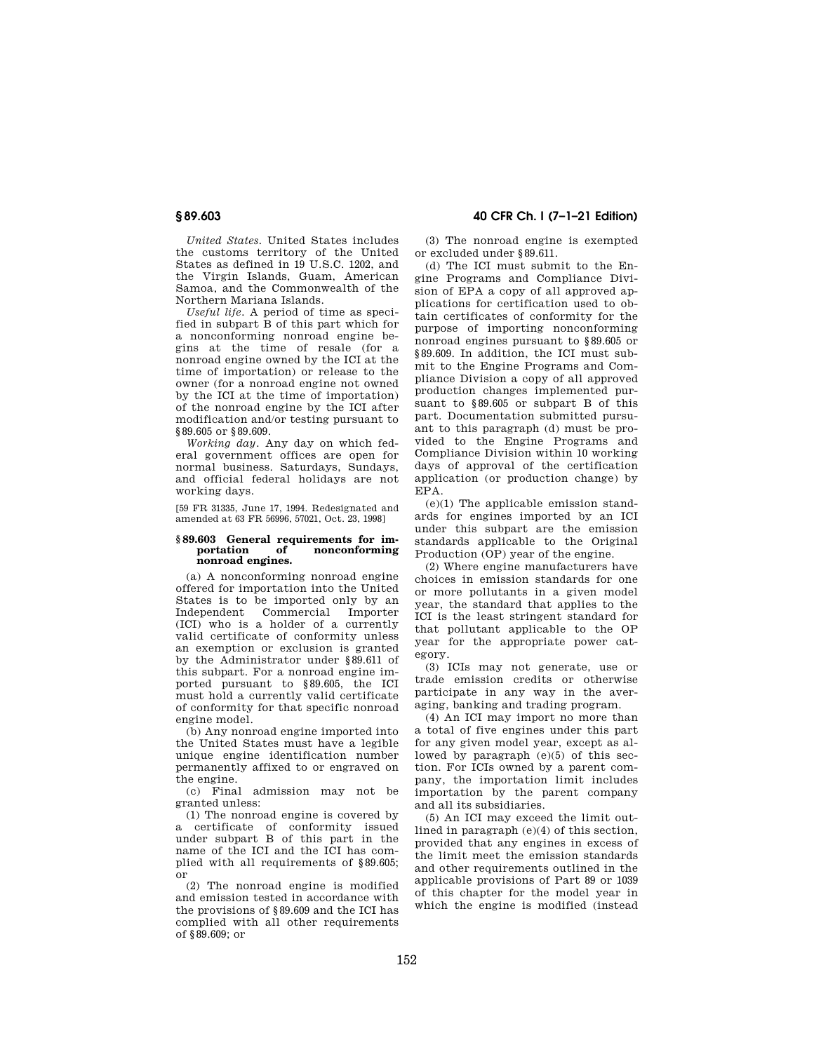*United States.* United States includes the customs territory of the United States as defined in 19 U.S.C. 1202, and the Virgin Islands, Guam, American Samoa, and the Commonwealth of the Northern Mariana Islands.

*Useful life.* A period of time as specified in subpart B of this part which for a nonconforming nonroad engine begins at the time of resale (for a nonroad engine owned by the ICI at the time of importation) or release to the owner (for a nonroad engine not owned by the ICI at the time of importation) of the nonroad engine by the ICI after modification and/or testing pursuant to §89.605 or §89.609.

*Working day.* Any day on which federal government offices are open for normal business. Saturdays, Sundays, and official federal holidays are not working days.

[59 FR 31335, June 17, 1994. Redesignated and amended at 63 FR 56996, 57021, Oct. 23, 1998]

### **§ 89.603 General requirements for importation of nonconforming nonroad engines.**

(a) A nonconforming nonroad engine offered for importation into the United States is to be imported only by an Independent Commercial Importer (ICI) who is a holder of a currently valid certificate of conformity unless an exemption or exclusion is granted by the Administrator under §89.611 of this subpart. For a nonroad engine imported pursuant to §89.605, the ICI must hold a currently valid certificate of conformity for that specific nonroad engine model.

(b) Any nonroad engine imported into the United States must have a legible unique engine identification number permanently affixed to or engraved on the engine.

(c) Final admission may not be granted unless:

(1) The nonroad engine is covered by a certificate of conformity issued under subpart B of this part in the name of the ICI and the ICI has complied with all requirements of §89.605; or

(2) The nonroad engine is modified and emission tested in accordance with the provisions of §89.609 and the ICI has complied with all other requirements of §89.609; or

# **§ 89.603 40 CFR Ch. I (7–1–21 Edition)**

(3) The nonroad engine is exempted or excluded under §89.611.

(d) The ICI must submit to the Engine Programs and Compliance Division of EPA a copy of all approved applications for certification used to obtain certificates of conformity for the purpose of importing nonconforming nonroad engines pursuant to §89.605 or §89.609. In addition, the ICI must submit to the Engine Programs and Compliance Division a copy of all approved production changes implemented pursuant to §89.605 or subpart B of this part. Documentation submitted pursuant to this paragraph (d) must be provided to the Engine Programs and Compliance Division within 10 working days of approval of the certification application (or production change) by EPA.

(e)(1) The applicable emission standards for engines imported by an ICI under this subpart are the emission standards applicable to the Original Production (OP) year of the engine.

(2) Where engine manufacturers have choices in emission standards for one or more pollutants in a given model year, the standard that applies to the ICI is the least stringent standard for that pollutant applicable to the OP year for the appropriate power category.

(3) ICIs may not generate, use or trade emission credits or otherwise participate in any way in the averaging, banking and trading program.

(4) An ICI may import no more than a total of five engines under this part for any given model year, except as allowed by paragraph (e)(5) of this section. For ICIs owned by a parent company, the importation limit includes importation by the parent company and all its subsidiaries.

(5) An ICI may exceed the limit outlined in paragraph (e)(4) of this section, provided that any engines in excess of the limit meet the emission standards and other requirements outlined in the applicable provisions of Part 89 or 1039 of this chapter for the model year in which the engine is modified (instead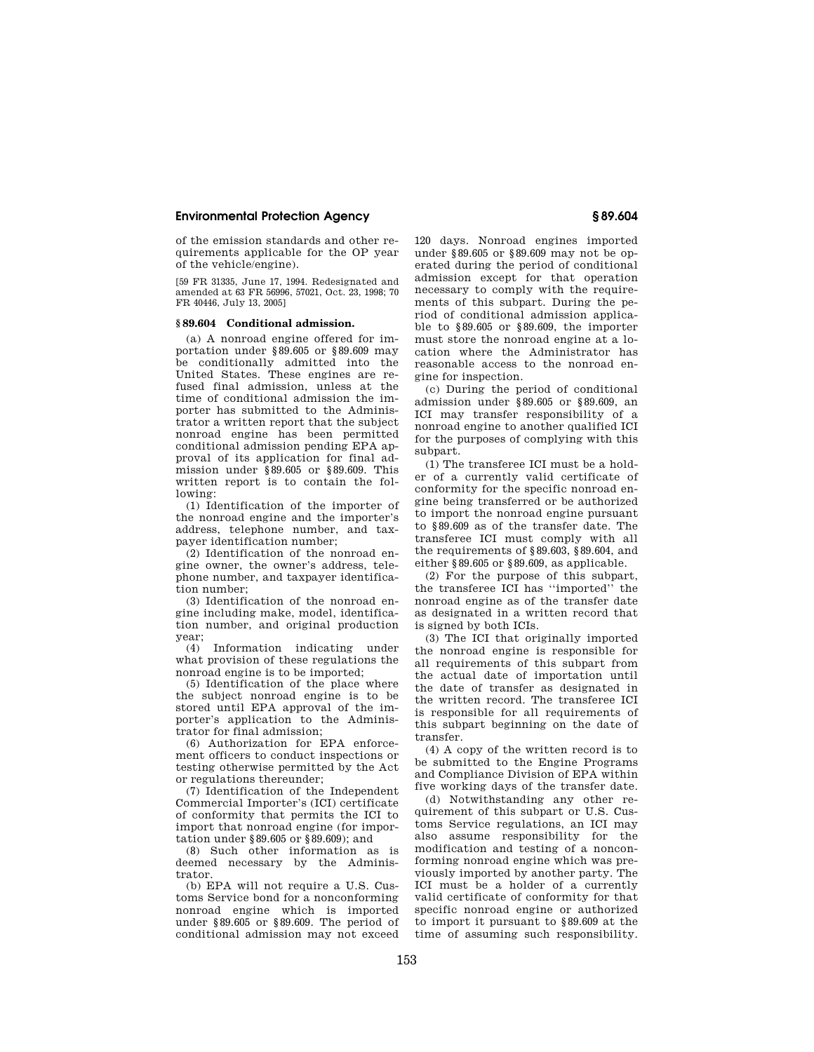of the emission standards and other requirements applicable for the OP year of the vehicle/engine).

[59 FR 31335, June 17, 1994. Redesignated and amended at 63 FR 56996, 57021, Oct. 23, 1998; 70 FR 40446, July 13, 2005]

#### **§ 89.604 Conditional admission.**

(a) A nonroad engine offered for importation under §89.605 or §89.609 may be conditionally admitted into the United States. These engines are refused final admission, unless at the time of conditional admission the importer has submitted to the Administrator a written report that the subject nonroad engine has been permitted conditional admission pending EPA approval of its application for final admission under §89.605 or §89.609. This written report is to contain the following:

(1) Identification of the importer of the nonroad engine and the importer's address, telephone number, and taxpayer identification number;

(2) Identification of the nonroad engine owner, the owner's address, telephone number, and taxpayer identification number;

(3) Identification of the nonroad engine including make, model, identification number, and original production year;

(4) Information indicating under what provision of these regulations the nonroad engine is to be imported;

(5) Identification of the place where the subject nonroad engine is to be stored until EPA approval of the importer's application to the Administrator for final admission;

(6) Authorization for EPA enforcement officers to conduct inspections or testing otherwise permitted by the Act or regulations thereunder;

(7) Identification of the Independent Commercial Importer's (ICI) certificate of conformity that permits the ICI to import that nonroad engine (for importation under §89.605 or §89.609); and

(8) Such other information as is deemed necessary by the Administrator.

(b) EPA will not require a U.S. Customs Service bond for a nonconforming nonroad engine which is imported under §89.605 or §89.609. The period of conditional admission may not exceed 120 days. Nonroad engines imported under §89.605 or §89.609 may not be operated during the period of conditional admission except for that operation necessary to comply with the requirements of this subpart. During the period of conditional admission applicable to §89.605 or §89.609, the importer must store the nonroad engine at a location where the Administrator has reasonable access to the nonroad engine for inspection.

(c) During the period of conditional admission under §89.605 or §89.609, an ICI may transfer responsibility of a nonroad engine to another qualified ICI for the purposes of complying with this subpart.

(1) The transferee ICI must be a holder of a currently valid certificate of conformity for the specific nonroad engine being transferred or be authorized to import the nonroad engine pursuant to §89.609 as of the transfer date. The transferee ICI must comply with all the requirements of §89.603, §89.604, and either §89.605 or §89.609, as applicable.

(2) For the purpose of this subpart, the transferee ICI has ''imported'' the nonroad engine as of the transfer date as designated in a written record that is signed by both ICIs.

(3) The ICI that originally imported the nonroad engine is responsible for all requirements of this subpart from the actual date of importation until the date of transfer as designated in the written record. The transferee ICI is responsible for all requirements of this subpart beginning on the date of transfer.

(4) A copy of the written record is to be submitted to the Engine Programs and Compliance Division of EPA within five working days of the transfer date.

(d) Notwithstanding any other requirement of this subpart or U.S. Customs Service regulations, an ICI may also assume responsibility for the modification and testing of a nonconforming nonroad engine which was previously imported by another party. The ICI must be a holder of a currently valid certificate of conformity for that specific nonroad engine or authorized to import it pursuant to §89.609 at the time of assuming such responsibility.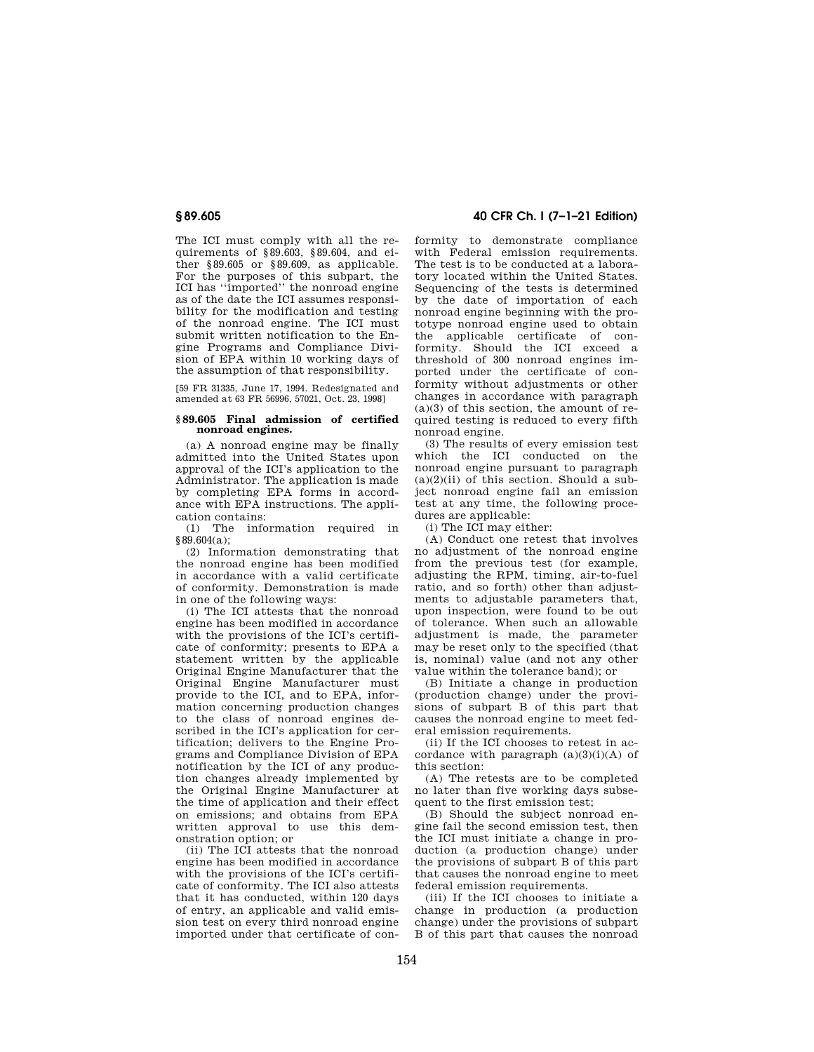The ICI must comply with all the requirements of §89.603, §89.604, and either §89.605 or §89.609, as applicable. For the purposes of this subpart, the ICI has ''imported'' the nonroad engine as of the date the ICI assumes responsibility for the modification and testing of the nonroad engine. The ICI must submit written notification to the Engine Programs and Compliance Division of EPA within 10 working days of the assumption of that responsibility.

[59 FR 31335, June 17, 1994. Redesignated and amended at 63 FR 56996, 57021, Oct. 23, 1998]

#### **§ 89.605 Final admission of certified nonroad engines.**

(a) A nonroad engine may be finally admitted into the United States upon approval of the ICI's application to the Administrator. The application is made by completing EPA forms in accordance with EPA instructions. The application contains:

(1) The information required in §89.604(a);

(2) Information demonstrating that the nonroad engine has been modified in accordance with a valid certificate of conformity. Demonstration is made in one of the following ways:

(i) The ICI attests that the nonroad engine has been modified in accordance with the provisions of the ICI's certificate of conformity; presents to EPA a statement written by the applicable Original Engine Manufacturer that the Original Engine Manufacturer must provide to the ICI, and to EPA, information concerning production changes to the class of nonroad engines described in the ICI's application for certification; delivers to the Engine Programs and Compliance Division of EPA notification by the ICI of any production changes already implemented by the Original Engine Manufacturer at the time of application and their effect on emissions; and obtains from EPA written approval to use this demonstration option; or

(ii) The ICI attests that the nonroad engine has been modified in accordance with the provisions of the ICI's certificate of conformity. The ICI also attests that it has conducted, within 120 days of entry, an applicable and valid emission test on every third nonroad engine imported under that certificate of con-

## **§ 89.605 40 CFR Ch. I (7–1–21 Edition)**

formity to demonstrate compliance with Federal emission requirements. The test is to be conducted at a laboratory located within the United States. Sequencing of the tests is determined by the date of importation of each nonroad engine beginning with the prototype nonroad engine used to obtain the applicable certificate of conformity. Should the ICI exceed a threshold of 300 nonroad engines imported under the certificate of conformity without adjustments or other changes in accordance with paragraph  $(a)(3)$  of this section, the amount of required testing is reduced to every fifth nonroad engine.

(3) The results of every emission test which the ICI conducted on the nonroad engine pursuant to paragraph  $(a)(2)(ii)$  of this section. Should a subject nonroad engine fail an emission test at any time, the following procedures are applicable:

(i) The ICI may either:

(A) Conduct one retest that involves no adjustment of the nonroad engine from the previous test (for example, adjusting the RPM, timing, air-to-fuel ratio, and so forth) other than adjustments to adjustable parameters that, upon inspection, were found to be out of tolerance. When such an allowable adjustment is made, the parameter may be reset only to the specified (that is, nominal) value (and not any other value within the tolerance band); or

(B) Initiate a change in production (production change) under the provisions of subpart B of this part that causes the nonroad engine to meet federal emission requirements.

(ii) If the ICI chooses to retest in accordance with paragraph  $(a)(3)(i)(A)$  of this section:

(A) The retests are to be completed no later than five working days subsequent to the first emission test;

(B) Should the subject nonroad engine fail the second emission test, then the ICI must initiate a change in production (a production change) under the provisions of subpart B of this part that causes the nonroad engine to meet federal emission requirements.

(iii) If the ICI chooses to initiate a change in production (a production change) under the provisions of subpart B of this part that causes the nonroad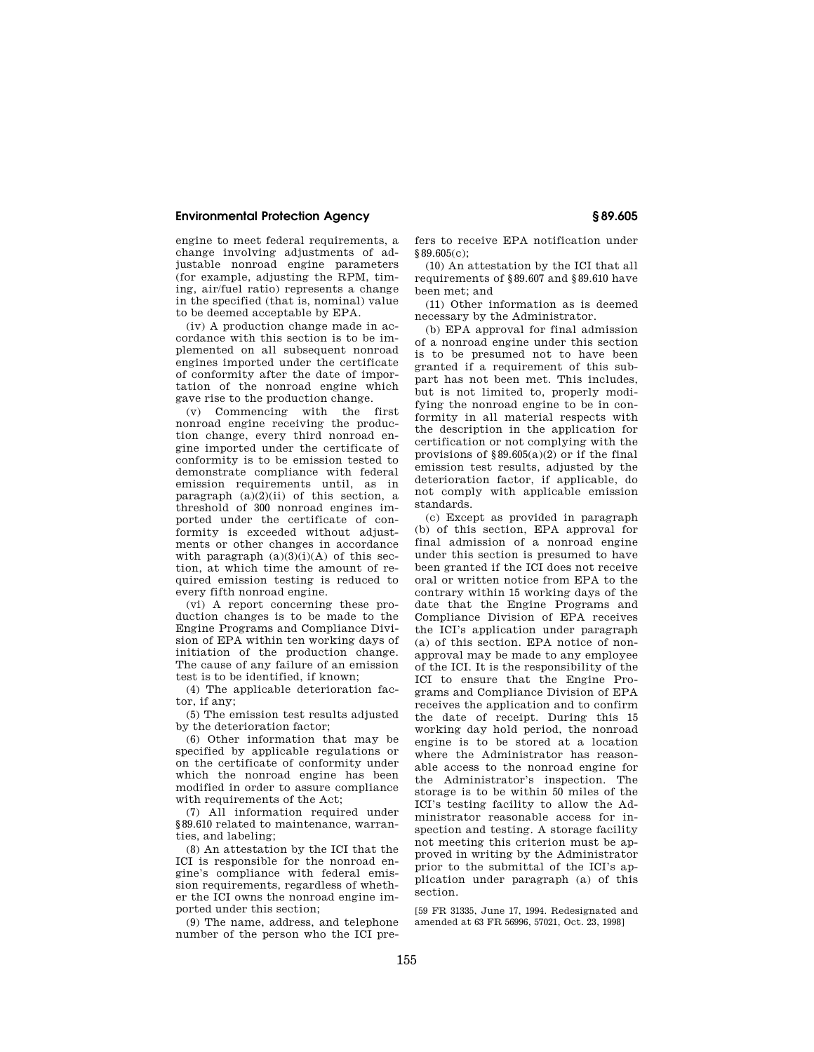engine to meet federal requirements, a change involving adjustments of adjustable nonroad engine parameters (for example, adjusting the RPM, timing, air/fuel ratio) represents a change in the specified (that is, nominal) value to be deemed acceptable by EPA.

(iv) A production change made in accordance with this section is to be implemented on all subsequent nonroad engines imported under the certificate of conformity after the date of importation of the nonroad engine which gave rise to the production change.

(v) Commencing with the first nonroad engine receiving the production change, every third nonroad engine imported under the certificate of conformity is to be emission tested to demonstrate compliance with federal emission requirements until, as in paragraph (a)(2)(ii) of this section, a threshold of 300 nonroad engines imported under the certificate of conformity is exceeded without adjustments or other changes in accordance with paragraph  $(a)(3)(i)(A)$  of this section, at which time the amount of required emission testing is reduced to every fifth nonroad engine.

(vi) A report concerning these production changes is to be made to the Engine Programs and Compliance Division of EPA within ten working days of initiation of the production change. The cause of any failure of an emission test is to be identified, if known;

(4) The applicable deterioration factor, if any;

(5) The emission test results adjusted by the deterioration factor;

(6) Other information that may be specified by applicable regulations or on the certificate of conformity under which the nonroad engine has been modified in order to assure compliance with requirements of the Act;

(7) All information required under §89.610 related to maintenance, warranties, and labeling;

(8) An attestation by the ICI that the ICI is responsible for the nonroad engine's compliance with federal emission requirements, regardless of whether the ICI owns the nonroad engine imported under this section;

(9) The name, address, and telephone number of the person who the ICI prefers to receive EPA notification under §89.605(c);

(10) An attestation by the ICI that all requirements of §89.607 and §89.610 have been met; and

(11) Other information as is deemed necessary by the Administrator.

(b) EPA approval for final admission of a nonroad engine under this section is to be presumed not to have been granted if a requirement of this subpart has not been met. This includes, but is not limited to, properly modifying the nonroad engine to be in conformity in all material respects with the description in the application for certification or not complying with the provisions of  $\S 89.605(a)(2)$  or if the final emission test results, adjusted by the deterioration factor, if applicable, do not comply with applicable emission standards.

(c) Except as provided in paragraph (b) of this section, EPA approval for final admission of a nonroad engine under this section is presumed to have been granted if the ICI does not receive oral or written notice from EPA to the contrary within 15 working days of the date that the Engine Programs and Compliance Division of EPA receives the ICI's application under paragraph (a) of this section. EPA notice of nonapproval may be made to any employee of the ICI. It is the responsibility of the ICI to ensure that the Engine Programs and Compliance Division of EPA receives the application and to confirm the date of receipt. During this 15 working day hold period, the nonroad engine is to be stored at a location where the Administrator has reasonable access to the nonroad engine for the Administrator's inspection. The storage is to be within 50 miles of the ICI's testing facility to allow the Administrator reasonable access for inspection and testing. A storage facility not meeting this criterion must be approved in writing by the Administrator prior to the submittal of the ICI's application under paragraph (a) of this section.

[59 FR 31335, June 17, 1994. Redesignated and amended at 63 FR 56996, 57021, Oct. 23, 1998]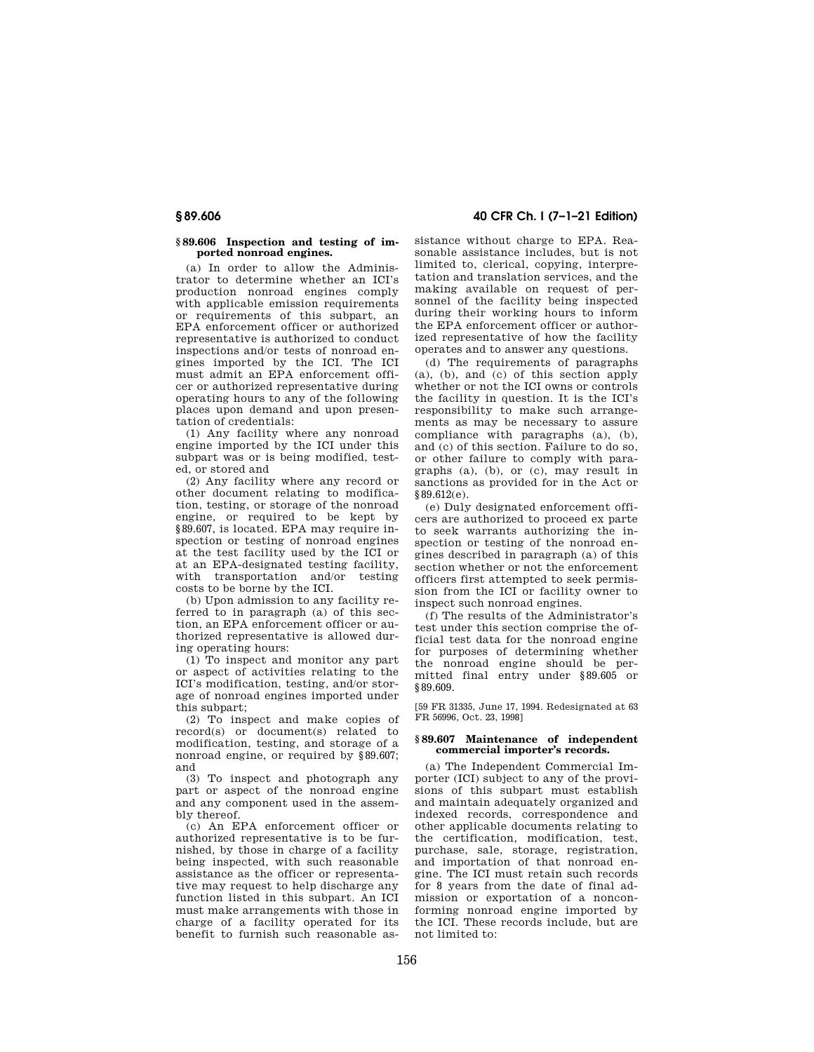#### **§ 89.606 Inspection and testing of imported nonroad engines.**

(a) In order to allow the Administrator to determine whether an ICI's production nonroad engines comply with applicable emission requirements or requirements of this subpart, an EPA enforcement officer or authorized representative is authorized to conduct inspections and/or tests of nonroad engines imported by the ICI. The ICI must admit an EPA enforcement officer or authorized representative during operating hours to any of the following places upon demand and upon presentation of credentials:

(1) Any facility where any nonroad engine imported by the ICI under this subpart was or is being modified, tested, or stored and

(2) Any facility where any record or other document relating to modification, testing, or storage of the nonroad engine, or required to be kept by §89.607, is located. EPA may require inspection or testing of nonroad engines at the test facility used by the ICI or at an EPA-designated testing facility, with transportation and/or testing costs to be borne by the ICI.

(b) Upon admission to any facility referred to in paragraph (a) of this section, an EPA enforcement officer or authorized representative is allowed during operating hours:

(1) To inspect and monitor any part or aspect of activities relating to the ICI's modification, testing, and/or storage of nonroad engines imported under this subpart;

(2) To inspect and make copies of record(s) or document(s) related to modification, testing, and storage of a nonroad engine, or required by §89.607; and

(3) To inspect and photograph any part or aspect of the nonroad engine and any component used in the assembly thereof.

(c) An EPA enforcement officer or authorized representative is to be furnished, by those in charge of a facility being inspected, with such reasonable assistance as the officer or representative may request to help discharge any function listed in this subpart. An ICI must make arrangements with those in charge of a facility operated for its benefit to furnish such reasonable as-

## **§ 89.606 40 CFR Ch. I (7–1–21 Edition)**

sistance without charge to EPA. Reasonable assistance includes, but is not limited to, clerical, copying, interpretation and translation services, and the making available on request of personnel of the facility being inspected during their working hours to inform the EPA enforcement officer or authorized representative of how the facility operates and to answer any questions.

(d) The requirements of paragraphs (a), (b), and (c) of this section apply whether or not the ICI owns or controls the facility in question. It is the ICI's responsibility to make such arrangements as may be necessary to assure compliance with paragraphs (a), (b), and (c) of this section. Failure to do so, or other failure to comply with paragraphs (a), (b), or (c), may result in sanctions as provided for in the Act or §89.612(e).

(e) Duly designated enforcement officers are authorized to proceed ex parte to seek warrants authorizing the inspection or testing of the nonroad engines described in paragraph (a) of this section whether or not the enforcement officers first attempted to seek permission from the ICI or facility owner to inspect such nonroad engines.

(f) The results of the Administrator's test under this section comprise the official test data for the nonroad engine for purposes of determining whether the nonroad engine should be permitted final entry under §89.605 or §89.609.

[59 FR 31335, June 17, 1994. Redesignated at 63 FR 56996, Oct. 23, 1998]

#### **§ 89.607 Maintenance of independent commercial importer's records.**

(a) The Independent Commercial Importer (ICI) subject to any of the provisions of this subpart must establish and maintain adequately organized and indexed records, correspondence and other applicable documents relating to the certification, modification, test, purchase, sale, storage, registration, and importation of that nonroad engine. The ICI must retain such records for 8 years from the date of final admission or exportation of a nonconforming nonroad engine imported by the ICI. These records include, but are not limited to: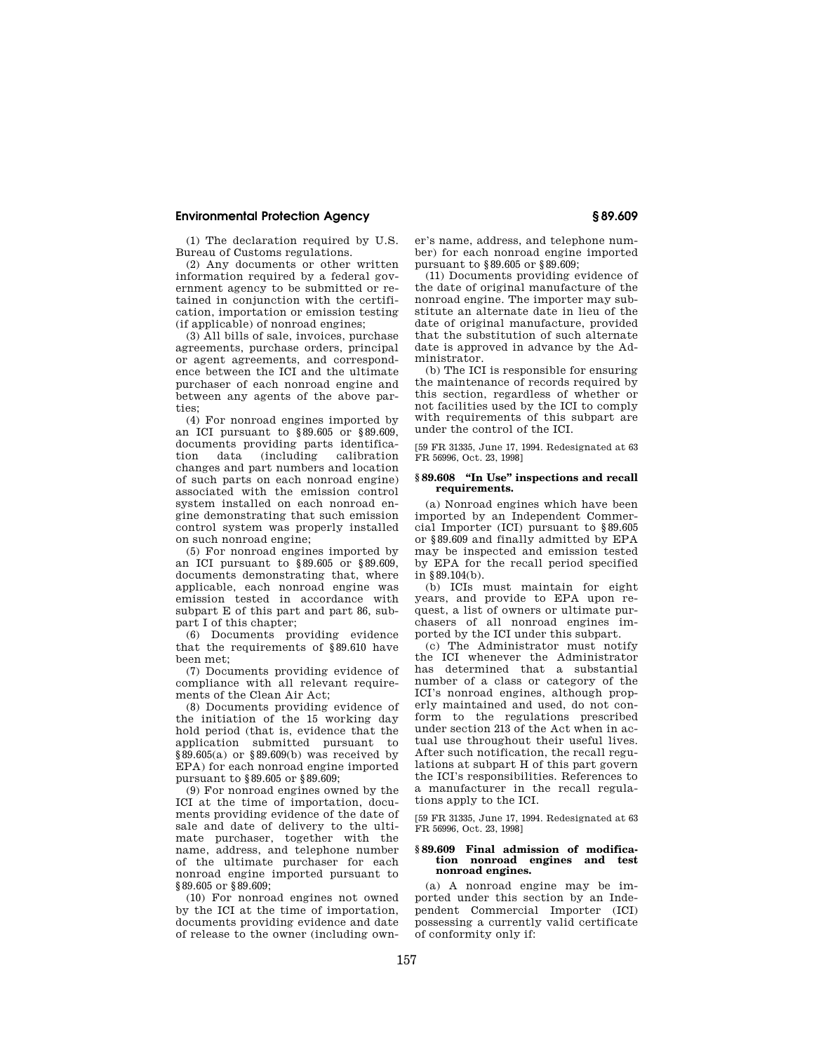(1) The declaration required by U.S. Bureau of Customs regulations.

(2) Any documents or other written information required by a federal government agency to be submitted or retained in conjunction with the certification, importation or emission testing (if applicable) of nonroad engines;

(3) All bills of sale, invoices, purchase agreements, purchase orders, principal or agent agreements, and correspondence between the ICI and the ultimate purchaser of each nonroad engine and between any agents of the above parties;

(4) For nonroad engines imported by an ICI pursuant to §89.605 or §89.609, documents providing parts identification data (including calibration changes and part numbers and location of such parts on each nonroad engine) associated with the emission control system installed on each nonroad engine demonstrating that such emission control system was properly installed on such nonroad engine;

(5) For nonroad engines imported by an ICI pursuant to §89.605 or §89.609, documents demonstrating that, where applicable, each nonroad engine was emission tested in accordance with subpart E of this part and part 86, subpart I of this chapter;

(6) Documents providing evidence that the requirements of §89.610 have been met;

(7) Documents providing evidence of compliance with all relevant requirements of the Clean Air Act;

(8) Documents providing evidence of the initiation of the 15 working day hold period (that is, evidence that the application submitted pursuant to §89.605(a) or §89.609(b) was received by EPA) for each nonroad engine imported pursuant to §89.605 or §89.609;

(9) For nonroad engines owned by the ICI at the time of importation, documents providing evidence of the date of sale and date of delivery to the ultimate purchaser, together with the name, address, and telephone number of the ultimate purchaser for each nonroad engine imported pursuant to §89.605 or §89.609;

(10) For nonroad engines not owned by the ICI at the time of importation, documents providing evidence and date of release to the owner (including own-

er's name, address, and telephone number) for each nonroad engine imported pursuant to §89.605 or §89.609;

(11) Documents providing evidence of the date of original manufacture of the nonroad engine. The importer may substitute an alternate date in lieu of the date of original manufacture, provided that the substitution of such alternate date is approved in advance by the Administrator.

(b) The ICI is responsible for ensuring the maintenance of records required by this section, regardless of whether or not facilities used by the ICI to comply with requirements of this subpart are under the control of the ICI.

[59 FR 31335, June 17, 1994. Redesignated at 63 FR 56996, Oct. 23, 1998]

#### **§ 89.608 ''In Use'' inspections and recall requirements.**

(a) Nonroad engines which have been imported by an Independent Commercial Importer (ICI) pursuant to §89.605 or §89.609 and finally admitted by EPA may be inspected and emission tested by EPA for the recall period specified in §89.104(b).

(b) ICIs must maintain for eight years, and provide to EPA upon request, a list of owners or ultimate purchasers of all nonroad engines imported by the ICI under this subpart.

(c) The Administrator must notify the ICI whenever the Administrator has determined that a substantial number of a class or category of the ICI's nonroad engines, although properly maintained and used, do not conform to the regulations prescribed under section 213 of the Act when in actual use throughout their useful lives. After such notification, the recall regulations at subpart H of this part govern the ICI's responsibilities. References to a manufacturer in the recall regulations apply to the ICI.

[59 FR 31335, June 17, 1994. Redesignated at 63 FR 56996, Oct. 23, 1998]

#### **§ 89.609 Final admission of modification nonroad engines and test nonroad engines.**

(a) A nonroad engine may be imported under this section by an Independent Commercial Importer (ICI) possessing a currently valid certificate of conformity only if: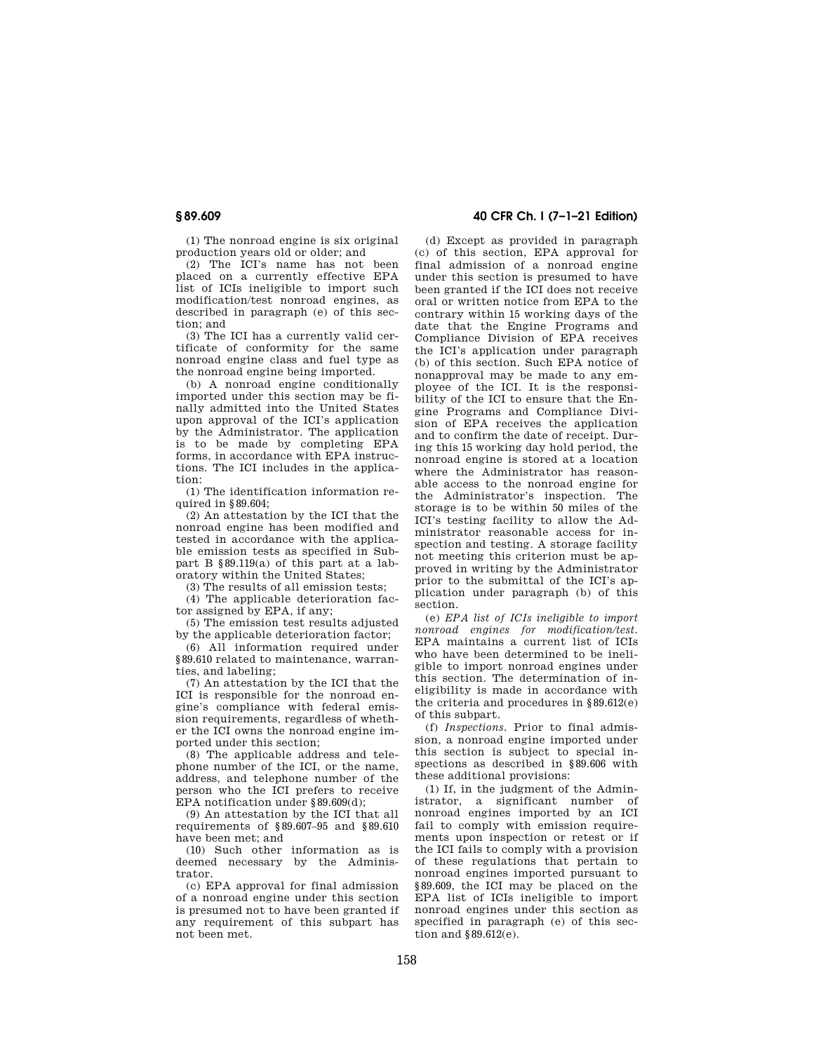(1) The nonroad engine is six original production years old or older; and

(2) The ICI's name has not been placed on a currently effective EPA list of ICIs ineligible to import such modification/test nonroad engines, as described in paragraph (e) of this section; and

(3) The ICI has a currently valid certificate of conformity for the same nonroad engine class and fuel type as the nonroad engine being imported.

(b) A nonroad engine conditionally imported under this section may be finally admitted into the United States upon approval of the ICI's application by the Administrator. The application is to be made by completing EPA forms, in accordance with EPA instructions. The ICI includes in the application:

(1) The identification information required in §89.604;

(2) An attestation by the ICI that the nonroad engine has been modified and tested in accordance with the applicable emission tests as specified in Subpart B §89.119(a) of this part at a laboratory within the United States;

(3) The results of all emission tests;

(4) The applicable deterioration factor assigned by EPA, if any;

(5) The emission test results adjusted by the applicable deterioration factor;

(6) All information required under §89.610 related to maintenance, warranties, and labeling;

(7) An attestation by the ICI that the ICI is responsible for the nonroad engine's compliance with federal emission requirements, regardless of whether the ICI owns the nonroad engine imported under this section;

(8) The applicable address and telephone number of the ICI, or the name, address, and telephone number of the person who the ICI prefers to receive EPA notification under §89.609(d);

(9) An attestation by the ICI that all requirements of §89.607–95 and §89.610 have been met; and

(10) Such other information as is deemed necessary by the Administrator.

(c) EPA approval for final admission of a nonroad engine under this section is presumed not to have been granted if any requirement of this subpart has not been met.

## **§ 89.609 40 CFR Ch. I (7–1–21 Edition)**

(d) Except as provided in paragraph (c) of this section, EPA approval for final admission of a nonroad engine under this section is presumed to have been granted if the ICI does not receive oral or written notice from EPA to the contrary within 15 working days of the date that the Engine Programs and Compliance Division of EPA receives the ICI's application under paragraph (b) of this section. Such EPA notice of nonapproval may be made to any employee of the ICI. It is the responsibility of the ICI to ensure that the Engine Programs and Compliance Division of EPA receives the application and to confirm the date of receipt. During this 15 working day hold period, the nonroad engine is stored at a location where the Administrator has reasonable access to the nonroad engine for the Administrator's inspection. The storage is to be within 50 miles of the ICI's testing facility to allow the Administrator reasonable access for inspection and testing. A storage facility not meeting this criterion must be approved in writing by the Administrator prior to the submittal of the ICI's application under paragraph (b) of this section.

(e) *EPA list of ICIs ineligible to import nonroad engines for modification/test.*  EPA maintains a current list of ICIs who have been determined to be ineligible to import nonroad engines under this section. The determination of ineligibility is made in accordance with the criteria and procedures in §89.612(e) of this subpart.

(f) *Inspections.* Prior to final admission, a nonroad engine imported under this section is subject to special inspections as described in §89.606 with these additional provisions:

(1) If, in the judgment of the Administrator, a significant number of nonroad engines imported by an ICI fail to comply with emission requirements upon inspection or retest or if the ICI fails to comply with a provision of these regulations that pertain to nonroad engines imported pursuant to §89.609, the ICI may be placed on the EPA list of ICIs ineligible to import nonroad engines under this section as specified in paragraph (e) of this section and §89.612(e).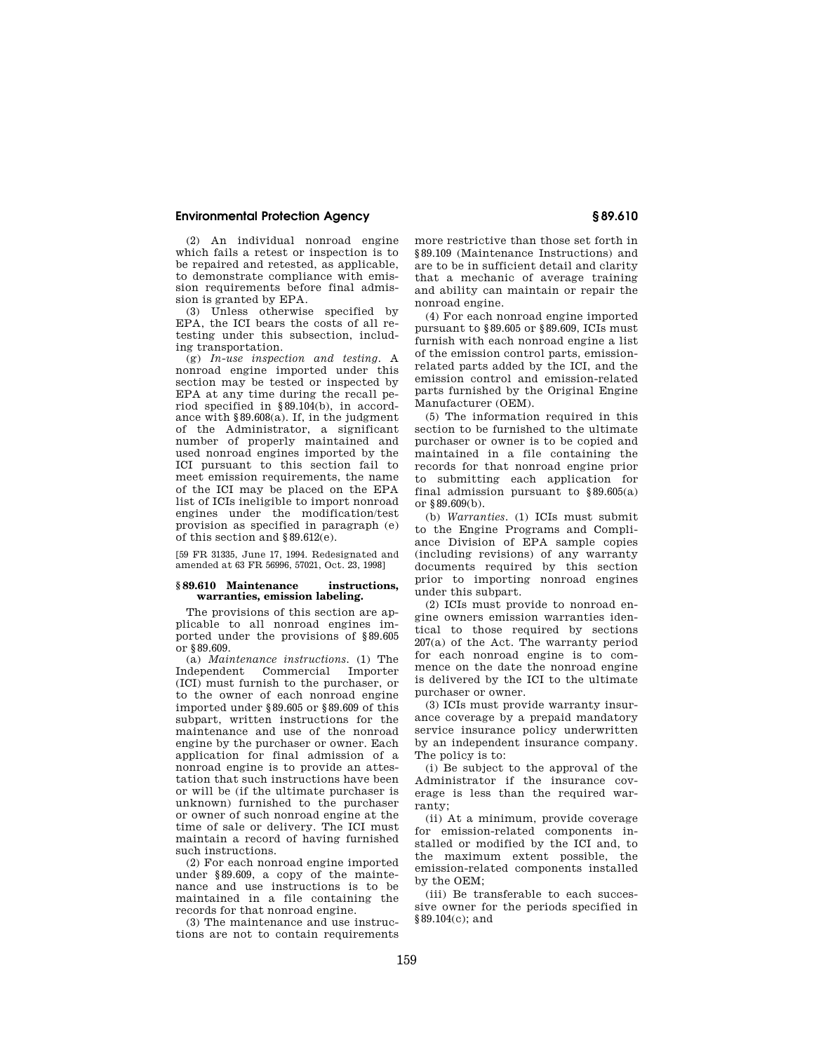(2) An individual nonroad engine which fails a retest or inspection is to be repaired and retested, as applicable, to demonstrate compliance with emission requirements before final admission is granted by EPA.

(3) Unless otherwise specified by EPA, the ICI bears the costs of all retesting under this subsection, including transportation.

(g) *In-use inspection and testing.* A nonroad engine imported under this section may be tested or inspected by EPA at any time during the recall period specified in §89.104(b), in accordance with §89.608(a). If, in the judgment of the Administrator, a significant number of properly maintained and used nonroad engines imported by the ICI pursuant to this section fail to meet emission requirements, the name of the ICI may be placed on the EPA list of ICIs ineligible to import nonroad engines under the modification/test provision as specified in paragraph (e) of this section and §89.612(e).

[59 FR 31335, June 17, 1994. Redesignated and amended at 63 FR 56996, 57021, Oct. 23, 1998]

#### **§ 89.610 Maintenance instructions, warranties, emission labeling.**

The provisions of this section are applicable to all nonroad engines imported under the provisions of §89.605 or §89.609.

(a) *Maintenance instructions.* (1) The Independent Commercial Importer (ICI) must furnish to the purchaser, or to the owner of each nonroad engine imported under §89.605 or §89.609 of this subpart, written instructions for the maintenance and use of the nonroad engine by the purchaser or owner. Each application for final admission of a nonroad engine is to provide an attestation that such instructions have been or will be (if the ultimate purchaser is unknown) furnished to the purchaser or owner of such nonroad engine at the time of sale or delivery. The ICI must maintain a record of having furnished such instructions.

(2) For each nonroad engine imported under §89.609, a copy of the maintenance and use instructions is to be maintained in a file containing the records for that nonroad engine.

(3) The maintenance and use instructions are not to contain requirements more restrictive than those set forth in §89.109 (Maintenance Instructions) and are to be in sufficient detail and clarity that a mechanic of average training and ability can maintain or repair the nonroad engine.

(4) For each nonroad engine imported pursuant to §89.605 or §89.609, ICIs must furnish with each nonroad engine a list of the emission control parts, emissionrelated parts added by the ICI, and the emission control and emission-related parts furnished by the Original Engine Manufacturer (OEM).

(5) The information required in this section to be furnished to the ultimate purchaser or owner is to be copied and maintained in a file containing the records for that nonroad engine prior to submitting each application for final admission pursuant to  $§89.605(a)$ or §89.609(b).

(b) *Warranties.* (1) ICIs must submit to the Engine Programs and Compliance Division of EPA sample copies (including revisions) of any warranty documents required by this section prior to importing nonroad engines under this subpart.

(2) ICIs must provide to nonroad engine owners emission warranties identical to those required by sections 207(a) of the Act. The warranty period for each nonroad engine is to commence on the date the nonroad engine is delivered by the ICI to the ultimate purchaser or owner.

(3) ICIs must provide warranty insurance coverage by a prepaid mandatory service insurance policy underwritten by an independent insurance company. The policy is to:

(i) Be subject to the approval of the Administrator if the insurance coverage is less than the required warranty;

(ii) At a minimum, provide coverage for emission-related components installed or modified by the ICI and, to the maximum extent possible, the emission-related components installed by the OEM;

(iii) Be transferable to each successive owner for the periods specified in §89.104(c); and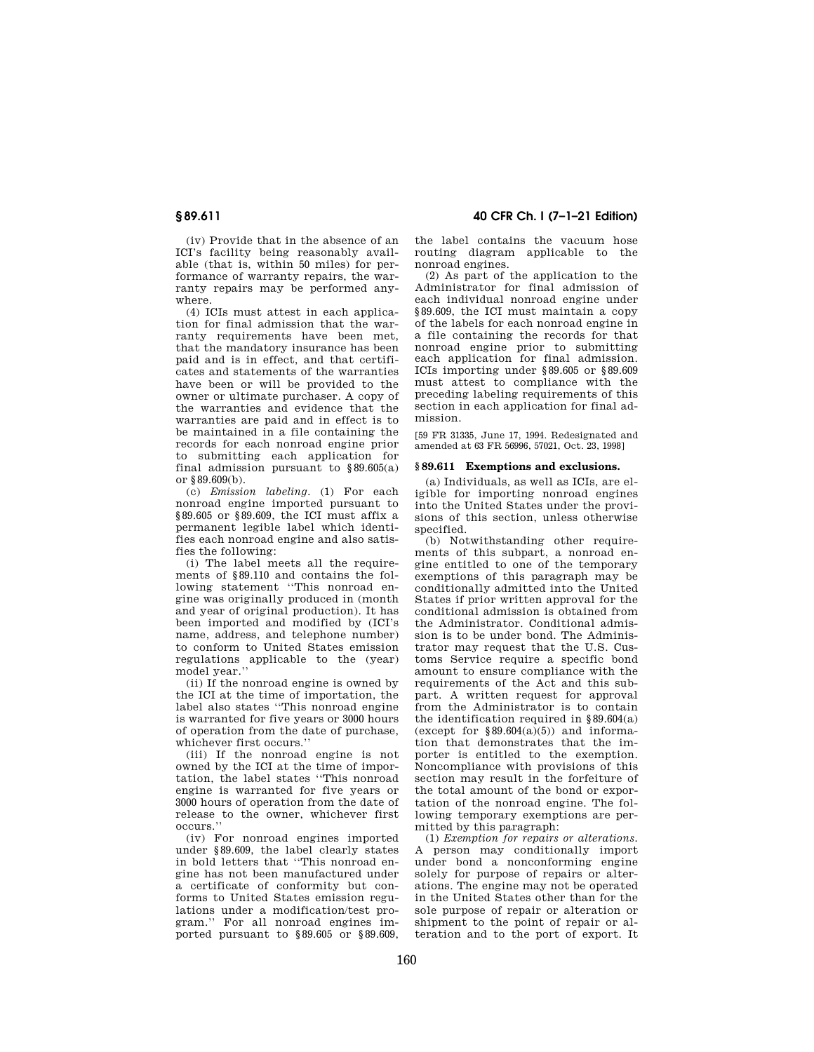(iv) Provide that in the absence of an ICI's facility being reasonably available (that is, within 50 miles) for performance of warranty repairs, the warranty repairs may be performed anywhere.

(4) ICIs must attest in each application for final admission that the warranty requirements have been met, that the mandatory insurance has been paid and is in effect, and that certificates and statements of the warranties have been or will be provided to the owner or ultimate purchaser. A copy of the warranties and evidence that the warranties are paid and in effect is to be maintained in a file containing the records for each nonroad engine prior to submitting each application for final admission pursuant to §89.605(a) or §89.609(b).

(c) *Emission labeling.* (1) For each nonroad engine imported pursuant to §89.605 or §89.609, the ICI must affix a permanent legible label which identifies each nonroad engine and also satisfies the following:

(i) The label meets all the requirements of §89.110 and contains the following statement ''This nonroad engine was originally produced in (month and year of original production). It has been imported and modified by (ICI's name, address, and telephone number) to conform to United States emission regulations applicable to the (year) model year.''

(ii) If the nonroad engine is owned by the ICI at the time of importation, the label also states ''This nonroad engine is warranted for five years or 3000 hours of operation from the date of purchase, whichever first occurs.''

(iii) If the nonroad engine is not owned by the ICI at the time of importation, the label states ''This nonroad engine is warranted for five years or 3000 hours of operation from the date of release to the owner, whichever first occurs.''

(iv) For nonroad engines imported under §89.609, the label clearly states in bold letters that ''This nonroad engine has not been manufactured under a certificate of conformity but conforms to United States emission regulations under a modification/test program.'' For all nonroad engines imported pursuant to §89.605 or §89.609,

**§ 89.611 40 CFR Ch. I (7–1–21 Edition)** 

the label contains the vacuum hose routing diagram applicable to the nonroad engines.

(2) As part of the application to the Administrator for final admission of each individual nonroad engine under §89.609, the ICI must maintain a copy of the labels for each nonroad engine in a file containing the records for that nonroad engine prior to submitting each application for final admission. ICIs importing under §89.605 or §89.609 must attest to compliance with the preceding labeling requirements of this section in each application for final admission.

[59 FR 31335, June 17, 1994. Redesignated and amended at 63 FR 56996, 57021, Oct. 23, 1998]

#### **§ 89.611 Exemptions and exclusions.**

(a) Individuals, as well as ICIs, are eligible for importing nonroad engines into the United States under the provisions of this section, unless otherwise specified.

(b) Notwithstanding other requirements of this subpart, a nonroad engine entitled to one of the temporary exemptions of this paragraph may be conditionally admitted into the United States if prior written approval for the conditional admission is obtained from the Administrator. Conditional admission is to be under bond. The Administrator may request that the U.S. Customs Service require a specific bond amount to ensure compliance with the requirements of the Act and this subpart. A written request for approval from the Administrator is to contain the identification required in §89.604(a) (except for  $§89.604(a)(5)$ ) and information that demonstrates that the importer is entitled to the exemption. Noncompliance with provisions of this section may result in the forfeiture of the total amount of the bond or exportation of the nonroad engine. The following temporary exemptions are permitted by this paragraph:

(1) *Exemption for repairs or alterations.*  A person may conditionally import under bond a nonconforming engine solely for purpose of repairs or alterations. The engine may not be operated in the United States other than for the sole purpose of repair or alteration or shipment to the point of repair or alteration and to the port of export. It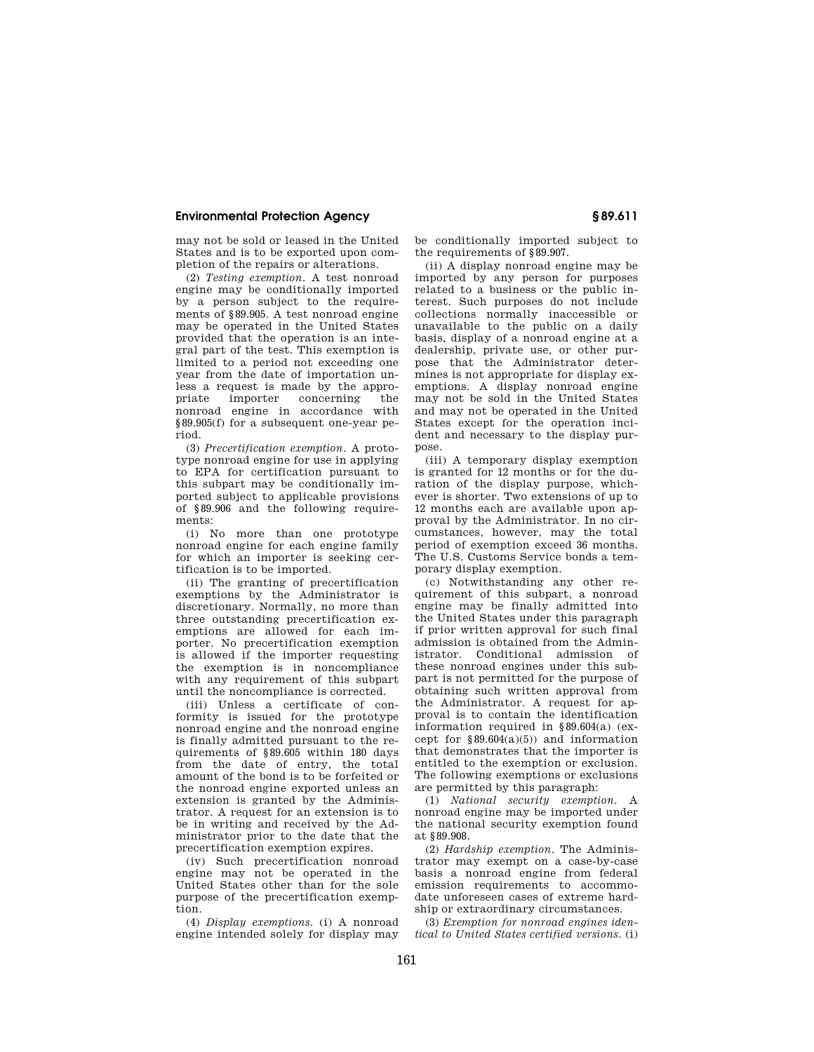may not be sold or leased in the United States and is to be exported upon completion of the repairs or alterations.

(2) *Testing exemption.* A test nonroad engine may be conditionally imported by a person subject to the requirements of §89.905. A test nonroad engine may be operated in the United States provided that the operation is an integral part of the test. This exemption is limited to a period not exceeding one year from the date of importation unless a request is made by the appropriate importer concerning the nonroad engine in accordance with §89.905(f) for a subsequent one-year period.

(3) *Precertification exemption.* A prototype nonroad engine for use in applying to EPA for certification pursuant to this subpart may be conditionally imported subject to applicable provisions of §89.906 and the following requirements:

(i) No more than one prototype nonroad engine for each engine family for which an importer is seeking certification is to be imported.

(ii) The granting of precertification exemptions by the Administrator is discretionary. Normally, no more than three outstanding precertification exemptions are allowed for each importer. No precertification exemption is allowed if the importer requesting the exemption is in noncompliance with any requirement of this subpart until the noncompliance is corrected.

(iii) Unless a certificate of conformity is issued for the prototype nonroad engine and the nonroad engine is finally admitted pursuant to the requirements of §89.605 within 180 days from the date of entry, the total amount of the bond is to be forfeited or the nonroad engine exported unless an extension is granted by the Administrator. A request for an extension is to be in writing and received by the Administrator prior to the date that the precertification exemption expires.

(iv) Such precertification nonroad engine may not be operated in the United States other than for the sole purpose of the precertification exemption.

(4) *Display exemptions.* (i) A nonroad engine intended solely for display may be conditionally imported subject to the requirements of §89.907.

(ii) A display nonroad engine may be imported by any person for purposes related to a business or the public interest. Such purposes do not include collections normally inaccessible or unavailable to the public on a daily basis, display of a nonroad engine at a dealership, private use, or other purpose that the Administrator determines is not appropriate for display exemptions. A display nonroad engine may not be sold in the United States and may not be operated in the United States except for the operation incident and necessary to the display purpose.

(iii) A temporary display exemption is granted for 12 months or for the duration of the display purpose, whichever is shorter. Two extensions of up to 12 months each are available upon approval by the Administrator. In no circumstances, however, may the total period of exemption exceed 36 months. The U.S. Customs Service bonds a temporary display exemption.

(c) Notwithstanding any other requirement of this subpart, a nonroad engine may be finally admitted into the United States under this paragraph if prior written approval for such final admission is obtained from the Administrator. Conditional admission of these nonroad engines under this subpart is not permitted for the purpose of obtaining such written approval from the Administrator. A request for approval is to contain the identification information required in §89.604(a) (except for  $§89.604(a)(5)$  and information that demonstrates that the importer is entitled to the exemption or exclusion. The following exemptions or exclusions are permitted by this paragraph:

(1) *National security exemption.* A nonroad engine may be imported under the national security exemption found at §89.908.

(2) *Hardship exemption.* The Administrator may exempt on a case-by-case basis a nonroad engine from federal emission requirements to accommodate unforeseen cases of extreme hardship or extraordinary circumstances.

(3) *Exemption for nonroad engines identical to United States certified versions.* (i)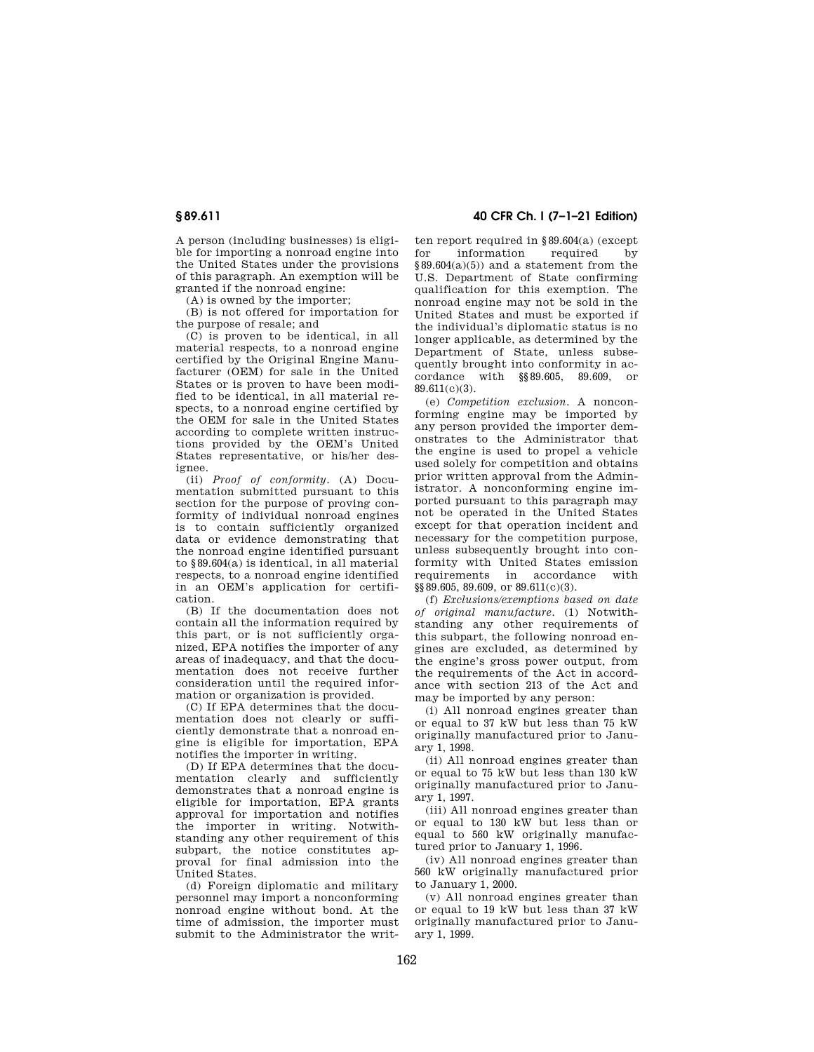A person (including businesses) is eligible for importing a nonroad engine into the United States under the provisions of this paragraph. An exemption will be granted if the nonroad engine:

(A) is owned by the importer;

(B) is not offered for importation for the purpose of resale; and

(C) is proven to be identical, in all material respects, to a nonroad engine certified by the Original Engine Manufacturer (OEM) for sale in the United States or is proven to have been modified to be identical, in all material respects, to a nonroad engine certified by the OEM for sale in the United States according to complete written instructions provided by the OEM's United States representative, or his/her designee.

(ii) *Proof of conformity.* (A) Documentation submitted pursuant to this section for the purpose of proving conformity of individual nonroad engines is to contain sufficiently organized data or evidence demonstrating that the nonroad engine identified pursuant to §89.604(a) is identical, in all material respects, to a nonroad engine identified in an OEM's application for certification.

(B) If the documentation does not contain all the information required by this part, or is not sufficiently organized, EPA notifies the importer of any areas of inadequacy, and that the documentation does not receive further consideration until the required information or organization is provided.

(C) If EPA determines that the documentation does not clearly or sufficiently demonstrate that a nonroad engine is eligible for importation, EPA notifies the importer in writing.

(D) If EPA determines that the documentation clearly and sufficiently demonstrates that a nonroad engine is eligible for importation, EPA grants approval for importation and notifies the importer in writing. Notwithstanding any other requirement of this subpart, the notice constitutes approval for final admission into the United States.

(d) Foreign diplomatic and military personnel may import a nonconforming nonroad engine without bond. At the time of admission, the importer must submit to the Administrator the writ-

**§ 89.611 40 CFR Ch. I (7–1–21 Edition)** 

ten report required in §89.604(a) (except for information required by  $§89.604(a)(5))$  and a statement from the U.S. Department of State confirming qualification for this exemption. The nonroad engine may not be sold in the United States and must be exported if the individual's diplomatic status is no longer applicable, as determined by the Department of State, unless subsequently brought into conformity in accordance with §§89.605, 89.609, or 89.611(c)(3).

(e) *Competition exclusion.* A nonconforming engine may be imported by any person provided the importer demonstrates to the Administrator that the engine is used to propel a vehicle used solely for competition and obtains prior written approval from the Administrator. A nonconforming engine imported pursuant to this paragraph may not be operated in the United States except for that operation incident and necessary for the competition purpose, unless subsequently brought into conformity with United States emission requirements in accordance with §§89.605, 89.609, or 89.611(c)(3).

(f) *Exclusions/exemptions based on date of original manufacture.* (1) Notwithstanding any other requirements of this subpart, the following nonroad engines are excluded, as determined by the engine's gross power output, from the requirements of the Act in accordance with section 213 of the Act and may be imported by any person:

(i) All nonroad engines greater than or equal to 37 kW but less than 75 kW originally manufactured prior to January 1, 1998.

(ii) All nonroad engines greater than or equal to 75 kW but less than 130 kW originally manufactured prior to January 1, 1997.

(iii) All nonroad engines greater than or equal to 130 kW but less than or equal to 560 kW originally manufactured prior to January 1, 1996.

(iv) All nonroad engines greater than 560 kW originally manufactured prior to January 1, 2000.

(v) All nonroad engines greater than or equal to 19 kW but less than 37 kW originally manufactured prior to January 1, 1999.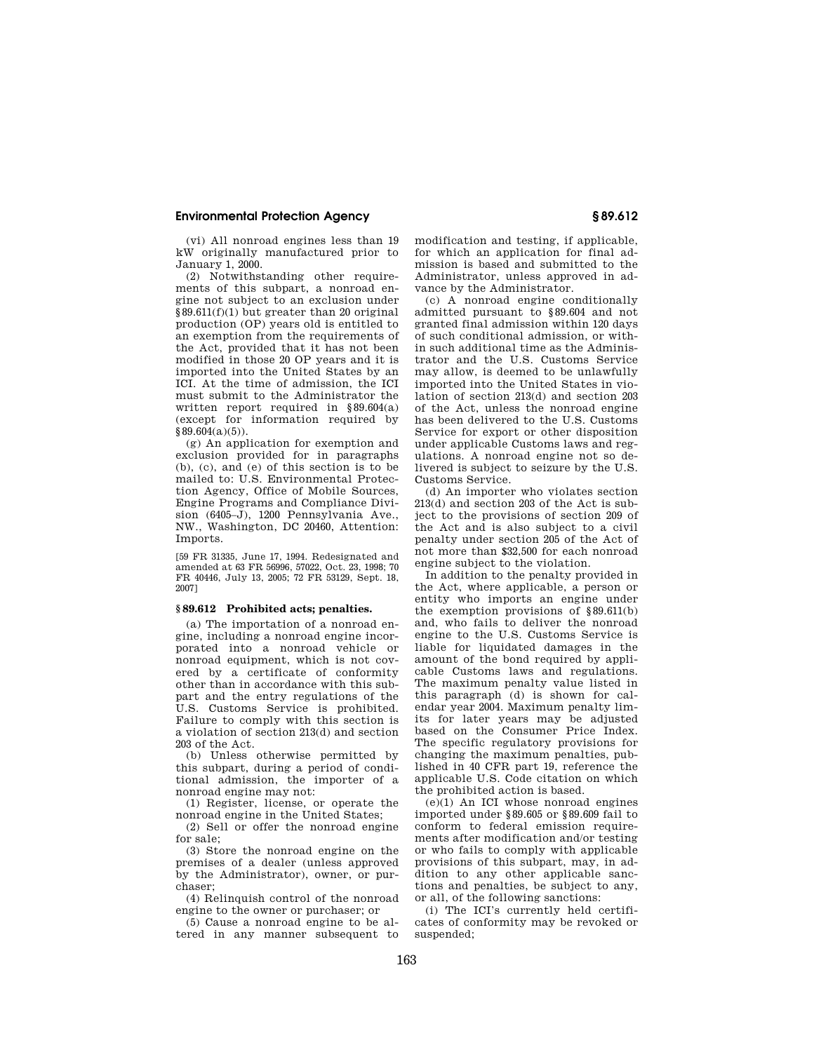(vi) All nonroad engines less than 19 kW originally manufactured prior to January 1, 2000.

(2) Notwithstanding other requirements of this subpart, a nonroad engine not subject to an exclusion under §89.611(f)(1) but greater than 20 original production (OP) years old is entitled to an exemption from the requirements of the Act, provided that it has not been modified in those 20 OP years and it is imported into the United States by an ICI. At the time of admission, the ICI must submit to the Administrator the written report required in §89.604(a) (except for information required by  $§89.604(a)(5)$ .

(g) An application for exemption and exclusion provided for in paragraphs (b), (c), and (e) of this section is to be mailed to: U.S. Environmental Protection Agency, Office of Mobile Sources, Engine Programs and Compliance Division (6405–J), 1200 Pennsylvania Ave., NW., Washington, DC 20460, Attention: Imports.

[59 FR 31335, June 17, 1994. Redesignated and amended at 63 FR 56996, 57022, Oct. 23, 1998; 70 FR 40446, July 13, 2005; 72 FR 53129, Sept. 18, 2007]

#### **§ 89.612 Prohibited acts; penalties.**

(a) The importation of a nonroad engine, including a nonroad engine incorporated into a nonroad vehicle or nonroad equipment, which is not covered by a certificate of conformity other than in accordance with this subpart and the entry regulations of the U.S. Customs Service is prohibited. Failure to comply with this section is a violation of section 213(d) and section 203 of the Act.

(b) Unless otherwise permitted by this subpart, during a period of conditional admission, the importer of a nonroad engine may not:

(1) Register, license, or operate the nonroad engine in the United States;

(2) Sell or offer the nonroad engine for sale;

(3) Store the nonroad engine on the premises of a dealer (unless approved by the Administrator), owner, or purchaser;

(4) Relinquish control of the nonroad engine to the owner or purchaser; or

(5) Cause a nonroad engine to be altered in any manner subsequent to modification and testing, if applicable, for which an application for final admission is based and submitted to the Administrator, unless approved in advance by the Administrator.

(c) A nonroad engine conditionally admitted pursuant to §89.604 and not granted final admission within 120 days of such conditional admission, or within such additional time as the Administrator and the U.S. Customs Service may allow, is deemed to be unlawfully imported into the United States in violation of section 213(d) and section 203 of the Act, unless the nonroad engine has been delivered to the U.S. Customs Service for export or other disposition under applicable Customs laws and regulations. A nonroad engine not so delivered is subject to seizure by the U.S. Customs Service.

(d) An importer who violates section 213(d) and section 203 of the Act is subject to the provisions of section 209 of the Act and is also subject to a civil penalty under section 205 of the Act of not more than \$32,500 for each nonroad engine subject to the violation.

In addition to the penalty provided in the Act, where applicable, a person or entity who imports an engine under the exemption provisions of §89.611(b) and, who fails to deliver the nonroad engine to the U.S. Customs Service is liable for liquidated damages in the amount of the bond required by applicable Customs laws and regulations. The maximum penalty value listed in this paragraph (d) is shown for calendar year 2004. Maximum penalty limits for later years may be adjusted based on the Consumer Price Index. The specific regulatory provisions for changing the maximum penalties, published in 40 CFR part 19, reference the applicable U.S. Code citation on which the prohibited action is based.

 $(e)(1)$  An ICI whose nonroad engines imported under §89.605 or §89.609 fail to conform to federal emission requirements after modification and/or testing or who fails to comply with applicable provisions of this subpart, may, in addition to any other applicable sanctions and penalties, be subject to any, or all, of the following sanctions:

(i) The ICI's currently held certificates of conformity may be revoked or suspended;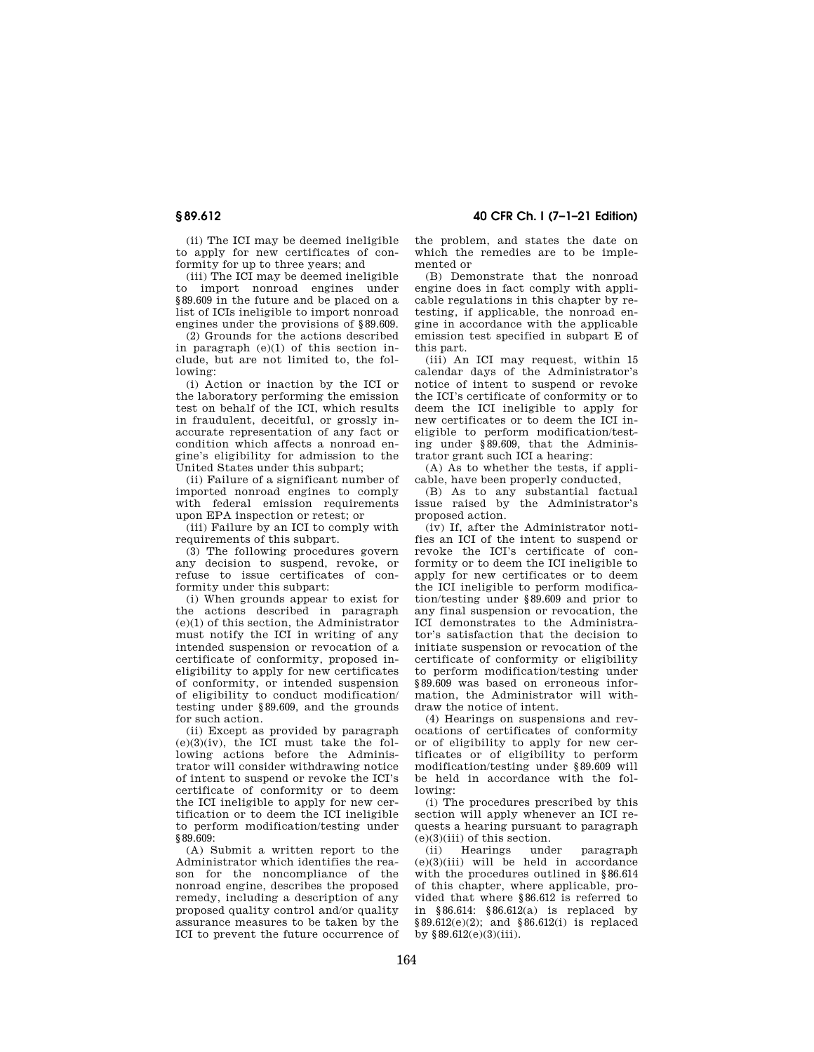(ii) The ICI may be deemed ineligible

to apply for new certificates of conformity for up to three years; and

(iii) The ICI may be deemed ineligible to import nonroad engines under §89.609 in the future and be placed on a list of ICIs ineligible to import nonroad engines under the provisions of §89.609.

(2) Grounds for the actions described in paragraph (e)(1) of this section include, but are not limited to, the following:

(i) Action or inaction by the ICI or the laboratory performing the emission test on behalf of the ICI, which results in fraudulent, deceitful, or grossly inaccurate representation of any fact or condition which affects a nonroad engine's eligibility for admission to the United States under this subpart;

(ii) Failure of a significant number of imported nonroad engines to comply with federal emission requirements upon EPA inspection or retest; or

(iii) Failure by an ICI to comply with requirements of this subpart.

(3) The following procedures govern any decision to suspend, revoke, or refuse to issue certificates of conformity under this subpart:

(i) When grounds appear to exist for the actions described in paragraph (e)(1) of this section, the Administrator must notify the ICI in writing of any intended suspension or revocation of a certificate of conformity, proposed ineligibility to apply for new certificates of conformity, or intended suspension of eligibility to conduct modification/ testing under §89.609, and the grounds for such action.

(ii) Except as provided by paragraph  $(e)(3)(iv)$ , the ICI must take the following actions before the Administrator will consider withdrawing notice of intent to suspend or revoke the ICI's certificate of conformity or to deem the ICI ineligible to apply for new certification or to deem the ICI ineligible to perform modification/testing under §89.609:

(A) Submit a written report to the Administrator which identifies the reason for the noncompliance of the nonroad engine, describes the proposed remedy, including a description of any proposed quality control and/or quality assurance measures to be taken by the ICI to prevent the future occurrence of the problem, and states the date on which the remedies are to be implemented or

(B) Demonstrate that the nonroad engine does in fact comply with applicable regulations in this chapter by retesting, if applicable, the nonroad engine in accordance with the applicable emission test specified in subpart E of this part.

(iii) An ICI may request, within 15 calendar days of the Administrator's notice of intent to suspend or revoke the ICI's certificate of conformity or to deem the ICI ineligible to apply for new certificates or to deem the ICI ineligible to perform modification/testing under §89.609, that the Administrator grant such ICI a hearing:

 $(A)$  As to whether the tests, if applicable, have been properly conducted,

(B) As to any substantial factual issue raised by the Administrator's proposed action.

(iv) If, after the Administrator notifies an ICI of the intent to suspend or revoke the ICI's certificate of conformity or to deem the ICI ineligible to apply for new certificates or to deem the ICI ineligible to perform modification/testing under §89.609 and prior to any final suspension or revocation, the ICI demonstrates to the Administrator's satisfaction that the decision to initiate suspension or revocation of the certificate of conformity or eligibility to perform modification/testing under §89.609 was based on erroneous information, the Administrator will withdraw the notice of intent.

(4) Hearings on suspensions and revocations of certificates of conformity or of eligibility to apply for new certificates or of eligibility to perform modification/testing under §89.609 will be held in accordance with the following:

(i) The procedures prescribed by this section will apply whenever an ICI requests a hearing pursuant to paragraph (e)(3)(iii) of this section.

(ii) Hearings under paragraph (e)(3)(iii) will be held in accordance with the procedures outlined in §86.614 of this chapter, where applicable, provided that where §86.612 is referred to in §86.614: §86.612(a) is replaced by §89.612(e)(2); and §86.612(i) is replaced by  $$89.612(e)(3)(iii)$ .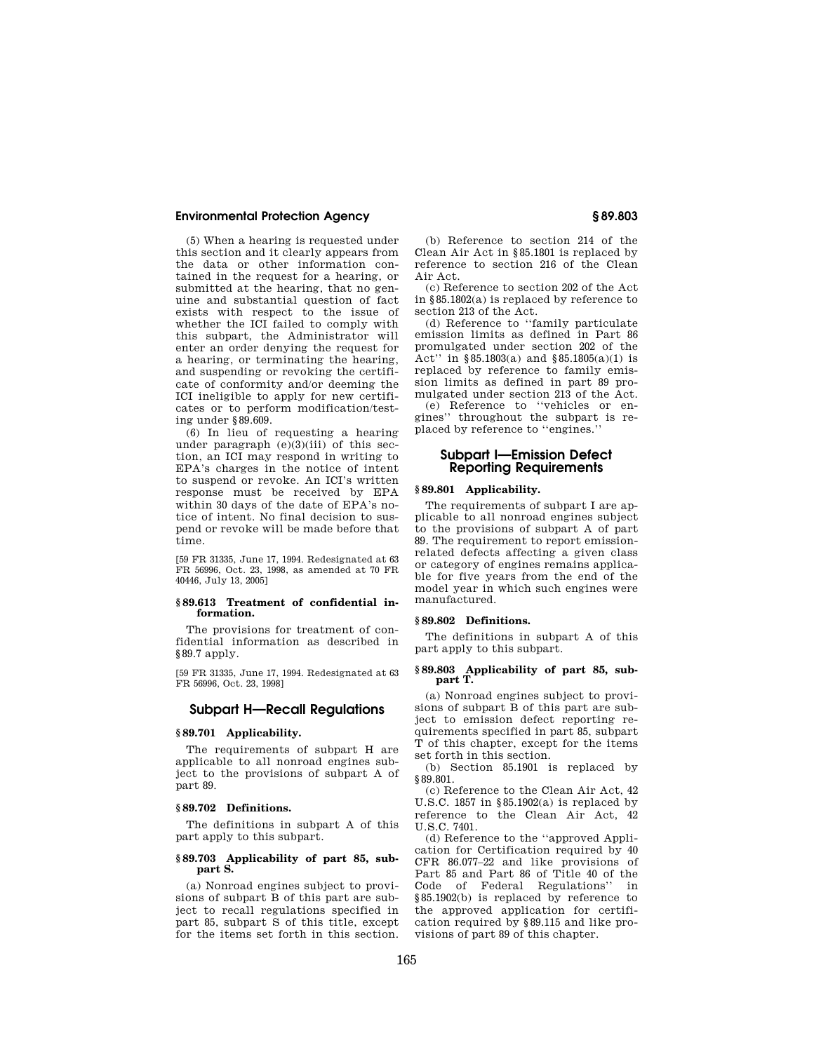(5) When a hearing is requested under this section and it clearly appears from the data or other information contained in the request for a hearing, or submitted at the hearing, that no genuine and substantial question of fact exists with respect to the issue of whether the ICI failed to comply with this subpart, the Administrator will enter an order denying the request for a hearing, or terminating the hearing, and suspending or revoking the certificate of conformity and/or deeming the ICI ineligible to apply for new certificates or to perform modification/testing under §89.609.

(6) In lieu of requesting a hearing under paragraph  $(e)(3)(iii)$  of this section, an ICI may respond in writing to EPA's charges in the notice of intent to suspend or revoke. An ICI's written response must be received by EPA within 30 days of the date of EPA's notice of intent. No final decision to suspend or revoke will be made before that time.

[59 FR 31335, June 17, 1994. Redesignated at 63 FR 56996, Oct. 23, 1998, as amended at 70 FR 40446, July 13, 2005]

#### **§ 89.613 Treatment of confidential information.**

The provisions for treatment of confidential information as described in §89.7 apply.

[59 FR 31335, June 17, 1994. Redesignated at 63 FR 56996, Oct. 23, 1998]

## **Subpart H—Recall Regulations**

## **§ 89.701 Applicability.**

The requirements of subpart H are applicable to all nonroad engines subject to the provisions of subpart A of part 89.

#### **§ 89.702 Definitions.**

The definitions in subpart A of this part apply to this subpart.

#### **§ 89.703 Applicability of part 85, subpart S.**

(a) Nonroad engines subject to provisions of subpart B of this part are subject to recall regulations specified in part 85, subpart S of this title, except for the items set forth in this section.

(b) Reference to section 214 of the Clean Air Act in §85.1801 is replaced by reference to section 216 of the Clean Air Act.

(c) Reference to section 202 of the Act in §85.1802(a) is replaced by reference to section 213 of the Act.

(d) Reference to ''family particulate emission limits as defined in Part 86 promulgated under section 202 of the Act'' in §85.1803(a) and §85.1805(a)(1) is replaced by reference to family emission limits as defined in part 89 promulgated under section 213 of the Act.

(e) Reference to ''vehicles or engines'' throughout the subpart is replaced by reference to ''engines.''

## **Subpart I—Emission Defect Reporting Requirements**

#### **§ 89.801 Applicability.**

The requirements of subpart I are applicable to all nonroad engines subject to the provisions of subpart A of part 89. The requirement to report emissionrelated defects affecting a given class or category of engines remains applicable for five years from the end of the model year in which such engines were manufactured.

#### **§ 89.802 Definitions.**

The definitions in subpart A of this part apply to this subpart.

# **§ 89.803 Applicability of part 85, sub-part T.**

(a) Nonroad engines subject to provisions of subpart B of this part are subject to emission defect reporting requirements specified in part 85, subpart T of this chapter, except for the items set forth in this section.

(b) Section 85.1901 is replaced by §89.801.

(c) Reference to the Clean Air Act, 42 U.S.C. 1857 in §85.1902(a) is replaced by reference to the Clean Air Act, 42 U.S.C. 7401.

(d) Reference to the ''approved Application for Certification required by 40 CFR 86.077–22 and like provisions of Part 85 and Part 86 of Title 40 of the Code of Federal Regulations'' in §85.1902(b) is replaced by reference to the approved application for certification required by §89.115 and like provisions of part 89 of this chapter.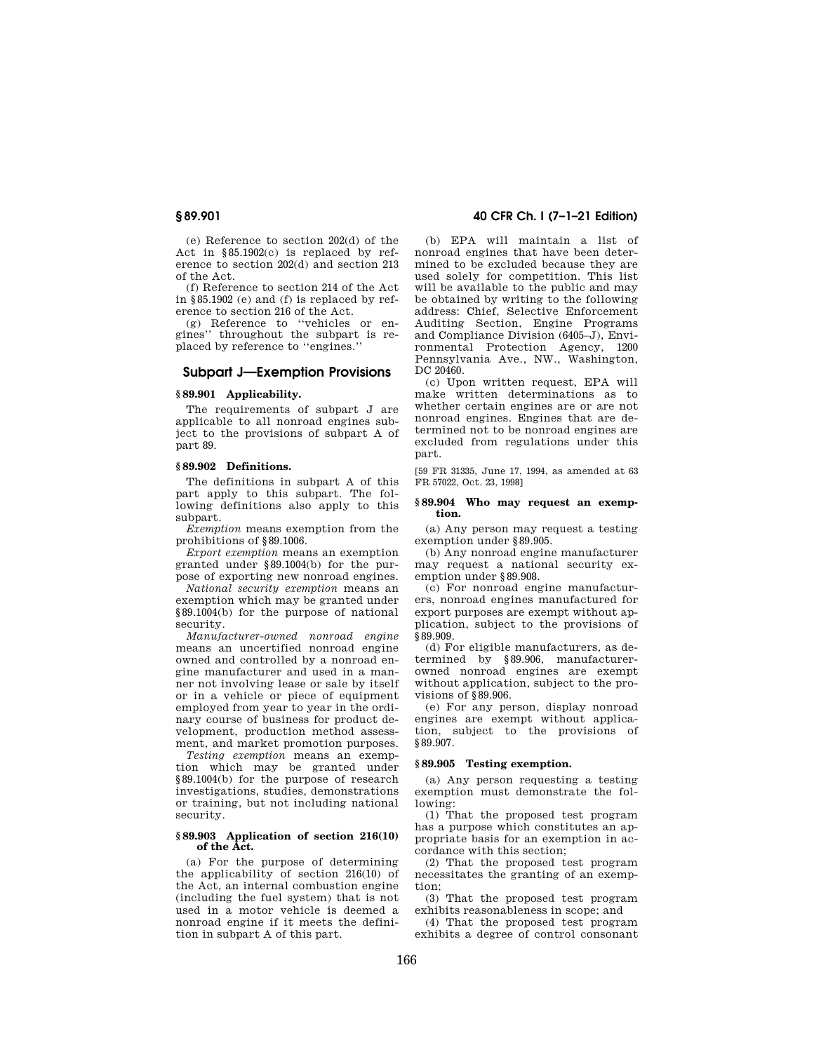(e) Reference to section 202(d) of the Act in §85.1902(c) is replaced by reference to section 202(d) and section 213 of the Act.

(f) Reference to section 214 of the Act in §85.1902 (e) and (f) is replaced by reference to section 216 of the Act.

(g) Reference to ''vehicles or engines'' throughout the subpart is replaced by reference to ''engines.''

## **Subpart J—Exemption Provisions**

## **§ 89.901 Applicability.**

The requirements of subpart J are applicable to all nonroad engines subject to the provisions of subpart A of part 89.

#### **§ 89.902 Definitions.**

The definitions in subpart A of this part apply to this subpart. The following definitions also apply to this subpart.

*Exemption* means exemption from the prohibitions of §89.1006.

*Export exemption* means an exemption granted under §89.1004(b) for the purpose of exporting new nonroad engines.

*National security exemption* means an exemption which may be granted under §89.1004(b) for the purpose of national security.

*Manufacturer-owned nonroad engine*  means an uncertified nonroad engine owned and controlled by a nonroad engine manufacturer and used in a manner not involving lease or sale by itself or in a vehicle or piece of equipment employed from year to year in the ordinary course of business for product development, production method assessment, and market promotion purposes.

*Testing exemption* means an exemption which may be granted under §89.1004(b) for the purpose of research investigations, studies, demonstrations or training, but not including national security.

#### **§ 89.903 Application of section 216(10) of the Act.**

(a) For the purpose of determining the applicability of section 216(10) of the Act, an internal combustion engine (including the fuel system) that is not used in a motor vehicle is deemed a nonroad engine if it meets the definition in subpart A of this part.

## **§ 89.901 40 CFR Ch. I (7–1–21 Edition)**

(b) EPA will maintain a list of nonroad engines that have been determined to be excluded because they are used solely for competition. This list will be available to the public and may be obtained by writing to the following address: Chief, Selective Enforcement Auditing Section, Engine Programs and Compliance Division (6405–J), Environmental Protection Agency, 1200 Pennsylvania Ave., NW., Washington, DC 20460.

(c) Upon written request, EPA will make written determinations as to whether certain engines are or are not nonroad engines. Engines that are determined not to be nonroad engines are excluded from regulations under this part.

[59 FR 31335, June 17, 1994, as amended at 63 FR 57022, Oct. 23, 1998]

#### **§ 89.904 Who may request an exemption.**

(a) Any person may request a testing exemption under §89.905.

(b) Any nonroad engine manufacturer may request a national security exemption under §89.908.

(c) For nonroad engine manufacturers, nonroad engines manufactured for export purposes are exempt without application, subject to the provisions of §89.909.

(d) For eligible manufacturers, as determined by §89.906, manufacturerowned nonroad engines are exempt without application, subject to the provisions of §89.906.

(e) For any person, display nonroad engines are exempt without application, subject to the provisions of §89.907.

#### **§ 89.905 Testing exemption.**

(a) Any person requesting a testing exemption must demonstrate the following:

(1) That the proposed test program has a purpose which constitutes an appropriate basis for an exemption in accordance with this section;

(2) That the proposed test program necessitates the granting of an exemption;

(3) That the proposed test program exhibits reasonableness in scope; and

(4) That the proposed test program exhibits a degree of control consonant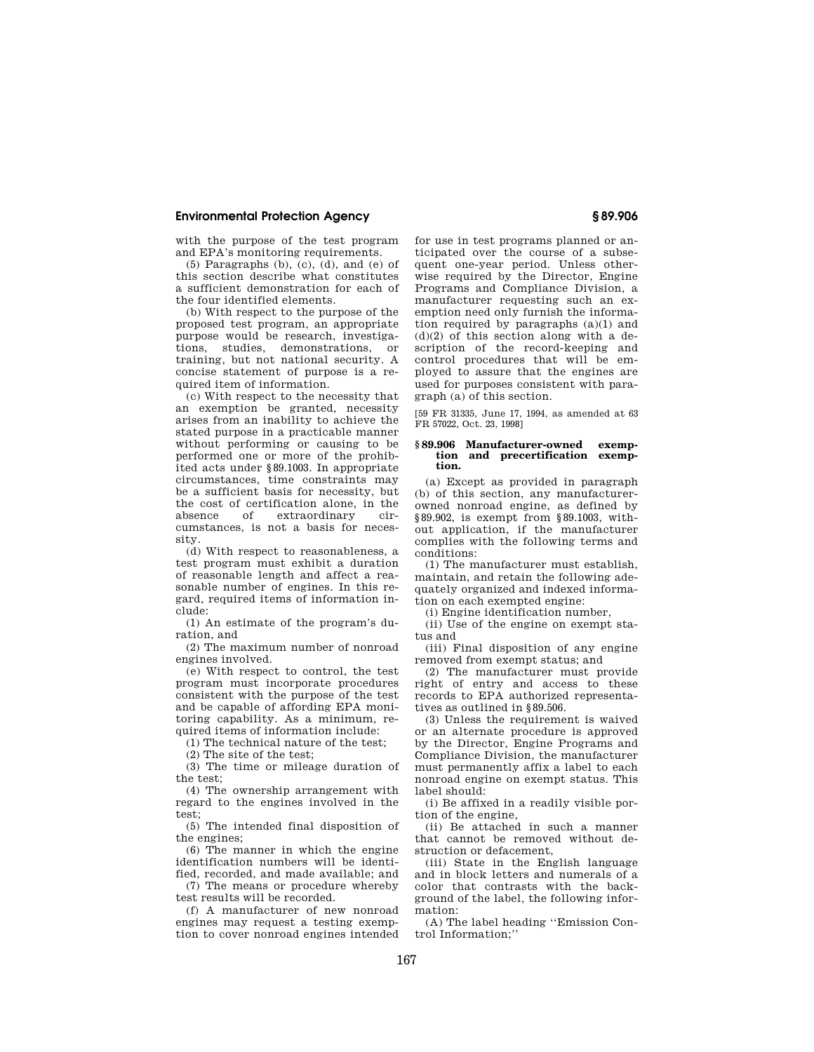with the purpose of the test program and EPA's monitoring requirements.

(5) Paragraphs (b), (c), (d), and (e) of this section describe what constitutes a sufficient demonstration for each of the four identified elements.

(b) With respect to the purpose of the proposed test program, an appropriate purpose would be research, investigations, studies, demonstrations, or training, but not national security. A concise statement of purpose is a required item of information.

(c) With respect to the necessity that an exemption be granted, necessity arises from an inability to achieve the stated purpose in a practicable manner without performing or causing to be performed one or more of the prohibited acts under §89.1003. In appropriate circumstances, time constraints may be a sufficient basis for necessity, but the cost of certification alone, in the absence of extraordinary circumstances, is not a basis for necessity.

(d) With respect to reasonableness, a test program must exhibit a duration of reasonable length and affect a reasonable number of engines. In this regard, required items of information include:

(1) An estimate of the program's duration, and

(2) The maximum number of nonroad engines involved.

(e) With respect to control, the test program must incorporate procedures consistent with the purpose of the test and be capable of affording EPA monitoring capability. As a minimum, required items of information include:

(1) The technical nature of the test;

(2) The site of the test;

(3) The time or mileage duration of the test;

(4) The ownership arrangement with regard to the engines involved in the test;

(5) The intended final disposition of the engines;

(6) The manner in which the engine identification numbers will be identified, recorded, and made available; and

(7) The means or procedure whereby test results will be recorded.

(f) A manufacturer of new nonroad engines may request a testing exemption to cover nonroad engines intended for use in test programs planned or anticipated over the course of a subsequent one-year period. Unless otherwise required by the Director, Engine Programs and Compliance Division, a manufacturer requesting such an exemption need only furnish the information required by paragraphs (a)(1) and  $(d)(2)$  of this section along with a description of the record-keeping and control procedures that will be employed to assure that the engines are used for purposes consistent with paragraph (a) of this section.

[59 FR 31335, June 17, 1994, as amended at 63 FR 57022, Oct. 23, 1998]

#### **§ 89.906 Manufacturer-owned exemption and precertification exemption.**

(a) Except as provided in paragraph (b) of this section, any manufacturerowned nonroad engine, as defined by §89.902, is exempt from §89.1003, without application, if the manufacturer complies with the following terms and conditions:

(1) The manufacturer must establish, maintain, and retain the following adequately organized and indexed information on each exempted engine:

(i) Engine identification number,

(ii) Use of the engine on exempt status and

(iii) Final disposition of any engine removed from exempt status; and

(2) The manufacturer must provide right of entry and access to these records to EPA authorized representatives as outlined in §89.506.

(3) Unless the requirement is waived or an alternate procedure is approved by the Director, Engine Programs and Compliance Division, the manufacturer must permanently affix a label to each nonroad engine on exempt status. This label should:

(i) Be affixed in a readily visible portion of the engine,

(ii) Be attached in such a manner that cannot be removed without destruction or defacement,

(iii) State in the English language and in block letters and numerals of a color that contrasts with the background of the label, the following information:

(A) The label heading ''Emission Control Information;''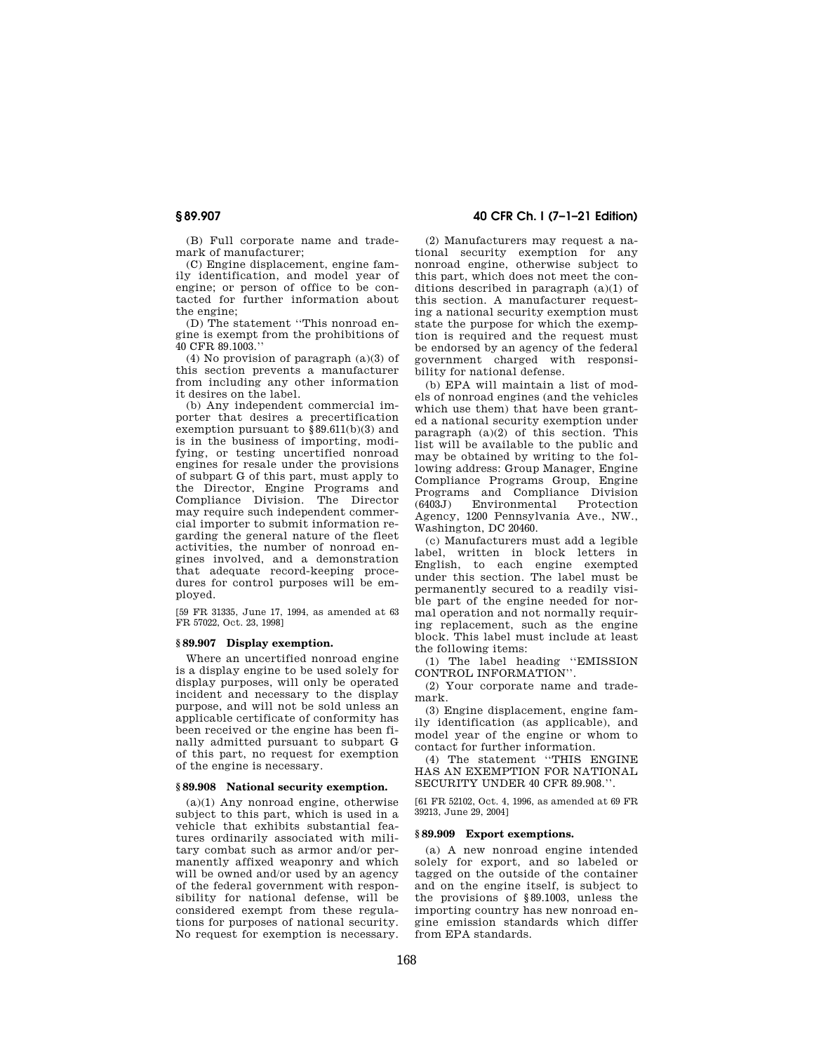(B) Full corporate name and trademark of manufacturer;

(C) Engine displacement, engine family identification, and model year of engine; or person of office to be contacted for further information about the engine;

(D) The statement ''This nonroad engine is exempt from the prohibitions of 40 CFR 89.1003.''

(4) No provision of paragraph (a)(3) of this section prevents a manufacturer from including any other information it desires on the label.

(b) Any independent commercial importer that desires a precertification exemption pursuant to §89.611(b)(3) and is in the business of importing, modifying, or testing uncertified nonroad engines for resale under the provisions of subpart G of this part, must apply to the Director, Engine Programs and Compliance Division. The Director may require such independent commercial importer to submit information regarding the general nature of the fleet activities, the number of nonroad engines involved, and a demonstration that adequate record-keeping procedures for control purposes will be employed.

[59 FR 31335, June 17, 1994, as amended at 63 FR 57022, Oct. 23, 1998]

## **§ 89.907 Display exemption.**

Where an uncertified nonroad engine is a display engine to be used solely for display purposes, will only be operated incident and necessary to the display purpose, and will not be sold unless an applicable certificate of conformity has been received or the engine has been finally admitted pursuant to subpart G of this part, no request for exemption of the engine is necessary.

#### **§ 89.908 National security exemption.**

(a)(1) Any nonroad engine, otherwise subject to this part, which is used in a vehicle that exhibits substantial features ordinarily associated with military combat such as armor and/or permanently affixed weaponry and which will be owned and/or used by an agency of the federal government with responsibility for national defense, will be considered exempt from these regulations for purposes of national security. No request for exemption is necessary.

## **§ 89.907 40 CFR Ch. I (7–1–21 Edition)**

(2) Manufacturers may request a national security exemption for any nonroad engine, otherwise subject to this part, which does not meet the conditions described in paragraph (a)(1) of this section. A manufacturer requesting a national security exemption must state the purpose for which the exemption is required and the request must be endorsed by an agency of the federal government charged with responsibility for national defense.

(b) EPA will maintain a list of models of nonroad engines (and the vehicles which use them) that have been granted a national security exemption under paragraph  $(a)(2)$  of this section. This list will be available to the public and may be obtained by writing to the following address: Group Manager, Engine Compliance Programs Group, Engine Programs and Compliance Division  $(6403J)$  Environmental Agency, 1200 Pennsylvania Ave., NW., Washington, DC 20460.

(c) Manufacturers must add a legible label, written in block letters in English, to each engine exempted under this section. The label must be permanently secured to a readily visible part of the engine needed for normal operation and not normally requiring replacement, such as the engine block. This label must include at least the following items:

(1) The label heading ''EMISSION CONTROL INFORMATION''.

(2) Your corporate name and trademark.

(3) Engine displacement, engine family identification (as applicable), and model year of the engine or whom to contact for further information.

(4) The statement ''THIS ENGINE HAS AN EXEMPTION FOR NATIONAL SECURITY UNDER 40 CFR 89.908.''.

[61 FR 52102, Oct. 4, 1996, as amended at 69 FR 39213, June 29, 2004]

#### **§ 89.909 Export exemptions.**

(a) A new nonroad engine intended solely for export, and so labeled or tagged on the outside of the container and on the engine itself, is subject to the provisions of §89.1003, unless the importing country has new nonroad engine emission standards which differ from EPA standards.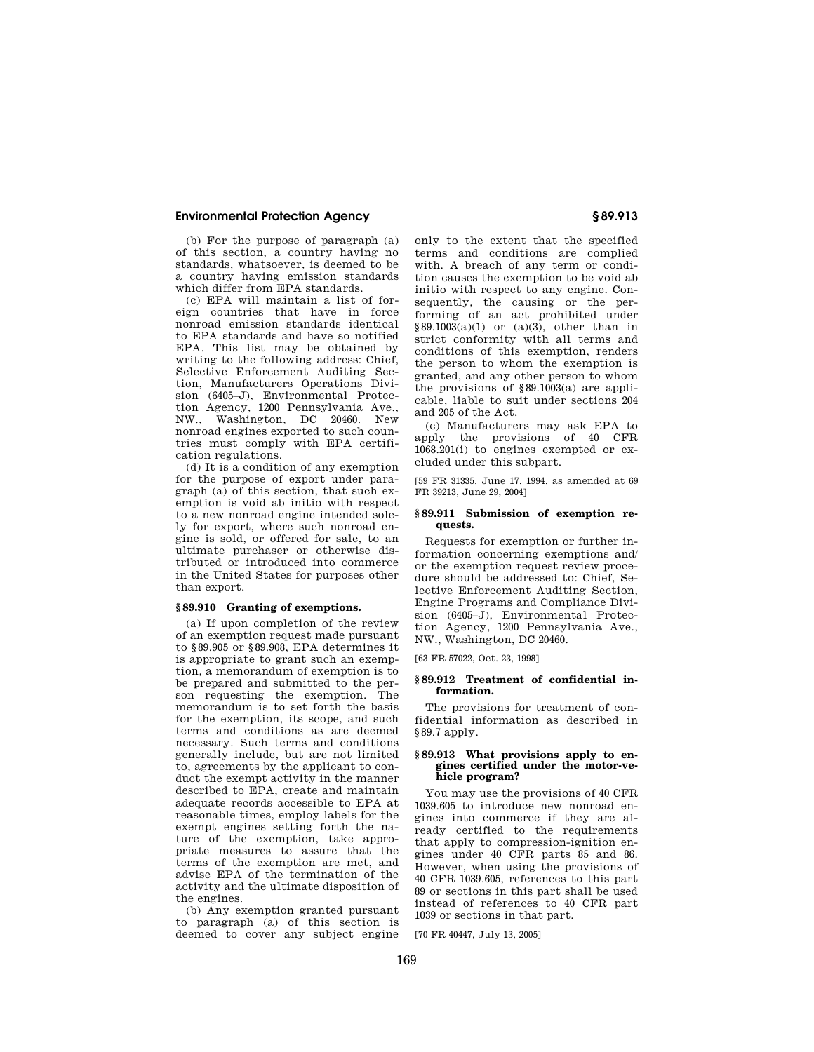(b) For the purpose of paragraph (a) of this section, a country having no standards, whatsoever, is deemed to be a country having emission standards which differ from EPA standards.

(c) EPA will maintain a list of foreign countries that have in force nonroad emission standards identical to EPA standards and have so notified EPA. This list may be obtained by writing to the following address: Chief, Selective Enforcement Auditing Section, Manufacturers Operations Division (6405–J), Environmental Protection Agency, 1200 Pennsylvania Ave., NW., Washington, DC 20460. New nonroad engines exported to such countries must comply with EPA certification regulations.

(d) It is a condition of any exemption for the purpose of export under paragraph (a) of this section, that such exemption is void ab initio with respect to a new nonroad engine intended solely for export, where such nonroad engine is sold, or offered for sale, to an ultimate purchaser or otherwise distributed or introduced into commerce in the United States for purposes other than export.

#### **§ 89.910 Granting of exemptions.**

(a) If upon completion of the review of an exemption request made pursuant to §89.905 or §89.908, EPA determines it is appropriate to grant such an exemption, a memorandum of exemption is to be prepared and submitted to the person requesting the exemption. The memorandum is to set forth the basis for the exemption, its scope, and such terms and conditions as are deemed necessary. Such terms and conditions generally include, but are not limited to, agreements by the applicant to conduct the exempt activity in the manner described to EPA, create and maintain adequate records accessible to EPA at reasonable times, employ labels for the exempt engines setting forth the nature of the exemption, take appropriate measures to assure that the terms of the exemption are met, and advise EPA of the termination of the activity and the ultimate disposition of the engines.

(b) Any exemption granted pursuant to paragraph (a) of this section is deemed to cover any subject engine

only to the extent that the specified terms and conditions are complied with. A breach of any term or condition causes the exemption to be void ab initio with respect to any engine. Consequently, the causing or the performing of an act prohibited under  $§89.1003(a)(1)$  or  $(a)(3)$ , other than in strict conformity with all terms and conditions of this exemption, renders the person to whom the exemption is granted, and any other person to whom the provisions of §89.1003(a) are applicable, liable to suit under sections 204 and 205 of the Act.

(c) Manufacturers may ask EPA to apply the provisions of 40 CFR 1068.201(i) to engines exempted or excluded under this subpart.

[59 FR 31335, June 17, 1994, as amended at 69 FR 39213, June 29, 2004]

#### **§ 89.911 Submission of exemption requests.**

Requests for exemption or further information concerning exemptions and/ or the exemption request review procedure should be addressed to: Chief, Selective Enforcement Auditing Section, Engine Programs and Compliance Division (6405–J), Environmental Protection Agency, 1200 Pennsylvania Ave., NW., Washington, DC 20460.

[63 FR 57022, Oct. 23, 1998]

#### **§ 89.912 Treatment of confidential information.**

The provisions for treatment of confidential information as described in §89.7 apply.

#### **§ 89.913 What provisions apply to engines certified under the motor-vehicle program?**

You may use the provisions of 40 CFR 1039.605 to introduce new nonroad engines into commerce if they are already certified to the requirements that apply to compression-ignition engines under 40 CFR parts 85 and 86. However, when using the provisions of 40 CFR 1039.605, references to this part 89 or sections in this part shall be used instead of references to 40 CFR part 1039 or sections in that part.

[70 FR 40447, July 13, 2005]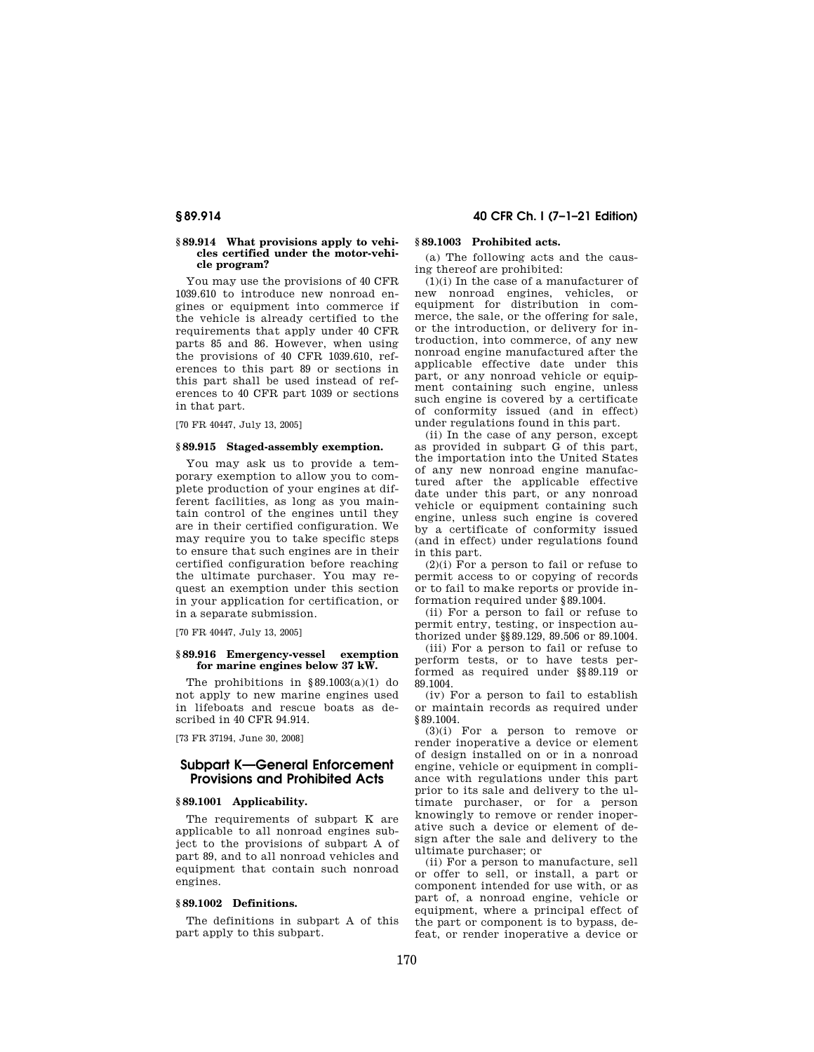#### **§ 89.914 What provisions apply to vehicles certified under the motor-vehicle program?**

You may use the provisions of 40 CFR 1039.610 to introduce new nonroad engines or equipment into commerce if the vehicle is already certified to the requirements that apply under 40 CFR parts 85 and 86. However, when using the provisions of 40 CFR 1039.610, references to this part 89 or sections in this part shall be used instead of references to 40 CFR part 1039 or sections in that part.

[70 FR 40447, July 13, 2005]

#### **§ 89.915 Staged-assembly exemption.**

You may ask us to provide a temporary exemption to allow you to complete production of your engines at different facilities, as long as you maintain control of the engines until they are in their certified configuration. We may require you to take specific steps to ensure that such engines are in their certified configuration before reaching the ultimate purchaser. You may request an exemption under this section in your application for certification, or in a separate submission.

[70 FR 40447, July 13, 2005]

#### **§ 89.916 Emergency-vessel exemption for marine engines below 37 kW.**

The prohibitions in  $§ 89.1003(a)(1)$  do not apply to new marine engines used in lifeboats and rescue boats as described in 40 CFR 94.914.

[73 FR 37194, June 30, 2008]

## **Subpart K—General Enforcement Provisions and Prohibited Acts**

#### **§ 89.1001 Applicability.**

The requirements of subpart K are applicable to all nonroad engines subject to the provisions of subpart A of part 89, and to all nonroad vehicles and equipment that contain such nonroad engines.

#### **§ 89.1002 Definitions.**

The definitions in subpart A of this part apply to this subpart.

## **§ 89.914 40 CFR Ch. I (7–1–21 Edition)**

## **§ 89.1003 Prohibited acts.**

(a) The following acts and the causing thereof are prohibited:

(1)(i) In the case of a manufacturer of new nonroad engines, vehicles, or equipment for distribution in commerce, the sale, or the offering for sale, or the introduction, or delivery for introduction, into commerce, of any new nonroad engine manufactured after the applicable effective date under this part, or any nonroad vehicle or equipment containing such engine, unless such engine is covered by a certificate of conformity issued (and in effect) under regulations found in this part.

(ii) In the case of any person, except as provided in subpart G of this part, the importation into the United States of any new nonroad engine manufactured after the applicable effective date under this part, or any nonroad vehicle or equipment containing such engine, unless such engine is covered by a certificate of conformity issued (and in effect) under regulations found in this part.

 $(2)(i)$  For a person to fail or refuse to permit access to or copying of records or to fail to make reports or provide information required under §89.1004.

(ii) For a person to fail or refuse to permit entry, testing, or inspection authorized under §§89.129, 89.506 or 89.1004.

(iii) For a person to fail or refuse to perform tests, or to have tests performed as required under §§89.119 or 89.1004.

(iv) For a person to fail to establish or maintain records as required under §89.1004.

(3)(i) For a person to remove or render inoperative a device or element of design installed on or in a nonroad engine, vehicle or equipment in compliance with regulations under this part prior to its sale and delivery to the ultimate purchaser, or for a person knowingly to remove or render inoperative such a device or element of design after the sale and delivery to the ultimate purchaser; or

(ii) For a person to manufacture, sell or offer to sell, or install, a part or component intended for use with, or as part of, a nonroad engine, vehicle or equipment, where a principal effect of the part or component is to bypass, defeat, or render inoperative a device or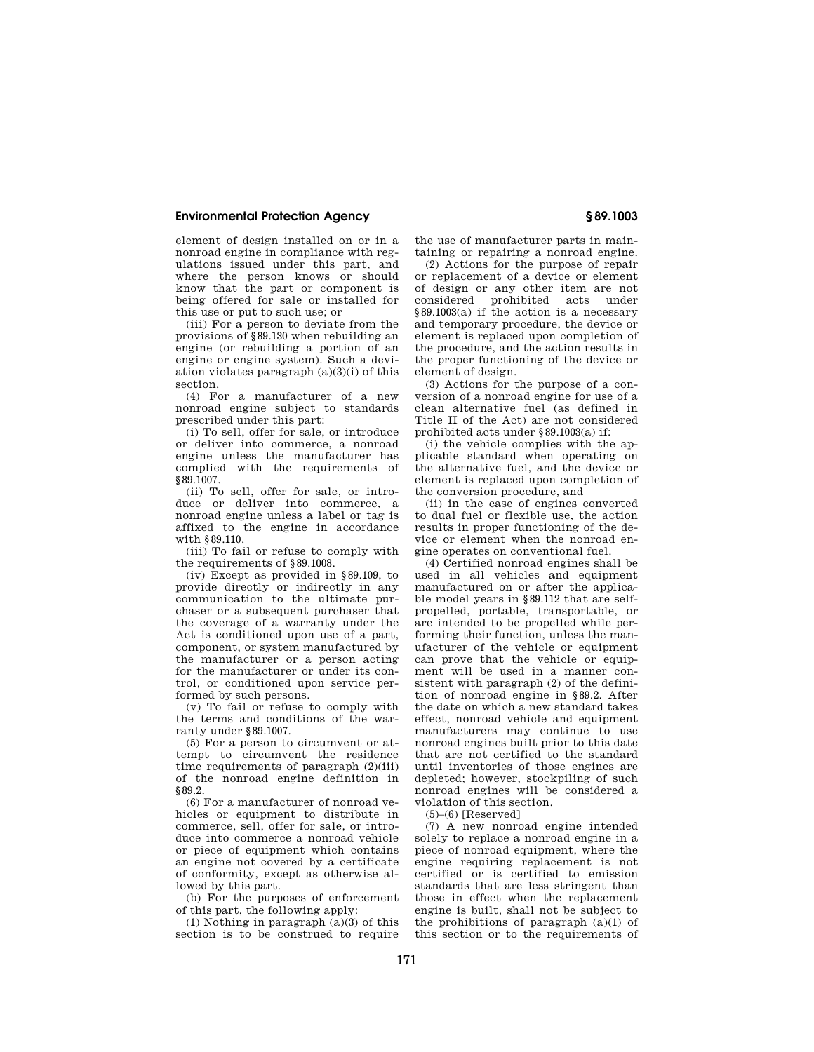element of design installed on or in a nonroad engine in compliance with regulations issued under this part, and where the person knows or should know that the part or component is being offered for sale or installed for this use or put to such use; or

(iii) For a person to deviate from the provisions of §89.130 when rebuilding an engine (or rebuilding a portion of an engine or engine system). Such a deviation violates paragraph (a)(3)(i) of this section.

(4) For a manufacturer of a new nonroad engine subject to standards prescribed under this part:

(i) To sell, offer for sale, or introduce or deliver into commerce, a nonroad engine unless the manufacturer has complied with the requirements of §89.1007.

(ii) To sell, offer for sale, or introduce or deliver into commerce, a nonroad engine unless a label or tag is affixed to the engine in accordance with §89.110.

(iii) To fail or refuse to comply with the requirements of §89.1008.

(iv) Except as provided in §89.109, to provide directly or indirectly in any communication to the ultimate purchaser or a subsequent purchaser that the coverage of a warranty under the Act is conditioned upon use of a part, component, or system manufactured by the manufacturer or a person acting for the manufacturer or under its control, or conditioned upon service performed by such persons.

(v) To fail or refuse to comply with the terms and conditions of the warranty under §89.1007.

(5) For a person to circumvent or attempt to circumvent the residence time requirements of paragraph (2)(iii) of the nonroad engine definition in §89.2.

(6) For a manufacturer of nonroad vehicles or equipment to distribute in commerce, sell, offer for sale, or introduce into commerce a nonroad vehicle or piece of equipment which contains an engine not covered by a certificate of conformity, except as otherwise allowed by this part.

(b) For the purposes of enforcement of this part, the following apply:

(1) Nothing in paragraph (a)(3) of this section is to be construed to require the use of manufacturer parts in maintaining or repairing a nonroad engine.

(2) Actions for the purpose of repair or replacement of a device or element of design or any other item are not considered prohibited acts under §89.1003(a) if the action is a necessary and temporary procedure, the device or element is replaced upon completion of the procedure, and the action results in the proper functioning of the device or element of design.

(3) Actions for the purpose of a conversion of a nonroad engine for use of a clean alternative fuel (as defined in Title II of the Act) are not considered prohibited acts under §89.1003(a) if:

(i) the vehicle complies with the applicable standard when operating on the alternative fuel, and the device or element is replaced upon completion of the conversion procedure, and

(ii) in the case of engines converted to dual fuel or flexible use, the action results in proper functioning of the device or element when the nonroad engine operates on conventional fuel.

(4) Certified nonroad engines shall be used in all vehicles and equipment manufactured on or after the applicable model years in §89.112 that are selfpropelled, portable, transportable, or are intended to be propelled while performing their function, unless the manufacturer of the vehicle or equipment can prove that the vehicle or equipment will be used in a manner consistent with paragraph (2) of the definition of nonroad engine in §89.2. After the date on which a new standard takes effect, nonroad vehicle and equipment manufacturers may continue to use nonroad engines built prior to this date that are not certified to the standard until inventories of those engines are depleted; however, stockpiling of such nonroad engines will be considered a violation of this section.

 $(5)$ – $(6)$  [Reserved]

(7) A new nonroad engine intended solely to replace a nonroad engine in a piece of nonroad equipment, where the engine requiring replacement is not certified or is certified to emission standards that are less stringent than those in effect when the replacement engine is built, shall not be subject to the prohibitions of paragraph (a)(1) of this section or to the requirements of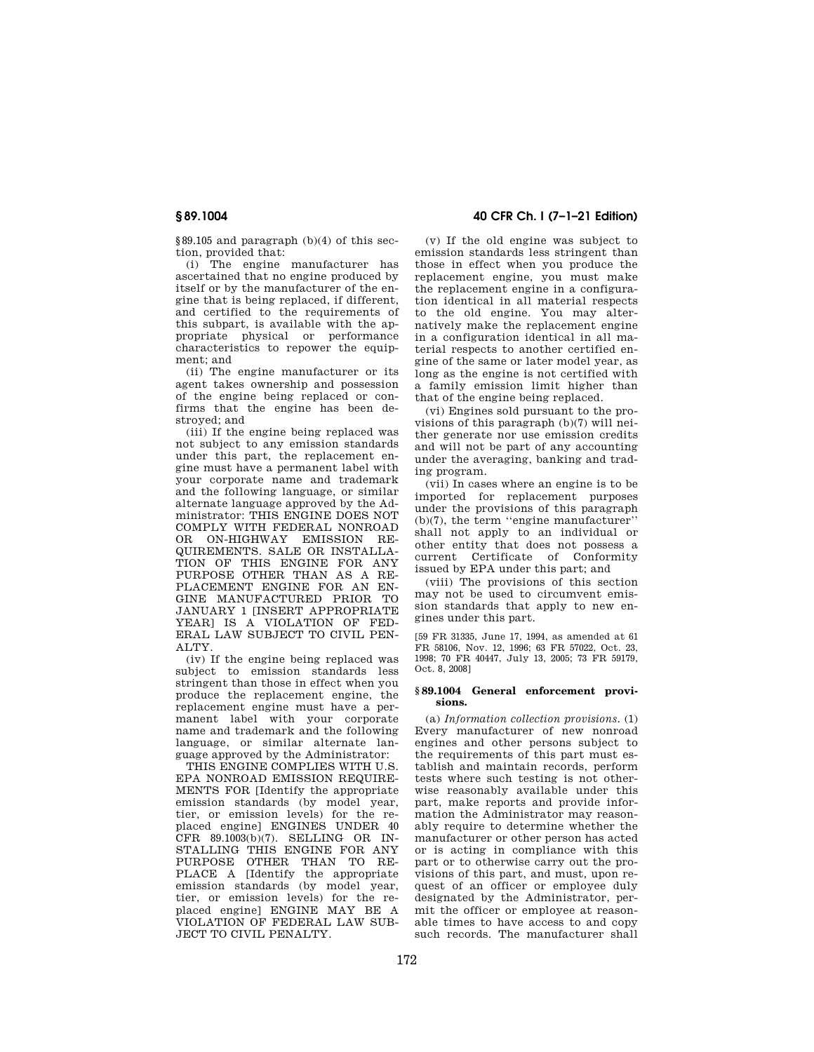§89.105 and paragraph (b)(4) of this section, provided that:

(i) The engine manufacturer has ascertained that no engine produced by itself or by the manufacturer of the engine that is being replaced, if different, and certified to the requirements of this subpart, is available with the appropriate physical or performance characteristics to repower the equipment; and

(ii) The engine manufacturer or its agent takes ownership and possession of the engine being replaced or confirms that the engine has been destroyed; and

(iii) If the engine being replaced was not subject to any emission standards under this part, the replacement engine must have a permanent label with your corporate name and trademark and the following language, or similar alternate language approved by the Administrator: THIS ENGINE DOES NOT COMPLY WITH FEDERAL NONROAD OR ON-HIGHWAY EMISSION RE-QUIREMENTS. SALE OR INSTALLA-TION OF THIS ENGINE FOR ANY PURPOSE OTHER THAN AS A RE-PLACEMENT ENGINE FOR AN EN-GINE MANUFACTURED PRIOR TO JANUARY 1 [INSERT APPROPRIATE YEAR] IS A VIOLATION OF FED-ERAL LAW SUBJECT TO CIVIL PEN-ALTY.

(iv) If the engine being replaced was subject to emission standards less stringent than those in effect when you produce the replacement engine, the replacement engine must have a permanent label with your corporate name and trademark and the following language, or similar alternate language approved by the Administrator:

THIS ENGINE COMPLIES WITH U.S. EPA NONROAD EMISSION REQUIRE-MENTS FOR [Identify the appropriate emission standards (by model year, tier, or emission levels) for the replaced engine] ENGINES UNDER 40 CFR 89.1003(b)(7). SELLING OR IN-STALLING THIS ENGINE FOR ANY PURPOSE OTHER THAN TO RE-PLACE A [Identify the appropriate emission standards (by model year, tier, or emission levels) for the replaced engine] ENGINE MAY BE A VIOLATION OF FEDERAL LAW SUB-JECT TO CIVIL PENALTY.

## **§ 89.1004 40 CFR Ch. I (7–1–21 Edition)**

(v) If the old engine was subject to emission standards less stringent than those in effect when you produce the replacement engine, you must make the replacement engine in a configuration identical in all material respects to the old engine. You may alternatively make the replacement engine in a configuration identical in all material respects to another certified engine of the same or later model year, as long as the engine is not certified with a family emission limit higher than that of the engine being replaced.

(vi) Engines sold pursuant to the provisions of this paragraph (b)(7) will neither generate nor use emission credits and will not be part of any accounting under the averaging, banking and trading program.

(vii) In cases where an engine is to be imported for replacement purposes under the provisions of this paragraph (b)(7), the term ''engine manufacturer'' shall not apply to an individual or other entity that does not possess a current Certificate of Conformity issued by EPA under this part; and

(viii) The provisions of this section may not be used to circumvent emission standards that apply to new engines under this part.

[59 FR 31335, June 17, 1994, as amended at 61 FR 58106, Nov. 12, 1996; 63 FR 57022, Oct. 23, 1998; 70 FR 40447, July 13, 2005; 73 FR 59179, Oct. 8, 2008]

#### **§ 89.1004 General enforcement provisions.**

(a) *Information collection provisions.* (1) Every manufacturer of new nonroad engines and other persons subject to the requirements of this part must establish and maintain records, perform tests where such testing is not otherwise reasonably available under this part, make reports and provide information the Administrator may reasonably require to determine whether the manufacturer or other person has acted or is acting in compliance with this part or to otherwise carry out the provisions of this part, and must, upon request of an officer or employee duly designated by the Administrator, permit the officer or employee at reasonable times to have access to and copy such records. The manufacturer shall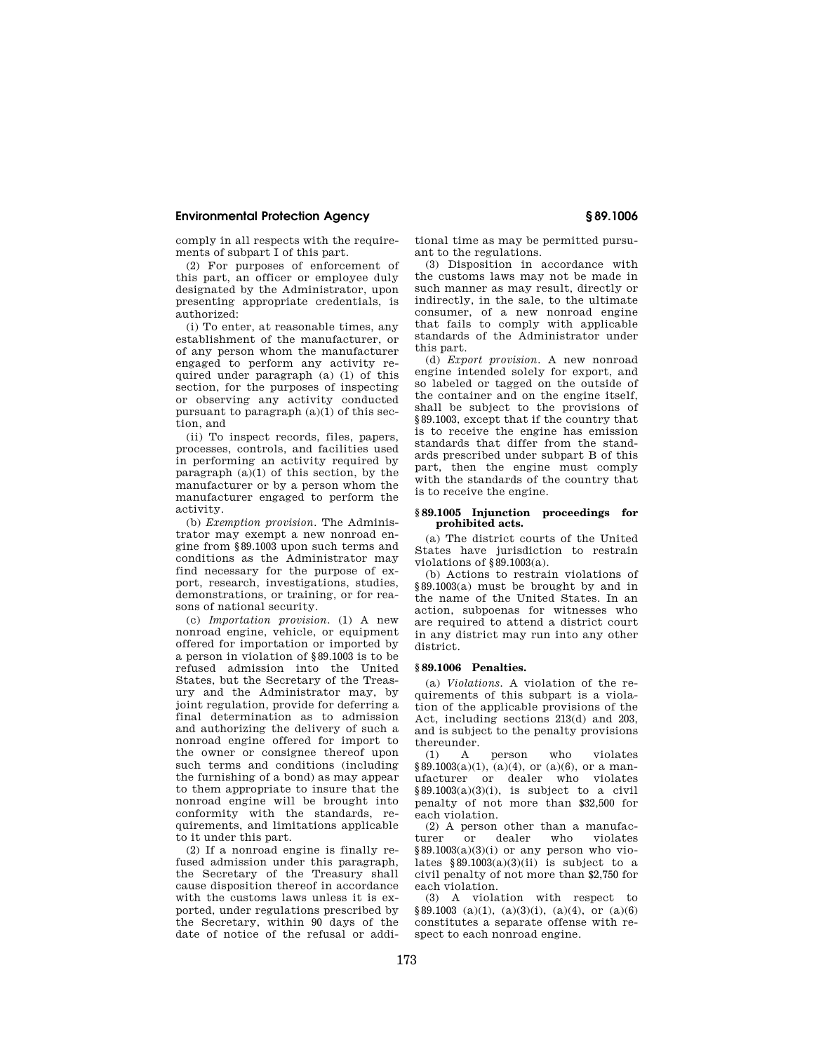comply in all respects with the requirements of subpart I of this part.

(2) For purposes of enforcement of this part, an officer or employee duly designated by the Administrator, upon presenting appropriate credentials, is authorized:

(i) To enter, at reasonable times, any establishment of the manufacturer, or of any person whom the manufacturer engaged to perform any activity required under paragraph (a) (1) of this section, for the purposes of inspecting or observing any activity conducted pursuant to paragraph (a)(1) of this section, and

(ii) To inspect records, files, papers, processes, controls, and facilities used in performing an activity required by paragraph (a)(1) of this section, by the manufacturer or by a person whom the manufacturer engaged to perform the activity.

(b) *Exemption provision.* The Administrator may exempt a new nonroad engine from §89.1003 upon such terms and conditions as the Administrator may find necessary for the purpose of export, research, investigations, studies, demonstrations, or training, or for reasons of national security.

(c) *Importation provision.* (1) A new nonroad engine, vehicle, or equipment offered for importation or imported by a person in violation of §89.1003 is to be refused admission into the United States, but the Secretary of the Treasury and the Administrator may, by joint regulation, provide for deferring a final determination as to admission and authorizing the delivery of such a nonroad engine offered for import to the owner or consignee thereof upon such terms and conditions (including the furnishing of a bond) as may appear to them appropriate to insure that the nonroad engine will be brought into conformity with the standards, requirements, and limitations applicable to it under this part.

(2) If a nonroad engine is finally refused admission under this paragraph, the Secretary of the Treasury shall cause disposition thereof in accordance with the customs laws unless it is exported, under regulations prescribed by the Secretary, within 90 days of the date of notice of the refusal or additional time as may be permitted pursuant to the regulations.

(3) Disposition in accordance with the customs laws may not be made in such manner as may result, directly or indirectly, in the sale, to the ultimate consumer, of a new nonroad engine that fails to comply with applicable standards of the Administrator under this part.

(d) *Export provision.* A new nonroad engine intended solely for export, and so labeled or tagged on the outside of the container and on the engine itself, shall be subject to the provisions of §89.1003, except that if the country that is to receive the engine has emission standards that differ from the standards prescribed under subpart B of this part, then the engine must comply with the standards of the country that is to receive the engine.

#### **§ 89.1005 Injunction proceedings for prohibited acts.**

(a) The district courts of the United States have jurisdiction to restrain violations of §89.1003(a).

(b) Actions to restrain violations of §89.1003(a) must be brought by and in the name of the United States. In an action, subpoenas for witnesses who are required to attend a district court in any district may run into any other district.

#### **§ 89.1006 Penalties.**

(a) *Violations.* A violation of the requirements of this subpart is a violation of the applicable provisions of the Act, including sections 213(d) and 203, and is subject to the penalty provisions thereunder.

(1) A person who violates §89.1003(a)(1), (a)(4), or (a)(6), or a manufacturer or dealer who violates  $§89.1003(a)(3)(i)$ , is subject to a civil penalty of not more than \$32,500 for each violation.

 $(2)$  A person other than a manufacturer or dealer who violates dealer who violates  $§89.1003(a)(3)(i)$  or any person who violates  $§89.1003(a)(3)(ii)$  is subject to a civil penalty of not more than \$2,750 for each violation.

(3) A violation with respect to  $$89.1003$  (a)(1), (a)(3)(i), (a)(4), or (a)(6) constitutes a separate offense with respect to each nonroad engine.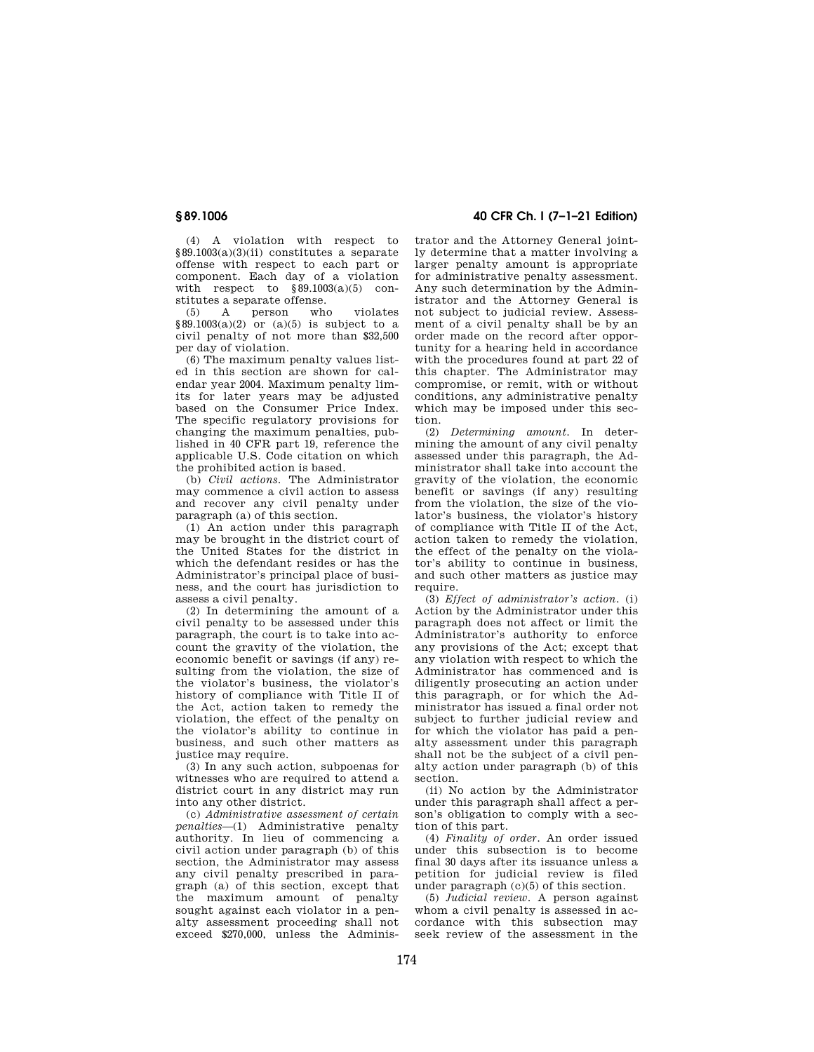(4) A violation with respect to §89.1003(a)(3)(ii) constitutes a separate offense with respect to each part or component. Each day of a violation with respect to  $\frac{89.1003(a)(5)}{c}$  constitutes a separate offense.<br>(5) A person who

(5) A person who violates  $§89.1003(a)(2)$  or  $(a)(5)$  is subject to a civil penalty of not more than \$32,500 per day of violation.

(6) The maximum penalty values listed in this section are shown for calendar year 2004. Maximum penalty limits for later years may be adjusted based on the Consumer Price Index. The specific regulatory provisions for changing the maximum penalties, published in 40 CFR part 19, reference the applicable U.S. Code citation on which the prohibited action is based.

(b) *Civil actions.* The Administrator may commence a civil action to assess and recover any civil penalty under paragraph (a) of this section.

(1) An action under this paragraph may be brought in the district court of the United States for the district in which the defendant resides or has the Administrator's principal place of business, and the court has jurisdiction to assess a civil penalty.

(2) In determining the amount of a civil penalty to be assessed under this paragraph, the court is to take into account the gravity of the violation, the economic benefit or savings (if any) resulting from the violation, the size of the violator's business, the violator's history of compliance with Title II of the Act, action taken to remedy the violation, the effect of the penalty on the violator's ability to continue in business, and such other matters as justice may require.

(3) In any such action, subpoenas for witnesses who are required to attend a district court in any district may run into any other district.

(c) *Administrative assessment of certain penalties*—(1) Administrative penalty authority. In lieu of commencing a civil action under paragraph (b) of this section, the Administrator may assess any civil penalty prescribed in paragraph (a) of this section, except that the maximum amount of penalty sought against each violator in a penalty assessment proceeding shall not exceed \$270,000, unless the Adminis-

**§ 89.1006 40 CFR Ch. I (7–1–21 Edition)** 

trator and the Attorney General jointly determine that a matter involving a larger penalty amount is appropriate for administrative penalty assessment. Any such determination by the Administrator and the Attorney General is not subject to judicial review. Assessment of a civil penalty shall be by an order made on the record after opportunity for a hearing held in accordance with the procedures found at part 22 of this chapter. The Administrator may compromise, or remit, with or without conditions, any administrative penalty which may be imposed under this section.

(2) *Determining amount.* In determining the amount of any civil penalty assessed under this paragraph, the Administrator shall take into account the gravity of the violation, the economic benefit or savings (if any) resulting from the violation, the size of the violator's business, the violator's history of compliance with Title II of the Act, action taken to remedy the violation, the effect of the penalty on the violator's ability to continue in business, and such other matters as justice may require.

(3) *Effect of administrator's action.* (i) Action by the Administrator under this paragraph does not affect or limit the Administrator's authority to enforce any provisions of the Act; except that any violation with respect to which the Administrator has commenced and is diligently prosecuting an action under this paragraph, or for which the Administrator has issued a final order not subject to further judicial review and for which the violator has paid a penalty assessment under this paragraph shall not be the subject of a civil penalty action under paragraph (b) of this section.

(ii) No action by the Administrator under this paragraph shall affect a person's obligation to comply with a section of this part.

(4) *Finality of order.* An order issued under this subsection is to become final 30 days after its issuance unless a petition for judicial review is filed under paragraph (c)(5) of this section.

(5) *Judicial review.* A person against whom a civil penalty is assessed in accordance with this subsection may seek review of the assessment in the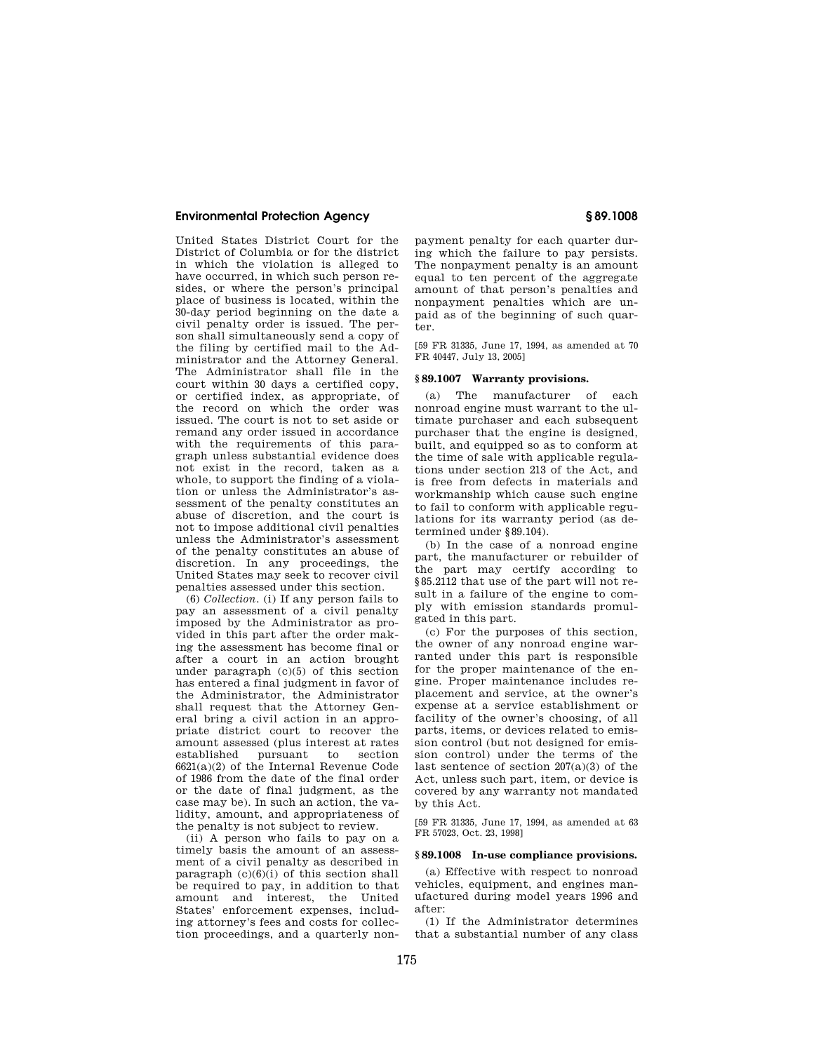United States District Court for the District of Columbia or for the district in which the violation is alleged to have occurred, in which such person resides, or where the person's principal place of business is located, within the 30-day period beginning on the date a civil penalty order is issued. The person shall simultaneously send a copy of the filing by certified mail to the Administrator and the Attorney General. The Administrator shall file in the court within 30 days a certified copy, or certified index, as appropriate, of the record on which the order was issued. The court is not to set aside or remand any order issued in accordance with the requirements of this paragraph unless substantial evidence does not exist in the record, taken as a whole, to support the finding of a violation or unless the Administrator's assessment of the penalty constitutes an abuse of discretion, and the court is not to impose additional civil penalties unless the Administrator's assessment of the penalty constitutes an abuse of discretion. In any proceedings, the United States may seek to recover civil penalties assessed under this section.

(6) *Collection.* (i) If any person fails to pay an assessment of a civil penalty imposed by the Administrator as provided in this part after the order making the assessment has become final or after a court in an action brought under paragraph (c)(5) of this section has entered a final judgment in favor of the Administrator, the Administrator shall request that the Attorney General bring a civil action in an appropriate district court to recover the amount assessed (plus interest at rates established pursuant to section 6621(a)(2) of the Internal Revenue Code of 1986 from the date of the final order or the date of final judgment, as the case may be). In such an action, the validity, amount, and appropriateness of the penalty is not subject to review.

(ii) A person who fails to pay on a timely basis the amount of an assessment of a civil penalty as described in paragraph  $(c)(6)(i)$  of this section shall be required to pay, in addition to that amount and interest, the United States' enforcement expenses, including attorney's fees and costs for collection proceedings, and a quarterly nonpayment penalty for each quarter during which the failure to pay persists. The nonpayment penalty is an amount equal to ten percent of the aggregate amount of that person's penalties and nonpayment penalties which are unpaid as of the beginning of such quarter.

[59 FR 31335, June 17, 1994, as amended at 70 FR 40447, July 13, 2005]

#### **§ 89.1007 Warranty provisions.**

(a) The manufacturer of each nonroad engine must warrant to the ultimate purchaser and each subsequent purchaser that the engine is designed, built, and equipped so as to conform at the time of sale with applicable regulations under section 213 of the Act, and is free from defects in materials and workmanship which cause such engine to fail to conform with applicable regulations for its warranty period (as determined under §89.104).

(b) In the case of a nonroad engine part, the manufacturer or rebuilder of the part may certify according to §85.2112 that use of the part will not result in a failure of the engine to comply with emission standards promulgated in this part.

(c) For the purposes of this section, the owner of any nonroad engine warranted under this part is responsible for the proper maintenance of the engine. Proper maintenance includes replacement and service, at the owner's expense at a service establishment or facility of the owner's choosing, of all parts, items, or devices related to emission control (but not designed for emission control) under the terms of the last sentence of section 207(a)(3) of the Act, unless such part, item, or device is covered by any warranty not mandated by this Act.

[59 FR 31335, June 17, 1994, as amended at 63 FR 57023, Oct. 23, 1998]

#### **§ 89.1008 In-use compliance provisions.**

(a) Effective with respect to nonroad vehicles, equipment, and engines manufactured during model years 1996 and after:

(1) If the Administrator determines that a substantial number of any class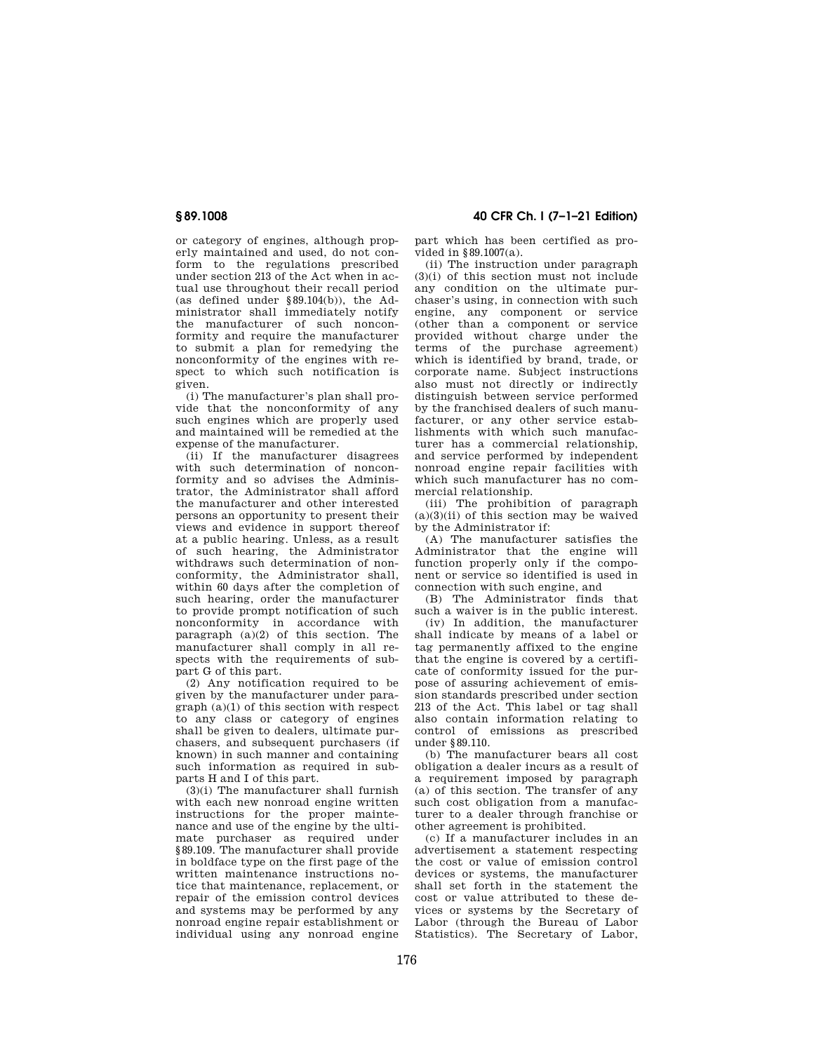or category of engines, although properly maintained and used, do not conform to the regulations prescribed under section 213 of the Act when in actual use throughout their recall period (as defined under  $$89.104(b)$ ), the Administrator shall immediately notify the manufacturer of such nonconformity and require the manufacturer to submit a plan for remedying the nonconformity of the engines with respect to which such notification is given.

(i) The manufacturer's plan shall provide that the nonconformity of any such engines which are properly used and maintained will be remedied at the expense of the manufacturer.

(ii) If the manufacturer disagrees with such determination of nonconformity and so advises the Administrator, the Administrator shall afford the manufacturer and other interested persons an opportunity to present their views and evidence in support thereof at a public hearing. Unless, as a result of such hearing, the Administrator withdraws such determination of nonconformity, the Administrator shall, within 60 days after the completion of such hearing, order the manufacturer to provide prompt notification of such nonconformity in accordance with paragraph  $(a)(2)$  of this section. The manufacturer shall comply in all respects with the requirements of subpart G of this part.

(2) Any notification required to be given by the manufacturer under paragraph (a)(1) of this section with respect to any class or category of engines shall be given to dealers, ultimate purchasers, and subsequent purchasers (if known) in such manner and containing such information as required in subparts H and I of this part.

(3)(i) The manufacturer shall furnish with each new nonroad engine written instructions for the proper maintenance and use of the engine by the ultimate purchaser as required under §89.109. The manufacturer shall provide in boldface type on the first page of the written maintenance instructions notice that maintenance, replacement, or repair of the emission control devices and systems may be performed by any nonroad engine repair establishment or individual using any nonroad engine

**§ 89.1008 40 CFR Ch. I (7–1–21 Edition)** 

part which has been certified as provided in §89.1007(a).

(ii) The instruction under paragraph (3)(i) of this section must not include any condition on the ultimate purchaser's using, in connection with such engine, any component or service (other than a component or service provided without charge under the terms of the purchase agreement) which is identified by brand, trade, or corporate name. Subject instructions also must not directly or indirectly distinguish between service performed by the franchised dealers of such manufacturer, or any other service establishments with which such manufacturer has a commercial relationship, and service performed by independent nonroad engine repair facilities with which such manufacturer has no commercial relationship.

(iii) The prohibition of paragraph  $(a)(3)(ii)$  of this section may be waived by the Administrator if:

(A) The manufacturer satisfies the Administrator that the engine will function properly only if the component or service so identified is used in connection with such engine, and

(B) The Administrator finds that such a waiver is in the public interest.

(iv) In addition, the manufacturer shall indicate by means of a label or tag permanently affixed to the engine that the engine is covered by a certificate of conformity issued for the purpose of assuring achievement of emission standards prescribed under section 213 of the Act. This label or tag shall also contain information relating to control of emissions as prescribed under §89.110.

(b) The manufacturer bears all cost obligation a dealer incurs as a result of a requirement imposed by paragraph (a) of this section. The transfer of any such cost obligation from a manufacturer to a dealer through franchise or other agreement is prohibited.

(c) If a manufacturer includes in an advertisement a statement respecting the cost or value of emission control devices or systems, the manufacturer shall set forth in the statement the cost or value attributed to these devices or systems by the Secretary of Labor (through the Bureau of Labor Statistics). The Secretary of Labor,